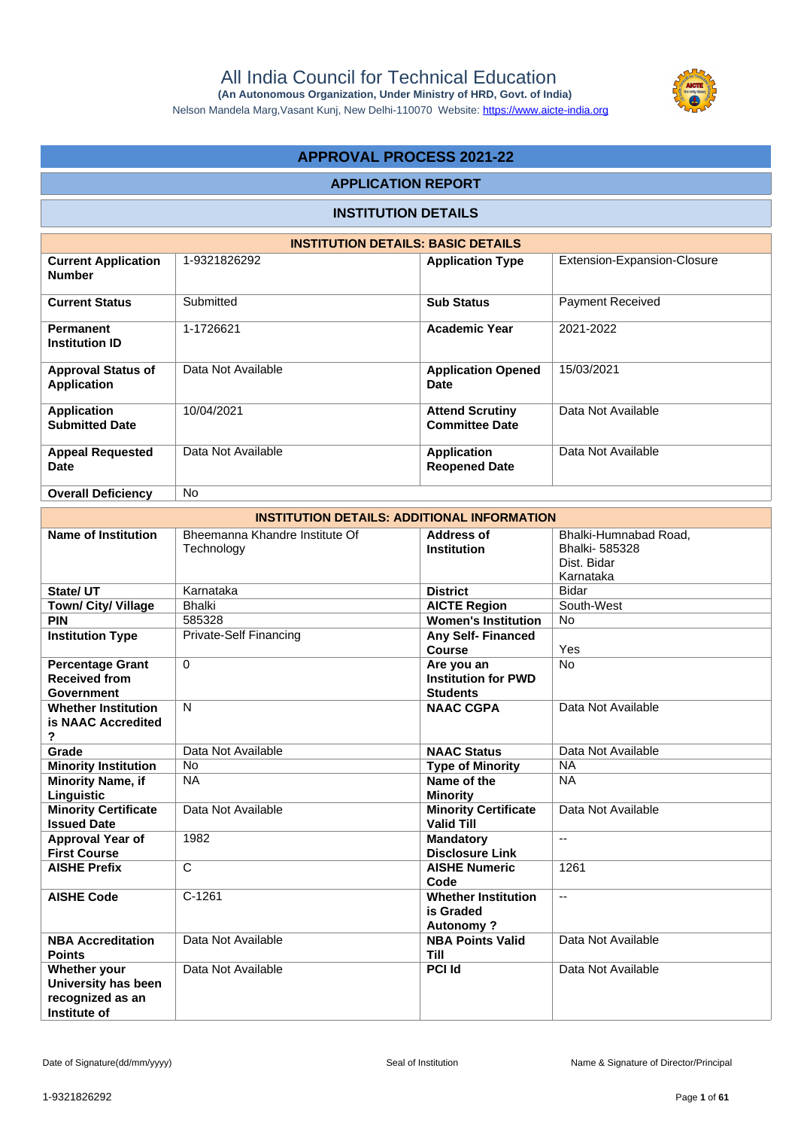

Nelson Mandela Marg,Vasant Kunj, New Delhi-110070 Website:<https://www.aicte-india.org>

# **APPROVAL PROCESS 2021-22**

#### **APPLICATION REPORT**

## **INSTITUTION DETAILS**

| <b>INSTITUTION DETAILS: BASIC DETAILS</b>       |                    |                                                 |                             |  |  |  |  |  |  |  |
|-------------------------------------------------|--------------------|-------------------------------------------------|-----------------------------|--|--|--|--|--|--|--|
| <b>Current Application</b><br><b>Number</b>     | 1-9321826292       | <b>Application Type</b>                         | Extension-Expansion-Closure |  |  |  |  |  |  |  |
| <b>Current Status</b>                           | Submitted          | <b>Sub Status</b>                               | <b>Payment Received</b>     |  |  |  |  |  |  |  |
| <b>Permanent</b><br><b>Institution ID</b>       | 1-1726621          | <b>Academic Year</b>                            | 2021-2022                   |  |  |  |  |  |  |  |
| <b>Approval Status of</b><br><b>Application</b> | Data Not Available | <b>Application Opened</b><br>Date               | 15/03/2021                  |  |  |  |  |  |  |  |
| Application<br><b>Submitted Date</b>            | 10/04/2021         | <b>Attend Scrutiny</b><br><b>Committee Date</b> | Data Not Available          |  |  |  |  |  |  |  |
| <b>Appeal Requested</b><br>Date                 | Data Not Available | <b>Application</b><br><b>Reopened Date</b>      | Data Not Available          |  |  |  |  |  |  |  |
| <b>Overall Deficiency</b>                       | <b>No</b>          |                                                 |                             |  |  |  |  |  |  |  |

| <b>INSTITUTION DETAILS: ADDITIONAL INFORMATION</b>                      |                                              |                                                             |                                                                    |  |  |  |  |  |  |
|-------------------------------------------------------------------------|----------------------------------------------|-------------------------------------------------------------|--------------------------------------------------------------------|--|--|--|--|--|--|
| <b>Name of Institution</b>                                              | Bheemanna Khandre Institute Of<br>Technology | <b>Address of</b><br><b>Institution</b>                     | Bhalki-Humnabad Road,<br>Bhalki-585328<br>Dist. Bidar<br>Karnataka |  |  |  |  |  |  |
| State/ UT                                                               | Karnataka                                    | <b>District</b>                                             | <b>Bidar</b>                                                       |  |  |  |  |  |  |
| <b>Town/ City/ Village</b>                                              | <b>Bhalki</b>                                | <b>AICTE Region</b>                                         | South-West                                                         |  |  |  |  |  |  |
| <b>PIN</b>                                                              | 585328                                       | <b>Women's Institution</b>                                  | <b>No</b>                                                          |  |  |  |  |  |  |
| <b>Institution Type</b>                                                 | Private-Self Financing                       | <b>Any Self-Financed</b><br><b>Course</b>                   | Yes                                                                |  |  |  |  |  |  |
| <b>Percentage Grant</b><br><b>Received from</b><br><b>Government</b>    | $\Omega$                                     | Are you an<br><b>Institution for PWD</b><br><b>Students</b> | <b>No</b>                                                          |  |  |  |  |  |  |
| <b>Whether Institution</b><br>is NAAC Accredited<br>?                   | N                                            | <b>NAAC CGPA</b>                                            | Data Not Available                                                 |  |  |  |  |  |  |
| Grade                                                                   | Data Not Available                           | <b>NAAC Status</b>                                          | Data Not Available                                                 |  |  |  |  |  |  |
| <b>Minority Institution</b>                                             | <b>No</b>                                    | <b>Type of Minority</b>                                     | <b>NA</b>                                                          |  |  |  |  |  |  |
| <b>Minority Name, if</b><br>Linguistic                                  | <b>NA</b>                                    | Name of the<br><b>Minority</b>                              | <b>NA</b>                                                          |  |  |  |  |  |  |
| <b>Minority Certificate</b><br><b>Issued Date</b>                       | Data Not Available                           | <b>Minority Certificate</b><br><b>Valid Till</b>            | Data Not Available                                                 |  |  |  |  |  |  |
| <b>Approval Year of</b><br><b>First Course</b>                          | 1982                                         | <b>Mandatory</b><br><b>Disclosure Link</b>                  | $\mathbf{u}$                                                       |  |  |  |  |  |  |
| <b>AISHE Prefix</b>                                                     | $\overline{\mathrm{c}}$                      | <b>AISHE Numeric</b><br>Code                                | 1261                                                               |  |  |  |  |  |  |
| <b>AISHE Code</b>                                                       | $C-1261$                                     | <b>Whether Institution</b><br>is Graded<br><b>Autonomy?</b> | $\overline{a}$                                                     |  |  |  |  |  |  |
| <b>NBA Accreditation</b><br><b>Points</b>                               | Data Not Available                           | <b>NBA Points Valid</b><br><b>Till</b>                      | Data Not Available                                                 |  |  |  |  |  |  |
| Whether your<br>University has been<br>recognized as an<br>Institute of | Data Not Available                           | <b>PCI Id</b>                                               | Data Not Available                                                 |  |  |  |  |  |  |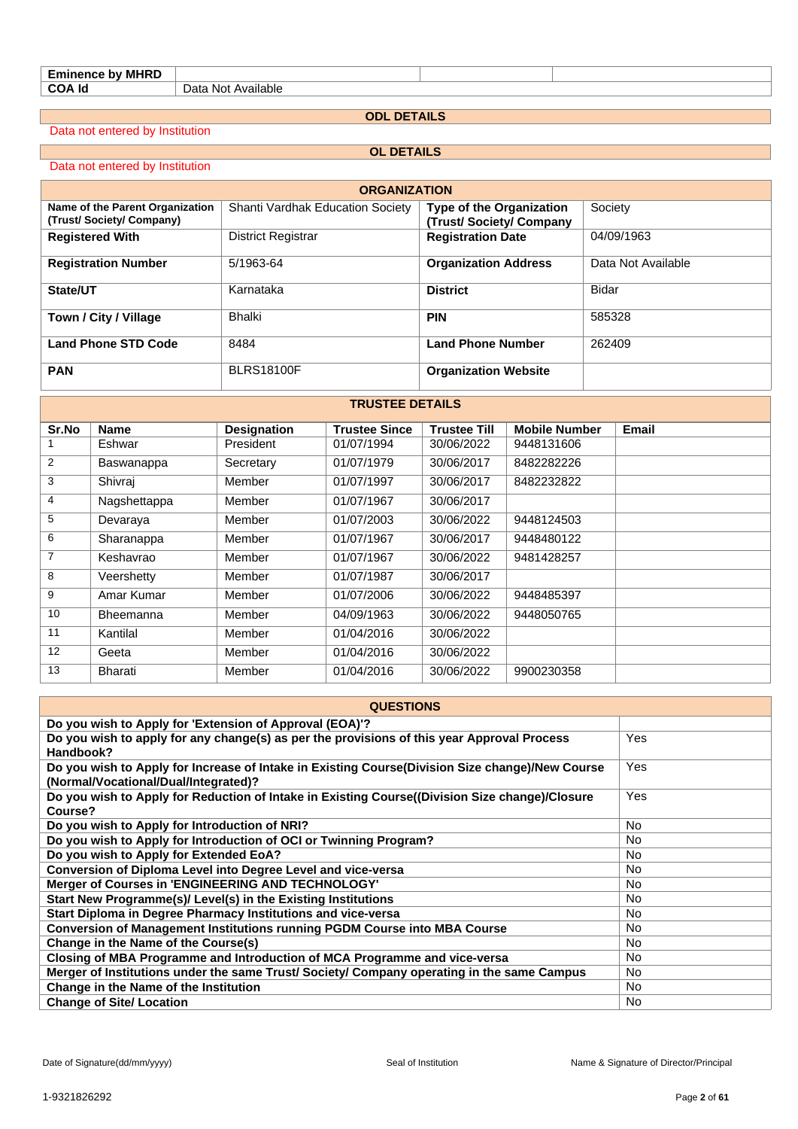| <b>Eminence by MHRD</b> |                    |
|-------------------------|--------------------|
| <b>COA Id</b>           | Data Not Available |
|                         |                    |

**ODL DETAILS**

Data not entered by Institution

#### **OL DETAILS**

#### Data not entered by Institution

| <b>ORGANIZATION</b>                                        |                                         |                                                           |                    |  |  |  |  |  |  |  |
|------------------------------------------------------------|-----------------------------------------|-----------------------------------------------------------|--------------------|--|--|--|--|--|--|--|
| Name of the Parent Organization<br>(Trust/Society/Company) | <b>Shanti Vardhak Education Society</b> | <b>Type of the Organization</b><br>(Trust/Society/Company | Society            |  |  |  |  |  |  |  |
| <b>Registered With</b>                                     | District Registrar                      | <b>Registration Date</b>                                  | 04/09/1963         |  |  |  |  |  |  |  |
| <b>Registration Number</b>                                 | 5/1963-64                               | <b>Organization Address</b>                               | Data Not Available |  |  |  |  |  |  |  |
| State/UT                                                   | Karnataka                               | <b>District</b>                                           | Bidar              |  |  |  |  |  |  |  |
| Town / City / Village                                      | Bhalki                                  | <b>PIN</b>                                                | 585328             |  |  |  |  |  |  |  |
| <b>Land Phone STD Code</b>                                 | 8484                                    | <b>Land Phone Number</b>                                  | 262409             |  |  |  |  |  |  |  |
| <b>PAN</b>                                                 | <b>BLRS18100F</b>                       | <b>Organization Website</b>                               |                    |  |  |  |  |  |  |  |

**TRUSTEE DETAILS**

# **Sr.No Name Designation Trustee Since Trustee Till Mobile Number Email** 1 Eshwar President 01/07/1994 30/06/2022 9448131606 2 Baswanappa Secretary 01/07/1979 30/06/2017 8482282226 3 Shivraj Member 01/07/1997 30/06/2017 8482232822 4 Nagshettappa Member 01/07/1967 30/06/2017 5 Devaraya Member 01/07/2003 30/06/2022 9448124503 6 Sharanappa Member 01/07/1967 30/06/2017 9448480122 7 Keshavrao Member 01/07/1967 30/06/2022 9481428257 8 Veershetty Member 01/07/1987 30/06/2017 9 Amar Kumar Member 01/07/2006 30/06/2022 9448485397 10 Bheemanna Member 04/09/1963 30/06/2022 9448050765 11 Kantilal Member 01/04/2016 30/06/2022 12 Geeta Member 01/04/2016 30/06/2022 13 Bharati Member 01/04/2016 30/06/2022 9900230358

| <b>QUESTIONS</b>                                                                                                                        |            |  |  |  |  |  |  |
|-----------------------------------------------------------------------------------------------------------------------------------------|------------|--|--|--|--|--|--|
| Do you wish to Apply for 'Extension of Approval (EOA)'?                                                                                 |            |  |  |  |  |  |  |
| Do you wish to apply for any change(s) as per the provisions of this year Approval Process<br>Handbook?                                 | <b>Yes</b> |  |  |  |  |  |  |
| Do you wish to Apply for Increase of Intake in Existing Course(Division Size change)/New Course<br>(Normal/Vocational/Dual/Integrated)? | Yes        |  |  |  |  |  |  |
| Do you wish to Apply for Reduction of Intake in Existing Course((Division Size change)/Closure<br>Course?                               | <b>Yes</b> |  |  |  |  |  |  |
| Do you wish to Apply for Introduction of NRI?                                                                                           | No.        |  |  |  |  |  |  |
| Do you wish to Apply for Introduction of OCI or Twinning Program?                                                                       | <b>No</b>  |  |  |  |  |  |  |
| Do you wish to Apply for Extended EoA?                                                                                                  | <b>No</b>  |  |  |  |  |  |  |
| Conversion of Diploma Level into Degree Level and vice-versa                                                                            | <b>No</b>  |  |  |  |  |  |  |
| Merger of Courses in 'ENGINEERING AND TECHNOLOGY'                                                                                       | <b>No</b>  |  |  |  |  |  |  |
| Start New Programme(s)/ Level(s) in the Existing Institutions                                                                           | No.        |  |  |  |  |  |  |
| Start Diploma in Degree Pharmacy Institutions and vice-versa                                                                            | No.        |  |  |  |  |  |  |
| <b>Conversion of Management Institutions running PGDM Course into MBA Course</b>                                                        | No.        |  |  |  |  |  |  |
| Change in the Name of the Course(s)                                                                                                     | No.        |  |  |  |  |  |  |
| Closing of MBA Programme and Introduction of MCA Programme and vice-versa                                                               | No.        |  |  |  |  |  |  |
| Merger of Institutions under the same Trust/ Society/ Company operating in the same Campus                                              | No.        |  |  |  |  |  |  |
| Change in the Name of the Institution                                                                                                   | <b>No</b>  |  |  |  |  |  |  |
| <b>Change of Site/ Location</b>                                                                                                         | No.        |  |  |  |  |  |  |

#### Date of Signature(dd/mm/yyyy) exacts and the Seal of Institution Seal of Institution Name & Signature of Director/Principal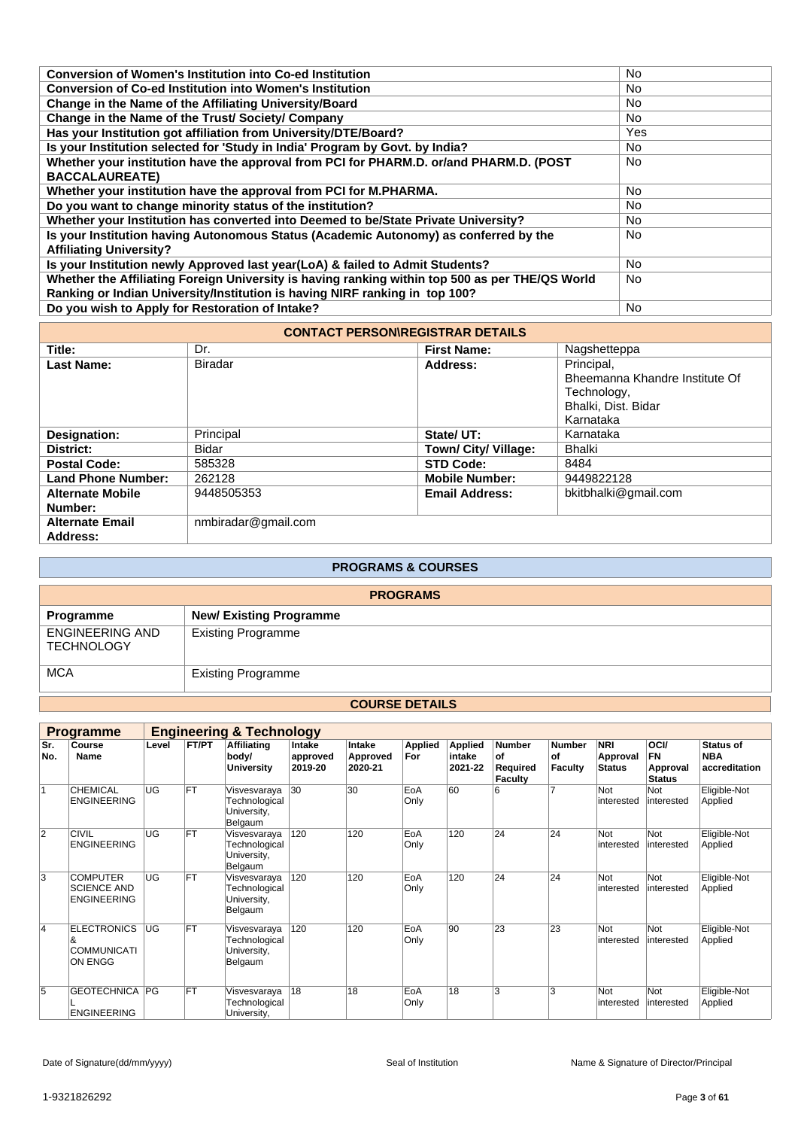| Conversion of Women's Institution into Co-ed Institution                                        | No.       |
|-------------------------------------------------------------------------------------------------|-----------|
| <b>Conversion of Co-ed Institution into Women's Institution</b>                                 | No        |
| Change in the Name of the Affiliating University/Board                                          | <b>No</b> |
| Change in the Name of the Trust/ Society/ Company                                               | No.       |
| Has your Institution got affiliation from University/DTE/Board?                                 | Yes       |
| Is your Institution selected for 'Study in India' Program by Govt. by India?                    | No.       |
| Whether your institution have the approval from PCI for PHARM.D. or/and PHARM.D. (POST          | <b>No</b> |
| <b>BACCALAUREATE)</b>                                                                           |           |
| Whether your institution have the approval from PCI for M.PHARMA.                               | <b>No</b> |
| Do you want to change minority status of the institution?                                       | No.       |
| Whether your Institution has converted into Deemed to be/State Private University?              | No.       |
| Is your Institution having Autonomous Status (Academic Autonomy) as conferred by the            | <b>No</b> |
| <b>Affiliating University?</b>                                                                  |           |
| Is your Institution newly Approved last year(LoA) & failed to Admit Students?                   | <b>No</b> |
| Whether the Affiliating Foreign University is having ranking within top 500 as per THE/QS World | <b>No</b> |
| Ranking or Indian University/Institution is having NIRF ranking in top 100?                     |           |
| Do you wish to Apply for Restoration of Intake?                                                 | <b>No</b> |
|                                                                                                 |           |

| <b>CONTACT PERSON\REGISTRAR DETAILS</b> |                     |                       |                                                                                                 |  |  |  |  |  |  |  |
|-----------------------------------------|---------------------|-----------------------|-------------------------------------------------------------------------------------------------|--|--|--|--|--|--|--|
| Title:                                  | Dr.                 | <b>First Name:</b>    | Nagshetteppa                                                                                    |  |  |  |  |  |  |  |
| <b>Last Name:</b>                       | <b>Biradar</b>      | Address:              | Principal,<br>Bheemanna Khandre Institute Of<br>Technology,<br>Bhalki, Dist. Bidar<br>Karnataka |  |  |  |  |  |  |  |
| Designation:                            | Principal           | State/ UT:            | Karnataka                                                                                       |  |  |  |  |  |  |  |
| District:                               | Bidar               | Town/ City/ Village:  | Bhalki                                                                                          |  |  |  |  |  |  |  |
| <b>Postal Code:</b>                     | 585328              | <b>STD Code:</b>      | 8484                                                                                            |  |  |  |  |  |  |  |
| <b>Land Phone Number:</b>               | 262128              | <b>Mobile Number:</b> | 9449822128                                                                                      |  |  |  |  |  |  |  |
| <b>Alternate Mobile</b><br>Number:      | 9448505353          | <b>Email Address:</b> | bkitbhalki@gmail.com                                                                            |  |  |  |  |  |  |  |
| <b>Alternate Email</b><br>Address:      | nmbiradar@gmail.com |                       |                                                                                                 |  |  |  |  |  |  |  |

| <b>PROGRAMS &amp; COURSES</b>               |                               |  |  |  |  |  |  |
|---------------------------------------------|-------------------------------|--|--|--|--|--|--|
| <b>PROGRAMS</b>                             |                               |  |  |  |  |  |  |
| Programme                                   | <b>New/Existing Programme</b> |  |  |  |  |  |  |
| <b>ENGINEERING AND</b><br><b>TECHNOLOGY</b> | <b>Existing Programme</b>     |  |  |  |  |  |  |
| <b>MCA</b>                                  | <b>Existing Programme</b>     |  |  |  |  |  |  |

#### **COURSE DETAILS**

|                | <b>Programme</b>                                                |           | <b>Engineering &amp; Technology</b> |                                                         |                               |                               |                |                                     |                                            |                                       |                                         |                                                       |                                          |
|----------------|-----------------------------------------------------------------|-----------|-------------------------------------|---------------------------------------------------------|-------------------------------|-------------------------------|----------------|-------------------------------------|--------------------------------------------|---------------------------------------|-----------------------------------------|-------------------------------------------------------|------------------------------------------|
| Sr.<br>No.     | Course<br>Name                                                  | Level     | FT/PT                               | <b>Affiliating</b><br>body/<br><b>University</b>        | Intake<br>approved<br>2019-20 | Intake<br>Approved<br>2020-21 | Applied<br>For | <b>Applied</b><br>intake<br>2021-22 | <b>Number</b><br>of<br>Required<br>Faculty | <b>Number</b><br>of<br><b>Faculty</b> | <b>NRI</b><br>Approval<br><b>Status</b> | <b>OCI/</b><br><b>FN</b><br>Approval<br><b>Status</b> | Status of<br><b>NBA</b><br>accreditation |
| 1              | CHEMICAL<br><b>ENGINEERING</b>                                  | <b>UG</b> | FT                                  | Visvesvaraya<br>Technological<br>University,<br>Belgaum | 30                            | 30                            | EoA<br>Only    | 60                                  | 6                                          | 7                                     | Not<br>interested                       | Not<br>interested                                     | Eligible-Not<br>Applied                  |
| $\overline{2}$ | <b>CIVIL</b><br><b>ENGINEERING</b>                              | UG        | FT                                  | Visvesvaraya<br>Technological<br>University,<br>Belgaum | 120                           | 120                           | EoA<br>Only    | 120                                 | 24                                         | 24                                    | Not<br>interested                       | Not<br>linterested                                    | Eligible-Not<br>Applied                  |
| 3              | <b>COMPUTER</b><br><b>SCIENCE AND</b><br><b>ENGINEERING</b>     | UG        | FT                                  | Visvesvaraya<br>Technological<br>University,<br>Belgaum | 120                           | 120                           | EoA<br>Only    | 120                                 | 24                                         | 24                                    | Not<br>interested                       | Not<br>interested                                     | Eligible-Not<br>Applied                  |
| 4              | <b>ELECTRONICS</b><br>&<br><b>COMMUNICATI</b><br><b>ON ENGG</b> | <b>UG</b> | FT                                  | Visvesvaraya<br>Technological<br>University,<br>Belgaum | 120                           | 120                           | EoA<br>Only    | 90                                  | 23                                         | 23                                    | Not<br>interested                       | Not<br>linterested                                    | Eligible-Not<br>Applied                  |
| 5              | <b>GEOTECHNICA PG</b><br><b>ENGINEERING</b>                     |           | FT                                  | Visvesvaraya<br>Technological<br>University,            | 18                            | 18                            | EoA<br>Only    | 18                                  | 3                                          | 3                                     | Not<br>interested                       | Not<br>interested                                     | Eligible-Not<br>Applied                  |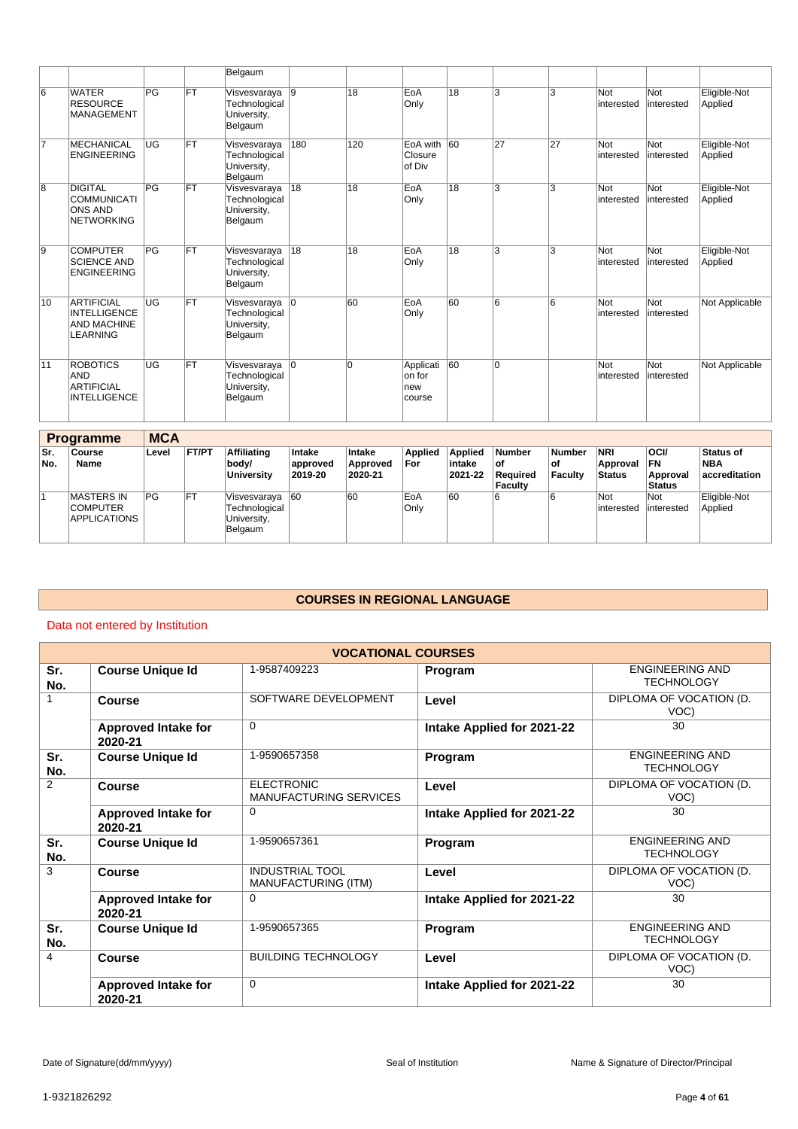|    |                                                                             |    |           | Belgaum                                                   |             |     |                                      |    |                |                 |                   |                   |                         |
|----|-----------------------------------------------------------------------------|----|-----------|-----------------------------------------------------------|-------------|-----|--------------------------------------|----|----------------|-----------------|-------------------|-------------------|-------------------------|
| 6  | <b>WATER</b><br><b>RESOURCE</b><br><b>MANAGEMENT</b>                        | PG | <b>FT</b> | Visvesvaraya 9<br>Technological<br>University,<br>Belgaum |             | 18  | EoA<br>Only                          | 18 | 3              | 3               | Not<br>interested | Not<br>interested | Eligible-Not<br>Applied |
| 7  | <b>MECHANICAL</b><br><b>ENGINEERING</b>                                     | UG | <b>FT</b> | Visvesvaraya<br>Technological<br>University,<br>Belgaum   | 180         | 120 | EoA with<br>Closure<br>of Div        | 60 | 27             | 27              | Not<br>interested | Not<br>interested | Eligible-Not<br>Applied |
| 8  | <b>DIGITAL</b><br><b>COMMUNICATI</b><br><b>ONS AND</b><br><b>NETWORKING</b> | PG | <b>FT</b> | Visvesvaraya<br>Technological<br>University,<br>Belgaum   | 18          | 18  | EoA<br>Only                          | 18 | 3              | 3               | Not<br>interested | Not<br>interested | Eligible-Not<br>Applied |
| 9  | <b>COMPUTER</b><br><b>SCIENCE AND</b><br><b>ENGINEERING</b>                 | PG | FT        | Visvesvaraya<br>Technological<br>University,<br>Belgaum   | 18          | 18  | EoA<br>Only                          | 18 | 3              | 3               | Not<br>interested | Not<br>interested | Eligible-Not<br>Applied |
| 10 | <b>ARTIFICIAL</b><br><b>INTELLIGENCE</b><br><b>AND MACHINE</b><br>LEARNING  | UG | FT        | Visvesvaraya 0<br>Technological<br>University,<br>Belgaum |             | 60  | EoA<br>Only                          | 60 | 6              | $6\overline{6}$ | Not<br>interested | Not<br>interested | Not Applicable          |
| 11 | <b>ROBOTICS</b><br><b>AND</b><br><b>ARTIFICIAL</b><br><b>INTELLIGENCE</b>   | UG | <b>FT</b> | Visvesvaraya<br>Technological<br>University,<br>Belgaum   | $ 0\rangle$ | l0  | Applicati<br>on for<br>new<br>course | 60 | $\overline{0}$ |                 | Not<br>interested | Not<br>interested | Not Applicable          |

|            | <b>Programme</b>                                            | <b>MCA</b> |            |                                                         |                               |                               |                       |                                     |                                                     |                                |                                         |                                                       |                                          |
|------------|-------------------------------------------------------------|------------|------------|---------------------------------------------------------|-------------------------------|-------------------------------|-----------------------|-------------------------------------|-----------------------------------------------------|--------------------------------|-----------------------------------------|-------------------------------------------------------|------------------------------------------|
| Sr.<br>No. | Course<br>Name                                              | Level      | FT/PT      | <b>Affiliating</b><br>body/<br><b>University</b>        | Intake<br>approved<br>2019-20 | Intake<br>Approved<br>2020-21 | <b>Applied</b><br>For | <b>Applied</b><br>intake<br>2021-22 | <b>Number</b><br>l of<br>Reauired<br><b>Faculty</b> | <b>Number</b><br>οf<br>Faculty | <b>NRI</b><br>Approval<br><b>Status</b> | <b>OCI/</b><br><b>FN</b><br>Approval<br><b>Status</b> | <b>Status of</b><br>NBA<br>accreditation |
|            | <b>MASTERS IN</b><br><b>COMPUTER</b><br><b>APPLICATIONS</b> | PG         | <b>IFT</b> | Visvesvaraya<br>Technological<br>University,<br>Belgaum | 60                            | 60                            | EoA<br>Only           | 60                                  | 6                                                   |                                | Not<br>interested                       | Not<br>interested                                     | Eligible-Not<br>Applied                  |

# **COURSES IN REGIONAL LANGUAGE**

## Data not entered by Institution

| <b>VOCATIONAL COURSES</b> |                                       |                                                    |                            |                                             |  |  |  |  |  |  |
|---------------------------|---------------------------------------|----------------------------------------------------|----------------------------|---------------------------------------------|--|--|--|--|--|--|
| Sr.<br>No.                | <b>Course Unique Id</b>               | 1-9587409223                                       | Program                    | <b>ENGINEERING AND</b><br><b>TECHNOLOGY</b> |  |  |  |  |  |  |
|                           | Course                                | SOFTWARE DEVELOPMENT                               | Level                      | DIPLOMA OF VOCATION (D.<br>VOC)             |  |  |  |  |  |  |
|                           | <b>Approved Intake for</b><br>2020-21 | $\Omega$                                           | Intake Applied for 2021-22 | 30                                          |  |  |  |  |  |  |
| Sr.<br>No.                | <b>Course Unique Id</b>               | 1-9590657358                                       | Program                    | <b>ENGINEERING AND</b><br><b>TECHNOLOGY</b> |  |  |  |  |  |  |
| 2                         | Course                                | <b>ELECTRONIC</b><br><b>MANUFACTURING SERVICES</b> | Level                      | DIPLOMA OF VOCATION (D.<br>VOC)             |  |  |  |  |  |  |
|                           | <b>Approved Intake for</b><br>2020-21 | $\Omega$                                           | Intake Applied for 2021-22 | 30                                          |  |  |  |  |  |  |
| Sr.<br>No.                | <b>Course Unique Id</b>               | 1-9590657361                                       | Program                    | <b>ENGINEERING AND</b><br><b>TECHNOLOGY</b> |  |  |  |  |  |  |
| 3                         | <b>Course</b>                         | <b>INDUSTRIAL TOOL</b><br>MANUFACTURING (ITM)      | Level                      | DIPLOMA OF VOCATION (D.<br>VOC)             |  |  |  |  |  |  |
|                           | <b>Approved Intake for</b><br>2020-21 | $\Omega$                                           | Intake Applied for 2021-22 | 30                                          |  |  |  |  |  |  |
| Sr.<br>No.                | <b>Course Unique Id</b>               | 1-9590657365                                       | Program                    | <b>ENGINEERING AND</b><br><b>TECHNOLOGY</b> |  |  |  |  |  |  |
| $\overline{4}$            | <b>Course</b>                         | <b>BUILDING TECHNOLOGY</b>                         | Level                      | DIPLOMA OF VOCATION (D.<br>VOC)             |  |  |  |  |  |  |
|                           | <b>Approved Intake for</b><br>2020-21 | $\mathbf 0$                                        | Intake Applied for 2021-22 | 30                                          |  |  |  |  |  |  |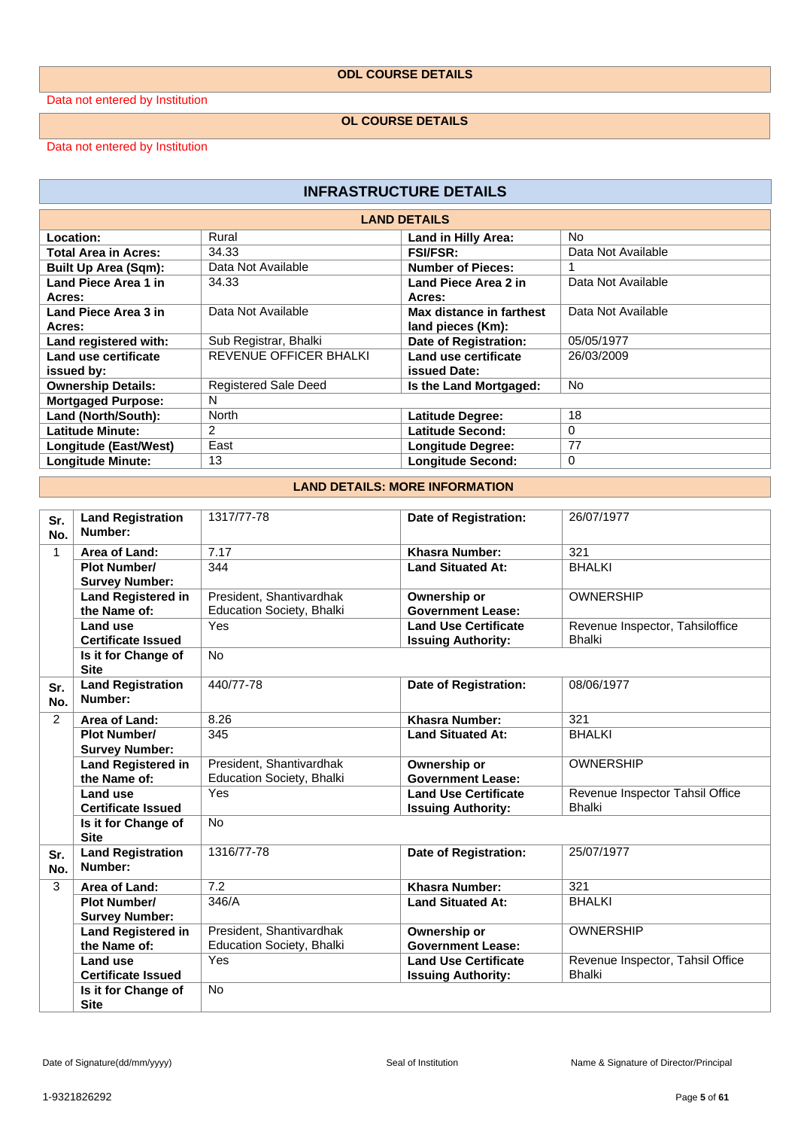### **ODL COURSE DETAILS**

Data not entered by Institution

#### **OL COURSE DETAILS**

Data not entered by Institution

| <b>INFRASTRUCTURE DETAILS</b> |                               |                              |                    |
|-------------------------------|-------------------------------|------------------------------|--------------------|
|                               |                               | <b>LAND DETAILS</b>          |                    |
| Location:                     | Rural                         | Land in Hilly Area:          | N <sub>o</sub>     |
| <b>Total Area in Acres:</b>   | 34.33                         | <b>FSI/FSR:</b>              | Data Not Available |
| <b>Built Up Area (Sqm):</b>   | Data Not Available            | <b>Number of Pieces:</b>     |                    |
| Land Piece Area 1 in          | 34.33                         | Land Piece Area 2 in         | Data Not Available |
| Acres:                        |                               | Acres:                       |                    |
| Land Piece Area 3 in          | Data Not Available            | Max distance in farthest     | Data Not Available |
| Acres:                        |                               | land pieces (Km):            |                    |
| Land registered with:         | Sub Registrar, Bhalki         | <b>Date of Registration:</b> | 05/05/1977         |
| Land use certificate          | <b>REVENUE OFFICER BHALKI</b> | Land use certificate         | 26/03/2009         |
| issued by:                    |                               | issued Date:                 |                    |
| <b>Ownership Details:</b>     | <b>Registered Sale Deed</b>   | Is the Land Mortgaged:       | No.                |
| <b>Mortgaged Purpose:</b>     | N                             |                              |                    |
| Land (North/South):           | North                         | Latitude Degree:             | 18                 |
| <b>Latitude Minute:</b>       | 2                             | Latitude Second:             | $\Omega$           |
| Longitude (East/West)         | East                          | <b>Longitude Degree:</b>     | 77                 |
| <b>Longitude Minute:</b>      | 13                            | <b>Longitude Second:</b>     | 0                  |

#### **LAND DETAILS: MORE INFORMATION**

| Sr.            | <b>Land Registration</b>            | 1317/77-78                       | Date of Registration:       | 26/07/1977                                       |
|----------------|-------------------------------------|----------------------------------|-----------------------------|--------------------------------------------------|
| No.            | Number:                             |                                  |                             |                                                  |
| $\mathbf{1}$   | Area of Land:                       | 7.17                             | <b>Khasra Number:</b>       | 321                                              |
|                | <b>Plot Number/</b>                 | 344                              | <b>Land Situated At:</b>    | <b>BHALKI</b>                                    |
|                | <b>Survey Number:</b>               |                                  |                             |                                                  |
|                | <b>Land Registered in</b>           | President, Shantivardhak         | Ownership or                | <b>OWNERSHIP</b>                                 |
|                | the Name of:                        | Education Society, Bhalki        | <b>Government Lease:</b>    |                                                  |
|                | Land use                            | Yes                              | <b>Land Use Certificate</b> | Revenue Inspector, Tahsiloffice                  |
|                | <b>Certificate Issued</b>           |                                  | <b>Issuing Authority:</b>   | <b>Bhalki</b>                                    |
|                | Is it for Change of<br><b>Site</b>  | <b>No</b>                        |                             |                                                  |
| Sr.<br>No.     | <b>Land Registration</b><br>Number: | 440/77-78                        | Date of Registration:       | 08/06/1977                                       |
| $\overline{2}$ | Area of Land:                       | 8.26                             | <b>Khasra Number:</b>       | 321                                              |
|                | <b>Plot Number/</b>                 | 345                              | <b>Land Situated At:</b>    | <b>BHALKI</b>                                    |
|                | <b>Survey Number:</b>               |                                  |                             |                                                  |
|                | <b>Land Registered in</b>           | President, Shantivardhak         | Ownership or                | <b>OWNERSHIP</b>                                 |
|                | the Name of:                        | <b>Education Society, Bhalki</b> | <b>Government Lease:</b>    |                                                  |
|                | Land use                            | Yes                              | <b>Land Use Certificate</b> | Revenue Inspector Tahsil Office<br><b>Bhalki</b> |
|                | <b>Certificate Issued</b>           | <b>No</b>                        | <b>Issuing Authority:</b>   |                                                  |
|                | Is it for Change of<br><b>Site</b>  |                                  |                             |                                                  |
| Sr.<br>No.     | <b>Land Registration</b><br>Number: | 1316/77-78                       | Date of Registration:       | 25/07/1977                                       |
| 3              | Area of Land:                       | 7.2                              | Khasra Number:              | 321                                              |
|                | <b>Plot Number/</b>                 | 346/A                            | <b>Land Situated At:</b>    | <b>BHALKI</b>                                    |
|                | <b>Survey Number:</b>               |                                  |                             |                                                  |
|                | <b>Land Registered in</b>           | President, Shantivardhak         | Ownership or                | <b>OWNERSHIP</b>                                 |
|                | the Name of:                        | Education Society, Bhalki        | <b>Government Lease:</b>    |                                                  |
|                | Land use                            | Yes                              | <b>Land Use Certificate</b> | Revenue Inspector, Tahsil Office                 |
|                | <b>Certificate Issued</b>           |                                  | <b>Issuing Authority:</b>   | <b>Bhalki</b>                                    |
|                | Is it for Change of<br><b>Site</b>  | <b>No</b>                        |                             |                                                  |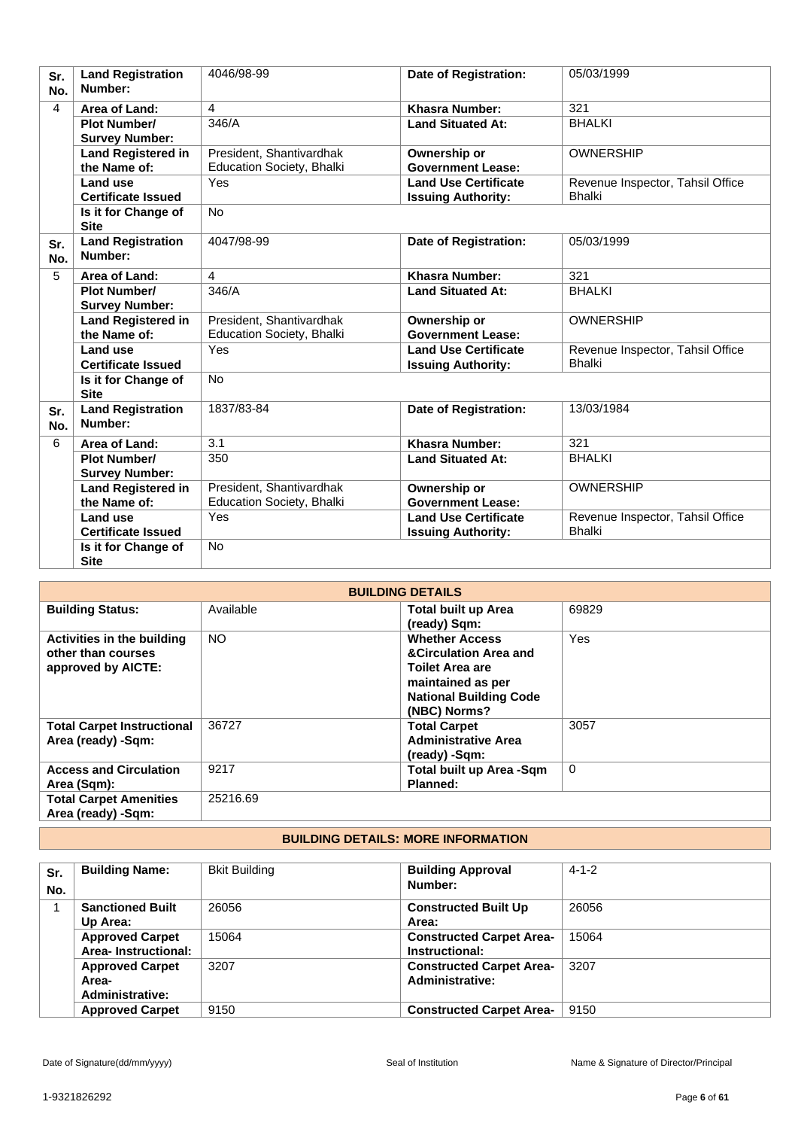| Sr.<br>No. | <b>Land Registration</b><br>Number:          | 4046/98-99                                            | <b>Date of Registration:</b>                             | 05/03/1999                                        |
|------------|----------------------------------------------|-------------------------------------------------------|----------------------------------------------------------|---------------------------------------------------|
| 4          | Area of Land:                                | $\overline{4}$                                        | <b>Khasra Number:</b>                                    | 321                                               |
|            | <b>Plot Number/</b><br><b>Survey Number:</b> | 346/A                                                 | <b>Land Situated At:</b>                                 | <b>BHALKI</b>                                     |
|            | <b>Land Registered in</b><br>the Name of:    | President, Shantivardhak<br>Education Society, Bhalki | Ownership or<br><b>Government Lease:</b>                 | <b>OWNERSHIP</b>                                  |
|            | <b>Land use</b><br><b>Certificate Issued</b> | Yes                                                   | <b>Land Use Certificate</b><br><b>Issuing Authority:</b> | Revenue Inspector, Tahsil Office<br><b>Bhalki</b> |
|            | Is it for Change of<br><b>Site</b>           | <b>No</b>                                             |                                                          |                                                   |
| Sr.<br>No. | <b>Land Registration</b><br>Number:          | 4047/98-99                                            | Date of Registration:                                    | 05/03/1999                                        |
| 5          | Area of Land:                                | 4                                                     | <b>Khasra Number:</b>                                    | 321                                               |
|            | <b>Plot Number/</b><br><b>Survey Number:</b> | 346/A                                                 | <b>Land Situated At:</b>                                 | <b>BHALKI</b>                                     |
|            | <b>Land Registered in</b><br>the Name of:    | President, Shantivardhak<br>Education Society, Bhalki | Ownership or<br><b>Government Lease:</b>                 | <b>OWNERSHIP</b>                                  |
|            | Land use<br><b>Certificate Issued</b>        | Yes                                                   | <b>Land Use Certificate</b><br><b>Issuing Authority:</b> | Revenue Inspector, Tahsil Office<br><b>Bhalki</b> |
|            | Is it for Change of<br><b>Site</b>           | <b>No</b>                                             |                                                          |                                                   |
| Sr.<br>No. | <b>Land Registration</b><br>Number:          | 1837/83-84                                            | <b>Date of Registration:</b>                             | 13/03/1984                                        |
| 6          | Area of Land:                                | 3.1                                                   | <b>Khasra Number:</b>                                    | 321                                               |
|            | <b>Plot Number/</b><br><b>Survey Number:</b> | 350                                                   | <b>Land Situated At:</b>                                 | <b>BHALKI</b>                                     |
|            | <b>Land Registered in</b><br>the Name of:    | President, Shantivardhak<br>Education Society, Bhalki | Ownership or<br><b>Government Lease:</b>                 | <b>OWNERSHIP</b>                                  |
|            | Land use<br><b>Certificate Issued</b>        | Yes                                                   | <b>Land Use Certificate</b><br><b>Issuing Authority:</b> | Revenue Inspector, Tahsil Office<br><b>Bhalki</b> |
|            | Is it for Change of<br><b>Site</b>           | <b>No</b>                                             |                                                          |                                                   |

|                                                                        | <b>BUILDING DETAILS</b> |                                                                                                                                                           |             |  |
|------------------------------------------------------------------------|-------------------------|-----------------------------------------------------------------------------------------------------------------------------------------------------------|-------------|--|
| <b>Building Status:</b>                                                | Available               | <b>Total built up Area</b><br>(ready) Sqm:                                                                                                                | 69829       |  |
| Activities in the building<br>other than courses<br>approved by AICTE: | <b>NO</b>               | <b>Whether Access</b><br><b>&amp;Circulation Area and</b><br><b>Toilet Area are</b><br>maintained as per<br><b>National Building Code</b><br>(NBC) Norms? | <b>Yes</b>  |  |
| <b>Total Carpet Instructional</b><br>Area (ready) -Sqm:                | 36727                   | <b>Total Carpet</b><br><b>Administrative Area</b><br>(ready) -Sqm:                                                                                        | 3057        |  |
| <b>Access and Circulation</b><br>Area (Sqm):                           | 9217                    | Total built up Area -Sqm<br>Planned:                                                                                                                      | $\mathbf 0$ |  |
| <b>Total Carpet Amenities</b><br>Area (ready) -Sqm:                    | 25216.69                |                                                                                                                                                           |             |  |

# **BUILDING DETAILS: MORE INFORMATION**

| Sr.<br>No. | <b>Building Name:</b>                              | <b>Bkit Building</b> | <b>Building Approval</b><br>Number:                       | $4 - 1 - 2$ |
|------------|----------------------------------------------------|----------------------|-----------------------------------------------------------|-------------|
|            | <b>Sanctioned Built</b><br>Up Area:                | 26056                | <b>Constructed Built Up</b><br>Area:                      | 26056       |
|            | <b>Approved Carpet</b><br>Area-Instructional:      | 15064                | <b>Constructed Carpet Area-</b><br>Instructional:         | 15064       |
|            | <b>Approved Carpet</b><br>Area-<br>Administrative: | 3207                 | <b>Constructed Carpet Area-</b><br><b>Administrative:</b> | 3207        |
|            | <b>Approved Carpet</b>                             | 9150                 | <b>Constructed Carpet Area-</b>                           | 9150        |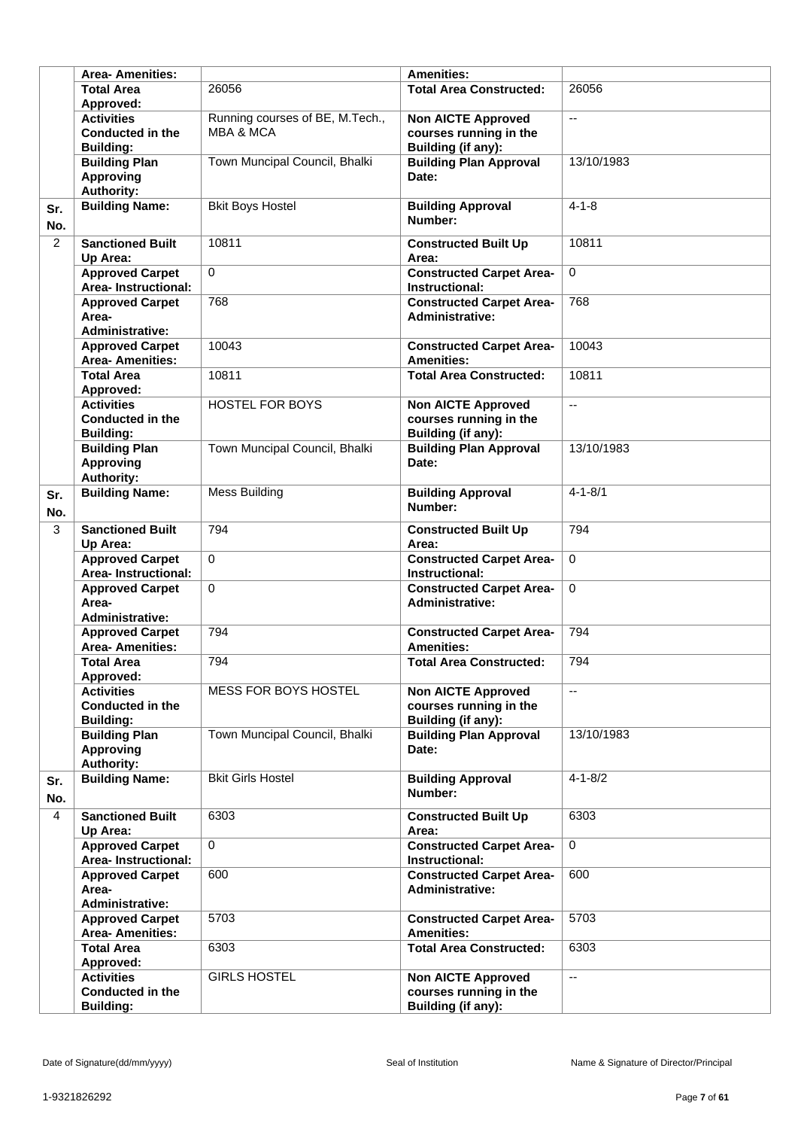|                | <b>Area-Amenities:</b>                                           |                                                         | <b>Amenities:</b>                                                                |                          |
|----------------|------------------------------------------------------------------|---------------------------------------------------------|----------------------------------------------------------------------------------|--------------------------|
|                | <b>Total Area</b><br>Approved:                                   | 26056                                                   | <b>Total Area Constructed:</b>                                                   | 26056                    |
|                | <b>Activities</b><br><b>Conducted in the</b><br><b>Building:</b> | Running courses of BE, M.Tech.,<br><b>MBA &amp; MCA</b> | <b>Non AICTE Approved</b><br>courses running in the<br><b>Building (if any):</b> | цü                       |
|                | <b>Building Plan</b><br><b>Approving</b><br><b>Authority:</b>    | Town Muncipal Council, Bhalki                           | <b>Building Plan Approval</b><br>Date:                                           | 13/10/1983               |
| Sr.<br>No.     | <b>Building Name:</b>                                            | <b>Bkit Boys Hostel</b>                                 | <b>Building Approval</b><br>Number:                                              | $4 - 1 - 8$              |
| $\overline{2}$ | <b>Sanctioned Built</b><br>Up Area:                              | 10811                                                   | <b>Constructed Built Up</b><br>Area:                                             | 10811                    |
|                | <b>Approved Carpet</b><br><b>Area-Instructional:</b>             | $\Omega$                                                | <b>Constructed Carpet Area-</b><br>Instructional:                                | $\mathbf 0$              |
|                | <b>Approved Carpet</b><br>Area-<br><b>Administrative:</b>        | 768                                                     | <b>Constructed Carpet Area-</b><br><b>Administrative:</b>                        | 768                      |
|                | <b>Approved Carpet</b><br><b>Area- Amenities:</b>                | 10043                                                   | <b>Constructed Carpet Area-</b><br><b>Amenities:</b>                             | 10043                    |
|                | <b>Total Area</b><br>Approved:                                   | 10811                                                   | <b>Total Area Constructed:</b>                                                   | 10811                    |
|                | <b>Activities</b><br><b>Conducted in the</b><br><b>Building:</b> | <b>HOSTEL FOR BOYS</b>                                  | <b>Non AICTE Approved</b><br>courses running in the<br>Building (if any):        | $\overline{\phantom{a}}$ |
|                | <b>Building Plan</b><br><b>Approving</b><br><b>Authority:</b>    | Town Muncipal Council, Bhalki                           | <b>Building Plan Approval</b><br>Date:                                           | 13/10/1983               |
| Sr.<br>No.     | <b>Building Name:</b>                                            | <b>Mess Building</b>                                    | <b>Building Approval</b><br>Number:                                              | $4 - 1 - 8/1$            |
| 3              | <b>Sanctioned Built</b><br>Up Area:                              | 794                                                     | <b>Constructed Built Up</b><br>Area:                                             | 794                      |
|                | <b>Approved Carpet</b><br><b>Area-Instructional:</b>             | $\Omega$                                                | <b>Constructed Carpet Area-</b><br>Instructional:                                | $\mathbf 0$              |
|                | <b>Approved Carpet</b><br>Area-<br><b>Administrative:</b>        | $\Omega$                                                | <b>Constructed Carpet Area-</b><br>Administrative:                               | $\Omega$                 |
|                | <b>Approved Carpet</b><br><b>Area-Amenities:</b>                 | 794                                                     | <b>Constructed Carpet Area-</b><br><b>Amenities:</b>                             | 794                      |
|                | <b>Total Area</b><br>Approved:                                   | 794                                                     | <b>Total Area Constructed:</b>                                                   | 794                      |
|                | <b>Activities</b><br><b>Conducted in the</b><br><b>Building:</b> | <b>MESS FOR BOYS HOSTEL</b>                             | <b>Non AICTE Approved</b><br>courses running in the<br>Building (if any):        | $\overline{\phantom{a}}$ |
|                | <b>Building Plan</b><br><b>Approving</b><br><b>Authority:</b>    | Town Muncipal Council, Bhalki                           | <b>Building Plan Approval</b><br>Date:                                           | 13/10/1983               |
| Sr.<br>No.     | <b>Building Name:</b>                                            | <b>Bkit Girls Hostel</b>                                | <b>Building Approval</b><br>Number:                                              | $4 - 1 - 8/2$            |
| 4              | <b>Sanctioned Built</b><br>Up Area:                              | 6303                                                    | <b>Constructed Built Up</b><br>Area:                                             | 6303                     |
|                | <b>Approved Carpet</b><br><b>Area-Instructional:</b>             | $\Omega$                                                | <b>Constructed Carpet Area-</b><br>Instructional:                                | $\mathbf 0$              |
|                | <b>Approved Carpet</b><br>Area-<br><b>Administrative:</b>        | 600                                                     | <b>Constructed Carpet Area-</b><br><b>Administrative:</b>                        | 600                      |
|                | <b>Approved Carpet</b><br><b>Area- Amenities:</b>                | 5703                                                    | <b>Constructed Carpet Area-</b><br><b>Amenities:</b>                             | 5703                     |
|                | <b>Total Area</b><br>Approved:                                   | 6303                                                    | <b>Total Area Constructed:</b>                                                   | 6303                     |
|                | <b>Activities</b><br><b>Conducted in the</b><br><b>Building:</b> | <b>GIRLS HOSTEL</b>                                     | <b>Non AICTE Approved</b><br>courses running in the<br>Building (if any):        | $\mathbf{u}$             |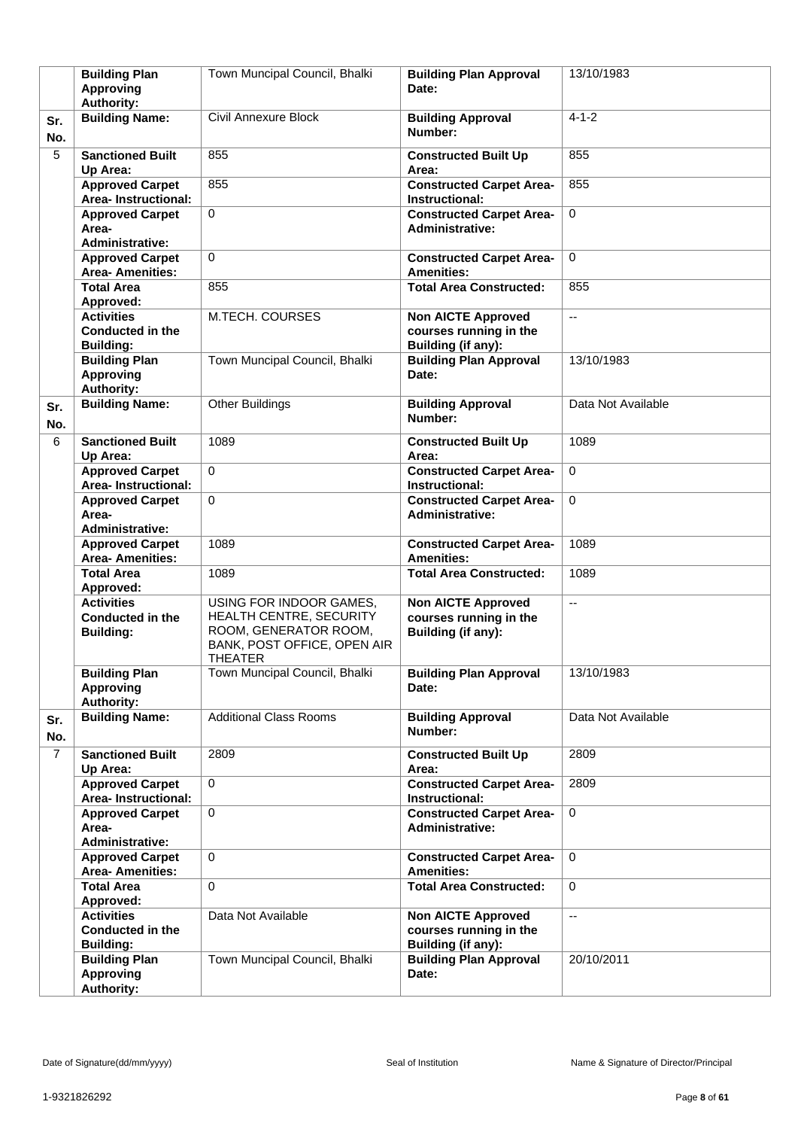|                | <b>Building Plan</b><br><b>Approving</b><br><b>Authority:</b>    | Town Muncipal Council, Bhalki                                                                                                | <b>Building Plan Approval</b><br>Date:                                    | 13/10/1983               |
|----------------|------------------------------------------------------------------|------------------------------------------------------------------------------------------------------------------------------|---------------------------------------------------------------------------|--------------------------|
| Sr.<br>No.     | <b>Building Name:</b>                                            | <b>Civil Annexure Block</b>                                                                                                  | <b>Building Approval</b><br>Number:                                       | $4 - 1 - 2$              |
| 5              | <b>Sanctioned Built</b><br>Up Area:                              | 855                                                                                                                          | <b>Constructed Built Up</b><br>Area:                                      | 855                      |
|                | <b>Approved Carpet</b><br>Area-Instructional:                    | 855                                                                                                                          | <b>Constructed Carpet Area-</b><br>Instructional:                         | 855                      |
|                | <b>Approved Carpet</b><br>Area-<br><b>Administrative:</b>        | $\Omega$                                                                                                                     | <b>Constructed Carpet Area-</b><br><b>Administrative:</b>                 | $\mathbf 0$              |
|                | <b>Approved Carpet</b><br><b>Area- Amenities:</b>                | $\Omega$                                                                                                                     | <b>Constructed Carpet Area-</b><br><b>Amenities:</b>                      | $\Omega$                 |
|                | <b>Total Area</b><br>Approved:                                   | 855                                                                                                                          | <b>Total Area Constructed:</b>                                            | 855                      |
|                | <b>Activities</b><br><b>Conducted in the</b><br><b>Building:</b> | M.TECH. COURSES                                                                                                              | <b>Non AICTE Approved</b><br>courses running in the<br>Building (if any): | $\mathbf{u}$             |
|                | <b>Building Plan</b><br><b>Approving</b><br><b>Authority:</b>    | Town Muncipal Council, Bhalki                                                                                                | <b>Building Plan Approval</b><br>Date:                                    | 13/10/1983               |
| Sr.<br>No.     | <b>Building Name:</b>                                            | <b>Other Buildings</b>                                                                                                       | <b>Building Approval</b><br>Number:                                       | Data Not Available       |
| 6              | <b>Sanctioned Built</b><br>Up Area:                              | 1089                                                                                                                         | <b>Constructed Built Up</b><br>Area:                                      | 1089                     |
|                | <b>Approved Carpet</b><br>Area-Instructional:                    | $\Omega$                                                                                                                     | <b>Constructed Carpet Area-</b><br>Instructional:                         | $\mathbf 0$              |
|                | <b>Approved Carpet</b><br>Area-<br><b>Administrative:</b>        | $\Omega$                                                                                                                     | <b>Constructed Carpet Area-</b><br><b>Administrative:</b>                 | $\mathbf 0$              |
|                | <b>Approved Carpet</b><br><b>Area-Amenities:</b>                 | 1089                                                                                                                         | <b>Constructed Carpet Area-</b><br><b>Amenities:</b>                      | 1089                     |
|                | <b>Total Area</b><br>Approved:                                   | 1089                                                                                                                         | <b>Total Area Constructed:</b>                                            | 1089                     |
|                | <b>Activities</b><br><b>Conducted in the</b><br><b>Building:</b> | USING FOR INDOOR GAMES,<br>HEALTH CENTRE, SECURITY<br>ROOM, GENERATOR ROOM,<br>BANK, POST OFFICE, OPEN AIR<br><b>THEATER</b> | <b>Non AICTE Approved</b><br>courses running in the<br>Building (if any): | u.                       |
|                | <b>Building Plan</b><br><b>Approving</b><br><b>Authority:</b>    | Town Muncipal Council, Bhalki                                                                                                | <b>Building Plan Approval</b><br>Date:                                    | 13/10/1983               |
| Sr.<br>No.     | <b>Building Name:</b>                                            | <b>Additional Class Rooms</b>                                                                                                | <b>Building Approval</b><br>Number:                                       | Data Not Available       |
| $\overline{7}$ | <b>Sanctioned Built</b><br>Up Area:                              | 2809                                                                                                                         | <b>Constructed Built Up</b><br>Area:                                      | 2809                     |
|                | <b>Approved Carpet</b><br>Area-Instructional:                    | $\mathbf{0}$                                                                                                                 | <b>Constructed Carpet Area-</b><br>Instructional:                         | 2809                     |
|                | <b>Approved Carpet</b><br>Area-<br>Administrative:               | $\mathbf 0$                                                                                                                  | <b>Constructed Carpet Area-</b><br><b>Administrative:</b>                 | $\mathbf 0$              |
|                | <b>Approved Carpet</b><br><b>Area- Amenities:</b>                | $\Omega$                                                                                                                     | <b>Constructed Carpet Area-</b><br><b>Amenities:</b>                      | $\mathbf 0$              |
|                | <b>Total Area</b><br>Approved:                                   | $\mathbf 0$                                                                                                                  | <b>Total Area Constructed:</b>                                            | $\mathbf 0$              |
|                | <b>Activities</b><br><b>Conducted in the</b><br><b>Building:</b> | Data Not Available                                                                                                           | <b>Non AICTE Approved</b><br>courses running in the<br>Building (if any): | $\overline{\phantom{a}}$ |
|                | <b>Building Plan</b><br><b>Approving</b><br><b>Authority:</b>    | Town Muncipal Council, Bhalki                                                                                                | <b>Building Plan Approval</b><br>Date:                                    | 20/10/2011               |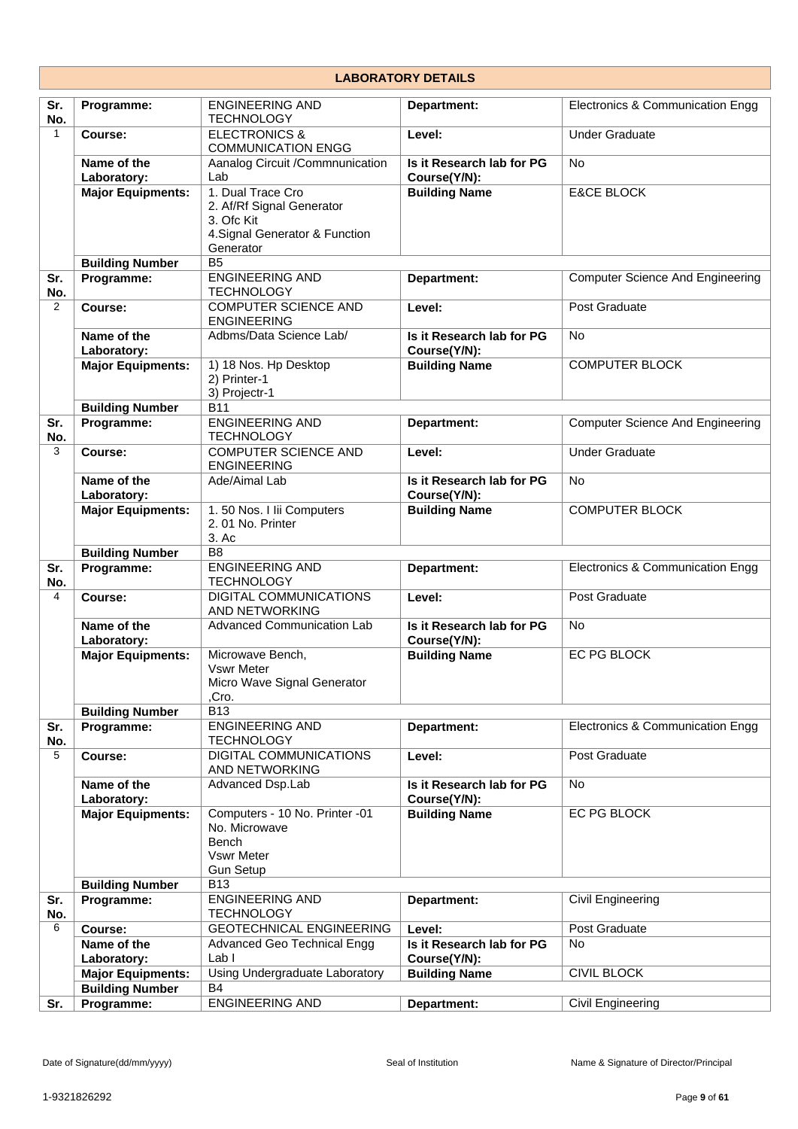| <b>LABORATORY DETAILS</b> |                            |                                                                                                             |                                           |                                         |
|---------------------------|----------------------------|-------------------------------------------------------------------------------------------------------------|-------------------------------------------|-----------------------------------------|
| Sr.<br>No.                | Programme:                 | <b>ENGINEERING AND</b><br><b>TECHNOLOGY</b>                                                                 | Department:                               | Electronics & Communication Engg        |
| $\mathbf{1}$              | Course:                    | <b>ELECTRONICS &amp;</b><br><b>COMMUNICATION ENGG</b>                                                       | Level:                                    | <b>Under Graduate</b>                   |
|                           | Name of the<br>Laboratory: | Aanalog Circuit /Commnunication<br>Lab                                                                      | Is it Research lab for PG<br>Course(Y/N): | <b>No</b>                               |
|                           | <b>Major Equipments:</b>   | 1. Dual Trace Cro<br>2. Af/Rf Signal Generator<br>3. Ofc Kit<br>4. Signal Generator & Function<br>Generator | <b>Building Name</b>                      | <b>E&amp;CE BLOCK</b>                   |
|                           | <b>Building Number</b>     | <b>B5</b>                                                                                                   |                                           |                                         |
| Sr.<br>No.                | Programme:                 | <b>ENGINEERING AND</b><br><b>TECHNOLOGY</b>                                                                 | Department:                               | <b>Computer Science And Engineering</b> |
| $\overline{2}$            | Course:                    | <b>COMPUTER SCIENCE AND</b><br><b>ENGINEERING</b>                                                           | Level:                                    | Post Graduate                           |
|                           | Name of the<br>Laboratory: | Adbms/Data Science Lab/                                                                                     | Is it Research lab for PG<br>Course(Y/N): | <b>No</b>                               |
|                           | <b>Major Equipments:</b>   | 1) 18 Nos. Hp Desktop<br>2) Printer-1<br>3) Projectr-1                                                      | <b>Building Name</b>                      | <b>COMPUTER BLOCK</b>                   |
|                           | <b>Building Number</b>     | <b>B11</b>                                                                                                  |                                           |                                         |
| Sr.<br>No.                | Programme:                 | <b>ENGINEERING AND</b><br><b>TECHNOLOGY</b>                                                                 | Department:                               | <b>Computer Science And Engineering</b> |
| 3                         | Course:                    | <b>COMPUTER SCIENCE AND</b><br><b>ENGINEERING</b>                                                           | Level:                                    | <b>Under Graduate</b>                   |
|                           | Name of the<br>Laboratory: | Ade/Aimal Lab                                                                                               | Is it Research lab for PG<br>Course(Y/N): | <b>No</b>                               |
|                           | <b>Major Equipments:</b>   | 1.50 Nos. I lii Computers<br>2.01 No. Printer<br>3. Ac                                                      | <b>Building Name</b>                      | <b>COMPUTER BLOCK</b>                   |
|                           | <b>Building Number</b>     | B <sub>8</sub>                                                                                              |                                           |                                         |
| Sr.<br>No.                | Programme:                 | <b>ENGINEERING AND</b><br><b>TECHNOLOGY</b>                                                                 | Department:                               | Electronics & Communication Engg        |
| 4                         | Course:                    | DIGITAL COMMUNICATIONS<br>AND NETWORKING                                                                    | Level:                                    | Post Graduate                           |
|                           | Name of the<br>Laboratory: | Advanced Communication Lab                                                                                  | Is it Research lab for PG<br>Course(Y/N): | <b>No</b>                               |
|                           | <b>Major Equipments:</b>   | Microwave Bench,<br>Vswr Meter<br>Micro Wave Signal Generator<br>.Cro.                                      | <b>Building Name</b>                      | EC PG BLOCK                             |
|                           | <b>Building Number</b>     | <b>B13</b>                                                                                                  |                                           |                                         |
| Sr.<br>No.                | Programme:                 | <b>ENGINEERING AND</b><br><b>TECHNOLOGY</b>                                                                 | Department:                               | Electronics & Communication Engg        |
| 5                         | Course:                    | DIGITAL COMMUNICATIONS<br>AND NETWORKING                                                                    | Level:                                    | Post Graduate                           |
|                           | Name of the<br>Laboratory: | Advanced Dsp.Lab                                                                                            | Is it Research lab for PG<br>Course(Y/N): | No                                      |
|                           | <b>Major Equipments:</b>   | Computers - 10 No. Printer -01<br>No. Microwave<br><b>Bench</b><br>Vswr Meter<br><b>Gun Setup</b>           | <b>Building Name</b>                      | EC PG BLOCK                             |
|                           | <b>Building Number</b>     | <b>B13</b>                                                                                                  |                                           |                                         |
| Sr.<br>No.                | Programme:                 | <b>ENGINEERING AND</b><br><b>TECHNOLOGY</b>                                                                 | Department:                               | Civil Engineering                       |
| 6                         | Course:                    | <b>GEOTECHNICAL ENGINEERING</b>                                                                             | Level:                                    | Post Graduate                           |
|                           | Name of the<br>Laboratory: | Advanced Geo Technical Engg<br>Lab I                                                                        | Is it Research lab for PG<br>Course(Y/N): | <b>No</b>                               |
|                           | <b>Major Equipments:</b>   | Using Undergraduate Laboratory                                                                              | <b>Building Name</b>                      | <b>CIVIL BLOCK</b>                      |
|                           | <b>Building Number</b>     | <b>B4</b>                                                                                                   |                                           |                                         |
| Sr.                       | Programme:                 | <b>ENGINEERING AND</b>                                                                                      | Department:                               | Civil Engineering                       |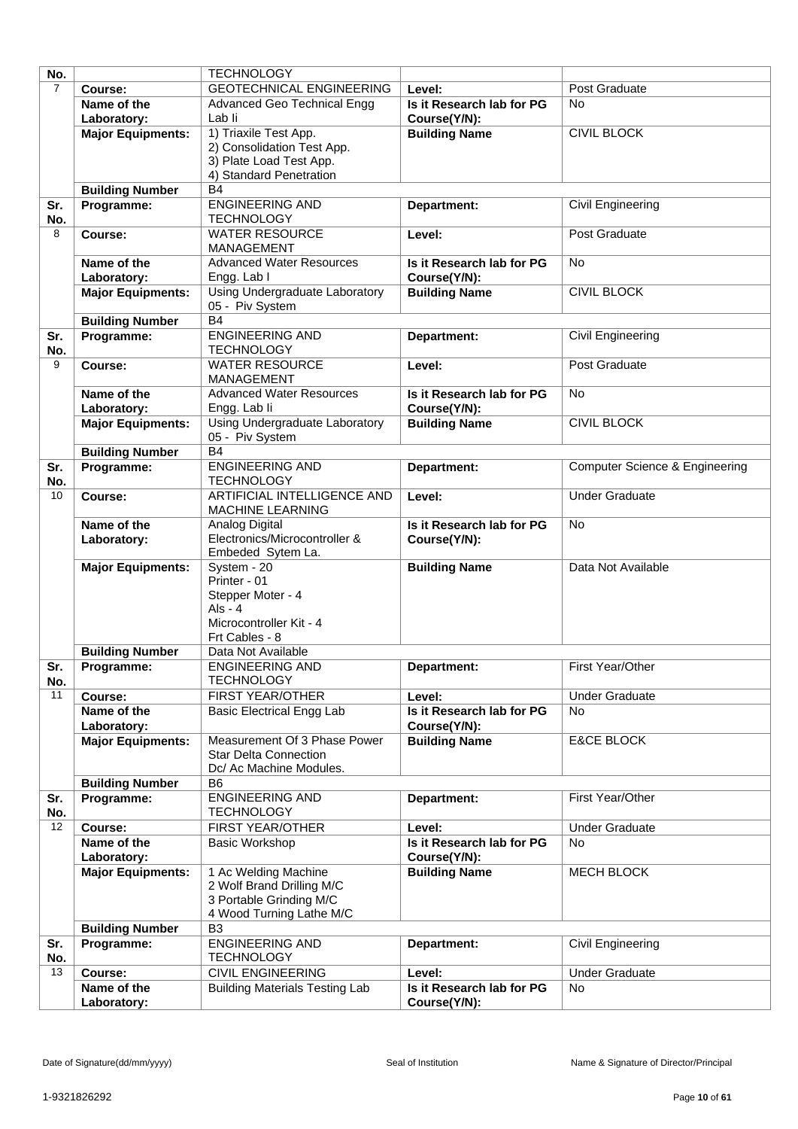| No.            |                          | <b>TECHNOLOGY</b>                                       |                           |                                           |
|----------------|--------------------------|---------------------------------------------------------|---------------------------|-------------------------------------------|
| $\overline{7}$ | Course:                  | <b>GEOTECHNICAL ENGINEERING</b>                         | Level:                    | Post Graduate                             |
|                | Name of the              | Advanced Geo Technical Engg                             | Is it Research lab for PG | <b>No</b>                                 |
|                | Laboratory:              | Lab li                                                  | Course(Y/N):              |                                           |
|                | <b>Major Equipments:</b> | 1) Triaxile Test App.                                   | <b>Building Name</b>      | <b>CIVIL BLOCK</b>                        |
|                |                          | 2) Consolidation Test App.                              |                           |                                           |
|                |                          | 3) Plate Load Test App.                                 |                           |                                           |
|                |                          | 4) Standard Penetration                                 |                           |                                           |
|                | <b>Building Number</b>   | <b>B4</b>                                               |                           |                                           |
| Sr.            | Programme:               | <b>ENGINEERING AND</b>                                  | Department:               | Civil Engineering                         |
| No.            |                          | <b>TECHNOLOGY</b>                                       |                           |                                           |
| 8              | Course:                  | <b>WATER RESOURCE</b>                                   | Level:                    | Post Graduate                             |
|                |                          | <b>MANAGEMENT</b>                                       |                           |                                           |
|                | Name of the              | <b>Advanced Water Resources</b>                         | Is it Research lab for PG | <b>No</b>                                 |
|                | Laboratory:              | Engg. Lab I                                             | Course(Y/N):              |                                           |
|                | <b>Major Equipments:</b> | Using Undergraduate Laboratory                          | <b>Building Name</b>      | <b>CIVIL BLOCK</b>                        |
|                |                          | 05 - Piv System                                         |                           |                                           |
|                | <b>Building Number</b>   | <b>B4</b>                                               |                           |                                           |
| Sr.            | Programme:               | <b>ENGINEERING AND</b>                                  | Department:               | Civil Engineering                         |
| No.            |                          | <b>TECHNOLOGY</b>                                       |                           |                                           |
| 9              | Course:                  | <b>WATER RESOURCE</b>                                   | Level:                    | Post Graduate                             |
|                |                          | MANAGEMENT                                              |                           |                                           |
|                | Name of the              | <b>Advanced Water Resources</b>                         | Is it Research lab for PG | <b>No</b>                                 |
|                | Laboratory:              | Engg. Lab li                                            | Course(Y/N):              |                                           |
|                | <b>Major Equipments:</b> | Using Undergraduate Laboratory                          | <b>Building Name</b>      | <b>CIVIL BLOCK</b>                        |
|                |                          | 05 - Piv System                                         |                           |                                           |
|                | <b>Building Number</b>   | <b>B4</b>                                               |                           |                                           |
| Sr.<br>No.     | Programme:               | <b>ENGINEERING AND</b><br><b>TECHNOLOGY</b>             | Department:               | <b>Computer Science &amp; Engineering</b> |
| 10             | Course:                  | ARTIFICIAL INTELLIGENCE AND                             | Level:                    | <b>Under Graduate</b>                     |
|                |                          | MACHINE LEARNING                                        |                           |                                           |
|                | Name of the              | Analog Digital                                          | Is it Research lab for PG | <b>No</b>                                 |
|                | Laboratory:              | Electronics/Microcontroller &                           | Course(Y/N):              |                                           |
|                |                          | Embeded Sytem La.                                       |                           |                                           |
|                | <b>Major Equipments:</b> | System - 20                                             | <b>Building Name</b>      | Data Not Available                        |
|                |                          | Printer - 01                                            |                           |                                           |
|                |                          | Stepper Moter - 4                                       |                           |                                           |
|                |                          | Als - $4$                                               |                           |                                           |
|                |                          | Microcontroller Kit - 4                                 |                           |                                           |
|                |                          | Frt Cables - 8                                          |                           |                                           |
|                | <b>Building Number</b>   | Data Not Available                                      |                           |                                           |
| Sr.            | Programme:               | <b>ENGINEERING AND</b>                                  | Department:               | First Year/Other                          |
| No.            |                          | <b>TECHNOLOGY</b>                                       |                           |                                           |
| 11             | Course:                  | <b>FIRST YEAR/OTHER</b>                                 | Level:                    | <b>Under Graduate</b>                     |
|                | Name of the              | <b>Basic Electrical Engg Lab</b>                        | Is it Research lab for PG | No.                                       |
|                | Laboratory:              |                                                         | Course(Y/N):              |                                           |
|                | <b>Major Equipments:</b> | Measurement Of 3 Phase Power                            | <b>Building Name</b>      | <b>E&amp;CE BLOCK</b>                     |
|                |                          | <b>Star Delta Connection</b><br>Dc/ Ac Machine Modules. |                           |                                           |
|                | <b>Building Number</b>   | B <sub>6</sub>                                          |                           |                                           |
| Sr.            | Programme:               | <b>ENGINEERING AND</b>                                  | Department:               | First Year/Other                          |
| No.            |                          | <b>TECHNOLOGY</b>                                       |                           |                                           |
| 12             | Course:                  | FIRST YEAR/OTHER                                        | Level:                    | <b>Under Graduate</b>                     |
|                | Name of the              | <b>Basic Workshop</b>                                   | Is it Research lab for PG | <b>No</b>                                 |
|                | Laboratory:              |                                                         | Course(Y/N):              |                                           |
|                | <b>Major Equipments:</b> | 1 Ac Welding Machine                                    | <b>Building Name</b>      | <b>MECH BLOCK</b>                         |
|                |                          | 2 Wolf Brand Drilling M/C                               |                           |                                           |
|                |                          | 3 Portable Grinding M/C                                 |                           |                                           |
|                |                          | 4 Wood Turning Lathe M/C                                |                           |                                           |
|                | <b>Building Number</b>   | B <sub>3</sub>                                          |                           |                                           |
| Sr.            | Programme:               | <b>ENGINEERING AND</b>                                  | Department:               | Civil Engineering                         |
| No.            |                          | <b>TECHNOLOGY</b>                                       |                           |                                           |
| 13             | Course:                  | <b>CIVIL ENGINEERING</b>                                | Level:                    | <b>Under Graduate</b>                     |
|                | Name of the              | <b>Building Materials Testing Lab</b>                   | Is it Research lab for PG | No                                        |
|                | Laboratory:              |                                                         | Course(Y/N):              |                                           |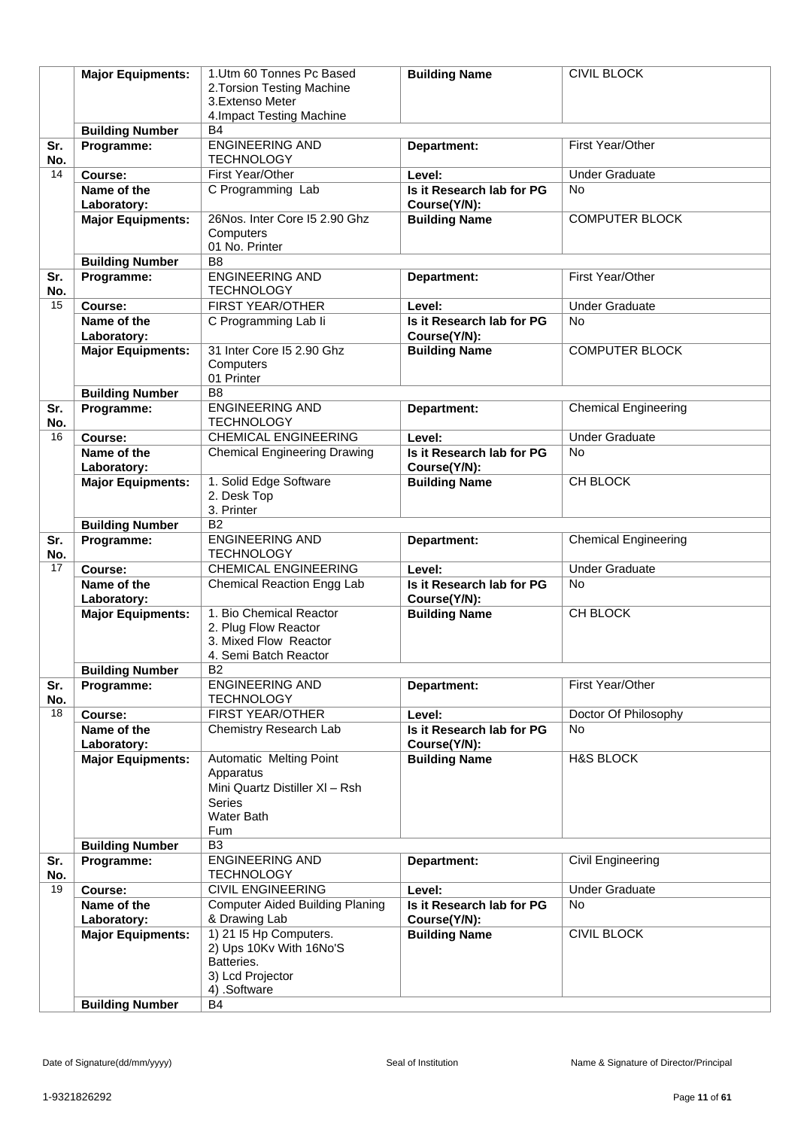|            | <b>Major Equipments:</b>   | 1.Utm 60 Tonnes Pc Based<br>2. Torsion Testing Machine<br>3. Extenso Meter                                          | <b>Building Name</b>                      | <b>CIVIL BLOCK</b>          |
|------------|----------------------------|---------------------------------------------------------------------------------------------------------------------|-------------------------------------------|-----------------------------|
|            |                            | 4. Impact Testing Machine                                                                                           |                                           |                             |
|            | <b>Building Number</b>     | <b>B4</b>                                                                                                           |                                           |                             |
| Sr.<br>No. | Programme:                 | <b>ENGINEERING AND</b><br><b>TECHNOLOGY</b>                                                                         | Department:                               | First Year/Other            |
| 14         | Course:                    | First Year/Other                                                                                                    | Level:                                    | <b>Under Graduate</b>       |
|            | Name of the<br>Laboratory: | C Programming Lab                                                                                                   | Is it Research lab for PG<br>Course(Y/N): | <b>No</b>                   |
|            | <b>Major Equipments:</b>   | 26Nos. Inter Core I5 2.90 Ghz<br>Computers<br>01 No. Printer                                                        | <b>Building Name</b>                      | <b>COMPUTER BLOCK</b>       |
|            | <b>Building Number</b>     | B <sub>8</sub>                                                                                                      |                                           |                             |
| Sr.<br>No. | Programme:                 | <b>ENGINEERING AND</b><br><b>TECHNOLOGY</b>                                                                         | Department:                               | First Year/Other            |
| 15         | Course:                    | FIRST YEAR/OTHER                                                                                                    | Level:                                    | <b>Under Graduate</b>       |
|            | Name of the<br>Laboratory: | C Programming Lab li                                                                                                | Is it Research lab for PG<br>Course(Y/N): | <b>No</b>                   |
|            | <b>Major Equipments:</b>   | 31 Inter Core I5 2.90 Ghz<br>Computers<br>01 Printer                                                                | <b>Building Name</b>                      | <b>COMPUTER BLOCK</b>       |
|            | <b>Building Number</b>     | B <sub>8</sub>                                                                                                      |                                           |                             |
| Sr.<br>No. | Programme:                 | <b>ENGINEERING AND</b><br><b>TECHNOLOGY</b>                                                                         | Department:                               | <b>Chemical Engineering</b> |
| 16         | Course:                    | <b>CHEMICAL ENGINEERING</b>                                                                                         | Level:                                    | <b>Under Graduate</b>       |
|            | Name of the                | <b>Chemical Engineering Drawing</b>                                                                                 | Is it Research lab for PG                 | <b>No</b>                   |
|            | Laboratory:                |                                                                                                                     | Course(Y/N):                              |                             |
|            | <b>Major Equipments:</b>   | 1. Solid Edge Software<br>2. Desk Top<br>3. Printer                                                                 | <b>Building Name</b>                      | CH BLOCK                    |
|            | <b>Building Number</b>     | B <sub>2</sub>                                                                                                      |                                           |                             |
| Sr.<br>No. | Programme:                 | <b>ENGINEERING AND</b><br><b>TECHNOLOGY</b>                                                                         | Department:                               | <b>Chemical Engineering</b> |
| 17         | Course:                    | <b>CHEMICAL ENGINEERING</b>                                                                                         | Level:                                    | <b>Under Graduate</b>       |
|            | Name of the<br>Laboratory: | Chemical Reaction Engg Lab                                                                                          | Is it Research lab for PG<br>Course(Y/N): | No                          |
|            | <b>Major Equipments:</b>   | 1. Bio Chemical Reactor<br>2. Plug Flow Reactor<br>3. Mixed Flow Reactor<br>4. Semi Batch Reactor                   | <b>Building Name</b>                      | CH BLOCK                    |
|            | <b>Building Number</b>     | <b>B2</b>                                                                                                           |                                           |                             |
| Sr.<br>No. | Programme:                 | <b>ENGINEERING AND</b><br><b>TECHNOLOGY</b>                                                                         | Department:                               | First Year/Other            |
| 18         | Course:                    | FIRST YEAR/OTHER                                                                                                    | Level:                                    | Doctor Of Philosophy        |
|            | Name of the                | Chemistry Research Lab                                                                                              | Is it Research lab for PG                 | <b>No</b>                   |
|            | Laboratory:                |                                                                                                                     | Course(Y/N):                              |                             |
|            | <b>Major Equipments:</b>   | Automatic Melting Point<br>Apparatus<br>Mini Quartz Distiller XI - Rsh<br><b>Series</b><br><b>Water Bath</b><br>Fum | <b>Building Name</b>                      | <b>H&amp;S BLOCK</b>        |
|            | <b>Building Number</b>     | B <sub>3</sub>                                                                                                      |                                           |                             |
| Sr.<br>No. | Programme:                 | <b>ENGINEERING AND</b><br><b>TECHNOLOGY</b>                                                                         | Department:                               | Civil Engineering           |
| 19         | Course:                    | <b>CIVIL ENGINEERING</b>                                                                                            | Level:                                    | <b>Under Graduate</b>       |
|            | Name of the<br>Laboratory: | <b>Computer Aided Building Planing</b><br>& Drawing Lab                                                             | Is it Research lab for PG<br>Course(Y/N): | <b>No</b>                   |
|            | <b>Major Equipments:</b>   | 1) 21 I5 Hp Computers.<br>2) Ups 10Kv With 16No'S<br>Batteries.<br>3) Lcd Projector<br>4) .Software                 | <b>Building Name</b>                      | <b>CIVIL BLOCK</b>          |
|            | <b>Building Number</b>     | B4                                                                                                                  |                                           |                             |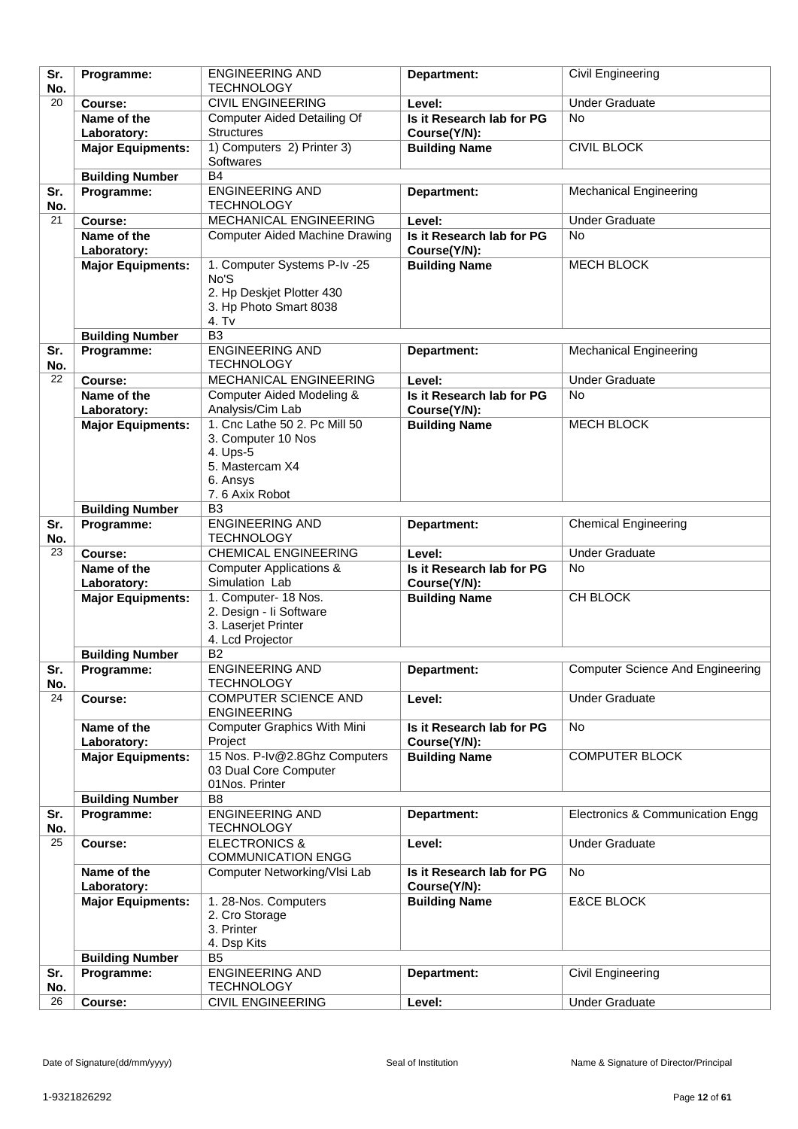| Sr.        | Programme:               | <b>ENGINEERING AND</b>                        | Department:               | Civil Engineering                       |
|------------|--------------------------|-----------------------------------------------|---------------------------|-----------------------------------------|
| No.        |                          | <b>TECHNOLOGY</b>                             |                           |                                         |
| 20         | Course:                  | <b>CIVIL ENGINEERING</b>                      | Level:                    | <b>Under Graduate</b>                   |
|            | Name of the              | <b>Computer Aided Detailing Of</b>            | Is it Research lab for PG | <b>No</b>                               |
|            | Laboratory:              | <b>Structures</b>                             | Course(Y/N):              |                                         |
|            | <b>Major Equipments:</b> | 1) Computers 2) Printer 3)                    | <b>Building Name</b>      | <b>CIVIL BLOCK</b>                      |
|            |                          | <b>Softwares</b>                              |                           |                                         |
|            |                          | <b>B4</b>                                     |                           |                                         |
|            | <b>Building Number</b>   |                                               |                           |                                         |
| Sr.        | Programme:               | <b>ENGINEERING AND</b>                        | Department:               | <b>Mechanical Engineering</b>           |
| No.        |                          | <b>TECHNOLOGY</b>                             |                           |                                         |
| 21         | Course:                  | MECHANICAL ENGINEERING                        | Level:                    | <b>Under Graduate</b>                   |
|            | Name of the              | <b>Computer Aided Machine Drawing</b>         | Is it Research lab for PG | <b>No</b>                               |
|            | Laboratory:              |                                               | Course(Y/N):              |                                         |
|            | <b>Major Equipments:</b> | 1. Computer Systems P-Iv -25                  | <b>Building Name</b>      | MECH BLOCK                              |
|            |                          | No'S                                          |                           |                                         |
|            |                          | 2. Hp Deskjet Plotter 430                     |                           |                                         |
|            |                          | 3. Hp Photo Smart 8038                        |                           |                                         |
|            |                          | 4. Tv                                         |                           |                                         |
|            | <b>Building Number</b>   | B <sub>3</sub>                                |                           |                                         |
| Sr.        | Programme:               | <b>ENGINEERING AND</b>                        | Department:               | <b>Mechanical Engineering</b>           |
| No.        |                          | <b>TECHNOLOGY</b>                             |                           |                                         |
| 22         | Course:                  | <b>MECHANICAL ENGINEERING</b>                 | Level:                    | <b>Under Graduate</b>                   |
|            |                          |                                               |                           |                                         |
|            | Name of the              | Computer Aided Modeling &                     | Is it Research lab for PG | <b>No</b>                               |
|            | Laboratory:              | Analysis/Cim Lab                              | Course(Y/N):              |                                         |
|            | <b>Major Equipments:</b> | 1. Cnc Lathe 50 2. Pc Mill 50                 | <b>Building Name</b>      | <b>MECH BLOCK</b>                       |
|            |                          | 3. Computer 10 Nos                            |                           |                                         |
|            |                          | 4. Ups-5                                      |                           |                                         |
|            |                          | 5. Mastercam X4                               |                           |                                         |
|            |                          | 6. Ansys                                      |                           |                                         |
|            |                          | 7.6 Axix Robot                                |                           |                                         |
|            | <b>Building Number</b>   | B <sub>3</sub>                                |                           |                                         |
| Sr.        | Programme:               | <b>ENGINEERING AND</b>                        | Department:               | <b>Chemical Engineering</b>             |
| No.        |                          | <b>TECHNOLOGY</b>                             |                           |                                         |
| 23         | Course:                  | <b>CHEMICAL ENGINEERING</b>                   | Level:                    | <b>Under Graduate</b>                   |
|            | Name of the              | <b>Computer Applications &amp;</b>            | Is it Research lab for PG | No                                      |
|            | Laboratory:              | Simulation Lab                                | Course(Y/N):              |                                         |
|            | <b>Major Equipments:</b> | 1. Computer- 18 Nos.                          | <b>Building Name</b>      | CH BLOCK                                |
|            |                          | 2. Design - li Software                       |                           |                                         |
|            |                          | 3. Laserjet Printer                           |                           |                                         |
|            |                          | 4. Lcd Projector                              |                           |                                         |
|            | <b>Building Number</b>   | <b>B2</b>                                     |                           |                                         |
| Sr.        | Programme:               | <b>ENGINEERING AND</b>                        | Department:               | <b>Computer Science And Engineering</b> |
| No.        |                          | <b>TECHNOLOGY</b>                             |                           |                                         |
| 24         | Course:                  | <b>COMPUTER SCIENCE AND</b>                   | Level:                    | <b>Under Graduate</b>                   |
|            |                          | <b>ENGINEERING</b>                            |                           |                                         |
|            | Name of the              | <b>Computer Graphics With Mini</b>            | Is it Research lab for PG | No                                      |
|            | Laboratory:              | Project                                       | Course(Y/N):              |                                         |
|            |                          | 15 Nos. P-Iv@2.8Ghz Computers                 |                           |                                         |
|            | <b>Major Equipments:</b> | 03 Dual Core Computer                         | <b>Building Name</b>      | <b>COMPUTER BLOCK</b>                   |
|            |                          | 01Nos. Printer                                |                           |                                         |
|            |                          |                                               |                           |                                         |
|            | <b>Building Number</b>   | B <sub>8</sub>                                |                           |                                         |
| Sr.        | Programme:               | <b>ENGINEERING AND</b>                        | Department:               | Electronics & Communication Engg        |
| No.        |                          | <b>TECHNOLOGY</b>                             |                           |                                         |
| 25         |                          |                                               |                           |                                         |
|            | Course:                  | <b>ELECTRONICS &amp;</b>                      | Level:                    | <b>Under Graduate</b>                   |
|            |                          | <b>COMMUNICATION ENGG</b>                     |                           |                                         |
|            | Name of the              | Computer Networking/VIsi Lab                  | Is it Research lab for PG | <b>No</b>                               |
|            | Laboratory:              |                                               | Course(Y/N):              |                                         |
|            | <b>Major Equipments:</b> | 1. 28-Nos. Computers                          | <b>Building Name</b>      | <b>E&amp;CE BLOCK</b>                   |
|            |                          | 2. Cro Storage                                |                           |                                         |
|            |                          | 3. Printer                                    |                           |                                         |
|            |                          | 4. Dsp Kits                                   |                           |                                         |
|            |                          | B <sub>5</sub>                                |                           |                                         |
|            | <b>Building Number</b>   |                                               |                           |                                         |
| Sr.<br>No. | Programme:               | <b>ENGINEERING AND</b>                        | Department:               | Civil Engineering                       |
| 26         | Course:                  | <b>TECHNOLOGY</b><br><b>CIVIL ENGINEERING</b> | Level:                    | <b>Under Graduate</b>                   |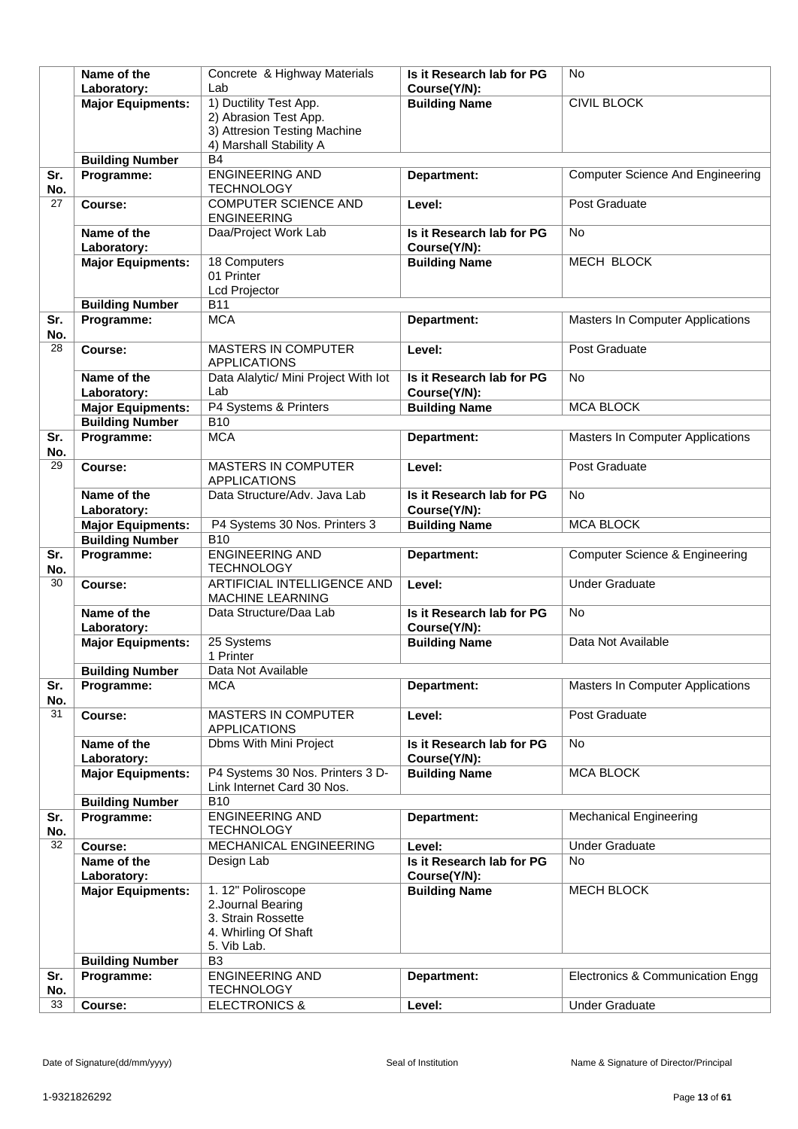|            | Name of the                             | Concrete & Highway Materials               | Is it Research lab for PG                 | No                                        |
|------------|-----------------------------------------|--------------------------------------------|-------------------------------------------|-------------------------------------------|
|            | Laboratory:                             | Lab                                        | Course(Y/N):                              |                                           |
|            | <b>Major Equipments:</b>                | 1) Ductility Test App.                     | <b>Building Name</b>                      | <b>CIVIL BLOCK</b>                        |
|            |                                         | 2) Abrasion Test App.                      |                                           |                                           |
|            |                                         | 3) Attresion Testing Machine               |                                           |                                           |
|            |                                         | 4) Marshall Stability A                    |                                           |                                           |
|            | <b>Building Number</b>                  | <b>B4</b>                                  |                                           |                                           |
| Sr.        | Programme:                              | <b>ENGINEERING AND</b>                     | Department:                               | <b>Computer Science And Engineering</b>   |
| No.        |                                         | <b>TECHNOLOGY</b>                          |                                           |                                           |
| 27         | Course:                                 | <b>COMPUTER SCIENCE AND</b>                | Level:                                    | Post Graduate                             |
|            | Name of the                             | <b>ENGINEERING</b><br>Daa/Project Work Lab |                                           | <b>No</b>                                 |
|            |                                         |                                            | Is it Research lab for PG<br>Course(Y/N): |                                           |
|            | Laboratory:<br><b>Major Equipments:</b> | 18 Computers                               | <b>Building Name</b>                      | MECH BLOCK                                |
|            |                                         | 01 Printer                                 |                                           |                                           |
|            |                                         | <b>Lcd Projector</b>                       |                                           |                                           |
|            | <b>Building Number</b>                  | <b>B11</b>                                 |                                           |                                           |
| Sr.        | Programme:                              | <b>MCA</b>                                 | Department:                               | Masters In Computer Applications          |
| No.        |                                         |                                            |                                           |                                           |
| 28         | Course:                                 | <b>MASTERS IN COMPUTER</b>                 | Level:                                    | Post Graduate                             |
|            |                                         | <b>APPLICATIONS</b>                        |                                           |                                           |
|            | Name of the                             | Data Alalytic/ Mini Project With lot       | Is it Research lab for PG                 | <b>No</b>                                 |
|            | Laboratory:                             | Lab                                        | Course(Y/N):                              |                                           |
|            | <b>Major Equipments:</b>                | P4 Systems & Printers                      | <b>Building Name</b>                      | <b>MCA BLOCK</b>                          |
|            | <b>Building Number</b>                  | <b>B10</b>                                 |                                           |                                           |
| Sr.<br>No. | Programme:                              | <b>MCA</b>                                 | Department:                               | Masters In Computer Applications          |
| 29         | Course:                                 | <b>MASTERS IN COMPUTER</b>                 | Level:                                    | Post Graduate                             |
|            |                                         | <b>APPLICATIONS</b>                        |                                           |                                           |
|            | Name of the                             | Data Structure/Adv. Java Lab               | Is it Research lab for PG                 | <b>No</b>                                 |
|            | Laboratory:                             |                                            | Course(Y/N):                              |                                           |
|            | <b>Major Equipments:</b>                | P4 Systems 30 Nos. Printers 3              | <b>Building Name</b>                      | <b>MCA BLOCK</b>                          |
|            | <b>Building Number</b>                  | <b>B10</b>                                 |                                           |                                           |
| Sr.        | Programme:                              | <b>ENGINEERING AND</b>                     | Department:                               | <b>Computer Science &amp; Engineering</b> |
| No.        |                                         | <b>TECHNOLOGY</b>                          |                                           |                                           |
| 30         | Course:                                 | ARTIFICIAL INTELLIGENCE AND                | Level:                                    | <b>Under Graduate</b>                     |
|            |                                         | MACHINE LEARNING                           | Is it Research lab for PG                 | <b>No</b>                                 |
|            | Name of the<br>Laboratory:              | Data Structure/Daa Lab                     | Course(Y/N):                              |                                           |
|            | <b>Major Equipments:</b>                | 25 Systems                                 | <b>Building Name</b>                      | Data Not Available                        |
|            |                                         | 1 Printer                                  |                                           |                                           |
|            | <b>Building Number</b>                  | Data Not Available                         |                                           |                                           |
| Sr.        | Programme:                              | <b>MCA</b>                                 | Department:                               | Masters In Computer Applications          |
| No.        |                                         |                                            |                                           |                                           |
| 31         | Course:                                 | <b>MASTERS IN COMPUTER</b>                 | Level:                                    | Post Graduate                             |
|            |                                         | <b>APPLICATIONS</b>                        |                                           |                                           |
|            | Name of the                             | Dbms With Mini Project                     | Is it Research lab for PG                 | No                                        |
|            | Laboratory:                             | P4 Systems 30 Nos. Printers 3 D-           | Course(Y/N):                              | <b>MCA BLOCK</b>                          |
|            | <b>Major Equipments:</b>                | Link Internet Card 30 Nos.                 | <b>Building Name</b>                      |                                           |
|            | <b>Building Number</b>                  | <b>B10</b>                                 |                                           |                                           |
| Sr.        | Programme:                              | <b>ENGINEERING AND</b>                     | Department:                               | <b>Mechanical Engineering</b>             |
| No.        |                                         | <b>TECHNOLOGY</b>                          |                                           |                                           |
| 32         | Course:                                 | MECHANICAL ENGINEERING                     | Level:                                    | <b>Under Graduate</b>                     |
|            | Name of the                             | Design Lab                                 | Is it Research lab for PG                 | No                                        |
|            | Laboratory:                             |                                            | Course(Y/N):                              |                                           |
|            | <b>Major Equipments:</b>                | 1. 12" Poliroscope                         | <b>Building Name</b>                      | <b>MECH BLOCK</b>                         |
|            |                                         | 2. Journal Bearing                         |                                           |                                           |
|            |                                         | 3. Strain Rossette                         |                                           |                                           |
|            |                                         | 4. Whirling Of Shaft<br>5. Vib Lab.        |                                           |                                           |
|            | <b>Building Number</b>                  | B <sub>3</sub>                             |                                           |                                           |
| Sr.        | Programme:                              | <b>ENGINEERING AND</b>                     | Department:                               | Electronics & Communication Engg          |
| No.        |                                         | <b>TECHNOLOGY</b>                          |                                           |                                           |
| 33         | Course:                                 | <b>ELECTRONICS &amp;</b>                   | Level:                                    | <b>Under Graduate</b>                     |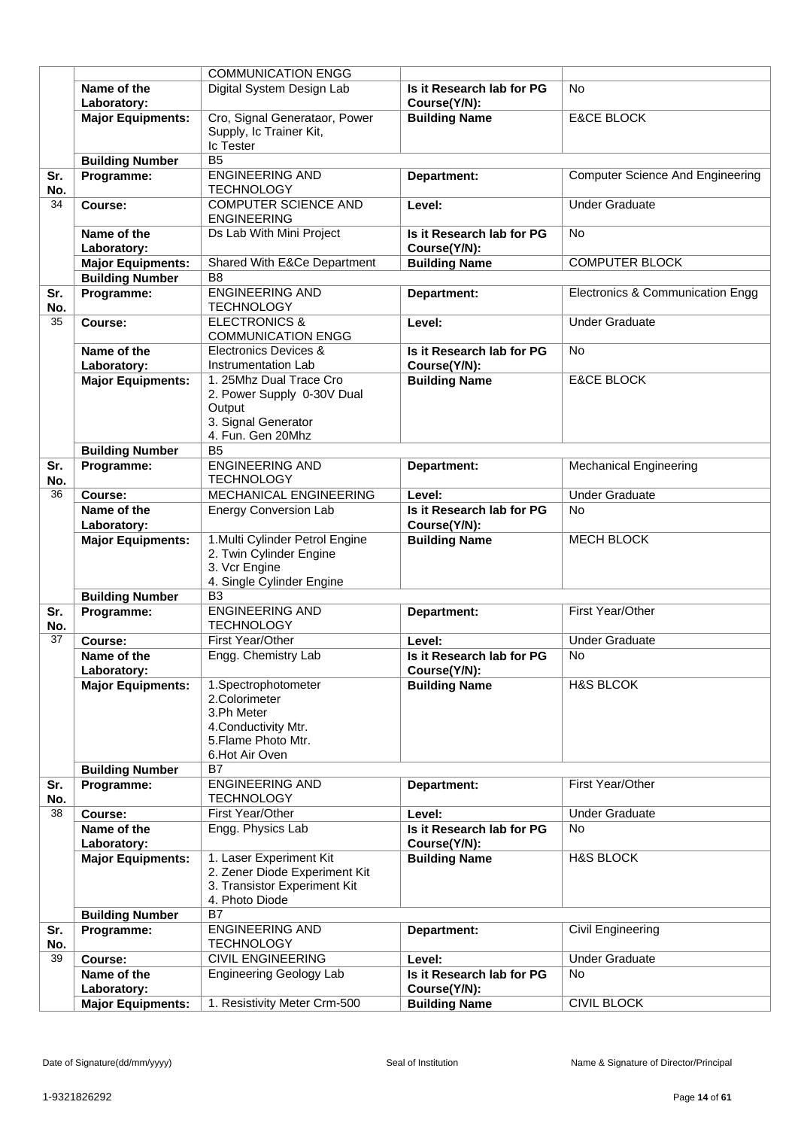|            |                            | <b>COMMUNICATION ENGG</b>                                                                                           |                                           |                                         |
|------------|----------------------------|---------------------------------------------------------------------------------------------------------------------|-------------------------------------------|-----------------------------------------|
|            | Name of the<br>Laboratory: | Digital System Design Lab                                                                                           | Is it Research lab for PG<br>Course(Y/N): | <b>No</b>                               |
|            | <b>Major Equipments:</b>   | Cro, Signal Generataor, Power<br>Supply, Ic Trainer Kit,<br><b>Ic Tester</b>                                        | <b>Building Name</b>                      | <b>E&amp;CE BLOCK</b>                   |
|            | <b>Building Number</b>     | B <sub>5</sub>                                                                                                      |                                           |                                         |
| Sr.<br>No. | Programme:                 | <b>ENGINEERING AND</b><br><b>TECHNOLOGY</b>                                                                         | Department:                               | <b>Computer Science And Engineering</b> |
| 34         | Course:                    | <b>COMPUTER SCIENCE AND</b><br><b>ENGINEERING</b>                                                                   | Level:                                    | <b>Under Graduate</b>                   |
|            | Name of the<br>Laboratory: | Ds Lab With Mini Project                                                                                            | Is it Research lab for PG<br>Course(Y/N): | <b>No</b>                               |
|            | <b>Major Equipments:</b>   | <b>Shared With E&amp;Ce Department</b>                                                                              | <b>Building Name</b>                      | <b>COMPUTER BLOCK</b>                   |
|            | <b>Building Number</b>     | B <sub>8</sub>                                                                                                      |                                           |                                         |
| Sr.<br>No. | Programme:                 | <b>ENGINEERING AND</b><br><b>TECHNOLOGY</b>                                                                         | Department:                               | Electronics & Communication Engg        |
| 35         | Course:                    | <b>ELECTRONICS &amp;</b><br><b>COMMUNICATION ENGG</b>                                                               | Level:                                    | <b>Under Graduate</b>                   |
|            | Name of the<br>Laboratory: | Electronics Devices &<br>Instrumentation Lab                                                                        | Is it Research lab for PG<br>Course(Y/N): | <b>No</b>                               |
|            | <b>Major Equipments:</b>   | 1. 25Mhz Dual Trace Cro<br>2. Power Supply 0-30V Dual<br>Output<br>3. Signal Generator<br>4. Fun. Gen 20Mhz         | <b>Building Name</b>                      | <b>E&amp;CE BLOCK</b>                   |
|            | <b>Building Number</b>     | B <sub>5</sub>                                                                                                      |                                           |                                         |
| Sr.<br>No. | Programme:                 | <b>ENGINEERING AND</b><br><b>TECHNOLOGY</b>                                                                         | Department:                               | <b>Mechanical Engineering</b>           |
| 36         | Course:                    | MECHANICAL ENGINEERING                                                                                              | Level:                                    | <b>Under Graduate</b>                   |
|            | Name of the<br>Laboratory: | <b>Energy Conversion Lab</b>                                                                                        | Is it Research lab for PG<br>Course(Y/N): | <b>No</b>                               |
|            | <b>Major Equipments:</b>   | 1. Multi Cylinder Petrol Engine<br>2. Twin Cylinder Engine<br>3. Vcr Engine<br>4. Single Cylinder Engine            | <b>Building Name</b>                      | <b>MECH BLOCK</b>                       |
|            | <b>Building Number</b>     | B <sub>3</sub>                                                                                                      |                                           |                                         |
| Sr.<br>No. | Programme:                 | <b>ENGINEERING AND</b><br><b>TECHNOLOGY</b>                                                                         | Department:                               | First Year/Other                        |
| 37         | Course:                    | First Year/Other                                                                                                    | Level:                                    | <b>Under Graduate</b>                   |
|            | Name of the<br>Laboratory: | Engg. Chemistry Lab                                                                                                 | Is it Research lab for PG<br>Course(Y/N): | <b>No</b>                               |
|            | <b>Major Equipments:</b>   | 1.Spectrophotometer<br>2.Colorimeter<br>3.Ph Meter<br>4. Conductivity Mtr.<br>5. Flame Photo Mtr.<br>6.Hot Air Oven | <b>Building Name</b>                      | <b>H&amp;S BLCOK</b>                    |
|            | <b>Building Number</b>     | <b>B7</b>                                                                                                           |                                           |                                         |
| Sr.<br>No. | Programme:                 | <b>ENGINEERING AND</b><br><b>TECHNOLOGY</b>                                                                         | Department:                               | First Year/Other                        |
| 38         | Course:                    | First Year/Other                                                                                                    | Level:                                    | <b>Under Graduate</b>                   |
|            | Name of the<br>Laboratory: | Engg. Physics Lab                                                                                                   | Is it Research lab for PG<br>Course(Y/N): | <b>No</b>                               |
|            | <b>Major Equipments:</b>   | 1. Laser Experiment Kit<br>2. Zener Diode Experiment Kit<br>3. Transistor Experiment Kit<br>4. Photo Diode          | <b>Building Name</b>                      | <b>H&amp;S BLOCK</b>                    |
|            | <b>Building Number</b>     | B7                                                                                                                  |                                           |                                         |
| Sr.<br>No. | Programme:                 | <b>ENGINEERING AND</b><br><b>TECHNOLOGY</b>                                                                         | Department:                               | Civil Engineering                       |
| 39         | Course:                    | <b>CIVIL ENGINEERING</b>                                                                                            | Level:                                    | <b>Under Graduate</b>                   |
|            | Name of the                | <b>Engineering Geology Lab</b>                                                                                      | Is it Research lab for PG                 | <b>No</b>                               |
|            | Laboratory:                |                                                                                                                     | Course(Y/N):                              |                                         |
|            | <b>Major Equipments:</b>   | 1. Resistivity Meter Crm-500                                                                                        | <b>Building Name</b>                      | <b>CIVIL BLOCK</b>                      |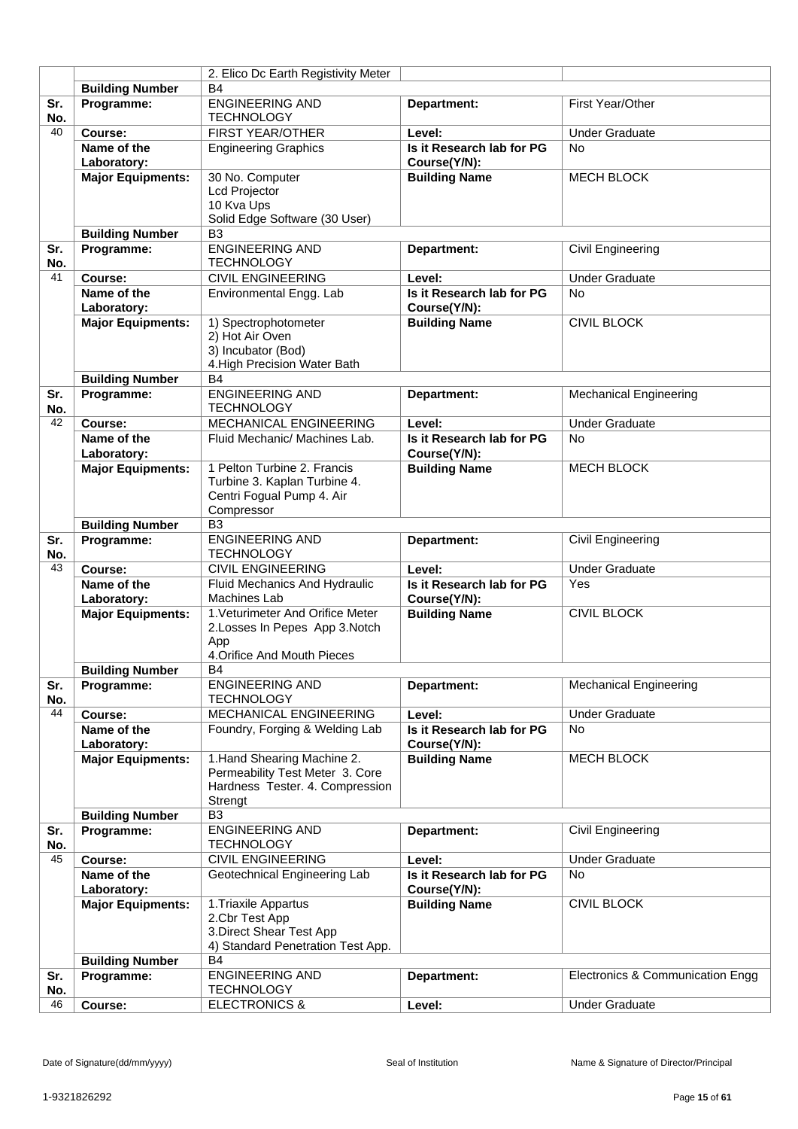|            |                            | 2. Elico Dc Earth Registivity Meter           |                                           |                                  |
|------------|----------------------------|-----------------------------------------------|-------------------------------------------|----------------------------------|
|            | <b>Building Number</b>     | <b>B4</b>                                     |                                           |                                  |
| Sr.        | Programme:                 | <b>ENGINEERING AND</b>                        | Department:                               | First Year/Other                 |
| No.        |                            | <b>TECHNOLOGY</b>                             |                                           |                                  |
| 40         | Course:                    | <b>FIRST YEAR/OTHER</b>                       | Level:                                    | <b>Under Graduate</b>            |
|            | Name of the<br>Laboratory: | <b>Engineering Graphics</b>                   | Is it Research lab for PG<br>Course(Y/N): | No                               |
|            | <b>Major Equipments:</b>   | 30 No. Computer                               | <b>Building Name</b>                      | <b>MECH BLOCK</b>                |
|            |                            | Lcd Projector                                 |                                           |                                  |
|            |                            | 10 Kva Ups                                    |                                           |                                  |
|            |                            | Solid Edge Software (30 User)                 |                                           |                                  |
|            | <b>Building Number</b>     | B <sub>3</sub>                                |                                           |                                  |
| Sr.<br>No. | Programme:                 | <b>ENGINEERING AND</b><br><b>TECHNOLOGY</b>   | Department:                               | Civil Engineering                |
| 41         | Course:                    | <b>CIVIL ENGINEERING</b>                      | Level:                                    | <b>Under Graduate</b>            |
|            | Name of the                | Environmental Engg. Lab                       | Is it Research lab for PG                 | <b>No</b>                        |
|            | Laboratory:                |                                               | Course(Y/N):                              |                                  |
|            | <b>Major Equipments:</b>   | 1) Spectrophotometer                          | <b>Building Name</b>                      | <b>CIVIL BLOCK</b>               |
|            |                            | 2) Hot Air Oven                               |                                           |                                  |
|            |                            | 3) Incubator (Bod)                            |                                           |                                  |
|            |                            | 4. High Precision Water Bath                  |                                           |                                  |
|            | <b>Building Number</b>     | <b>B4</b>                                     |                                           |                                  |
| Sr.        | Programme:                 | <b>ENGINEERING AND</b>                        | Department:                               | <b>Mechanical Engineering</b>    |
| No.        |                            | <b>TECHNOLOGY</b>                             |                                           |                                  |
| 42         | Course:                    | <b>MECHANICAL ENGINEERING</b>                 | Level:                                    | <b>Under Graduate</b>            |
|            | Name of the                | Fluid Mechanic/ Machines Lab.                 | Is it Research lab for PG                 | <b>No</b>                        |
|            | Laboratory:                |                                               | Course(Y/N):                              |                                  |
|            | <b>Major Equipments:</b>   | 1 Pelton Turbine 2. Francis                   | <b>Building Name</b>                      | <b>MECH BLOCK</b>                |
|            |                            | Turbine 3. Kaplan Turbine 4.                  |                                           |                                  |
|            |                            | Centri Fogual Pump 4. Air                     |                                           |                                  |
|            |                            | Compressor                                    |                                           |                                  |
|            | <b>Building Number</b>     | B <sub>3</sub>                                |                                           |                                  |
| Sr.        | Programme:                 | <b>ENGINEERING AND</b>                        | Department:                               | Civil Engineering                |
| No.        |                            | <b>TECHNOLOGY</b>                             |                                           |                                  |
| 43         | Course:                    | <b>CIVIL ENGINEERING</b>                      | Level:                                    | <b>Under Graduate</b>            |
|            | Name of the                | Fluid Mechanics And Hydraulic                 | Is it Research lab for PG                 | Yes                              |
|            | Laboratory:                | <b>Machines Lab</b>                           | Course(Y/N):                              |                                  |
|            | <b>Major Equipments:</b>   | 1. Veturimeter And Orifice Meter              | <b>Building Name</b>                      | <b>CIVIL BLOCK</b>               |
|            |                            | 2. Losses In Pepes App 3. Notch               |                                           |                                  |
|            |                            | App                                           |                                           |                                  |
|            |                            | 4. Orifice And Mouth Pieces                   |                                           |                                  |
|            | <b>Building Number</b>     | В4                                            |                                           |                                  |
| Sr.        | Programme:                 | <b>ENGINEERING AND</b>                        | Department:                               | <b>Mechanical Engineering</b>    |
| No.        |                            | <b>TECHNOLOGY</b>                             |                                           |                                  |
| 44         | Course:                    | MECHANICAL ENGINEERING                        | Level:                                    | <b>Under Graduate</b>            |
|            | Name of the                | Foundry, Forging & Welding Lab                | Is it Research lab for PG                 | <b>No</b>                        |
|            | Laboratory:                |                                               | Course(Y/N):                              |                                  |
|            | <b>Major Equipments:</b>   | 1. Hand Shearing Machine 2.                   | <b>Building Name</b>                      | <b>MECH BLOCK</b>                |
|            |                            | Permeability Test Meter 3. Core               |                                           |                                  |
|            |                            | Hardness Tester. 4. Compression               |                                           |                                  |
|            |                            | Strengt                                       |                                           |                                  |
|            | <b>Building Number</b>     | B <sub>3</sub>                                |                                           |                                  |
| Sr.<br>No. | Programme:                 | <b>ENGINEERING AND</b>                        | Department:                               | Civil Engineering                |
| 45         | Course:                    | <b>TECHNOLOGY</b><br><b>CIVIL ENGINEERING</b> |                                           | <b>Under Graduate</b>            |
|            |                            |                                               | Level:                                    |                                  |
|            | Name of the                | Geotechnical Engineering Lab                  | Is it Research lab for PG                 | No                               |
|            | Laboratory:                |                                               | Course(Y/N):                              |                                  |
|            | <b>Major Equipments:</b>   | 1. Triaxile Appartus                          | <b>Building Name</b>                      | <b>CIVIL BLOCK</b>               |
|            |                            | 2.Cbr Test App<br>3. Direct Shear Test App    |                                           |                                  |
|            |                            | 4) Standard Penetration Test App.             |                                           |                                  |
|            | <b>Building Number</b>     | <b>B4</b>                                     |                                           |                                  |
| Sr.        | Programme:                 | <b>ENGINEERING AND</b>                        | Department:                               | Electronics & Communication Engg |
| No.        |                            | <b>TECHNOLOGY</b>                             |                                           |                                  |
| 46         | Course:                    | <b>ELECTRONICS &amp;</b>                      | Level:                                    | <b>Under Graduate</b>            |
|            |                            |                                               |                                           |                                  |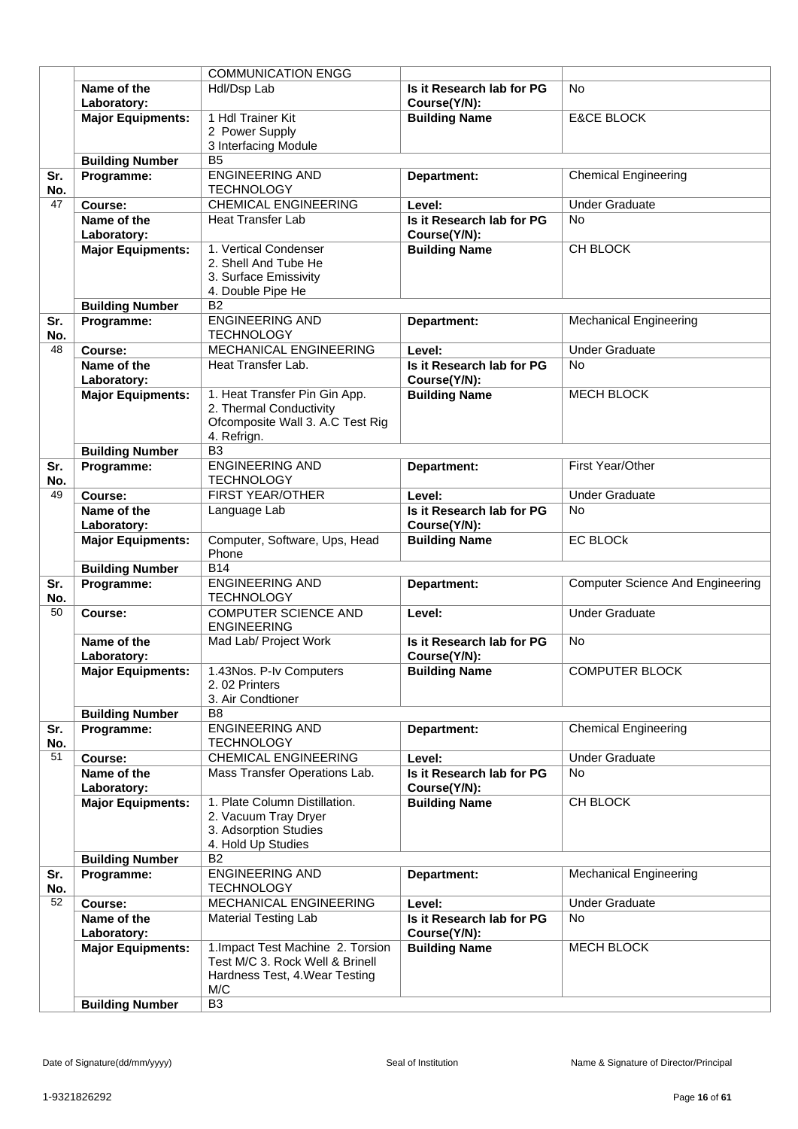|            |                            | <b>COMMUNICATION ENGG</b>                                                                                     |                                           |                                         |
|------------|----------------------------|---------------------------------------------------------------------------------------------------------------|-------------------------------------------|-----------------------------------------|
|            | Name of the<br>Laboratory: | Hdl/Dsp Lab                                                                                                   | Is it Research lab for PG<br>Course(Y/N): | <b>No</b>                               |
|            | <b>Major Equipments:</b>   | 1 Hdl Trainer Kit<br>2 Power Supply<br>3 Interfacing Module                                                   | <b>Building Name</b>                      | <b>E&amp;CE BLOCK</b>                   |
|            | <b>Building Number</b>     | B <sub>5</sub>                                                                                                |                                           |                                         |
| Sr.<br>No. | Programme:                 | <b>ENGINEERING AND</b><br><b>TECHNOLOGY</b>                                                                   | Department:                               | <b>Chemical Engineering</b>             |
| 47         | Course:                    | <b>CHEMICAL ENGINEERING</b>                                                                                   | Level:                                    | <b>Under Graduate</b>                   |
|            | Name of the                | <b>Heat Transfer Lab</b>                                                                                      | Is it Research lab for PG                 | <b>No</b>                               |
|            | Laboratory:                |                                                                                                               | Course(Y/N):                              |                                         |
|            | <b>Major Equipments:</b>   | 1. Vertical Condenser<br>2. Shell And Tube He<br>3. Surface Emissivity<br>4. Double Pipe He                   | <b>Building Name</b>                      | CH BLOCK                                |
|            | <b>Building Number</b>     | B <sub>2</sub>                                                                                                |                                           |                                         |
| Sr.<br>No. | Programme:                 | <b>ENGINEERING AND</b><br><b>TECHNOLOGY</b>                                                                   | Department:                               | <b>Mechanical Engineering</b>           |
| 48         | Course:                    | MECHANICAL ENGINEERING                                                                                        | Level:                                    | <b>Under Graduate</b>                   |
|            | Name of the<br>Laboratory: | Heat Transfer Lab.                                                                                            | Is it Research lab for PG<br>Course(Y/N): | <b>No</b>                               |
|            | <b>Major Equipments:</b>   | 1. Heat Transfer Pin Gin App.<br>2. Thermal Conductivity<br>Ofcomposite Wall 3. A.C Test Rig<br>4. Refrign.   | <b>Building Name</b>                      | <b>MECH BLOCK</b>                       |
|            | <b>Building Number</b>     | B <sub>3</sub>                                                                                                |                                           |                                         |
| Sr.<br>No. | Programme:                 | <b>ENGINEERING AND</b><br><b>TECHNOLOGY</b>                                                                   | Department:                               | First Year/Other                        |
| 49         | Course:                    | <b>FIRST YEAR/OTHER</b>                                                                                       | Level:                                    | <b>Under Graduate</b>                   |
|            | Name of the<br>Laboratory: | Language Lab                                                                                                  | Is it Research lab for PG<br>Course(Y/N): | <b>No</b>                               |
|            | <b>Major Equipments:</b>   | Computer, Software, Ups, Head<br>Phone                                                                        | <b>Building Name</b>                      | <b>EC BLOCK</b>                         |
|            | <b>Building Number</b>     | <b>B14</b>                                                                                                    |                                           |                                         |
| Sr.<br>No. | Programme:                 | <b>ENGINEERING AND</b><br><b>TECHNOLOGY</b>                                                                   | Department:                               | <b>Computer Science And Engineering</b> |
| 50         | Course:                    | <b>COMPUTER SCIENCE AND</b><br><b>ENGINEERING</b>                                                             | Level:                                    | <b>Under Graduate</b>                   |
|            | Name of the<br>Laboratory: | Mad Lab/ Project Work                                                                                         | Is it Research lab for PG<br>Course(Y/N): | <b>No</b>                               |
|            | <b>Major Equipments:</b>   | 1.43Nos. P-Iv Computers<br>2.02 Printers<br>3. Air Condtioner                                                 | <b>Building Name</b>                      | <b>COMPUTER BLOCK</b>                   |
|            | <b>Building Number</b>     | B <sub>8</sub>                                                                                                |                                           |                                         |
| Sr.<br>No. | Programme:                 | <b>ENGINEERING AND</b><br><b>TECHNOLOGY</b>                                                                   | Department:                               | <b>Chemical Engineering</b>             |
| 51         | Course:                    | <b>CHEMICAL ENGINEERING</b>                                                                                   | Level:                                    | <b>Under Graduate</b>                   |
|            | Name of the                | Mass Transfer Operations Lab.                                                                                 | Is it Research lab for PG                 | <b>No</b>                               |
|            | Laboratory:                |                                                                                                               | Course(Y/N):                              |                                         |
|            | <b>Major Equipments:</b>   | 1. Plate Column Distillation.<br>2. Vacuum Tray Dryer<br>3. Adsorption Studies<br>4. Hold Up Studies          | <b>Building Name</b>                      | CH BLOCK                                |
|            | <b>Building Number</b>     | B <sub>2</sub>                                                                                                |                                           |                                         |
| Sr.<br>No. | Programme:                 | <b>ENGINEERING AND</b><br><b>TECHNOLOGY</b>                                                                   | Department:                               | <b>Mechanical Engineering</b>           |
| 52         | Course:                    | MECHANICAL ENGINEERING                                                                                        | Level:                                    | <b>Under Graduate</b>                   |
|            | Name of the<br>Laboratory: | <b>Material Testing Lab</b>                                                                                   | Is it Research lab for PG<br>Course(Y/N): | <b>No</b>                               |
|            | <b>Major Equipments:</b>   | 1. Impact Test Machine 2. Torsion<br>Test M/C 3. Rock Well & Brinell<br>Hardness Test, 4. Wear Testing<br>M/C | <b>Building Name</b>                      | <b>MECH BLOCK</b>                       |
|            | <b>Building Number</b>     | B <sub>3</sub>                                                                                                |                                           |                                         |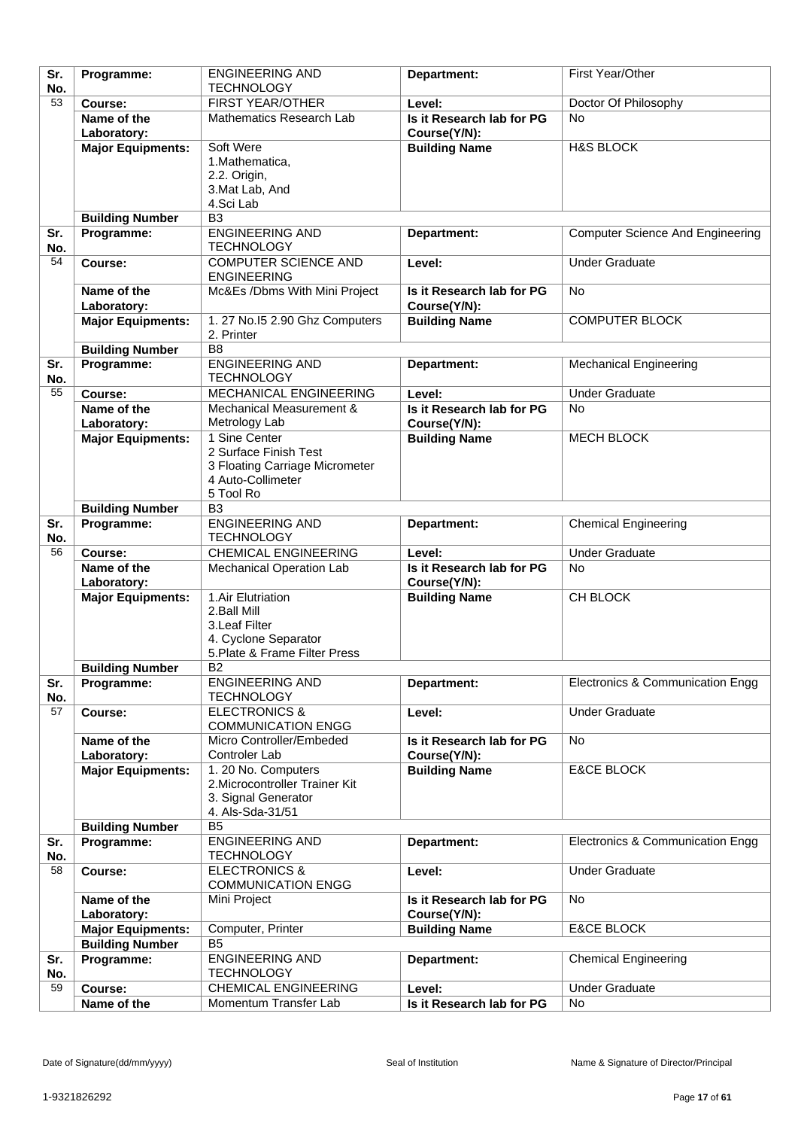| Sr.       | Programme:                              | <b>ENGINEERING AND</b>                                | Department:                               | First Year/Other                        |
|-----------|-----------------------------------------|-------------------------------------------------------|-------------------------------------------|-----------------------------------------|
| No.<br>53 |                                         | <b>TECHNOLOGY</b>                                     |                                           |                                         |
|           | Course:                                 | FIRST YEAR/OTHER                                      | Level:                                    | Doctor Of Philosophy                    |
|           | Name of the<br>Laboratory:              | Mathematics Research Lab                              | Is it Research lab for PG<br>Course(Y/N): | <b>No</b>                               |
|           | <b>Major Equipments:</b>                | Soft Were                                             | <b>Building Name</b>                      | <b>H&amp;S BLOCK</b>                    |
|           |                                         | 1. Mathematica,                                       |                                           |                                         |
|           |                                         | 2. 2. Origin,                                         |                                           |                                         |
|           |                                         | 3. Mat Lab, And                                       |                                           |                                         |
|           |                                         | 4. Sci Lab                                            |                                           |                                         |
|           | <b>Building Number</b>                  | B <sub>3</sub>                                        |                                           |                                         |
| Sr.       | Programme:                              | <b>ENGINEERING AND</b><br><b>TECHNOLOGY</b>           | Department:                               | <b>Computer Science And Engineering</b> |
| No.<br>54 | Course:                                 | <b>COMPUTER SCIENCE AND</b>                           | Level:                                    | <b>Under Graduate</b>                   |
|           |                                         | <b>ENGINEERING</b>                                    |                                           |                                         |
|           | Name of the                             | Mc&Es /Dbms With Mini Project                         | Is it Research lab for PG                 | No                                      |
|           | Laboratory:                             |                                                       | Course(Y/N):                              |                                         |
|           | <b>Major Equipments:</b>                | 1. 27 No.15 2.90 Ghz Computers                        | <b>Building Name</b>                      | <b>COMPUTER BLOCK</b>                   |
|           |                                         | 2. Printer                                            |                                           |                                         |
|           | <b>Building Number</b>                  | B <sub>8</sub>                                        |                                           |                                         |
| Sr.       | Programme:                              | <b>ENGINEERING AND</b>                                | Department:                               | <b>Mechanical Engineering</b>           |
| No.<br>55 |                                         | <b>TECHNOLOGY</b><br>MECHANICAL ENGINEERING           | Level:                                    | <b>Under Graduate</b>                   |
|           | Course:<br>Name of the                  | Mechanical Measurement &                              | Is it Research lab for PG                 | No                                      |
|           | Laboratory:                             | Metrology Lab                                         | Course(Y/N):                              |                                         |
|           | <b>Major Equipments:</b>                | 1 Sine Center                                         | <b>Building Name</b>                      | <b>MECH BLOCK</b>                       |
|           |                                         | 2 Surface Finish Test                                 |                                           |                                         |
|           |                                         | 3 Floating Carriage Micrometer                        |                                           |                                         |
|           |                                         | 4 Auto-Collimeter                                     |                                           |                                         |
|           |                                         | 5 Tool Ro                                             |                                           |                                         |
| Sr.       | <b>Building Number</b>                  | B <sub>3</sub><br><b>ENGINEERING AND</b>              |                                           |                                         |
| No.       | Programme:                              | <b>TECHNOLOGY</b>                                     | Department:                               | <b>Chemical Engineering</b>             |
| 56        | Course:                                 | <b>CHEMICAL ENGINEERING</b>                           | Level:                                    | <b>Under Graduate</b>                   |
|           | Name of the                             | Mechanical Operation Lab                              | Is it Research lab for PG                 | <b>No</b>                               |
|           |                                         |                                                       |                                           |                                         |
|           | Laboratory:                             |                                                       | Course(Y/N):                              |                                         |
|           | <b>Major Equipments:</b>                | 1.Air Elutriation                                     | <b>Building Name</b>                      | CH BLOCK                                |
|           |                                         | 2.Ball Mill                                           |                                           |                                         |
|           |                                         | 3. Leaf Filter                                        |                                           |                                         |
|           |                                         | 4. Cyclone Separator<br>5. Plate & Frame Filter Press |                                           |                                         |
|           | <b>Building Number</b>                  | $\overline{B2}$                                       |                                           |                                         |
| Sr.       | Programme:                              | <b>ENGINEERING AND</b>                                | Department:                               | Electronics & Communication Engg        |
| No.       |                                         | <b>TECHNOLOGY</b>                                     |                                           |                                         |
| 57        | Course:                                 | <b>ELECTRONICS &amp;</b>                              | Level:                                    | <b>Under Graduate</b>                   |
|           |                                         | <b>COMMUNICATION ENGG</b>                             |                                           |                                         |
|           | Name of the                             | Micro Controller/Embeded<br>Controler Lab             | Is it Research lab for PG                 | <b>No</b>                               |
|           | Laboratory:<br><b>Major Equipments:</b> | 1. 20 No. Computers                                   | Course(Y/N):<br><b>Building Name</b>      | <b>E&amp;CE BLOCK</b>                   |
|           |                                         | 2. Microcontroller Trainer Kit                        |                                           |                                         |
|           |                                         | 3. Signal Generator                                   |                                           |                                         |
|           |                                         | 4. Als-Sda-31/51                                      |                                           |                                         |
|           | <b>Building Number</b>                  | B <sub>5</sub>                                        |                                           |                                         |
| Sr.       | Programme:                              | <b>ENGINEERING AND</b>                                | Department:                               | Electronics & Communication Engg        |
| No.<br>58 | Course:                                 | <b>TECHNOLOGY</b>                                     | Level:                                    |                                         |
|           |                                         | <b>ELECTRONICS &amp;</b><br><b>COMMUNICATION ENGG</b> |                                           | <b>Under Graduate</b>                   |
|           | Name of the                             | Mini Project                                          | Is it Research lab for PG                 | <b>No</b>                               |
|           | Laboratory:                             |                                                       | Course(Y/N):                              |                                         |
|           | <b>Major Equipments:</b>                | Computer, Printer                                     | <b>Building Name</b>                      | <b>E&amp;CE BLOCK</b>                   |
|           | <b>Building Number</b>                  | B <sub>5</sub>                                        |                                           |                                         |
| Sr.       | Programme:                              | <b>ENGINEERING AND</b>                                | Department:                               | <b>Chemical Engineering</b>             |
| No.<br>59 | Course:                                 | <b>TECHNOLOGY</b><br><b>CHEMICAL ENGINEERING</b>      | Level:                                    | <b>Under Graduate</b>                   |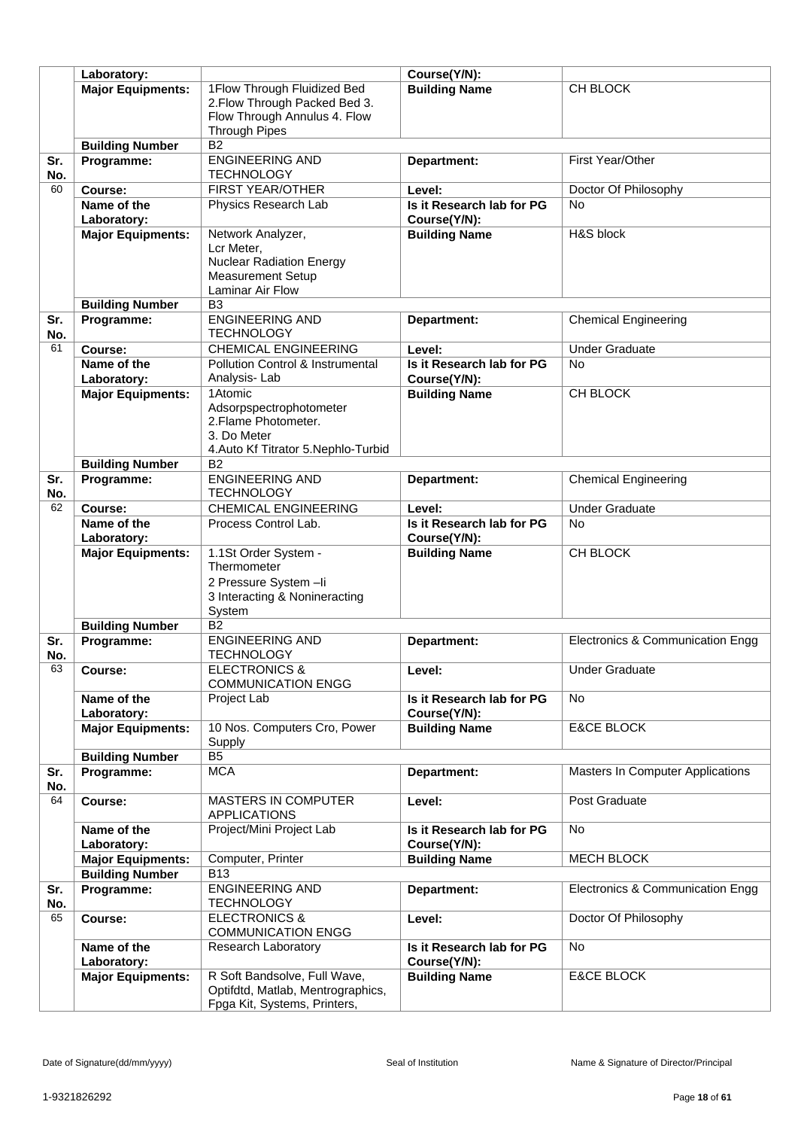|     | Laboratory:              |                                      | Course(Y/N):              |                                  |
|-----|--------------------------|--------------------------------------|---------------------------|----------------------------------|
|     | <b>Major Equipments:</b> | 1Flow Through Fluidized Bed          | <b>Building Name</b>      | CH BLOCK                         |
|     |                          | 2. Flow Through Packed Bed 3.        |                           |                                  |
|     |                          | Flow Through Annulus 4. Flow         |                           |                                  |
|     |                          | <b>Through Pipes</b>                 |                           |                                  |
|     | <b>Building Number</b>   | B2                                   |                           |                                  |
| Sr. | Programme:               | <b>ENGINEERING AND</b>               | Department:               | First Year/Other                 |
| No. |                          | <b>TECHNOLOGY</b>                    |                           |                                  |
| 60  |                          | FIRST YEAR/OTHER                     | Level:                    |                                  |
|     | Course:                  |                                      |                           | Doctor Of Philosophy             |
|     | Name of the              | Physics Research Lab                 | Is it Research lab for PG | <b>No</b>                        |
|     | Laboratory:              |                                      | Course(Y/N):              |                                  |
|     | <b>Major Equipments:</b> | Network Analyzer,                    | <b>Building Name</b>      | H&S block                        |
|     |                          | Lcr Meter,                           |                           |                                  |
|     |                          | <b>Nuclear Radiation Energy</b>      |                           |                                  |
|     |                          | <b>Measurement Setup</b>             |                           |                                  |
|     |                          | <b>Laminar Air Flow</b>              |                           |                                  |
|     | <b>Building Number</b>   | B <sub>3</sub>                       |                           |                                  |
| Sr. | Programme:               | <b>ENGINEERING AND</b>               | Department:               | <b>Chemical Engineering</b>      |
| No. |                          | <b>TECHNOLOGY</b>                    |                           |                                  |
| 61  | Course:                  | <b>CHEMICAL ENGINEERING</b>          | Level:                    | <b>Under Graduate</b>            |
|     | Name of the              | Pollution Control & Instrumental     | Is it Research lab for PG | <b>No</b>                        |
|     | Laboratory:              | Analysis-Lab                         | Course(Y/N):              |                                  |
|     | <b>Major Equipments:</b> | 1Atomic                              | <b>Building Name</b>      | CH BLOCK                         |
|     |                          | Adsorpspectrophotometer              |                           |                                  |
|     |                          | 2. Flame Photometer.                 |                           |                                  |
|     |                          | 3. Do Meter                          |                           |                                  |
|     |                          | 4. Auto Kf Titrator 5. Nephlo-Turbid |                           |                                  |
|     | <b>Building Number</b>   | <b>B2</b>                            |                           |                                  |
| Sr. | Programme:               | <b>ENGINEERING AND</b>               | Department:               | <b>Chemical Engineering</b>      |
| No. |                          | <b>TECHNOLOGY</b>                    |                           |                                  |
| 62  | Course:                  | <b>CHEMICAL ENGINEERING</b>          | Level:                    | <b>Under Graduate</b>            |
|     | Name of the              | Process Control Lab.                 | Is it Research lab for PG | <b>No</b>                        |
|     | Laboratory:              |                                      | Course(Y/N):              |                                  |
|     | <b>Major Equipments:</b> | 1.1St Order System -                 | <b>Building Name</b>      | CH BLOCK                         |
|     |                          | Thermometer                          |                           |                                  |
|     |                          | 2 Pressure System-li                 |                           |                                  |
|     |                          | 3 Interacting & Nonineracting        |                           |                                  |
|     |                          | System                               |                           |                                  |
|     | <b>Building Number</b>   | $\overline{B2}$                      |                           |                                  |
| Sr. | Programme:               | <b>ENGINEERING AND</b>               | Department:               | Electronics & Communication Engg |
| No. |                          | <b>TECHNOLOGY</b>                    |                           |                                  |
| 63  | Course:                  | ELECTRONICS &                        | Level:                    | <b>Under Graduate</b>            |
|     |                          | <b>COMMUNICATION ENGG</b>            |                           |                                  |
|     | Name of the              | Project Lab                          | Is it Research lab for PG | <b>No</b>                        |
|     | Laboratory:              |                                      | Course(Y/N):              |                                  |
|     | <b>Major Equipments:</b> | 10 Nos. Computers Cro, Power         | <b>Building Name</b>      | <b>E&amp;CE BLOCK</b>            |
|     |                          | Supply                               |                           |                                  |
|     | <b>Building Number</b>   | B <sub>5</sub>                       |                           |                                  |
| Sr. | Programme:               | <b>MCA</b>                           | Department:               | Masters In Computer Applications |
| No. |                          |                                      |                           |                                  |
| 64  | Course:                  | <b>MASTERS IN COMPUTER</b>           | Level:                    | Post Graduate                    |
|     |                          | <b>APPLICATIONS</b>                  |                           |                                  |
|     | Name of the              | Project/Mini Project Lab             | Is it Research lab for PG | No                               |
|     | Laboratory:              |                                      | Course(Y/N):              |                                  |
|     | <b>Major Equipments:</b> | Computer, Printer                    | <b>Building Name</b>      | <b>MECH BLOCK</b>                |
|     | <b>Building Number</b>   | <b>B13</b>                           |                           |                                  |
| Sr. | Programme:               | <b>ENGINEERING AND</b>               | Department:               | Electronics & Communication Engg |
| No. |                          | <b>TECHNOLOGY</b>                    |                           |                                  |
| 65  | Course:                  | <b>ELECTRONICS &amp;</b>             | Level:                    | Doctor Of Philosophy             |
|     |                          | <b>COMMUNICATION ENGG</b>            |                           |                                  |
|     | Name of the              | Research Laboratory                  | Is it Research lab for PG | No                               |
|     | Laboratory:              |                                      | Course(Y/N):              |                                  |
|     | <b>Major Equipments:</b> | R Soft Bandsolve, Full Wave,         | <b>Building Name</b>      | <b>E&amp;CE BLOCK</b>            |
|     |                          | Optifdtd, Matlab, Mentrographics,    |                           |                                  |
|     |                          |                                      |                           |                                  |
|     |                          | Fpga Kit, Systems, Printers,         |                           |                                  |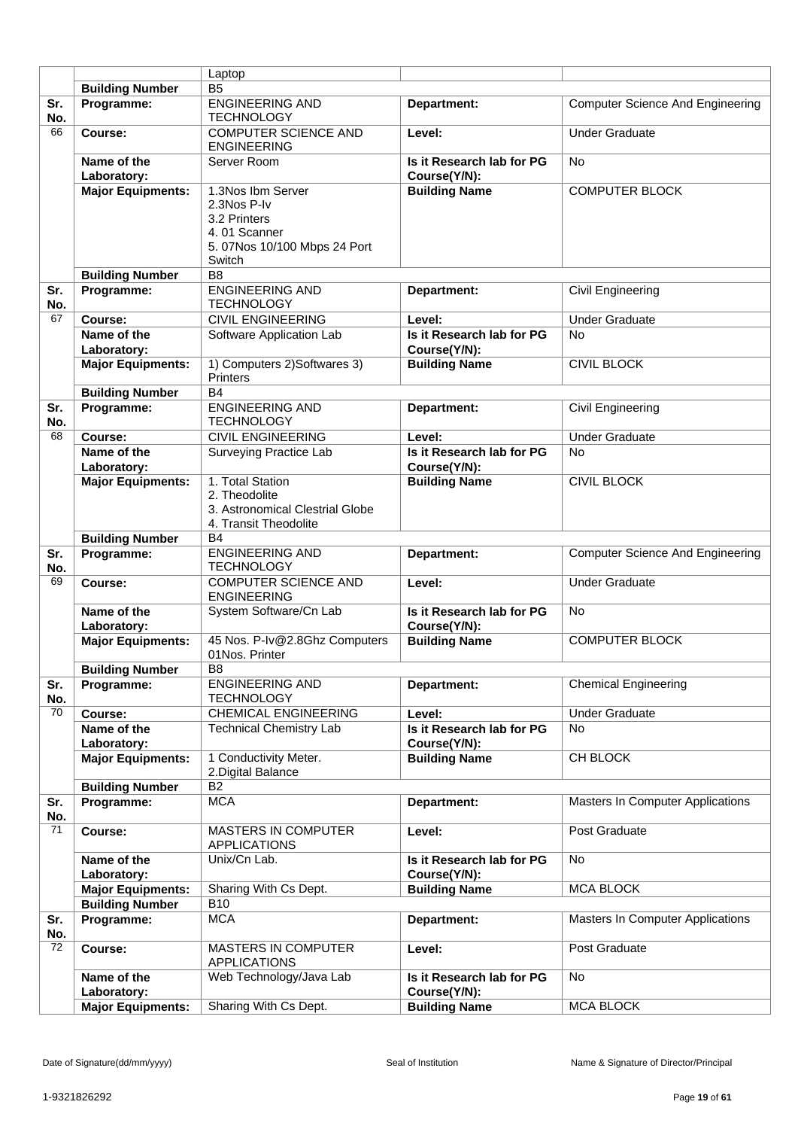|            |                            | Laptop                                                                                                     |                                           |                                         |
|------------|----------------------------|------------------------------------------------------------------------------------------------------------|-------------------------------------------|-----------------------------------------|
|            | <b>Building Number</b>     | B <sub>5</sub>                                                                                             |                                           |                                         |
| Sr.        | Programme:                 | <b>ENGINEERING AND</b>                                                                                     | Department:                               | <b>Computer Science And Engineering</b> |
| No.        |                            | <b>TECHNOLOGY</b>                                                                                          |                                           |                                         |
| 66         | Course:                    | <b>COMPUTER SCIENCE AND</b><br><b>ENGINEERING</b>                                                          | Level:                                    | <b>Under Graduate</b>                   |
|            | Name of the<br>Laboratory: | Server Room                                                                                                | Is it Research lab for PG<br>Course(Y/N): | <b>No</b>                               |
|            | <b>Major Equipments:</b>   | 1.3Nos Ibm Server<br>2.3Nos P-Iv<br>3.2 Printers<br>4.01 Scanner<br>5. 07Nos 10/100 Mbps 24 Port<br>Switch | <b>Building Name</b>                      | <b>COMPUTER BLOCK</b>                   |
|            | <b>Building Number</b>     | B <sub>8</sub>                                                                                             |                                           |                                         |
| Sr.<br>No. | Programme:                 | <b>ENGINEERING AND</b><br><b>TECHNOLOGY</b>                                                                | Department:                               | Civil Engineering                       |
| 67         | Course:                    | <b>CIVIL ENGINEERING</b>                                                                                   | Level:                                    | <b>Under Graduate</b>                   |
|            | Name of the                | Software Application Lab                                                                                   | Is it Research lab for PG                 | <b>No</b>                               |
|            | Laboratory:                |                                                                                                            | Course(Y/N):                              |                                         |
|            | <b>Major Equipments:</b>   | 1) Computers 2) Softwares 3)<br><b>Printers</b>                                                            | <b>Building Name</b>                      | <b>CIVIL BLOCK</b>                      |
|            | <b>Building Number</b>     | <b>B4</b>                                                                                                  |                                           |                                         |
| Sr.<br>No. | Programme:                 | <b>ENGINEERING AND</b><br><b>TECHNOLOGY</b>                                                                | Department:                               | <b>Civil Engineering</b>                |
| 68         | Course:                    | <b>CIVIL ENGINEERING</b>                                                                                   | Level:                                    | <b>Under Graduate</b>                   |
|            | Name of the<br>Laboratory: | Surveying Practice Lab                                                                                     | Is it Research lab for PG<br>Course(Y/N): | <b>No</b>                               |
|            | <b>Major Equipments:</b>   | 1. Total Station<br>2. Theodolite<br>3. Astronomical Clestrial Globe<br>4. Transit Theodolite              | <b>Building Name</b>                      | <b>CIVIL BLOCK</b>                      |
|            | <b>Building Number</b>     | <b>B4</b>                                                                                                  |                                           |                                         |
| Sr.<br>No. | Programme:                 | <b>ENGINEERING AND</b><br><b>TECHNOLOGY</b>                                                                | Department:                               | <b>Computer Science And Engineering</b> |
| 69         | Course:                    | <b>COMPUTER SCIENCE AND</b><br><b>ENGINEERING</b>                                                          | Level:                                    | <b>Under Graduate</b>                   |
|            | Name of the<br>Laboratory: | System Software/Cn Lab                                                                                     | Is it Research lab for PG<br>Course(Y/N): | <b>No</b>                               |
|            | <b>Major Equipments:</b>   | 45 Nos. P-Iv@2.8Ghz Computers<br>01Nos. Printer                                                            | <b>Building Name</b>                      | <b>COMPUTER BLOCK</b>                   |
|            | <b>Building Number</b>     | В8                                                                                                         |                                           |                                         |
| Sr.<br>No. | Programme:                 | <b>ENGINEERING AND</b><br><b>TECHNOLOGY</b>                                                                | Department:                               | <b>Chemical Engineering</b>             |
| 70         | Course:                    | <b>CHEMICAL ENGINEERING</b>                                                                                | Level:                                    | <b>Under Graduate</b>                   |
|            | Name of the<br>Laboratory: | <b>Technical Chemistry Lab</b>                                                                             | Is it Research lab for PG<br>Course(Y/N): | <b>No</b>                               |
|            | <b>Major Equipments:</b>   | 1 Conductivity Meter.<br>2. Digital Balance                                                                | <b>Building Name</b>                      | CH BLOCK                                |
|            | <b>Building Number</b>     | <b>B2</b>                                                                                                  |                                           |                                         |
| Sr.<br>No. | Programme:                 | <b>MCA</b>                                                                                                 | Department:                               | <b>Masters In Computer Applications</b> |
| 71         | Course:                    | <b>MASTERS IN COMPUTER</b><br><b>APPLICATIONS</b>                                                          | Level:                                    | Post Graduate                           |
|            | Name of the<br>Laboratory: | Unix/Cn Lab.                                                                                               | Is it Research lab for PG<br>Course(Y/N): | <b>No</b>                               |
|            | <b>Major Equipments:</b>   | Sharing With Cs Dept.                                                                                      | <b>Building Name</b>                      | <b>MCA BLOCK</b>                        |
|            | <b>Building Number</b>     | <b>B10</b>                                                                                                 |                                           |                                         |
| Sr.<br>No. | Programme:                 | <b>MCA</b>                                                                                                 | Department:                               | Masters In Computer Applications        |
| 72         | Course:                    | <b>MASTERS IN COMPUTER</b><br><b>APPLICATIONS</b>                                                          | Level:                                    | Post Graduate                           |
|            | Name of the<br>Laboratory: | Web Technology/Java Lab                                                                                    | Is it Research lab for PG<br>Course(Y/N): | <b>No</b>                               |
|            | <b>Major Equipments:</b>   | Sharing With Cs Dept.                                                                                      | <b>Building Name</b>                      | <b>MCA BLOCK</b>                        |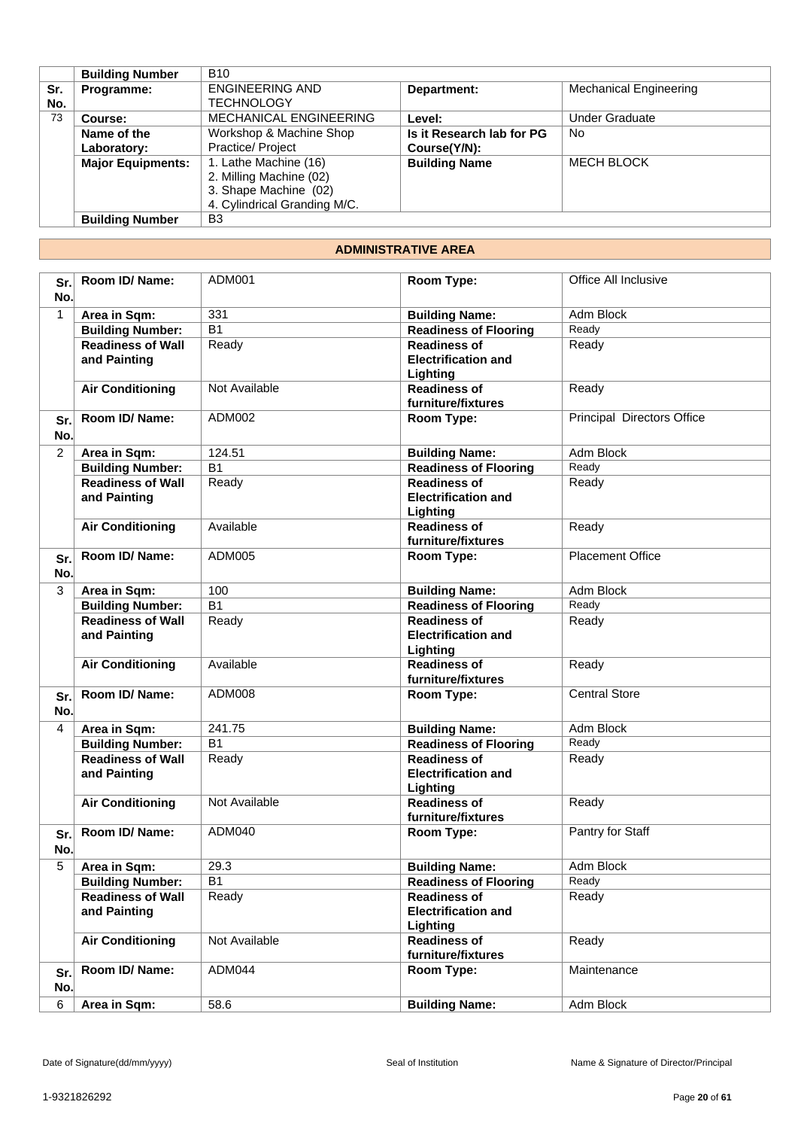|     | <b>Building Number</b>   | <b>B10</b>                    |                           |                               |
|-----|--------------------------|-------------------------------|---------------------------|-------------------------------|
| Sr. | Programme:               | <b>ENGINEERING AND</b>        | Department:               | <b>Mechanical Engineering</b> |
| No. |                          | TECHNOLOGY                    |                           |                               |
| 73  | Course:                  | <b>MECHANICAL ENGINEERING</b> | Level:                    | <b>Under Graduate</b>         |
|     | Name of the              | Workshop & Machine Shop       | Is it Research lab for PG | No.                           |
|     | Laboratory:              | Practice/ Project             | Course(Y/N):              |                               |
|     | <b>Major Equipments:</b> | 1. Lathe Machine (16)         | <b>Building Name</b>      | <b>MECH BLOCK</b>             |
|     |                          | 2. Milling Machine (02)       |                           |                               |
|     |                          | 3. Shape Machine (02)         |                           |                               |
|     |                          | 4. Cylindrical Granding M/C.  |                           |                               |
|     | <b>Building Number</b>   | B <sub>3</sub>                |                           |                               |

## **ADMINISTRATIVE AREA**

| Sr.<br>No.     | Room ID/Name:                            | ADM001          | Room Type:                                                    | Office All Inclusive       |
|----------------|------------------------------------------|-----------------|---------------------------------------------------------------|----------------------------|
| $\mathbf{1}$   | Area in Sqm:                             | 331             | <b>Building Name:</b>                                         | Adm Block                  |
|                | <b>Building Number:</b>                  | $\overline{B1}$ | <b>Readiness of Flooring</b>                                  | Ready                      |
|                | <b>Readiness of Wall</b><br>and Painting | Ready           | <b>Readiness of</b><br><b>Electrification and</b><br>Lighting | Ready                      |
|                | <b>Air Conditioning</b>                  | Not Available   | <b>Readiness of</b><br>furniture/fixtures                     | Ready                      |
| Sr.<br>No.     | Room ID/Name:                            | ADM002          | Room Type:                                                    | Principal Directors Office |
| $\overline{2}$ | Area in Sqm:                             | 124.51          | <b>Building Name:</b>                                         | <b>Adm Block</b>           |
|                | <b>Building Number:</b>                  | $\overline{B1}$ | <b>Readiness of Flooring</b>                                  | Ready                      |
|                | <b>Readiness of Wall</b><br>and Painting | Ready           | <b>Readiness of</b><br><b>Electrification and</b><br>Lighting | Ready                      |
|                | <b>Air Conditioning</b>                  | Available       | <b>Readiness of</b><br>furniture/fixtures                     | Ready                      |
| Sr.<br>No.     | Room ID/Name:                            | ADM005          | Room Type:                                                    | <b>Placement Office</b>    |
| 3              | Area in Sqm:                             | 100             | <b>Building Name:</b>                                         | Adm Block                  |
|                | <b>Building Number:</b>                  | $\overline{B1}$ | <b>Readiness of Flooring</b>                                  | Ready                      |
|                | <b>Readiness of Wall</b><br>and Painting | Ready           | <b>Readiness of</b><br><b>Electrification and</b><br>Lighting | Ready                      |
|                | <b>Air Conditioning</b>                  | Available       | <b>Readiness of</b><br>furniture/fixtures                     | Ready                      |
| Sr.<br>No.     | Room ID/ Name:                           | ADM008          | Room Type:                                                    | <b>Central Store</b>       |
| $\overline{4}$ | Area in Sqm:                             | 241.75          | <b>Building Name:</b>                                         | Adm Block                  |
|                | <b>Building Number:</b>                  | <b>B1</b>       | <b>Readiness of Flooring</b>                                  | Ready                      |
|                | <b>Readiness of Wall</b><br>and Painting | Ready           | <b>Readiness of</b><br><b>Electrification and</b><br>Lighting | Ready                      |
|                | <b>Air Conditioning</b>                  | Not Available   | <b>Readiness of</b><br>furniture/fixtures                     | Ready                      |
| Sr.<br>No.     | Room ID/Name:                            | ADM040          | Room Type:                                                    | Pantry for Staff           |
| 5              | Area in Sqm:                             | 29.3            | <b>Building Name:</b>                                         | Adm Block                  |
|                | <b>Building Number:</b>                  | <b>B1</b>       | <b>Readiness of Flooring</b>                                  | Ready                      |
|                | <b>Readiness of Wall</b><br>and Painting | Ready           | <b>Readiness of</b><br><b>Electrification and</b><br>Lighting | Ready                      |
|                | <b>Air Conditioning</b>                  | Not Available   | <b>Readiness of</b><br>furniture/fixtures                     | Ready                      |
| Sr.<br>No.     | Room ID/Name:                            | ADM044          | Room Type:                                                    | Maintenance                |
| 6              | Area in Sqm:                             | 58.6            | <b>Building Name:</b>                                         | Adm Block                  |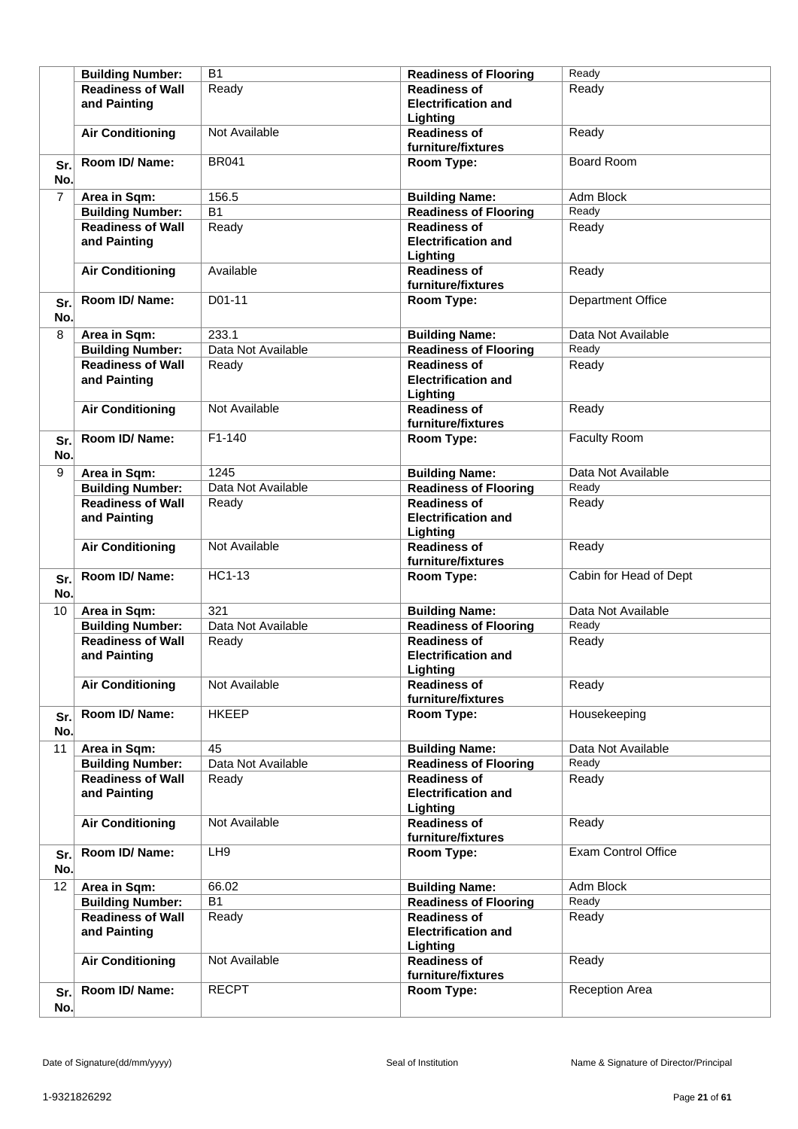|                | <b>Building Number:</b>                  | <b>B1</b>          | <b>Readiness of Flooring</b>                                  | Ready                      |
|----------------|------------------------------------------|--------------------|---------------------------------------------------------------|----------------------------|
|                | <b>Readiness of Wall</b>                 | Ready              | <b>Readiness of</b>                                           | Ready                      |
|                | and Painting                             |                    | <b>Electrification and</b>                                    |                            |
|                |                                          |                    | Lighting                                                      |                            |
|                | <b>Air Conditioning</b>                  | Not Available      | <b>Readiness of</b>                                           | Ready                      |
|                |                                          |                    | furniture/fixtures                                            |                            |
| Sr.<br>No.     | Room ID/Name:                            | <b>BR041</b>       | Room Type:                                                    | Board Room                 |
| $\overline{7}$ | Area in Sqm:                             | 156.5              | <b>Building Name:</b>                                         | Adm Block                  |
|                | <b>Building Number:</b>                  | B <sub>1</sub>     | <b>Readiness of Flooring</b>                                  | Ready                      |
|                | <b>Readiness of Wall</b>                 | Ready              | <b>Readiness of</b>                                           | Ready                      |
|                | and Painting                             |                    | <b>Electrification and</b><br>Lighting                        |                            |
|                | <b>Air Conditioning</b>                  | Available          | <b>Readiness of</b><br>furniture/fixtures                     | Ready                      |
| Sr.<br>No.     | Room ID/Name:                            | D01-11             | Room Type:                                                    | Department Office          |
| 8              | Area in Sqm:                             | 233.1              | <b>Building Name:</b>                                         | Data Not Available         |
|                | <b>Building Number:</b>                  | Data Not Available | <b>Readiness of Flooring</b>                                  | Ready                      |
|                | <b>Readiness of Wall</b>                 | Ready              | <b>Readiness of</b>                                           | Ready                      |
|                | and Painting                             |                    | <b>Electrification and</b>                                    |                            |
|                |                                          |                    | Lighting                                                      |                            |
|                | <b>Air Conditioning</b>                  | Not Available      | <b>Readiness of</b>                                           | Ready                      |
|                |                                          |                    | furniture/fixtures                                            |                            |
| Sr.<br>No.     | Room ID/Name:                            | $F1-140$           | Room Type:                                                    | <b>Faculty Room</b>        |
| 9              | Area in Sqm:                             | 1245               | <b>Building Name:</b>                                         | Data Not Available         |
|                | <b>Building Number:</b>                  | Data Not Available | <b>Readiness of Flooring</b>                                  | Ready                      |
|                | <b>Readiness of Wall</b>                 | Ready              | <b>Readiness of</b>                                           | Ready                      |
|                | and Painting                             |                    | <b>Electrification and</b><br>Lighting                        |                            |
|                | <b>Air Conditioning</b>                  | Not Available      | <b>Readiness of</b><br>furniture/fixtures                     | Ready                      |
| Sr.<br>No.     | Room ID/Name:                            | <b>HC1-13</b>      | Room Type:                                                    | Cabin for Head of Dept     |
| 10             | Area in Sqm:                             | 321                | <b>Building Name:</b>                                         | Data Not Available         |
|                | <b>Building Number:</b>                  | Data Not Available | <b>Readiness of Flooring</b>                                  | Ready                      |
|                | <b>Readiness of Wall</b><br>and Painting | Ready              | <b>Readiness of</b><br><b>Electrification and</b><br>Lighting | Ready                      |
|                | <b>Air Conditioning</b>                  | Not Available      | <b>Readiness of</b><br>furniture/fixtures                     | Ready                      |
| Sr.<br>No.     | Room ID/ Name:                           | <b>HKEEP</b>       | Room Type:                                                    | Housekeeping               |
| 11             | Area in Sqm:                             | 45                 | <b>Building Name:</b>                                         | Data Not Available         |
|                | <b>Building Number:</b>                  | Data Not Available | <b>Readiness of Flooring</b>                                  | Ready                      |
|                | <b>Readiness of Wall</b><br>and Painting | Ready              | <b>Readiness of</b><br><b>Electrification and</b>             | Ready                      |
|                |                                          |                    | Lighting                                                      |                            |
|                | <b>Air Conditioning</b>                  | Not Available      | <b>Readiness of</b><br>furniture/fixtures                     | Ready                      |
| Sr.<br>No.     | Room ID/ Name:                           | LH <sub>9</sub>    | Room Type:                                                    | <b>Exam Control Office</b> |
| 12             | Area in Sqm:                             | 66.02              | <b>Building Name:</b>                                         | Adm Block                  |
|                | <b>Building Number:</b>                  | <b>B1</b>          | <b>Readiness of Flooring</b>                                  | Ready                      |
|                | <b>Readiness of Wall</b><br>and Painting | Ready              | <b>Readiness of</b><br><b>Electrification and</b><br>Lighting | Ready                      |
|                | <b>Air Conditioning</b>                  | Not Available      | <b>Readiness of</b><br>furniture/fixtures                     | Ready                      |
| Sr.<br>No.     | Room ID/ Name:                           | <b>RECPT</b>       | Room Type:                                                    | <b>Reception Area</b>      |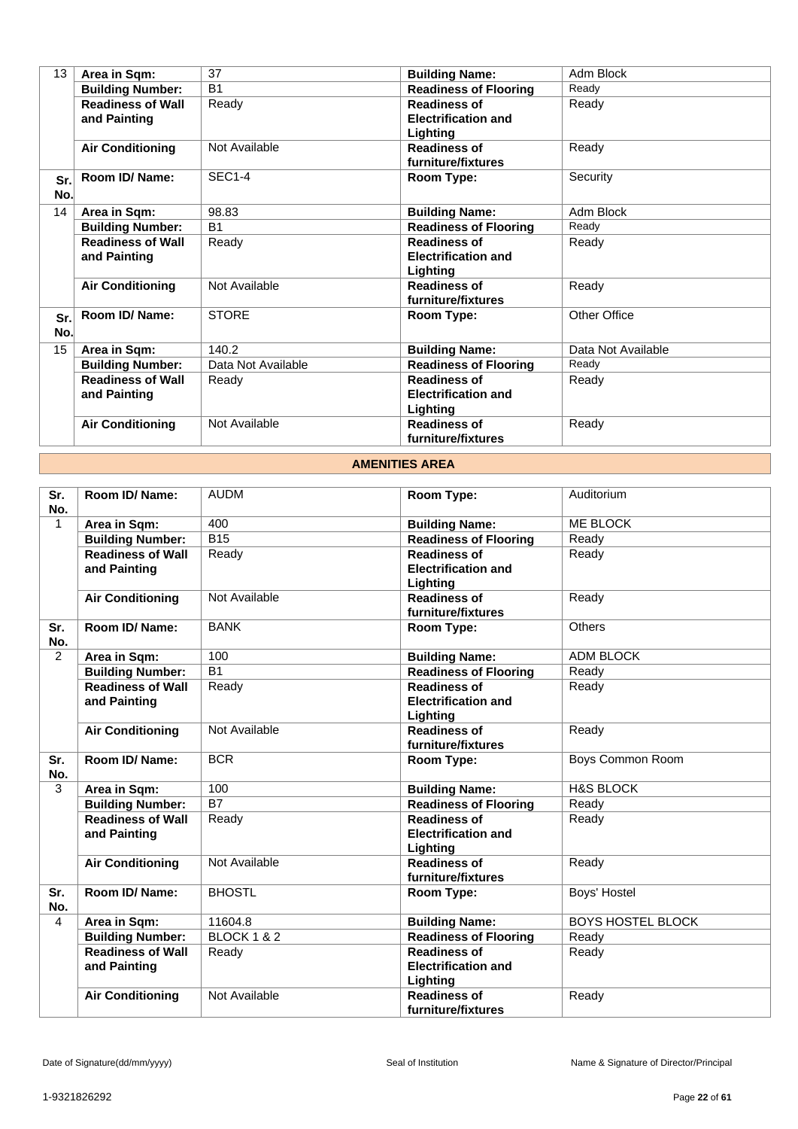| 13         | Area in Sqm:                             | 37                 | <b>Building Name:</b>                                         | Adm Block          |
|------------|------------------------------------------|--------------------|---------------------------------------------------------------|--------------------|
|            | <b>Building Number:</b>                  | <b>B1</b>          | <b>Readiness of Flooring</b>                                  | Ready              |
|            | <b>Readiness of Wall</b><br>and Painting | Ready              | <b>Readiness of</b><br><b>Electrification and</b>             | Ready              |
|            | <b>Air Conditioning</b>                  | Not Available      | Lighting<br><b>Readiness of</b><br>furniture/fixtures         | Ready              |
| Sr.<br>No. | Room ID/ Name:                           | <b>SEC1-4</b>      | Room Type:                                                    | Security           |
| 14         | Area in Sqm:                             | 98.83              | <b>Building Name:</b>                                         | Adm Block          |
|            | <b>Building Number:</b>                  | <b>B1</b>          | <b>Readiness of Flooring</b>                                  | Ready              |
|            | <b>Readiness of Wall</b><br>and Painting | Ready              | <b>Readiness of</b><br><b>Electrification and</b><br>Lighting | Ready              |
|            | <b>Air Conditioning</b>                  | Not Available      | <b>Readiness of</b><br>furniture/fixtures                     | Ready              |
| Sr.<br>No. | Room ID/ Name:                           | <b>STORE</b>       | Room Type:                                                    | Other Office       |
| 15         | Area in Sqm:                             | 140.2              | <b>Building Name:</b>                                         | Data Not Available |
|            | <b>Building Number:</b>                  | Data Not Available | <b>Readiness of Flooring</b>                                  | Ready              |
|            | <b>Readiness of Wall</b><br>and Painting | Ready              | <b>Readiness of</b><br><b>Electrification and</b><br>Lighting | Ready              |
|            | <b>Air Conditioning</b>                  | Not Available      | <b>Readiness of</b><br>furniture/fixtures                     | Ready              |

## **AMENITIES AREA**

| Sr.<br>No.   | Room ID/ Name:           | <b>AUDM</b>            | Room Type:                                | Auditorium               |
|--------------|--------------------------|------------------------|-------------------------------------------|--------------------------|
| $\mathbf{1}$ | Area in Sqm:             | 400                    | <b>Building Name:</b>                     | <b>ME BLOCK</b>          |
|              | <b>Building Number:</b>  | $\overline{B15}$       | <b>Readiness of Flooring</b>              | Ready                    |
|              | <b>Readiness of Wall</b> | Ready                  | <b>Readiness of</b>                       | Ready                    |
|              | and Painting             |                        | <b>Electrification and</b>                |                          |
|              |                          |                        | Lighting                                  |                          |
|              | <b>Air Conditioning</b>  | Not Available          | <b>Readiness of</b>                       | Ready                    |
|              |                          |                        | furniture/fixtures                        |                          |
| Sr.<br>No.   | Room ID/ Name:           | <b>BANK</b>            | Room Type:                                | <b>Others</b>            |
| 2            | Area in Sqm:             | 100                    | <b>Building Name:</b>                     | ADM BLOCK                |
|              | <b>Building Number:</b>  | $\overline{B1}$        | <b>Readiness of Flooring</b>              | Ready                    |
|              | <b>Readiness of Wall</b> | Ready                  | <b>Readiness of</b>                       | Ready                    |
|              | and Painting             |                        | <b>Electrification and</b>                |                          |
|              |                          |                        | Lighting                                  |                          |
|              | <b>Air Conditioning</b>  | Not Available          | <b>Readiness of</b><br>furniture/fixtures | Ready                    |
| Sr.          | Room ID/ Name:           | <b>BCR</b>             | Room Type:                                | Boys Common Room         |
| No.          |                          |                        |                                           |                          |
| 3            | Area in Sqm:             | 100                    | <b>Building Name:</b>                     | <b>H&amp;S BLOCK</b>     |
|              | <b>Building Number:</b>  | $\overline{B7}$        | <b>Readiness of Flooring</b>              | Ready                    |
|              | <b>Readiness of Wall</b> | Ready                  | <b>Readiness of</b>                       | Ready                    |
|              | and Painting             |                        | <b>Electrification and</b>                |                          |
|              |                          |                        | Lighting                                  |                          |
|              | <b>Air Conditioning</b>  | Not Available          | <b>Readiness of</b><br>furniture/fixtures | Ready                    |
| Sr.          | Room ID/Name:            | <b>BHOSTL</b>          | Room Type:                                | Boys' Hostel             |
| No.          |                          |                        |                                           |                          |
| 4            | Area in Sqm:             | 11604.8                | <b>Building Name:</b>                     | <b>BOYS HOSTEL BLOCK</b> |
|              | <b>Building Number:</b>  | <b>BLOCK 1 &amp; 2</b> | <b>Readiness of Flooring</b>              | Ready                    |
|              | <b>Readiness of Wall</b> | Ready                  | <b>Readiness of</b>                       | Ready                    |
|              | and Painting             |                        | <b>Electrification and</b>                |                          |
|              |                          |                        | Lighting                                  |                          |
|              | <b>Air Conditioning</b>  | Not Available          | <b>Readiness of</b>                       | Ready                    |
|              |                          |                        | furniture/fixtures                        |                          |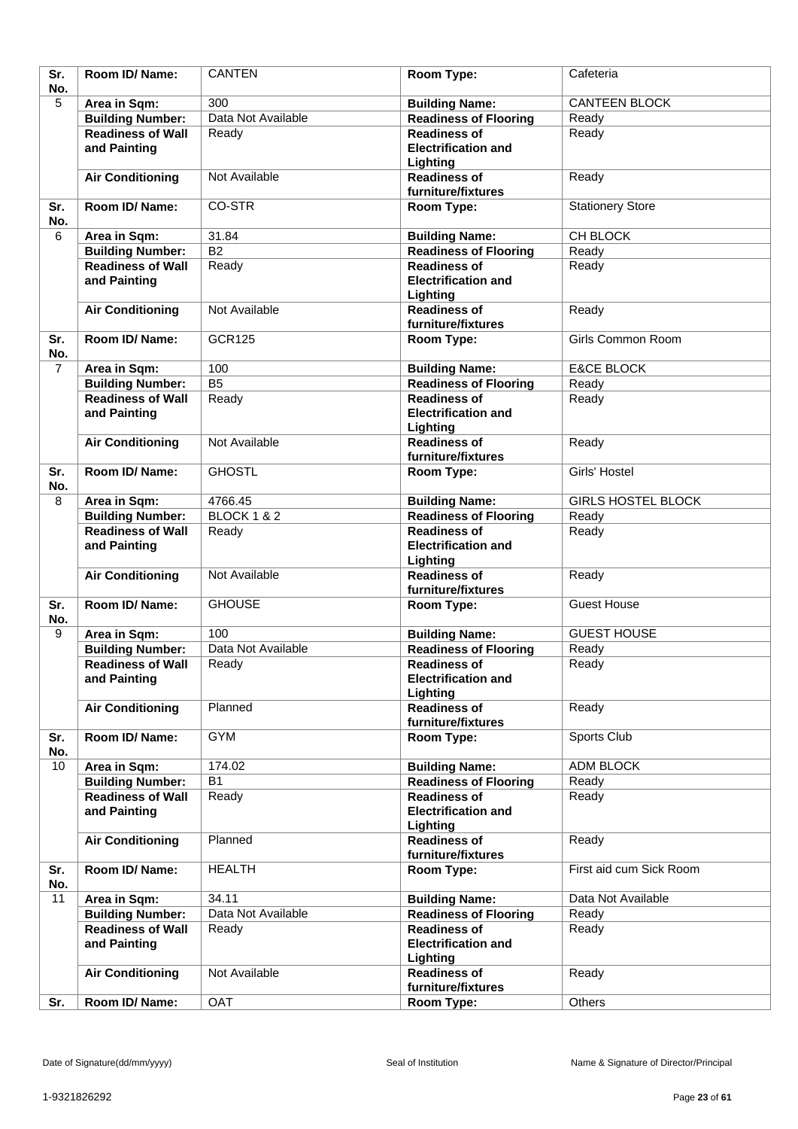| Sr.<br>No.     | Room ID/Name:                            | <b>CANTEN</b>          | Room Type:                                                    | Cafeteria                 |
|----------------|------------------------------------------|------------------------|---------------------------------------------------------------|---------------------------|
| 5              | Area in Sqm:                             | 300                    | <b>Building Name:</b>                                         | <b>CANTEEN BLOCK</b>      |
|                | <b>Building Number:</b>                  | Data Not Available     | <b>Readiness of Flooring</b>                                  | Ready                     |
|                | <b>Readiness of Wall</b>                 | Ready                  | <b>Readiness of</b>                                           | Ready                     |
|                | and Painting                             |                        | <b>Electrification and</b><br>Lighting                        |                           |
|                | <b>Air Conditioning</b>                  | Not Available          | <b>Readiness of</b><br>furniture/fixtures                     | Ready                     |
| Sr.<br>No.     | Room ID/Name:                            | CO-STR                 | Room Type:                                                    | <b>Stationery Store</b>   |
| 6              | Area in Sqm:                             | 31.84                  | <b>Building Name:</b>                                         | CH BLOCK                  |
|                | <b>Building Number:</b>                  | <b>B2</b>              | <b>Readiness of Flooring</b>                                  | Ready                     |
|                | <b>Readiness of Wall</b><br>and Painting | Ready                  | <b>Readiness of</b><br><b>Electrification and</b><br>Lighting | Ready                     |
|                | <b>Air Conditioning</b>                  | Not Available          | <b>Readiness of</b><br>furniture/fixtures                     | Ready                     |
| Sr.<br>No.     | Room ID/Name:                            | <b>GCR125</b>          | Room Type:                                                    | Girls Common Room         |
| $\overline{7}$ | Area in Sqm:                             | 100                    | <b>Building Name:</b>                                         | <b>E&amp;CE BLOCK</b>     |
|                | <b>Building Number:</b>                  | $\overline{B5}$        | <b>Readiness of Flooring</b>                                  | Ready                     |
|                | <b>Readiness of Wall</b>                 | Ready                  | <b>Readiness of</b>                                           | Ready                     |
|                | and Painting                             |                        | <b>Electrification and</b><br>Lighting                        |                           |
|                | <b>Air Conditioning</b>                  | Not Available          | <b>Readiness of</b><br>furniture/fixtures                     | Ready                     |
| Sr.<br>No.     | Room ID/Name:                            | <b>GHOSTL</b>          | Room Type:                                                    | Girls' Hostel             |
| 8              | Area in Sqm:                             | 4766.45                | <b>Building Name:</b>                                         | <b>GIRLS HOSTEL BLOCK</b> |
|                | <b>Building Number:</b>                  | <b>BLOCK 1 &amp; 2</b> | Readiness of Flooring                                         | Ready                     |
|                | <b>Readiness of Wall</b>                 | Ready                  | <b>Readiness of</b>                                           | Ready                     |
|                | and Painting                             |                        | <b>Electrification and</b><br>Lighting                        |                           |
|                | <b>Air Conditioning</b>                  | Not Available          | <b>Readiness of</b><br>furniture/fixtures                     | Ready                     |
| Sr.<br>No.     | Room ID/Name:                            | <b>GHOUSE</b>          | Room Type:                                                    | <b>Guest House</b>        |
| 9              | Area in Sqm:                             | 100                    | <b>Building Name:</b>                                         | <b>GUEST HOUSE</b>        |
|                | <b>Building Number:</b>                  | Data Not Available     | <b>Readiness of Flooring</b>                                  | Ready                     |
|                | <b>Readiness of Wall</b><br>and Painting | Ready                  | <b>Readiness of</b><br><b>Electrification and</b><br>Lighting | Ready                     |
|                | <b>Air Conditioning</b>                  | Planned                | <b>Readiness of</b><br>furniture/fixtures                     | Ready                     |
| Sr.<br>No.     | Room ID/Name:                            | <b>GYM</b>             | <b>Room Type:</b>                                             | Sports Club               |
| 10             | Area in Sqm:                             | 174.02                 | <b>Building Name:</b>                                         | ADM BLOCK                 |
|                | <b>Building Number:</b>                  | <b>B1</b>              | <b>Readiness of Flooring</b>                                  | Ready                     |
|                | <b>Readiness of Wall</b><br>and Painting | Ready                  | <b>Readiness of</b><br><b>Electrification and</b><br>Lighting | Ready                     |
|                | <b>Air Conditioning</b>                  | Planned                | <b>Readiness of</b><br>furniture/fixtures                     | Ready                     |
| Sr.<br>No.     | Room ID/ Name:                           | <b>HEALTH</b>          | Room Type:                                                    | First aid cum Sick Room   |
| 11             | Area in Sqm:                             | 34.11                  | <b>Building Name:</b>                                         | Data Not Available        |
|                | <b>Building Number:</b>                  | Data Not Available     | <b>Readiness of Flooring</b>                                  | Ready                     |
|                | <b>Readiness of Wall</b><br>and Painting | Ready                  | <b>Readiness of</b><br><b>Electrification and</b><br>Lighting | Ready                     |
|                | <b>Air Conditioning</b>                  | Not Available          | <b>Readiness of</b><br>furniture/fixtures                     | Ready                     |
| Sr.            | Room ID/ Name:                           | OAT                    | Room Type:                                                    | Others                    |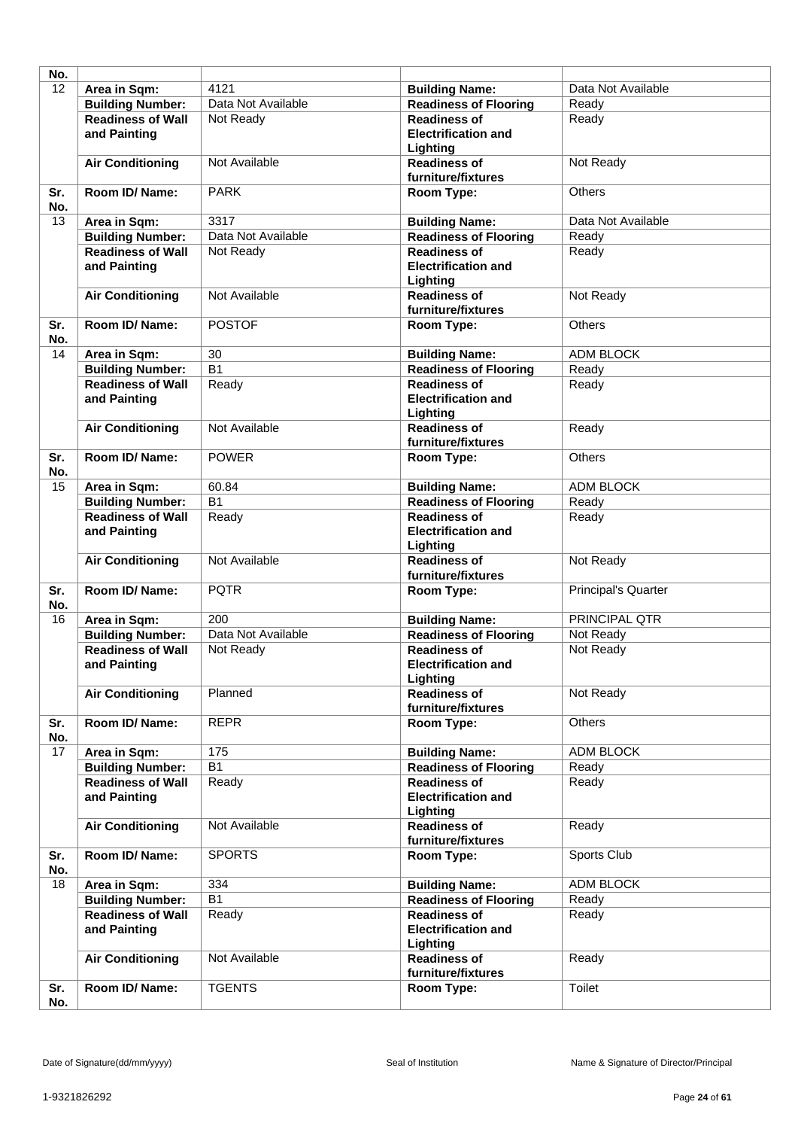| No. |                          |                    |                                 |                            |
|-----|--------------------------|--------------------|---------------------------------|----------------------------|
| 12  | Area in Sqm:             | 4121               | <b>Building Name:</b>           | Data Not Available         |
|     | <b>Building Number:</b>  | Data Not Available | <b>Readiness of Flooring</b>    | Ready                      |
|     |                          |                    |                                 |                            |
|     | <b>Readiness of Wall</b> | Not Ready          | <b>Readiness of</b>             | Ready                      |
|     | and Painting             |                    | <b>Electrification and</b>      |                            |
|     |                          |                    | Lighting                        |                            |
|     | <b>Air Conditioning</b>  | Not Available      | <b>Readiness of</b>             | Not Ready                  |
|     |                          |                    | furniture/fixtures              |                            |
| Sr. | <b>Room ID/ Name:</b>    | <b>PARK</b>        | Room Type:                      | <b>Others</b>              |
| No. |                          |                    |                                 |                            |
| 13  | Area in Sqm:             | 3317               | <b>Building Name:</b>           | Data Not Available         |
|     | <b>Building Number:</b>  | Data Not Available | <b>Readiness of Flooring</b>    | Ready                      |
|     | <b>Readiness of Wall</b> | Not Ready          | <b>Readiness of</b>             | Ready                      |
|     | and Painting             |                    | <b>Electrification and</b>      |                            |
|     |                          |                    | Lighting                        |                            |
|     | <b>Air Conditioning</b>  | Not Available      | <b>Readiness of</b>             | Not Ready                  |
|     |                          |                    | furniture/fixtures              |                            |
| Sr. | Room ID/Name:            | <b>POSTOF</b>      | Room Type:                      | <b>Others</b>              |
| No. |                          |                    |                                 |                            |
| 14  |                          | 30                 |                                 | ADM BLOCK                  |
|     | Area in Sqm:             |                    | <b>Building Name:</b>           |                            |
|     | <b>Building Number:</b>  | $\overline{B1}$    | <b>Readiness of Flooring</b>    | Ready                      |
|     | <b>Readiness of Wall</b> | Ready              | <b>Readiness of</b>             | Ready                      |
|     | and Painting             |                    | <b>Electrification and</b>      |                            |
|     |                          |                    | Lighting                        |                            |
|     | <b>Air Conditioning</b>  | Not Available      | <b>Readiness of</b>             | Ready                      |
|     |                          |                    | furniture/fixtures              |                            |
| Sr. | Room ID/Name:            | <b>POWER</b>       | Room Type:                      | <b>Others</b>              |
| No. |                          |                    |                                 |                            |
| 15  | Area in Sqm:             | 60.84              | <b>Building Name:</b>           | <b>ADM BLOCK</b>           |
|     | <b>Building Number:</b>  | $\overline{B1}$    | <b>Readiness of Flooring</b>    | Ready                      |
|     | <b>Readiness of Wall</b> | Ready              | <b>Readiness of</b>             | Ready                      |
|     | and Painting             |                    | <b>Electrification and</b>      |                            |
|     |                          |                    | Lighting                        |                            |
|     | <b>Air Conditioning</b>  | Not Available      | <b>Readiness of</b>             | Not Ready                  |
|     |                          |                    | furniture/fixtures              |                            |
| Sr. | Room ID/Name:            | <b>PQTR</b>        | Room Type:                      | <b>Principal's Quarter</b> |
| No. |                          |                    |                                 |                            |
| 16  | Area in Sqm:             | 200                | <b>Building Name:</b>           | PRINCIPAL QTR              |
|     | <b>Building Number:</b>  | Data Not Available | <b>Readiness of Flooring</b>    | Not Ready                  |
|     | <b>Readiness of Wall</b> | Not Ready          | <b>Readiness of</b>             | Not Ready                  |
|     | and Painting             |                    | <b>Electrification and</b>      |                            |
|     |                          |                    | Lighting                        |                            |
|     | <b>Air Conditioning</b>  | Planned            | <b>Readiness of</b>             | Not Ready                  |
|     |                          |                    | furniture/fixtures              |                            |
| Sr. | Room ID/ Name:           | <b>REPR</b>        | Room Type:                      | <b>Others</b>              |
| No. |                          |                    |                                 |                            |
| 17  | Area in Sqm:             | 175                | <b>Building Name:</b>           | <b>ADM BLOCK</b>           |
|     | <b>Building Number:</b>  | B1                 | <b>Readiness of Flooring</b>    | Ready                      |
|     | <b>Readiness of Wall</b> | Ready              | <b>Readiness of</b>             | Ready                      |
|     | and Painting             |                    | <b>Electrification and</b>      |                            |
|     |                          |                    | Lighting                        |                            |
|     | <b>Air Conditioning</b>  | Not Available      | <b>Readiness of</b>             | Ready                      |
|     |                          |                    | furniture/fixtures              |                            |
| Sr. | Room ID/ Name:           | <b>SPORTS</b>      | Room Type:                      | Sports Club                |
| No. |                          |                    |                                 |                            |
| 18  | Area in Sqm:             | 334                | <b>Building Name:</b>           | ADM BLOCK                  |
|     | <b>Building Number:</b>  | B1                 | <b>Readiness of Flooring</b>    | Ready                      |
|     | <b>Readiness of Wall</b> | Ready              | <b>Readiness of</b>             | Ready                      |
|     | and Painting             |                    | <b>Electrification and</b>      |                            |
|     |                          |                    |                                 |                            |
|     | <b>Air Conditioning</b>  | Not Available      | Lighting<br><b>Readiness of</b> | Ready                      |
|     |                          |                    | furniture/fixtures              |                            |
| Sr. | Room ID/ Name:           | <b>TGENTS</b>      | Room Type:                      | Toilet                     |
| No. |                          |                    |                                 |                            |
|     |                          |                    |                                 |                            |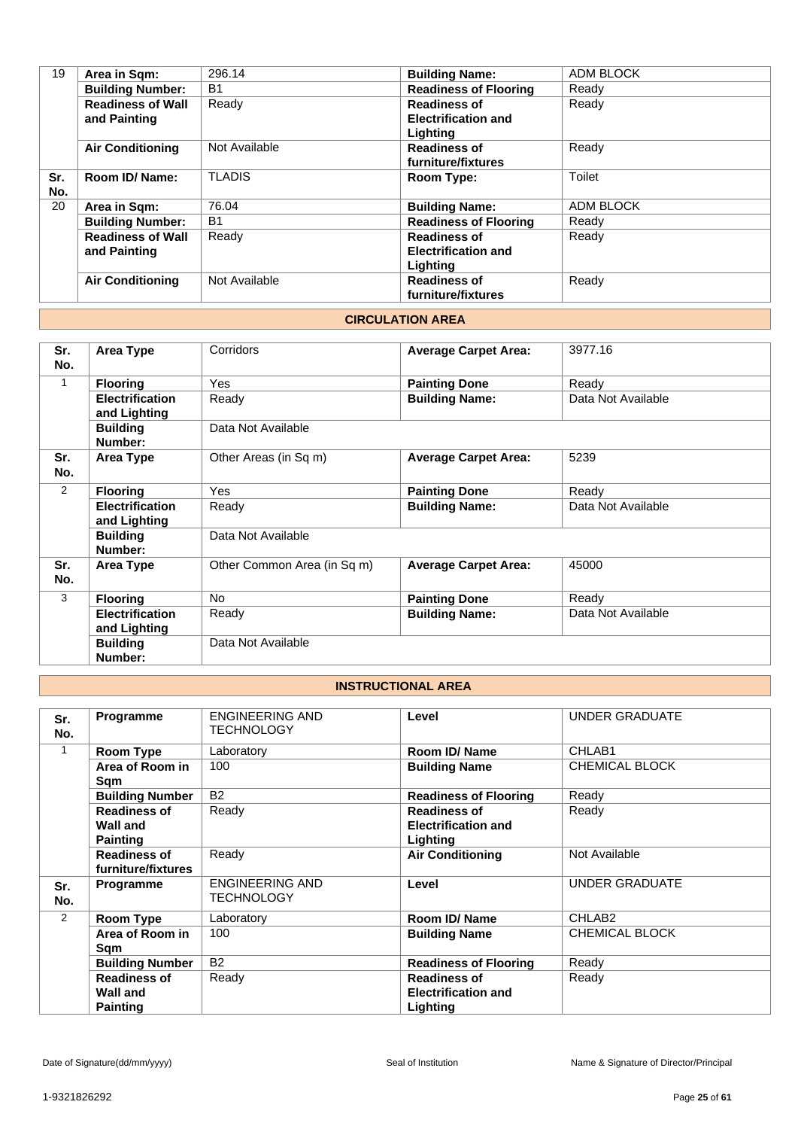| Area in Sqm:             | 296.14        | <b>Building Name:</b>        | <b>ADM BLOCK</b> |
|--------------------------|---------------|------------------------------|------------------|
| <b>Building Number:</b>  | <b>B1</b>     | <b>Readiness of Flooring</b> | Ready            |
| <b>Readiness of Wall</b> | Ready         | <b>Readiness of</b>          | Ready            |
| and Painting             |               | <b>Electrification and</b>   |                  |
|                          |               | Lighting                     |                  |
| <b>Air Conditioning</b>  | Not Available | <b>Readiness of</b>          | Ready            |
|                          |               | furniture/fixtures           |                  |
| Room ID/Name:            | <b>TLADIS</b> | Room Type:                   | Toilet           |
|                          |               |                              |                  |
| Area in Sqm:             | 76.04         | <b>Building Name:</b>        | ADM BLOCK        |
| <b>Building Number:</b>  | <b>B1</b>     | <b>Readiness of Flooring</b> | Ready            |
| <b>Readiness of Wall</b> | Ready         | <b>Readiness of</b>          | Ready            |
| and Painting             |               | <b>Electrification and</b>   |                  |
|                          |               | Lighting                     |                  |
| <b>Air Conditioning</b>  | Not Available | <b>Readiness of</b>          | Ready            |
|                          |               | furniture/fixtures           |                  |
|                          |               |                              |                  |

#### **CIRCULATION AREA**

| Sr.          | Area Type              | Corridors                   | <b>Average Carpet Area:</b> | 3977.16            |
|--------------|------------------------|-----------------------------|-----------------------------|--------------------|
| No.          |                        |                             |                             |                    |
| $\mathbf{1}$ | <b>Flooring</b>        | Yes                         | <b>Painting Done</b>        | Ready              |
|              | <b>Electrification</b> | Ready                       | <b>Building Name:</b>       | Data Not Available |
|              | and Lighting           |                             |                             |                    |
|              | <b>Building</b>        | Data Not Available          |                             |                    |
|              | Number:                |                             |                             |                    |
| Sr.          | Area Type              | Other Areas (in Sq m)       | <b>Average Carpet Area:</b> | 5239               |
| No.          |                        |                             |                             |                    |
| 2            | <b>Flooring</b>        | Yes                         | <b>Painting Done</b>        | Ready              |
|              | <b>Electrification</b> | Ready                       | <b>Building Name:</b>       | Data Not Available |
|              | and Lighting           |                             |                             |                    |
|              | <b>Building</b>        | Data Not Available          |                             |                    |
|              | Number:                |                             |                             |                    |
| Sr.          | Area Type              | Other Common Area (in Sq m) | <b>Average Carpet Area:</b> | 45000              |
| No.          |                        |                             |                             |                    |
| 3            | <b>Flooring</b>        | <b>No</b>                   | <b>Painting Done</b>        | Ready              |
|              | <b>Electrification</b> | Ready                       | <b>Building Name:</b>       | Data Not Available |
|              | and Lighting           |                             |                             |                    |
|              | <b>Building</b>        | Data Not Available          |                             |                    |
|              | Number:                |                             |                             |                    |

# **INSTRUCTIONAL AREA**

| Sr.<br>No.    | Programme                                 | <b>ENGINEERING AND</b><br><b>TECHNOLOGY</b> | Level                        | <b>UNDER GRADUATE</b> |
|---------------|-------------------------------------------|---------------------------------------------|------------------------------|-----------------------|
| 1             | Room Type                                 | Laboratory                                  | Room ID/Name                 | CHLAB1                |
|               | Area of Room in<br>Sqm                    | 100                                         | <b>Building Name</b>         | CHEMICAL BLOCK        |
|               | <b>Building Number</b>                    | <b>B2</b>                                   | <b>Readiness of Flooring</b> | Ready                 |
|               | <b>Readiness of</b>                       | Ready                                       | <b>Readiness of</b>          | Ready                 |
|               | Wall and                                  |                                             | <b>Electrification and</b>   |                       |
|               | <b>Painting</b>                           |                                             | Lighting                     |                       |
|               | <b>Readiness of</b><br>furniture/fixtures | Ready                                       | <b>Air Conditioning</b>      | Not Available         |
| Sr.<br>No.    | Programme                                 | <b>ENGINEERING AND</b><br><b>TECHNOLOGY</b> | Level                        | <b>UNDER GRADUATE</b> |
| $\mathcal{P}$ | Room Type                                 | Laboratory                                  | Room ID/Name                 | CHLAB <sub>2</sub>    |
|               | Area of Room in<br>Sqm                    | 100                                         | <b>Building Name</b>         | <b>CHEMICAL BLOCK</b> |
|               | <b>Building Number</b>                    | <b>B2</b>                                   | <b>Readiness of Flooring</b> | Ready                 |
|               | <b>Readiness of</b>                       | Ready                                       | <b>Readiness of</b>          | Ready                 |
|               | Wall and                                  |                                             | <b>Electrification and</b>   |                       |
|               | <b>Painting</b>                           |                                             | Lighting                     |                       |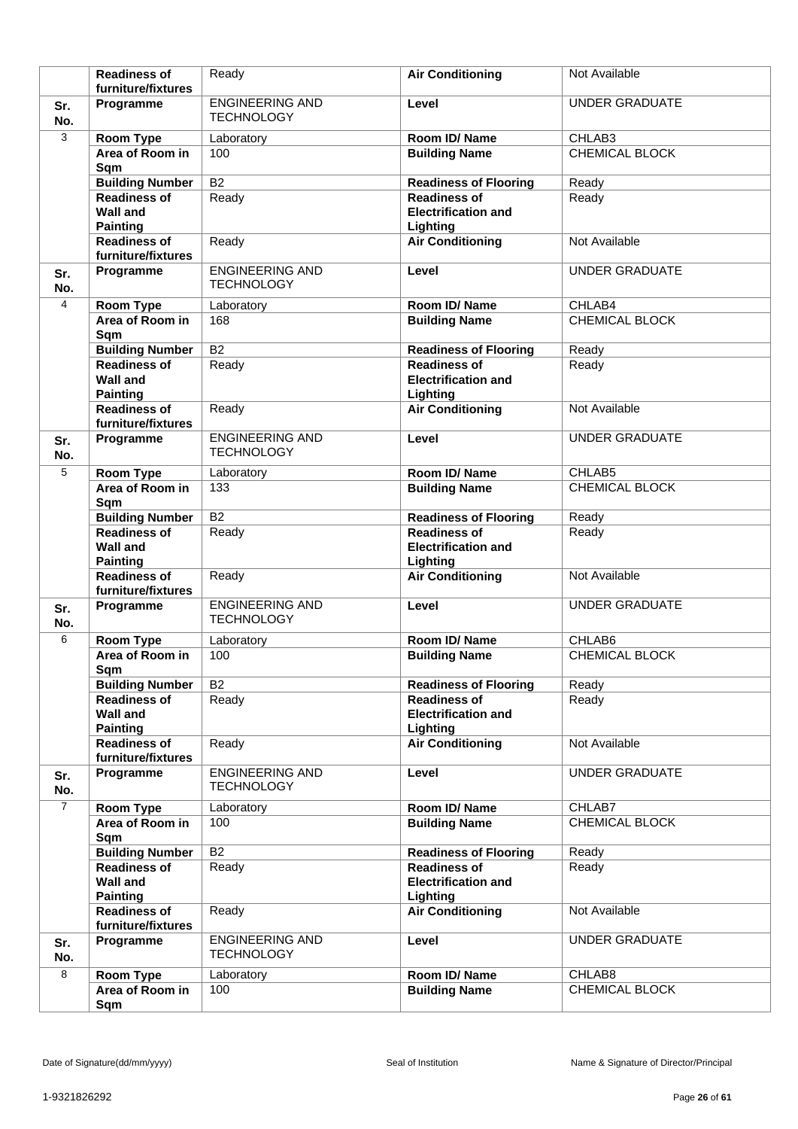|                | <b>Readiness of</b>                                       | Ready                                       | <b>Air Conditioning</b>                                       | Not Available         |
|----------------|-----------------------------------------------------------|---------------------------------------------|---------------------------------------------------------------|-----------------------|
|                | furniture/fixtures                                        |                                             |                                                               |                       |
| Sr.<br>No.     | Programme                                                 | <b>ENGINEERING AND</b><br><b>TECHNOLOGY</b> | Level                                                         | <b>UNDER GRADUATE</b> |
| 3              | Room Type                                                 | Laboratory                                  | Room ID/Name                                                  | CHLAB3                |
|                | Area of Room in<br>Sqm                                    | 100                                         | <b>Building Name</b>                                          | <b>CHEMICAL BLOCK</b> |
|                | <b>Building Number</b>                                    | $\overline{B2}$                             | <b>Readiness of Flooring</b>                                  | Ready                 |
|                | <b>Readiness of</b><br>Wall and<br><b>Painting</b>        | Ready                                       | <b>Readiness of</b><br><b>Electrification and</b><br>Lighting | Ready                 |
|                | <b>Readiness of</b><br>furniture/fixtures                 | Ready                                       | <b>Air Conditioning</b>                                       | Not Available         |
| Sr.<br>No.     | Programme                                                 | <b>ENGINEERING AND</b><br><b>TECHNOLOGY</b> | Level                                                         | <b>UNDER GRADUATE</b> |
| 4              | <b>Room Type</b>                                          | Laboratory                                  | Room ID/Name                                                  | CHLAB4                |
|                | Area of Room in<br>Sqm                                    | 168                                         | <b>Building Name</b>                                          | CHEMICAL BLOCK        |
|                | <b>Building Number</b>                                    | <b>B2</b>                                   | <b>Readiness of Flooring</b>                                  | Ready                 |
|                | <b>Readiness of</b><br><b>Wall and</b><br><b>Painting</b> | Ready                                       | <b>Readiness of</b><br><b>Electrification and</b><br>Lighting | Ready                 |
|                | <b>Readiness of</b><br>furniture/fixtures                 | Ready                                       | <b>Air Conditioning</b>                                       | Not Available         |
| Sr.<br>No.     | Programme                                                 | <b>ENGINEERING AND</b><br><b>TECHNOLOGY</b> | Level                                                         | <b>UNDER GRADUATE</b> |
| 5              | <b>Room Type</b>                                          | Laboratory                                  | Room ID/Name                                                  | CHLAB5                |
|                | Area of Room in<br>Sqm                                    | 133                                         | <b>Building Name</b>                                          | <b>CHEMICAL BLOCK</b> |
|                | <b>Building Number</b>                                    | B <sub>2</sub>                              | <b>Readiness of Flooring</b>                                  | Ready                 |
|                | <b>Readiness of</b><br><b>Wall and</b><br><b>Painting</b> | Ready                                       | <b>Readiness of</b><br><b>Electrification and</b><br>Lighting | Ready                 |
|                | <b>Readiness of</b><br>furniture/fixtures                 | Ready                                       | <b>Air Conditioning</b>                                       | Not Available         |
| Sr.<br>No.     | Programme                                                 | <b>ENGINEERING AND</b><br><b>TECHNOLOGY</b> | Level                                                         | <b>UNDER GRADUATE</b> |
| 6              | Room Type                                                 | Laboratory                                  | Room ID/Name                                                  | CHLAB6                |
|                | Area of Room in<br>Sqm                                    | 100                                         | <b>Building Name</b>                                          | CHEMICAL BLOCK        |
|                | <b>Building Number</b>                                    | B <sub>2</sub>                              | <b>Readiness of Flooring</b>                                  | Ready                 |
|                | <b>Readiness of</b><br><b>Wall and</b><br><b>Painting</b> | Ready                                       | <b>Readiness of</b><br><b>Electrification and</b><br>Lighting | Ready                 |
|                | <b>Readiness of</b><br>furniture/fixtures                 | Ready                                       | <b>Air Conditioning</b>                                       | Not Available         |
| Sr.<br>No.     | Programme                                                 | <b>ENGINEERING AND</b><br><b>TECHNOLOGY</b> | Level                                                         | <b>UNDER GRADUATE</b> |
| $\overline{7}$ | <b>Room Type</b>                                          | Laboratory                                  | Room ID/Name                                                  | CHLAB7                |
|                | Area of Room in<br>Sqm                                    | 100                                         | <b>Building Name</b>                                          | CHEMICAL BLOCK        |
|                | <b>Building Number</b>                                    | $\overline{B2}$                             | <b>Readiness of Flooring</b>                                  | Ready                 |
|                | <b>Readiness of</b><br><b>Wall and</b><br><b>Painting</b> | Ready                                       | <b>Readiness of</b><br><b>Electrification and</b><br>Lighting | Ready                 |
|                | <b>Readiness of</b><br>furniture/fixtures                 | Ready                                       | <b>Air Conditioning</b>                                       | Not Available         |
| Sr.<br>No.     | Programme                                                 | <b>ENGINEERING AND</b><br><b>TECHNOLOGY</b> | Level                                                         | <b>UNDER GRADUATE</b> |
| 8              | <b>Room Type</b>                                          | Laboratory                                  | Room ID/Name                                                  | CHLAB8                |
|                | Area of Room in<br>Sqm                                    | 100                                         | <b>Building Name</b>                                          | CHEMICAL BLOCK        |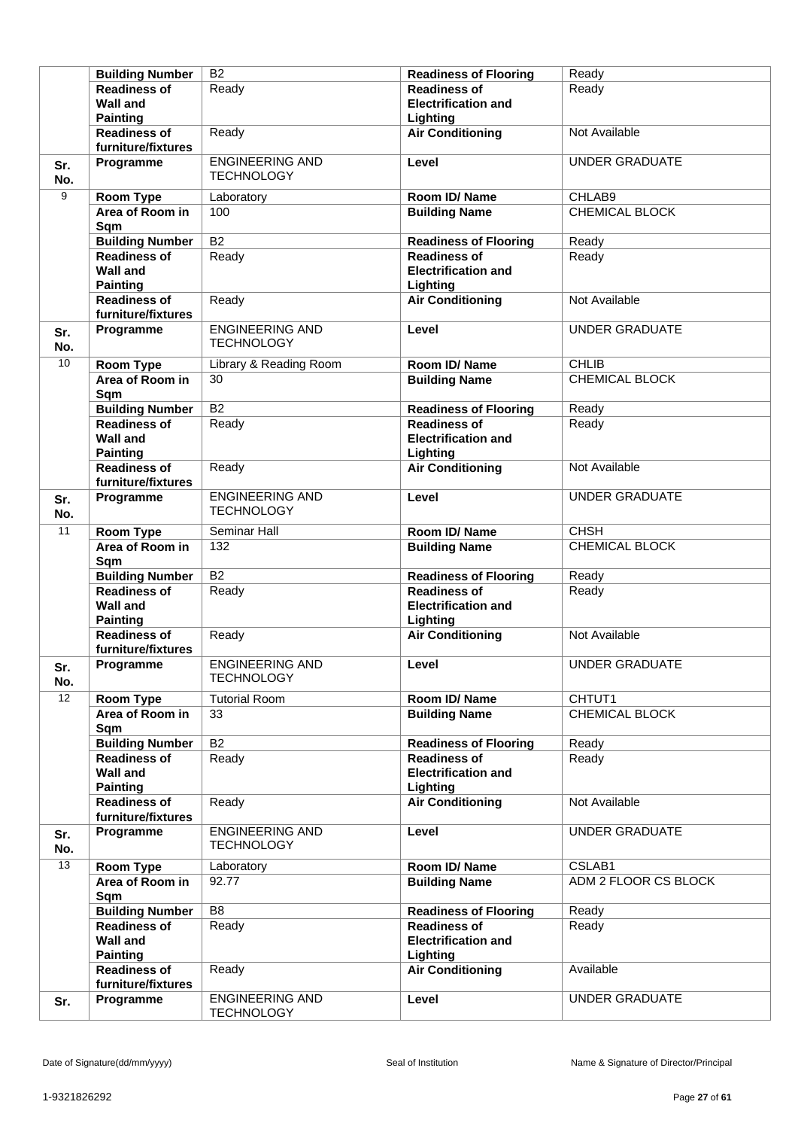|            | <b>Building Number</b>                                    | B <sub>2</sub>                              | <b>Readiness of Flooring</b>                                  | Ready                 |
|------------|-----------------------------------------------------------|---------------------------------------------|---------------------------------------------------------------|-----------------------|
|            | <b>Readiness of</b>                                       | Ready                                       | <b>Readiness of</b>                                           | Ready                 |
|            | <b>Wall and</b>                                           |                                             | <b>Electrification and</b>                                    |                       |
|            | <b>Painting</b>                                           |                                             | Lighting                                                      |                       |
|            | <b>Readiness of</b><br>furniture/fixtures                 | Ready                                       | <b>Air Conditioning</b>                                       | Not Available         |
|            | Programme                                                 | <b>ENGINEERING AND</b>                      | Level                                                         | <b>UNDER GRADUATE</b> |
| Sr.<br>No. |                                                           | <b>TECHNOLOGY</b>                           |                                                               |                       |
| 9          | <b>Room Type</b>                                          | Laboratory                                  | Room ID/Name                                                  | CHLAB9                |
|            | Area of Room in<br>Sqm                                    | 100                                         | <b>Building Name</b>                                          | CHEMICAL BLOCK        |
|            | <b>Building Number</b>                                    | $\overline{B2}$                             | <b>Readiness of Flooring</b>                                  | Ready                 |
|            | <b>Readiness of</b><br><b>Wall and</b><br><b>Painting</b> | Ready                                       | <b>Readiness of</b><br><b>Electrification and</b><br>Lighting | Ready                 |
|            | <b>Readiness of</b><br>furniture/fixtures                 | Ready                                       | <b>Air Conditioning</b>                                       | Not Available         |
| Sr.<br>No. | Programme                                                 | <b>ENGINEERING AND</b><br><b>TECHNOLOGY</b> | Level                                                         | <b>UNDER GRADUATE</b> |
| 10         | Room Type                                                 | Library & Reading Room                      | Room ID/Name                                                  | <b>CHLIB</b>          |
|            | Area of Room in<br>Sqm                                    | 30                                          | <b>Building Name</b>                                          | CHEMICAL BLOCK        |
|            | <b>Building Number</b>                                    | $\overline{B2}$                             | <b>Readiness of Flooring</b>                                  | Ready                 |
|            | <b>Readiness of</b><br><b>Wall and</b><br><b>Painting</b> | Ready                                       | <b>Readiness of</b><br><b>Electrification and</b><br>Lighting | Ready                 |
|            | <b>Readiness of</b><br>furniture/fixtures                 | Ready                                       | <b>Air Conditioning</b>                                       | Not Available         |
| Sr.<br>No. | Programme                                                 | <b>ENGINEERING AND</b><br><b>TECHNOLOGY</b> | Level                                                         | <b>UNDER GRADUATE</b> |
| 11         | Room Type                                                 | Seminar Hall                                | Room ID/Name                                                  | <b>CHSH</b>           |
|            | Area of Room in<br>Sqm                                    | 132                                         | <b>Building Name</b>                                          | <b>CHEMICAL BLOCK</b> |
|            | <b>Building Number</b>                                    | B <sub>2</sub>                              | <b>Readiness of Flooring</b>                                  | Ready                 |
|            | <b>Readiness of</b>                                       | Ready                                       | <b>Readiness of</b>                                           | Ready                 |
|            | <b>Wall and</b><br><b>Painting</b>                        |                                             | <b>Electrification and</b><br>Lighting                        |                       |
|            | <b>Readiness of</b><br>furniture/fixtures                 | Ready                                       | <b>Air Conditioning</b>                                       | Not Available         |
| Sr.<br>No. | Programme                                                 | <b>ENGINEERING AND</b><br><b>TECHNOLOGY</b> | Level                                                         | <b>UNDER GRADUATE</b> |
| 12         | Room Type                                                 | <b>Tutorial Room</b>                        | Room ID/Name                                                  | CHTUT1                |
|            | Area of Room in<br>Sqm                                    | 33                                          | <b>Building Name</b>                                          | CHEMICAL BLOCK        |
|            | <b>Building Number</b>                                    | <b>B2</b>                                   | <b>Readiness of Flooring</b>                                  | Ready                 |
|            | <b>Readiness of</b><br><b>Wall and</b><br><b>Painting</b> | Ready                                       | <b>Readiness of</b><br><b>Electrification and</b><br>Lighting | Ready                 |
|            | <b>Readiness of</b><br>furniture/fixtures                 | Ready                                       | <b>Air Conditioning</b>                                       | Not Available         |
| Sr.<br>No. | Programme                                                 | <b>ENGINEERING AND</b><br><b>TECHNOLOGY</b> | Level                                                         | <b>UNDER GRADUATE</b> |
| 13         | Room Type                                                 | Laboratory                                  | Room ID/Name                                                  | CSLAB1                |
|            | Area of Room in<br>Sqm                                    | 92.77                                       | <b>Building Name</b>                                          | ADM 2 FLOOR CS BLOCK  |
|            | <b>Building Number</b>                                    | B <sub>8</sub>                              | <b>Readiness of Flooring</b>                                  | Ready                 |
|            | <b>Readiness of</b><br><b>Wall and</b><br><b>Painting</b> | Ready                                       | <b>Readiness of</b><br><b>Electrification and</b><br>Lighting | Ready                 |
|            | <b>Readiness of</b><br>furniture/fixtures                 | Ready                                       | <b>Air Conditioning</b>                                       | Available             |
| Sr.        | Programme                                                 | <b>ENGINEERING AND</b><br><b>TECHNOLOGY</b> | Level                                                         | <b>UNDER GRADUATE</b> |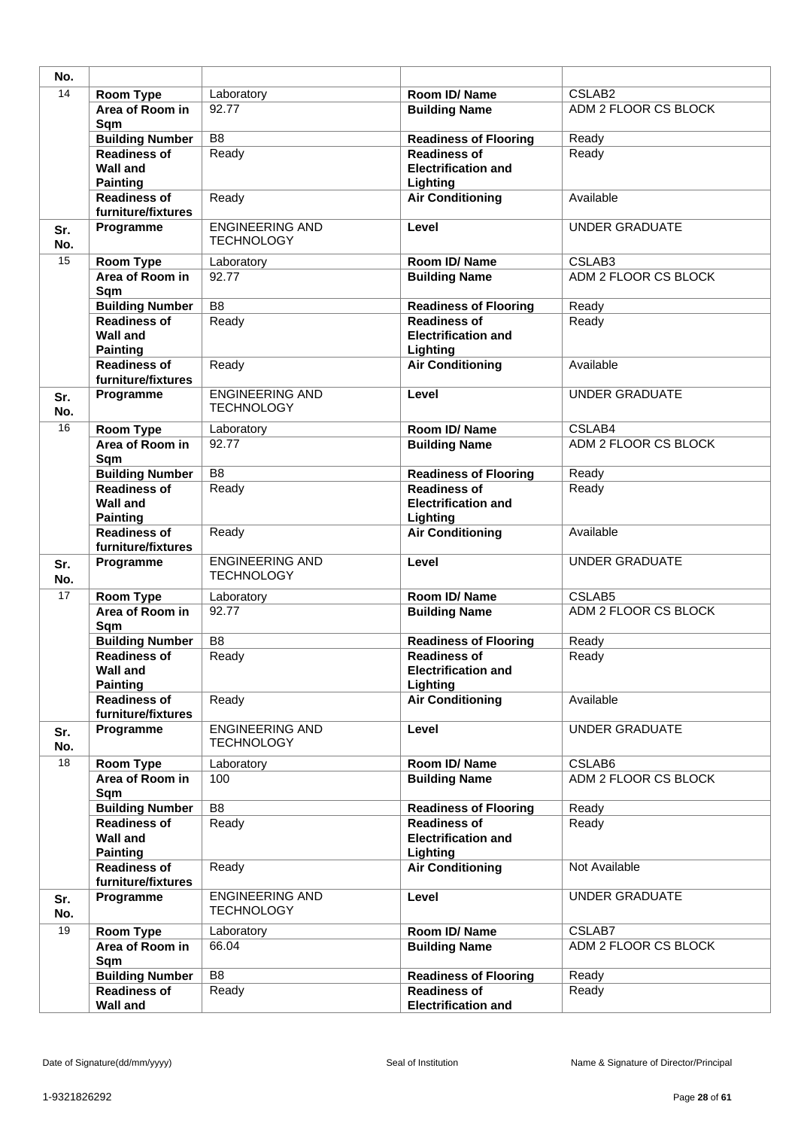| No.        |                                                           |                                             |                                                               |                       |
|------------|-----------------------------------------------------------|---------------------------------------------|---------------------------------------------------------------|-----------------------|
| 14         | Room Type                                                 | Laboratory                                  | Room ID/Name                                                  | CSLAB <sub>2</sub>    |
|            | Area of Room in<br>Sqm                                    | 92.77                                       | <b>Building Name</b>                                          | ADM 2 FLOOR CS BLOCK  |
|            | <b>Building Number</b>                                    | B <sub>8</sub>                              | <b>Readiness of Flooring</b>                                  | Ready                 |
|            | <b>Readiness of</b><br><b>Wall and</b><br><b>Painting</b> | Ready                                       | <b>Readiness of</b><br><b>Electrification and</b><br>Lighting | Ready                 |
|            | <b>Readiness of</b><br>furniture/fixtures                 | Ready                                       | <b>Air Conditioning</b>                                       | Available             |
| Sr.<br>No. | Programme                                                 | <b>ENGINEERING AND</b><br><b>TECHNOLOGY</b> | Level                                                         | <b>UNDER GRADUATE</b> |
| 15         | <b>Room Type</b>                                          | Laboratory                                  | Room ID/Name                                                  | CSLAB3                |
|            | Area of Room in<br>Sqm                                    | 92.77                                       | <b>Building Name</b>                                          | ADM 2 FLOOR CS BLOCK  |
|            | <b>Building Number</b>                                    | $\overline{B8}$                             | <b>Readiness of Flooring</b>                                  | Ready                 |
|            | <b>Readiness of</b><br><b>Wall and</b><br><b>Painting</b> | Ready                                       | <b>Readiness of</b><br><b>Electrification and</b><br>Lighting | Ready                 |
|            | <b>Readiness of</b><br>furniture/fixtures                 | Ready                                       | <b>Air Conditioning</b>                                       | Available             |
| Sr.<br>No. | Programme                                                 | <b>ENGINEERING AND</b><br><b>TECHNOLOGY</b> | Level                                                         | <b>UNDER GRADUATE</b> |
| 16         | Room Type                                                 | Laboratory                                  | Room ID/Name                                                  | CSLAB4                |
|            | Area of Room in<br>Sqm                                    | 92.77                                       | <b>Building Name</b>                                          | ADM 2 FLOOR CS BLOCK  |
|            | <b>Building Number</b>                                    | $\overline{B8}$                             | <b>Readiness of Flooring</b>                                  | Ready                 |
|            | <b>Readiness of</b><br><b>Wall and</b><br><b>Painting</b> | Ready                                       | <b>Readiness of</b><br><b>Electrification and</b><br>Lighting | Ready                 |
|            | <b>Readiness of</b><br>furniture/fixtures                 | Ready                                       | <b>Air Conditioning</b>                                       | Available             |
| Sr.<br>No. | Programme                                                 | <b>ENGINEERING AND</b><br><b>TECHNOLOGY</b> | Level                                                         | <b>UNDER GRADUATE</b> |
| 17         | <b>Room Type</b>                                          | Laboratory                                  | Room ID/Name                                                  | CSLAB5                |
|            | Area of Room in<br>Sqm                                    | 92.77                                       | <b>Building Name</b>                                          | ADM 2 FLOOR CS BLOCK  |
|            | <b>Building Number</b>                                    | B <sub>8</sub>                              | <b>Readiness of Flooring</b>                                  | Ready                 |
|            | <b>Readiness of</b><br><b>Wall and</b><br><b>Painting</b> | Ready                                       | <b>Readiness of</b><br><b>Electrification and</b><br>Lighting | Ready                 |
|            | <b>Readiness of</b><br>furniture/fixtures                 | Ready                                       | <b>Air Conditioning</b>                                       | Available             |
| Sr.<br>No. | Programme                                                 | <b>ENGINEERING AND</b><br><b>TECHNOLOGY</b> | Level                                                         | <b>UNDER GRADUATE</b> |
| 18         | Room Type                                                 | Laboratory                                  | Room ID/Name                                                  | CSLAB6                |
|            | Area of Room in<br>Sqm                                    | 100                                         | <b>Building Name</b>                                          | ADM 2 FLOOR CS BLOCK  |
|            | <b>Building Number</b>                                    | B <sub>8</sub>                              | <b>Readiness of Flooring</b>                                  | Ready                 |
|            | <b>Readiness of</b><br><b>Wall and</b><br><b>Painting</b> | Ready                                       | <b>Readiness of</b><br><b>Electrification and</b><br>Lighting | Ready                 |
|            | <b>Readiness of</b><br>furniture/fixtures                 | Ready                                       | <b>Air Conditioning</b>                                       | Not Available         |
| Sr.<br>No. | Programme                                                 | <b>ENGINEERING AND</b><br><b>TECHNOLOGY</b> | Level                                                         | <b>UNDER GRADUATE</b> |
| 19         | Room Type                                                 | Laboratory                                  | Room ID/Name                                                  | CSLAB7                |
|            | Area of Room in<br>Sqm                                    | 66.04                                       | <b>Building Name</b>                                          | ADM 2 FLOOR CS BLOCK  |
|            | <b>Building Number</b>                                    | B <sub>8</sub>                              | <b>Readiness of Flooring</b>                                  | Ready                 |
|            | <b>Readiness of</b><br><b>Wall and</b>                    | Ready                                       | <b>Readiness of</b><br><b>Electrification and</b>             | Ready                 |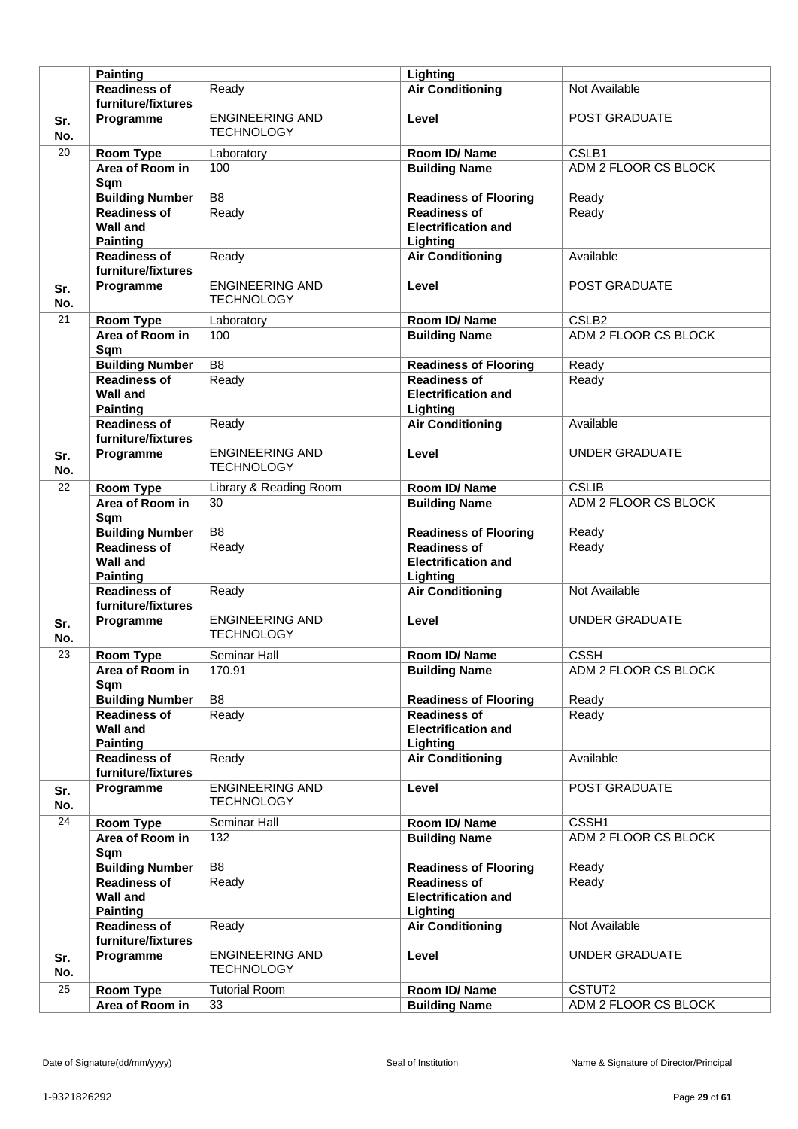|                 | <b>Painting</b>                                           |                                             | Lighting                                                      |                       |
|-----------------|-----------------------------------------------------------|---------------------------------------------|---------------------------------------------------------------|-----------------------|
|                 | <b>Readiness of</b>                                       | Ready                                       | <b>Air Conditioning</b>                                       | Not Available         |
|                 | furniture/fixtures                                        |                                             |                                                               |                       |
| Sr.<br>No.      | Programme                                                 | <b>ENGINEERING AND</b><br><b>TECHNOLOGY</b> | Level                                                         | POST GRADUATE         |
| 20              | <b>Room Type</b>                                          | Laboratory                                  | Room ID/Name                                                  | CSLB1                 |
|                 | Area of Room in<br>Sqm                                    | 100                                         | <b>Building Name</b>                                          | ADM 2 FLOOR CS BLOCK  |
|                 | <b>Building Number</b>                                    | $\overline{B8}$                             | <b>Readiness of Flooring</b>                                  | Ready                 |
|                 | <b>Readiness of</b>                                       | Ready                                       | <b>Readiness of</b>                                           | Ready                 |
|                 | <b>Wall and</b><br><b>Painting</b>                        |                                             | <b>Electrification and</b><br>Lighting                        |                       |
|                 | <b>Readiness of</b><br>furniture/fixtures                 | Ready                                       | <b>Air Conditioning</b>                                       | Available             |
| Sr.<br>No.      | Programme                                                 | <b>ENGINEERING AND</b><br><b>TECHNOLOGY</b> | Level                                                         | POST GRADUATE         |
| 21              | <b>Room Type</b>                                          | Laboratory                                  | Room ID/Name                                                  | CSLB <sub>2</sub>     |
|                 | Area of Room in<br>Sqm                                    | 100                                         | <b>Building Name</b>                                          | ADM 2 FLOOR CS BLOCK  |
|                 | <b>Building Number</b>                                    | B <sub>8</sub>                              | <b>Readiness of Flooring</b>                                  | Ready                 |
|                 | <b>Readiness of</b><br><b>Wall and</b><br><b>Painting</b> | Ready                                       | <b>Readiness of</b><br><b>Electrification and</b><br>Lighting | Ready                 |
|                 | <b>Readiness of</b><br>furniture/fixtures                 | Ready                                       | <b>Air Conditioning</b>                                       | Available             |
| Sr.<br>No.      | Programme                                                 | <b>ENGINEERING AND</b><br><b>TECHNOLOGY</b> | Level                                                         | <b>UNDER GRADUATE</b> |
| 22              | <b>Room Type</b>                                          | Library & Reading Room                      | Room ID/Name                                                  | <b>CSLIB</b>          |
|                 | Area of Room in<br>Sqm                                    | 30                                          | <b>Building Name</b>                                          | ADM 2 FLOOR CS BLOCK  |
|                 | <b>Building Number</b>                                    | B <sub>8</sub>                              | <b>Readiness of Flooring</b>                                  | Ready                 |
|                 | <b>Readiness of</b><br><b>Wall and</b><br><b>Painting</b> | Ready                                       | <b>Readiness of</b><br><b>Electrification and</b><br>Lighting | Ready                 |
|                 | <b>Readiness of</b><br>furniture/fixtures                 | Ready                                       | <b>Air Conditioning</b>                                       | Not Available         |
| Sr.<br>No.      | Programme                                                 | <b>ENGINEERING AND</b><br><b>TECHNOLOGY</b> | Level                                                         | <b>UNDER GRADUATE</b> |
| 23              | <b>Room Type</b>                                          | Seminar Hall                                | Room ID/Name                                                  | <b>CSSH</b>           |
|                 | Area of Room in<br>Sqm                                    | 170.91                                      | <b>Building Name</b>                                          | ADM 2 FLOOR CS BLOCK  |
|                 | <b>Building Number</b>                                    | B8                                          | <b>Readiness of Flooring</b>                                  | Ready                 |
|                 | <b>Readiness of</b><br><b>Wall and</b><br><b>Painting</b> | Ready                                       | <b>Readiness of</b><br><b>Electrification and</b><br>Lighting | Ready                 |
|                 | <b>Readiness of</b><br>furniture/fixtures                 | Ready                                       | <b>Air Conditioning</b>                                       | Available             |
| Sr.<br>No.      | Programme                                                 | <b>ENGINEERING AND</b><br><b>TECHNOLOGY</b> | Level                                                         | POST GRADUATE         |
| 24              | <b>Room Type</b>                                          | Seminar Hall                                | Room ID/Name                                                  | CSSH1                 |
|                 | Area of Room in<br>Sqm                                    | 132                                         | <b>Building Name</b>                                          | ADM 2 FLOOR CS BLOCK  |
|                 | <b>Building Number</b>                                    | $\overline{B8}$                             | <b>Readiness of Flooring</b>                                  | Ready                 |
|                 | <b>Readiness of</b><br><b>Wall and</b><br><b>Painting</b> | Ready                                       | <b>Readiness of</b><br><b>Electrification and</b><br>Lighting | Ready                 |
|                 | <b>Readiness of</b><br>furniture/fixtures                 | Ready                                       | <b>Air Conditioning</b>                                       | Not Available         |
| Sr.<br>No.      | Programme                                                 | <b>ENGINEERING AND</b><br><b>TECHNOLOGY</b> | Level                                                         | UNDER GRADUATE        |
| $\overline{25}$ | Room Type                                                 | <b>Tutorial Room</b>                        | Room ID/Name                                                  | CSTUT2                |
|                 | Area of Room in                                           | 33                                          | <b>Building Name</b>                                          | ADM 2 FLOOR CS BLOCK  |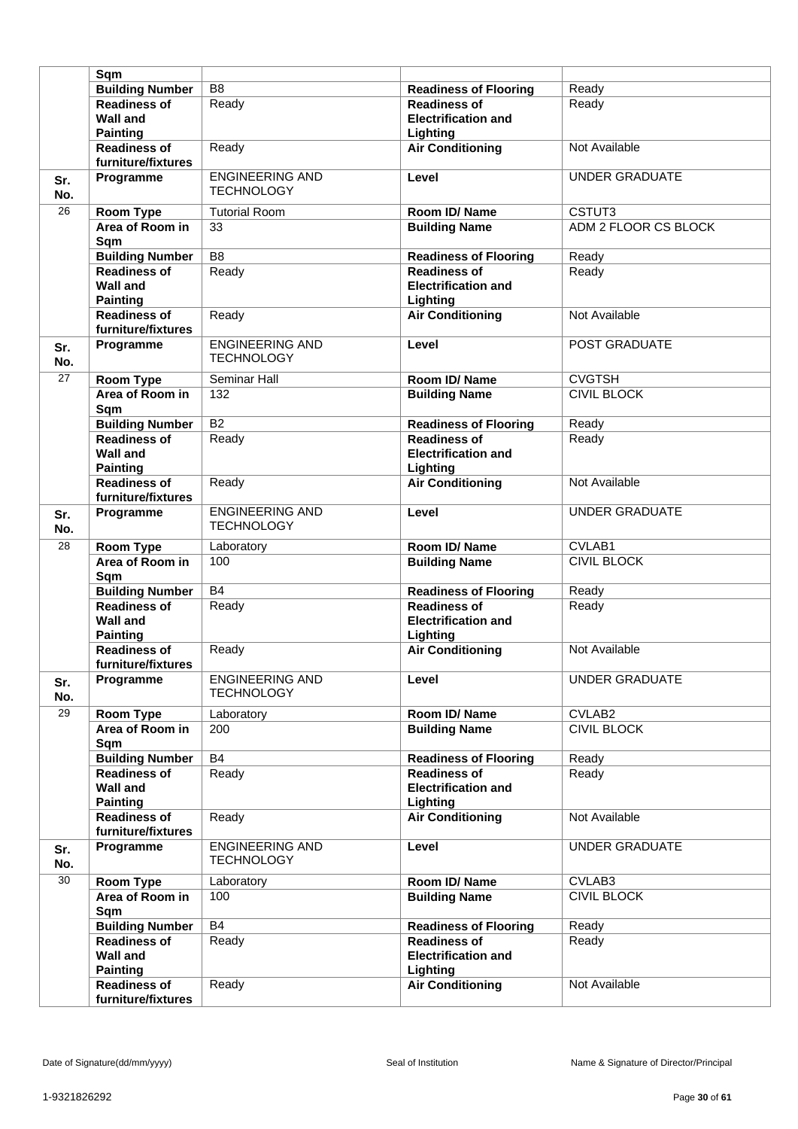|                 | Sqm                                                          |                                             |                                                   |                       |
|-----------------|--------------------------------------------------------------|---------------------------------------------|---------------------------------------------------|-----------------------|
|                 | <b>Building Number</b>                                       | B <sub>8</sub>                              | <b>Readiness of Flooring</b>                      | Ready                 |
|                 |                                                              |                                             | <b>Readiness of</b>                               |                       |
|                 | <b>Readiness of</b><br><b>Wall and</b>                       | Ready                                       | <b>Electrification and</b>                        | Ready                 |
|                 | <b>Painting</b>                                              |                                             | Lighting                                          |                       |
|                 | <b>Readiness of</b><br>furniture/fixtures                    | Ready                                       | <b>Air Conditioning</b>                           | Not Available         |
| Sr.<br>No.      | Programme                                                    | <b>ENGINEERING AND</b><br><b>TECHNOLOGY</b> | Level                                             | <b>UNDER GRADUATE</b> |
| 26              | <b>Room Type</b>                                             | <b>Tutorial Room</b>                        | Room ID/Name                                      | CSTUT3                |
|                 | Area of Room in<br>Sqm                                       | 33                                          | <b>Building Name</b>                              | ADM 2 FLOOR CS BLOCK  |
|                 | <b>Building Number</b>                                       | $\overline{B8}$                             | <b>Readiness of Flooring</b>                      | Ready                 |
|                 | <b>Readiness of</b>                                          | Ready                                       | <b>Readiness of</b>                               | Ready                 |
|                 | <b>Wall and</b><br><b>Painting</b>                           |                                             | <b>Electrification and</b><br>Lighting            |                       |
|                 | <b>Readiness of</b><br>furniture/fixtures                    | Ready                                       | <b>Air Conditioning</b>                           | Not Available         |
| Sr.<br>No.      | Programme                                                    | <b>ENGINEERING AND</b><br><b>TECHNOLOGY</b> | Level                                             | POST GRADUATE         |
| $\overline{27}$ | Room Type                                                    | Seminar Hall                                | Room ID/Name                                      | <b>CVGTSH</b>         |
|                 | Area of Room in<br>Sqm                                       | 132                                         | <b>Building Name</b>                              | <b>CIVIL BLOCK</b>    |
|                 | <b>Building Number</b>                                       | $\overline{B2}$                             | <b>Readiness of Flooring</b>                      | Ready                 |
|                 | <b>Readiness of</b>                                          | Ready                                       | <b>Readiness of</b>                               | Ready                 |
|                 | <b>Wall and</b><br><b>Painting</b>                           |                                             | <b>Electrification and</b><br>Lighting            |                       |
|                 | <b>Readiness of</b><br>furniture/fixtures                    | Ready                                       | <b>Air Conditioning</b>                           | Not Available         |
| Sr.<br>No.      | Programme                                                    | <b>ENGINEERING AND</b><br><b>TECHNOLOGY</b> | Level                                             | <b>UNDER GRADUATE</b> |
| 28              | <b>Room Type</b>                                             | Laboratory                                  | Room ID/Name                                      | CVLAB1                |
|                 | Area of Room in<br>Sqm                                       | 100                                         | <b>Building Name</b>                              | <b>CIVIL BLOCK</b>    |
|                 | <b>Building Number</b>                                       | <b>B4</b>                                   | <b>Readiness of Flooring</b>                      | Ready                 |
|                 | <b>Readiness of</b>                                          | Ready                                       | <b>Readiness of</b>                               | Ready                 |
|                 | <b>Wall and</b><br><b>Painting</b>                           |                                             | <b>Electrification and</b><br>Lighting            |                       |
|                 | <b>Readiness of</b><br>furniture/fixtures                    | Ready                                       | <b>Air Conditioning</b>                           | Not Available         |
| Sr.<br>No.      | Programme                                                    | <b>ENGINEERING AND</b><br><b>TECHNOLOGY</b> | Level                                             | <b>UNDER GRADUATE</b> |
| 29              | <b>Room Type</b>                                             | Laboratory                                  | Room ID/Name                                      | CVLAB2                |
|                 | Area of Room in<br>Sqm                                       | 200                                         | <b>Building Name</b>                              | <b>CIVIL BLOCK</b>    |
|                 | <b>Building Number</b>                                       | <b>B4</b>                                   | <b>Readiness of Flooring</b>                      | Ready                 |
|                 | <b>Readiness of</b><br><b>Wall and</b>                       | Ready                                       | <b>Readiness of</b><br><b>Electrification and</b> | Ready                 |
|                 | <b>Painting</b><br><b>Readiness of</b><br>furniture/fixtures | Ready                                       | Lighting<br><b>Air Conditioning</b>               | Not Available         |
| Sr.<br>No.      | Programme                                                    | <b>ENGINEERING AND</b><br><b>TECHNOLOGY</b> | Level                                             | <b>UNDER GRADUATE</b> |
| 30              | <b>Room Type</b>                                             | Laboratory                                  | Room ID/Name                                      | CVLAB3                |
|                 | Area of Room in<br>Sqm                                       | 100                                         | <b>Building Name</b>                              | <b>CIVIL BLOCK</b>    |
|                 | <b>Building Number</b>                                       | <b>B4</b>                                   | <b>Readiness of Flooring</b>                      | Ready                 |
|                 | <b>Readiness of</b><br><b>Wall and</b>                       | Ready                                       | <b>Readiness of</b><br><b>Electrification and</b> | Ready                 |
|                 | <b>Painting</b><br><b>Readiness of</b><br>furniture/fixtures | Ready                                       | Lighting<br><b>Air Conditioning</b>               | Not Available         |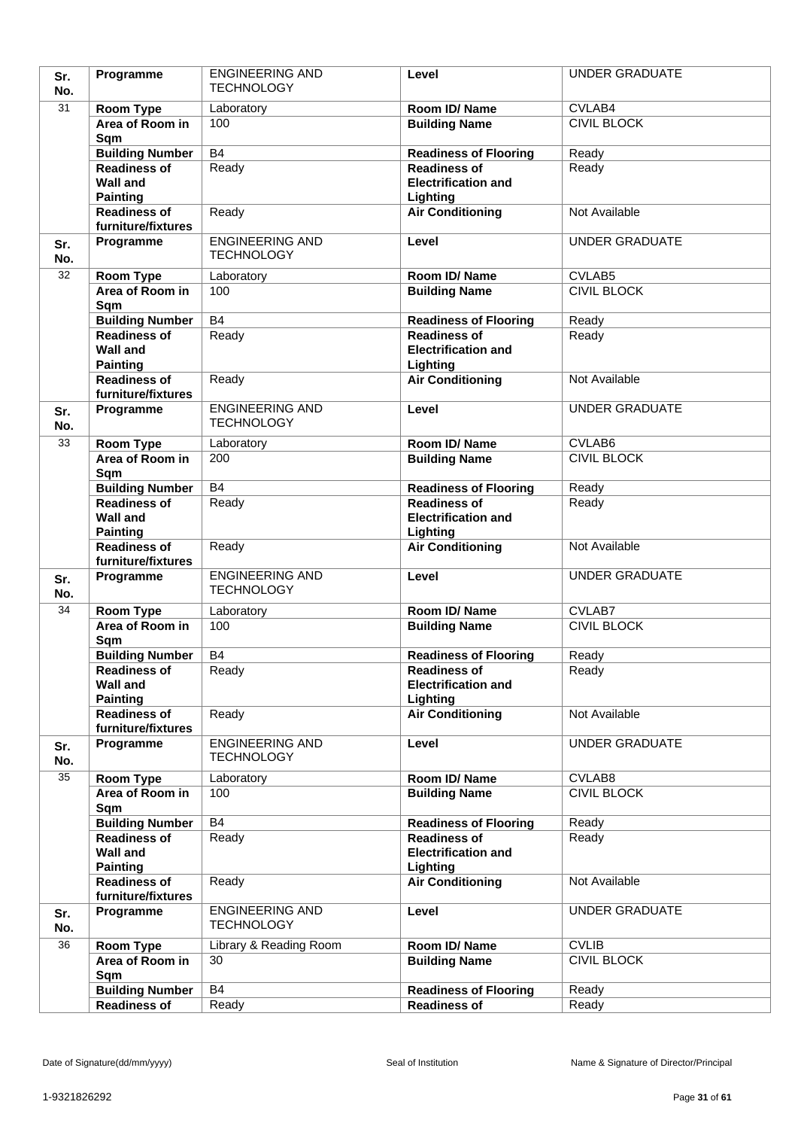| Sr.        | Programme                                     | <b>ENGINEERING AND</b>                      | Level                                             | <b>UNDER GRADUATE</b>        |
|------------|-----------------------------------------------|---------------------------------------------|---------------------------------------------------|------------------------------|
| No.        |                                               | <b>TECHNOLOGY</b>                           |                                                   |                              |
| 31         | Room Type                                     | Laboratory                                  | Room ID/Name                                      | CVLAB4                       |
|            | Area of Room in                               | 100                                         | <b>Building Name</b>                              | <b>CIVIL BLOCK</b>           |
|            | Sqm                                           |                                             |                                                   |                              |
|            | <b>Building Number</b>                        | B4                                          | <b>Readiness of Flooring</b>                      | Ready                        |
|            | <b>Readiness of</b>                           | Ready                                       | <b>Readiness of</b><br><b>Electrification and</b> | Ready                        |
|            | <b>Wall and</b><br><b>Painting</b>            |                                             | Lighting                                          |                              |
|            | <b>Readiness of</b>                           | Ready                                       | <b>Air Conditioning</b>                           | Not Available                |
|            | furniture/fixtures                            |                                             |                                                   |                              |
| Sr.<br>No. | Programme                                     | <b>ENGINEERING AND</b><br><b>TECHNOLOGY</b> | Level                                             | <b>UNDER GRADUATE</b>        |
| 32         | Room Type                                     | Laboratory                                  | Room ID/Name                                      | CVLAB5                       |
|            | Area of Room in                               | 100                                         | <b>Building Name</b>                              | <b>CIVIL BLOCK</b>           |
|            | Sqm                                           |                                             |                                                   |                              |
|            | <b>Building Number</b>                        | B4                                          | <b>Readiness of Flooring</b>                      | Ready                        |
|            | Readiness of                                  | Ready                                       | <b>Readiness of</b>                               | Ready                        |
|            | <b>Wall and</b>                               |                                             | <b>Electrification and</b>                        |                              |
|            | <b>Painting</b>                               |                                             | Lighting                                          |                              |
|            | <b>Readiness of</b>                           | Ready                                       | <b>Air Conditioning</b>                           | Not Available                |
|            | furniture/fixtures<br>Programme               | <b>ENGINEERING AND</b>                      | Level                                             | <b>UNDER GRADUATE</b>        |
| Sr.<br>No. |                                               | <b>TECHNOLOGY</b>                           |                                                   |                              |
| 33         | Room Type                                     | Laboratory                                  | Room ID/Name                                      | CVLAB6                       |
|            | Area of Room in<br>Sqm                        | 200                                         | <b>Building Name</b>                              | <b>CIVIL BLOCK</b>           |
|            | <b>Building Number</b>                        | <b>B4</b>                                   | <b>Readiness of Flooring</b>                      | Ready                        |
|            | <b>Readiness of</b>                           | Ready                                       | <b>Readiness of</b>                               | Ready                        |
|            | <b>Wall and</b><br><b>Painting</b>            |                                             | <b>Electrification and</b><br>Lighting            |                              |
|            | <b>Readiness of</b><br>furniture/fixtures     | Ready                                       | <b>Air Conditioning</b>                           | Not Available                |
| Sr.        | Programme                                     | <b>ENGINEERING AND</b><br><b>TECHNOLOGY</b> | Level                                             | <b>UNDER GRADUATE</b>        |
| No.        |                                               |                                             |                                                   |                              |
| 34         | <b>Room Type</b><br>Area of Room in           | Laboratory<br>100                           | Room ID/Name                                      | CVLAB7<br><b>CIVIL BLOCK</b> |
|            | Sqm                                           |                                             | <b>Building Name</b>                              |                              |
|            | <b>Building Number</b>                        | <b>B4</b>                                   | <b>Readiness of Flooring</b>                      | Ready                        |
|            | <b>Readiness of</b>                           | Ready                                       | <b>Readiness of</b>                               | Ready                        |
|            | <b>Wall and</b>                               |                                             | <b>Electrification and</b>                        |                              |
|            | <b>Painting</b>                               |                                             | Lighting                                          |                              |
|            | Readiness of<br>furniture/fixtures            | Ready                                       | <b>Air Conditioning</b>                           | Not Available                |
| Sr.        | Programme                                     | <b>ENGINEERING AND</b>                      | Level                                             | <b>UNDER GRADUATE</b>        |
| No.        |                                               | <b>TECHNOLOGY</b>                           |                                                   |                              |
| 35         | Room Type                                     | Laboratory                                  | Room ID/Name                                      | CVLAB8                       |
|            | Area of Room in                               | 100                                         | <b>Building Name</b>                              | <b>CIVIL BLOCK</b>           |
|            | Sqm                                           | <b>B4</b>                                   | <b>Readiness of Flooring</b>                      | Ready                        |
|            | <b>Building Number</b><br><b>Readiness of</b> | Ready                                       | <b>Readiness of</b>                               | Ready                        |
|            | <b>Wall and</b>                               |                                             | <b>Electrification and</b>                        |                              |
|            | <b>Painting</b>                               |                                             | Lighting                                          |                              |
|            | <b>Readiness of</b><br>furniture/fixtures     | Ready                                       | <b>Air Conditioning</b>                           | Not Available                |
| Sr.<br>No. | Programme                                     | <b>ENGINEERING AND</b><br><b>TECHNOLOGY</b> | Level                                             | <b>UNDER GRADUATE</b>        |
| 36         | <b>Room Type</b>                              | Library & Reading Room                      | Room ID/Name                                      | <b>CVLIB</b>                 |
|            | Area of Room in<br>Sqm                        | 30                                          | <b>Building Name</b>                              | <b>CIVIL BLOCK</b>           |
|            | <b>Building Number</b>                        | <b>B4</b>                                   | <b>Readiness of Flooring</b>                      | Ready                        |
|            | <b>Readiness of</b>                           | Ready                                       | <b>Readiness of</b>                               | Ready                        |
|            |                                               |                                             |                                                   |                              |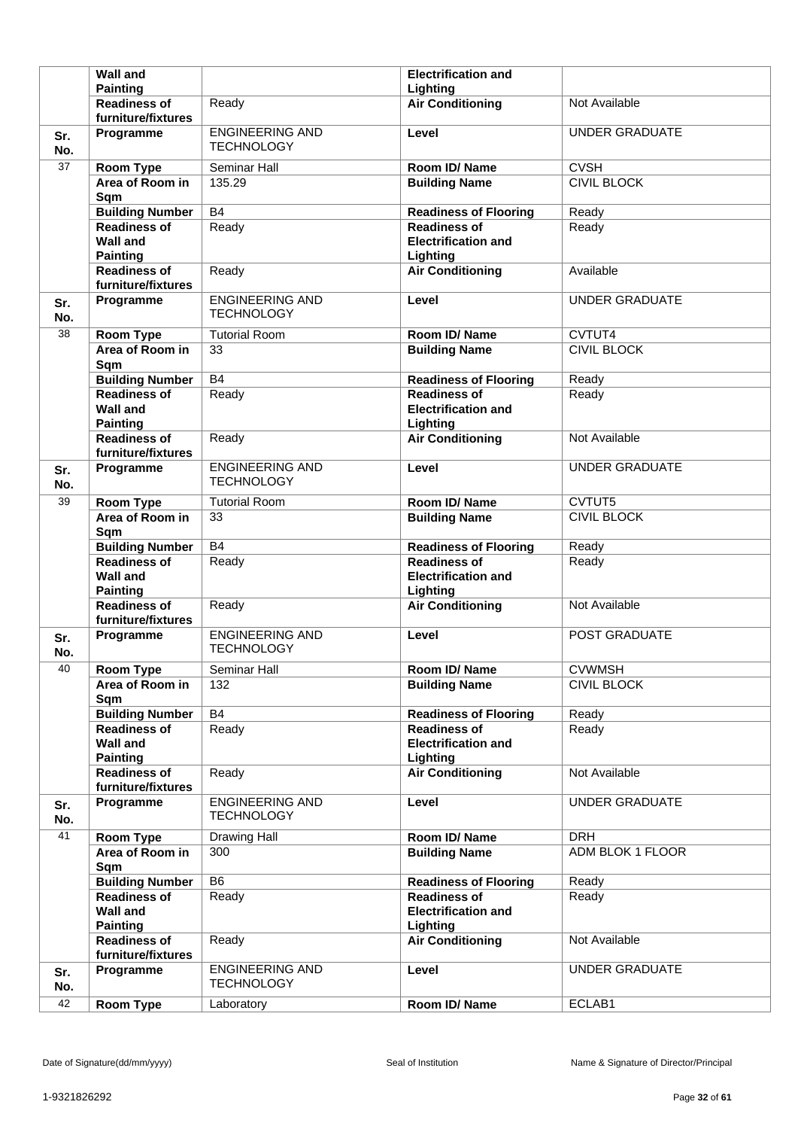|            | <b>Wall and</b>                                              |                                             | <b>Electrification and</b>                                    |                       |
|------------|--------------------------------------------------------------|---------------------------------------------|---------------------------------------------------------------|-----------------------|
|            | <b>Painting</b>                                              |                                             | Lighting                                                      |                       |
|            | <b>Readiness of</b><br>furniture/fixtures                    | Ready                                       | <b>Air Conditioning</b>                                       | Not Available         |
| Sr.<br>No. | Programme                                                    | <b>ENGINEERING AND</b><br><b>TECHNOLOGY</b> | Level                                                         | <b>UNDER GRADUATE</b> |
| 37         | <b>Room Type</b>                                             | Seminar Hall                                | Room ID/Name                                                  | <b>CVSH</b>           |
|            | Area of Room in<br>Sqm                                       | 135.29                                      | <b>Building Name</b>                                          | <b>CIVIL BLOCK</b>    |
|            | <b>Building Number</b>                                       | <b>B4</b>                                   | <b>Readiness of Flooring</b>                                  | Ready                 |
|            | <b>Readiness of</b><br><b>Wall and</b><br><b>Painting</b>    | Ready                                       | <b>Readiness of</b><br><b>Electrification and</b><br>Lighting | Ready                 |
|            | <b>Readiness of</b><br>furniture/fixtures                    | Ready                                       | <b>Air Conditioning</b>                                       | Available             |
| Sr.<br>No. | Programme                                                    | <b>ENGINEERING AND</b><br><b>TECHNOLOGY</b> | Level                                                         | <b>UNDER GRADUATE</b> |
| 38         | Room Type                                                    | <b>Tutorial Room</b>                        | Room ID/Name                                                  | CVTUT4                |
|            | Area of Room in<br>Sqm                                       | 33                                          | <b>Building Name</b>                                          | <b>CIVIL BLOCK</b>    |
|            | <b>Building Number</b>                                       | <b>B4</b>                                   | <b>Readiness of Flooring</b>                                  | Ready                 |
|            | <b>Readiness of</b><br><b>Wall and</b><br><b>Painting</b>    | Ready                                       | <b>Readiness of</b><br><b>Electrification and</b><br>Lighting | Ready                 |
|            | <b>Readiness of</b><br>furniture/fixtures                    | Ready                                       | <b>Air Conditioning</b>                                       | Not Available         |
| Sr.<br>No. | Programme                                                    | <b>ENGINEERING AND</b><br><b>TECHNOLOGY</b> | Level                                                         | <b>UNDER GRADUATE</b> |
| 39         | Room Type                                                    | <b>Tutorial Room</b>                        | Room ID/Name                                                  | CVTUT5                |
|            | Area of Room in<br>Sqm                                       | 33                                          | <b>Building Name</b>                                          | <b>CIVIL BLOCK</b>    |
|            |                                                              |                                             |                                                               |                       |
|            | <b>Building Number</b>                                       | <b>B4</b>                                   | <b>Readiness of Flooring</b>                                  | Ready                 |
|            | <b>Readiness of</b><br><b>Wall and</b><br><b>Painting</b>    | Ready                                       | <b>Readiness of</b><br><b>Electrification and</b><br>Lighting | Ready                 |
|            | <b>Readiness of</b><br>furniture/fixtures                    | Ready                                       | <b>Air Conditioning</b>                                       | Not Available         |
| Sr.<br>No. | Programme                                                    | <b>ENGINEERING AND</b><br><b>TECHNOLOGY</b> | Level                                                         | <b>POST GRADUATE</b>  |
| 40         | <b>Room Type</b>                                             | Seminar Hall                                | Room ID/Name                                                  | <b>CVWMSH</b>         |
|            | Area of Room in<br>Sqm                                       | 132                                         | <b>Building Name</b>                                          | <b>CIVIL BLOCK</b>    |
|            | <b>Building Number</b>                                       | B4                                          | <b>Readiness of Flooring</b>                                  | Ready                 |
|            | <b>Readiness of</b><br><b>Wall and</b><br><b>Painting</b>    | Ready                                       | <b>Readiness of</b><br><b>Electrification and</b><br>Lighting | Ready                 |
|            | <b>Readiness of</b><br>furniture/fixtures                    | Ready                                       | <b>Air Conditioning</b>                                       | Not Available         |
| Sr.<br>No. | Programme                                                    | <b>ENGINEERING AND</b><br><b>TECHNOLOGY</b> | Level                                                         | <b>UNDER GRADUATE</b> |
| 41         | Room Type                                                    | Drawing Hall                                | Room ID/Name                                                  | <b>DRH</b>            |
|            | Area of Room in<br>Sqm                                       | 300                                         | <b>Building Name</b>                                          | ADM BLOK 1 FLOOR      |
|            | <b>Building Number</b>                                       | B <sub>6</sub>                              | <b>Readiness of Flooring</b>                                  | Ready                 |
|            | <b>Readiness of</b><br><b>Wall and</b>                       | Ready                                       | <b>Readiness of</b><br><b>Electrification and</b>             | Ready                 |
|            | <b>Painting</b><br><b>Readiness of</b><br>furniture/fixtures | Ready                                       | Lighting<br><b>Air Conditioning</b>                           | Not Available         |
| Sr.<br>No. | Programme                                                    | <b>ENGINEERING AND</b><br><b>TECHNOLOGY</b> | Level                                                         | <b>UNDER GRADUATE</b> |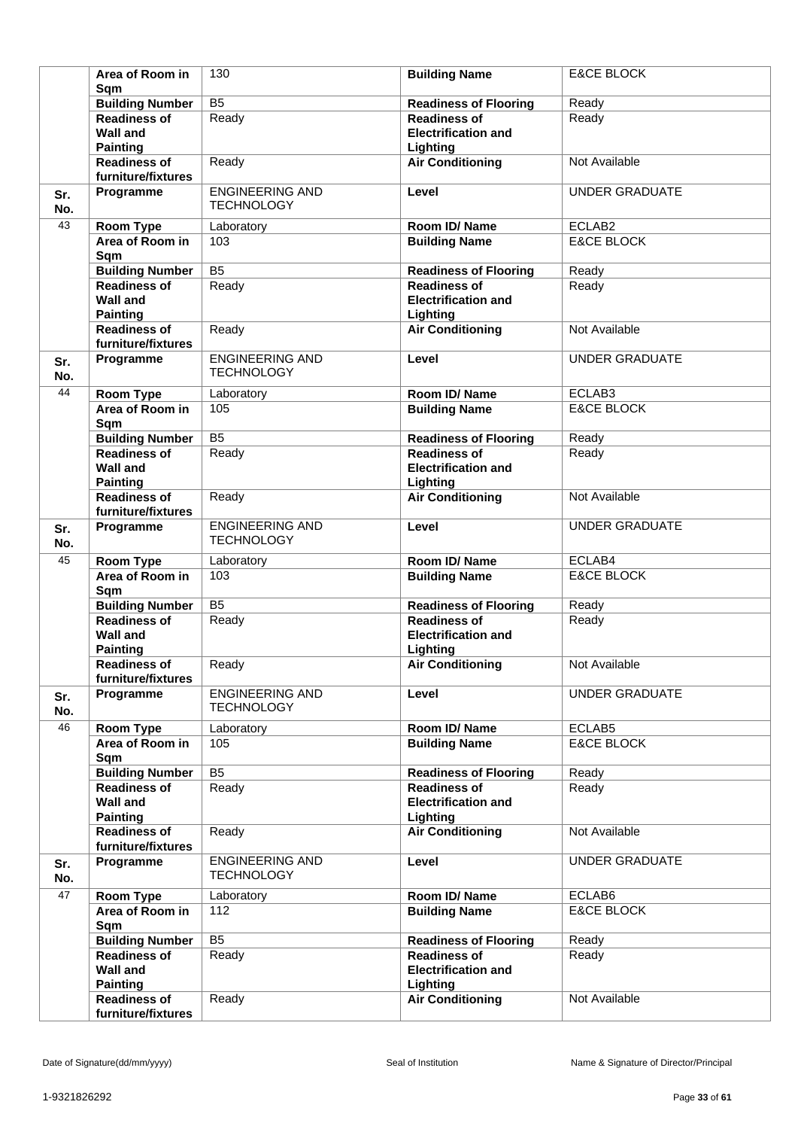|            | Area of Room in<br>Sqm                                       | 130                                         | <b>Building Name</b>                                          | <b>E&amp;CE BLOCK</b> |
|------------|--------------------------------------------------------------|---------------------------------------------|---------------------------------------------------------------|-----------------------|
|            | <b>Building Number</b>                                       | $\overline{B5}$                             | <b>Readiness of Flooring</b>                                  | Ready                 |
|            | <b>Readiness of</b><br><b>Wall and</b>                       | Ready                                       | <b>Readiness of</b><br><b>Electrification and</b>             | Ready                 |
|            | <b>Painting</b><br><b>Readiness of</b><br>furniture/fixtures | Ready                                       | Lighting<br><b>Air Conditioning</b>                           | Not Available         |
| Sr.<br>No. | Programme                                                    | <b>ENGINEERING AND</b><br><b>TECHNOLOGY</b> | Level                                                         | <b>UNDER GRADUATE</b> |
| 43         | <b>Room Type</b>                                             | Laboratory                                  | Room ID/Name                                                  | ECLAB2                |
|            | Area of Room in<br>Sqm                                       | 103                                         | <b>Building Name</b>                                          | <b>E&amp;CE BLOCK</b> |
|            | <b>Building Number</b>                                       | $\overline{B5}$                             | <b>Readiness of Flooring</b>                                  | Ready                 |
|            | <b>Readiness of</b><br><b>Wall and</b><br><b>Painting</b>    | Ready                                       | <b>Readiness of</b><br><b>Electrification and</b><br>Lighting | Ready                 |
|            | <b>Readiness of</b><br>furniture/fixtures                    | Ready                                       | <b>Air Conditioning</b>                                       | Not Available         |
| Sr.<br>No. | Programme                                                    | <b>ENGINEERING AND</b><br><b>TECHNOLOGY</b> | Level                                                         | <b>UNDER GRADUATE</b> |
| 44         | <b>Room Type</b>                                             | Laboratory                                  | Room ID/ Name                                                 | ECLAB3                |
|            | Area of Room in<br>Sqm                                       | 105                                         | <b>Building Name</b>                                          | <b>E&amp;CE BLOCK</b> |
|            | <b>Building Number</b>                                       | $\overline{B5}$                             | <b>Readiness of Flooring</b>                                  | Ready                 |
|            | <b>Readiness of</b><br><b>Wall and</b><br><b>Painting</b>    | Ready                                       | <b>Readiness of</b><br><b>Electrification and</b><br>Lighting | Ready                 |
|            | <b>Readiness of</b><br>furniture/fixtures                    | Ready                                       | <b>Air Conditioning</b>                                       | Not Available         |
| Sr.<br>No. | Programme                                                    | <b>ENGINEERING AND</b><br><b>TECHNOLOGY</b> | Level                                                         | <b>UNDER GRADUATE</b> |
| 45         | <b>Room Type</b>                                             | Laboratory                                  | Room ID/Name                                                  | ECLAB4                |
|            | Area of Room in<br>Sqm                                       | 103                                         | <b>Building Name</b>                                          | <b>E&amp;CE BLOCK</b> |
|            | <b>Building Number</b>                                       | B <sub>5</sub>                              | <b>Readiness of Flooring</b>                                  | Ready                 |
|            | <b>Readiness of</b><br><b>Wall and</b><br><b>Painting</b>    | Ready                                       | <b>Readiness of</b><br><b>Electrification and</b><br>Lighting | Ready                 |
|            | <b>Readiness of</b><br>furniture/fixtures                    | Ready                                       | <b>Air Conditioning</b>                                       | Not Available         |
| Sr.<br>No. | Programme                                                    | <b>ENGINEERING AND</b><br><b>TECHNOLOGY</b> | Level                                                         | <b>UNDER GRADUATE</b> |
| 46         | <b>Room Type</b>                                             | Laboratory                                  | Room ID/Name                                                  | ECLAB5                |
|            | Area of Room in<br>Sqm                                       | 105                                         | <b>Building Name</b>                                          | <b>E&amp;CE BLOCK</b> |
|            | <b>Building Number</b>                                       | B <sub>5</sub>                              | <b>Readiness of Flooring</b>                                  | Ready                 |
|            | <b>Readiness of</b><br><b>Wall and</b><br><b>Painting</b>    | Ready                                       | <b>Readiness of</b><br><b>Electrification and</b><br>Lighting | Ready                 |
|            | <b>Readiness of</b><br>furniture/fixtures                    | Ready                                       | <b>Air Conditioning</b>                                       | Not Available         |
| Sr.<br>No. | Programme                                                    | <b>ENGINEERING AND</b><br><b>TECHNOLOGY</b> | Level                                                         | UNDER GRADUATE        |
| 47         | Room Type                                                    | Laboratory                                  | Room ID/Name                                                  | ECLAB6                |
|            | Area of Room in<br>Sqm                                       | 112                                         | <b>Building Name</b>                                          | <b>E&amp;CE BLOCK</b> |
|            | <b>Building Number</b>                                       | B <sub>5</sub>                              | <b>Readiness of Flooring</b>                                  | Ready                 |
|            | <b>Readiness of</b><br><b>Wall and</b><br><b>Painting</b>    | Ready                                       | <b>Readiness of</b><br><b>Electrification and</b><br>Lighting | Ready                 |
|            | <b>Readiness of</b><br>furniture/fixtures                    | Ready                                       | <b>Air Conditioning</b>                                       | Not Available         |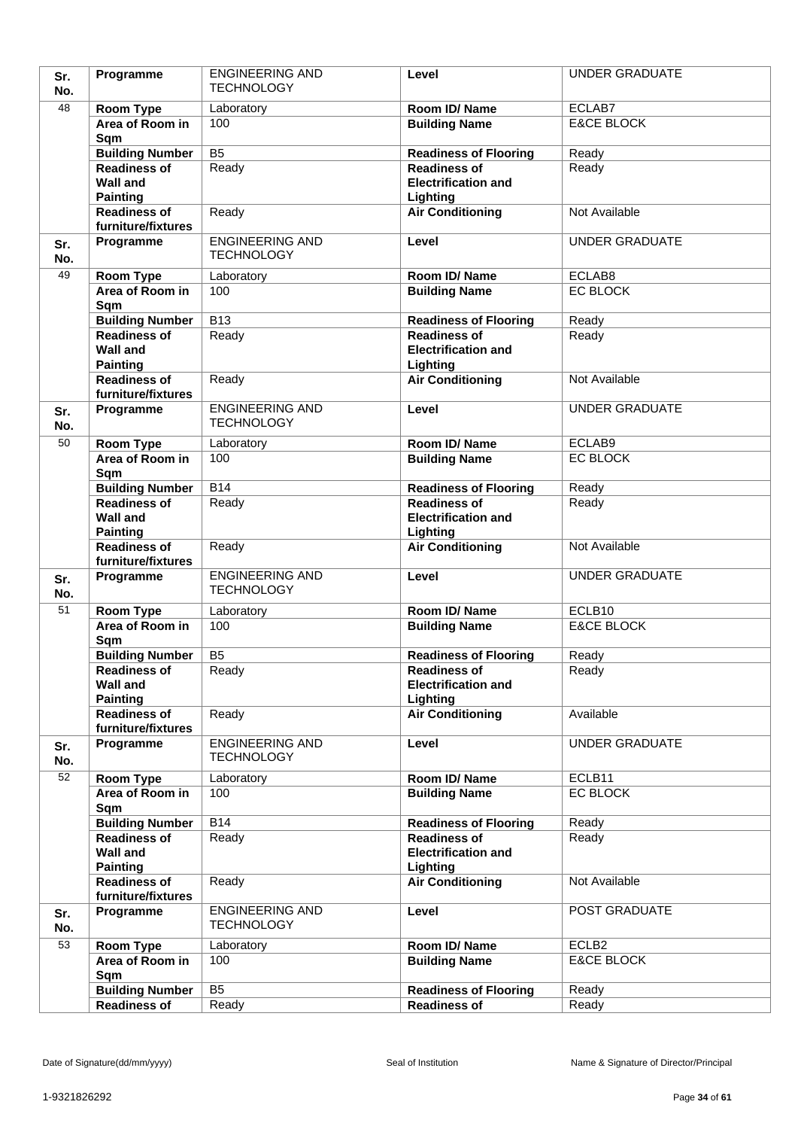| Sr.        | Programme                                     | <b>ENGINEERING AND</b>                      | Level                                               | <b>UNDER GRADUATE</b>                      |
|------------|-----------------------------------------------|---------------------------------------------|-----------------------------------------------------|--------------------------------------------|
| No.        |                                               | <b>TECHNOLOGY</b>                           |                                                     |                                            |
| 48         | Room Type                                     | Laboratory                                  | Room ID/Name                                        | ECLAB7                                     |
|            | Area of Room in                               | 100                                         | <b>Building Name</b>                                | <b>E&amp;CE BLOCK</b>                      |
|            | Sqm                                           |                                             |                                                     |                                            |
|            | <b>Building Number</b>                        | $\overline{B5}$                             | <b>Readiness of Flooring</b>                        | Ready                                      |
|            | <b>Readiness of</b><br><b>Wall and</b>        | Ready                                       | <b>Readiness of</b><br><b>Electrification and</b>   | Ready                                      |
|            | <b>Painting</b>                               |                                             | Lighting                                            |                                            |
|            | <b>Readiness of</b>                           | Ready                                       | <b>Air Conditioning</b>                             | Not Available                              |
|            | furniture/fixtures                            |                                             |                                                     |                                            |
| Sr.        | Programme                                     | <b>ENGINEERING AND</b><br><b>TECHNOLOGY</b> | Level                                               | <b>UNDER GRADUATE</b>                      |
| No.<br>49  |                                               |                                             |                                                     |                                            |
|            | Room Type<br>Area of Room in                  | Laboratory<br>100                           | Room ID/Name<br><b>Building Name</b>                | ECLAB8<br>EC BLOCK                         |
|            | Sqm                                           |                                             |                                                     |                                            |
|            | <b>Building Number</b>                        | $\overline{B13}$                            | <b>Readiness of Flooring</b>                        | Ready                                      |
|            | Readiness of                                  | Ready                                       | <b>Readiness of</b>                                 | Ready                                      |
|            | <b>Wall and</b><br><b>Painting</b>            |                                             | <b>Electrification and</b><br>Lighting              |                                            |
|            | <b>Readiness of</b>                           | Ready                                       | <b>Air Conditioning</b>                             | Not Available                              |
|            | furniture/fixtures                            |                                             |                                                     |                                            |
| Sr.<br>No. | Programme                                     | <b>ENGINEERING AND</b><br><b>TECHNOLOGY</b> | Level                                               | <b>UNDER GRADUATE</b>                      |
| 50         | Room Type                                     | Laboratory                                  | Room ID/Name                                        | ECLAB9                                     |
|            | Area of Room in                               | 100                                         | <b>Building Name</b>                                | EC BLOCK                                   |
|            | Sqm                                           |                                             |                                                     |                                            |
|            | <b>Building Number</b>                        | B14                                         | <b>Readiness of Flooring</b>                        | Ready                                      |
|            | <b>Readiness of</b>                           | Ready                                       | <b>Readiness of</b>                                 | Ready                                      |
|            | <b>Wall and</b><br><b>Painting</b>            |                                             | <b>Electrification and</b><br>Lighting              |                                            |
|            | <b>Readiness of</b><br>furniture/fixtures     | Ready                                       | <b>Air Conditioning</b>                             | Not Available                              |
| Sr.        | Programme                                     | <b>ENGINEERING AND</b>                      | Level                                               | <b>UNDER GRADUATE</b>                      |
| No.        |                                               | <b>TECHNOLOGY</b>                           |                                                     |                                            |
| 51         | <b>Room Type</b>                              | Laboratory                                  | Room ID/Name                                        | ECLB <sub>10</sub>                         |
|            | Area of Room in<br>Sqm                        | 100                                         | <b>Building Name</b>                                | <b>E&amp;CE BLOCK</b>                      |
|            |                                               |                                             |                                                     |                                            |
|            |                                               |                                             |                                                     |                                            |
|            | <b>Building Number</b>                        | B <sub>5</sub>                              | <b>Readiness of Flooring</b>                        | Ready                                      |
|            | <b>Readiness of</b><br><b>Wall and</b>        | Ready                                       | Readiness of<br><b>Electrification and</b>          | Ready                                      |
|            | <b>Painting</b>                               |                                             | Lighting                                            |                                            |
|            | Readiness of                                  | Ready                                       | <b>Air Conditioning</b>                             | Available                                  |
|            | furniture/fixtures                            | <b>ENGINEERING AND</b>                      | Level                                               | <b>UNDER GRADUATE</b>                      |
| Sr.<br>No. | Programme                                     | <b>TECHNOLOGY</b>                           |                                                     |                                            |
| 52         |                                               |                                             |                                                     | ECLB11                                     |
|            | <b>Room Type</b><br>Area of Room in           | Laboratory<br>100                           | Room ID/Name<br><b>Building Name</b>                | EC BLOCK                                   |
|            | Sqm                                           |                                             |                                                     |                                            |
|            | <b>Building Number</b>                        | <b>B14</b>                                  | <b>Readiness of Flooring</b>                        | Ready                                      |
|            | <b>Readiness of</b>                           | Ready                                       | <b>Readiness of</b>                                 | Ready                                      |
|            | <b>Wall and</b>                               |                                             | <b>Electrification and</b>                          |                                            |
|            | <b>Painting</b><br><b>Readiness of</b>        | Ready                                       | Lighting                                            | Not Available                              |
|            | furniture/fixtures                            |                                             | <b>Air Conditioning</b>                             |                                            |
| Sr.        | Programme                                     | <b>ENGINEERING AND</b><br><b>TECHNOLOGY</b> | Level                                               | POST GRADUATE                              |
| No.<br>53  |                                               |                                             |                                                     |                                            |
|            | <b>Room Type</b><br>Area of Room in           | Laboratory<br>100                           | Room ID/Name<br><b>Building Name</b>                | ECLB <sub>2</sub><br><b>E&amp;CE BLOCK</b> |
|            | Sqm                                           |                                             |                                                     |                                            |
|            | <b>Building Number</b><br><b>Readiness of</b> | B <sub>5</sub><br>Ready                     | <b>Readiness of Flooring</b><br><b>Readiness of</b> | Ready<br>Ready                             |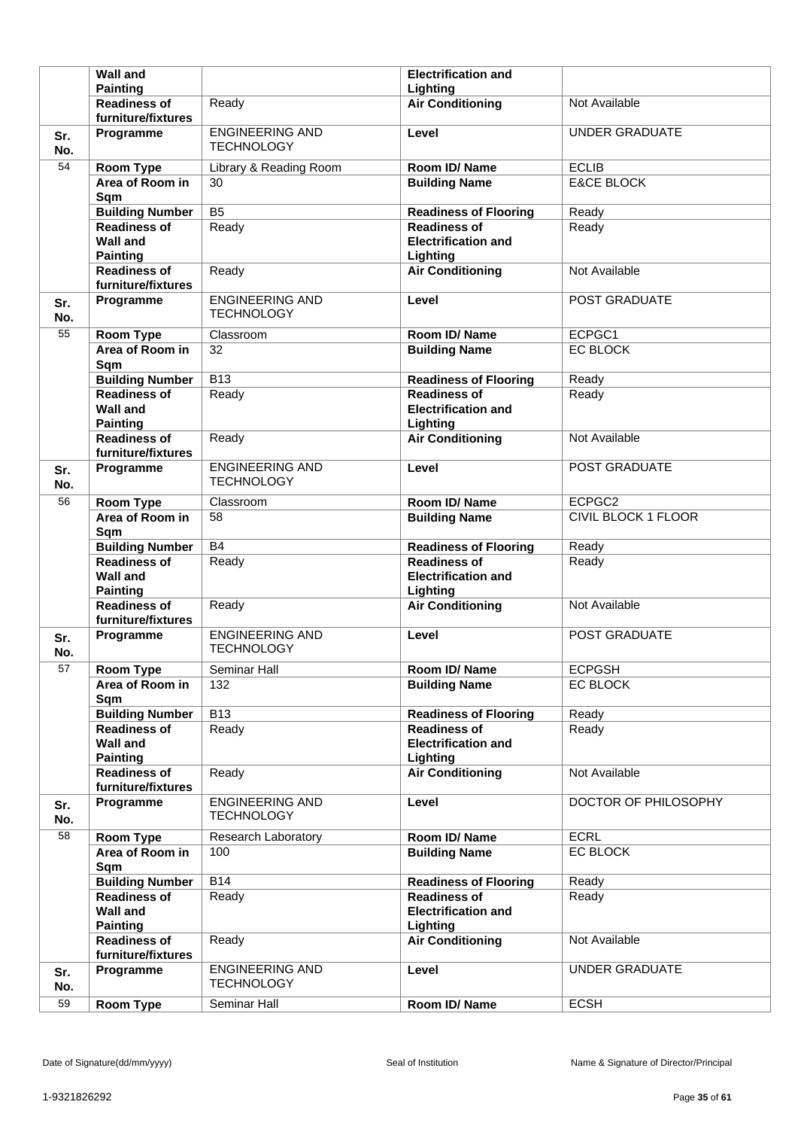|            | <b>Wall and</b>                                              |                                             | <b>Electrification and</b>                                    |                            |
|------------|--------------------------------------------------------------|---------------------------------------------|---------------------------------------------------------------|----------------------------|
|            | <b>Painting</b>                                              |                                             | Lighting                                                      |                            |
|            | <b>Readiness of</b><br>furniture/fixtures                    | Ready                                       | <b>Air Conditioning</b>                                       | Not Available              |
| Sr.<br>No. | Programme                                                    | <b>ENGINEERING AND</b><br><b>TECHNOLOGY</b> | Level                                                         | <b>UNDER GRADUATE</b>      |
| 54         | <b>Room Type</b>                                             | Library & Reading Room                      | Room ID/Name                                                  | <b>ECLIB</b>               |
|            | Area of Room in<br>Sqm                                       | 30                                          | <b>Building Name</b>                                          | <b>E&amp;CE BLOCK</b>      |
|            | <b>Building Number</b>                                       | B <sub>5</sub>                              | <b>Readiness of Flooring</b>                                  | Ready                      |
|            | <b>Readiness of</b><br><b>Wall and</b><br><b>Painting</b>    | Ready                                       | <b>Readiness of</b><br><b>Electrification and</b><br>Lighting | Ready                      |
|            | <b>Readiness of</b><br>furniture/fixtures                    | Ready                                       | <b>Air Conditioning</b>                                       | Not Available              |
| Sr.<br>No. | Programme                                                    | <b>ENGINEERING AND</b><br><b>TECHNOLOGY</b> | Level                                                         | POST GRADUATE              |
| 55         | Room Type                                                    | Classroom                                   | Room ID/Name                                                  | ECPGC1                     |
|            | Area of Room in<br>Sqm                                       | 32                                          | <b>Building Name</b>                                          | <b>EC BLOCK</b>            |
|            | <b>Building Number</b>                                       | $\overline{B13}$                            | <b>Readiness of Flooring</b>                                  | Ready                      |
|            | <b>Readiness of</b><br><b>Wall and</b><br><b>Painting</b>    | Ready                                       | <b>Readiness of</b><br><b>Electrification and</b><br>Lighting | Ready                      |
|            | <b>Readiness of</b><br>furniture/fixtures                    | Ready                                       | <b>Air Conditioning</b>                                       | Not Available              |
| Sr.<br>No. | Programme                                                    | <b>ENGINEERING AND</b><br><b>TECHNOLOGY</b> | Level                                                         | POST GRADUATE              |
| 56         | <b>Room Type</b>                                             | Classroom                                   | Room ID/Name                                                  | ECPGC2                     |
|            | Area of Room in<br>Sqm                                       | 58                                          | <b>Building Name</b>                                          | <b>CIVIL BLOCK 1 FLOOR</b> |
|            |                                                              |                                             |                                                               |                            |
|            | <b>Building Number</b>                                       | <b>B4</b>                                   | <b>Readiness of Flooring</b>                                  | Ready                      |
|            | <b>Readiness of</b><br><b>Wall and</b><br><b>Painting</b>    | Ready                                       | <b>Readiness of</b><br><b>Electrification and</b><br>Lighting | Ready                      |
|            | <b>Readiness of</b><br>furniture/fixtures                    | Ready                                       | <b>Air Conditioning</b>                                       | Not Available              |
| Sr.<br>No. | Programme                                                    | <b>ENGINEERING AND</b><br><b>TECHNOLOGY</b> | Level                                                         | POST GRADUATE              |
| 57         | <b>Room Type</b>                                             | Seminar Hall                                | Room ID/Name                                                  | <b>ECPGSH</b>              |
|            | Area of Room in<br>Sqm                                       | 132                                         | <b>Building Name</b>                                          | EC BLOCK                   |
|            | <b>Building Number</b>                                       | B13                                         | <b>Readiness of Flooring</b>                                  | Ready                      |
|            | <b>Readiness of</b><br><b>Wall and</b><br><b>Painting</b>    | Ready                                       | <b>Readiness of</b><br><b>Electrification and</b><br>Lighting | Ready                      |
|            | <b>Readiness of</b><br>furniture/fixtures                    | Ready                                       | <b>Air Conditioning</b>                                       | Not Available              |
| Sr.<br>No. | Programme                                                    | <b>ENGINEERING AND</b><br><b>TECHNOLOGY</b> | Level                                                         | DOCTOR OF PHILOSOPHY       |
| 58         | Room Type                                                    | Research Laboratory                         | Room ID/Name                                                  | <b>ECRL</b>                |
|            | Area of Room in<br>Sqm                                       | 100                                         | <b>Building Name</b>                                          | EC BLOCK                   |
|            | <b>Building Number</b>                                       | B14                                         | <b>Readiness of Flooring</b>                                  | Ready                      |
|            | <b>Readiness of</b><br><b>Wall and</b>                       | Ready                                       | <b>Readiness of</b><br><b>Electrification and</b>             | Ready                      |
|            | <b>Painting</b><br><b>Readiness of</b><br>furniture/fixtures | Ready                                       | Lighting<br><b>Air Conditioning</b>                           | Not Available              |
| Sr.<br>No. | Programme                                                    | <b>ENGINEERING AND</b><br><b>TECHNOLOGY</b> | Level                                                         | <b>UNDER GRADUATE</b>      |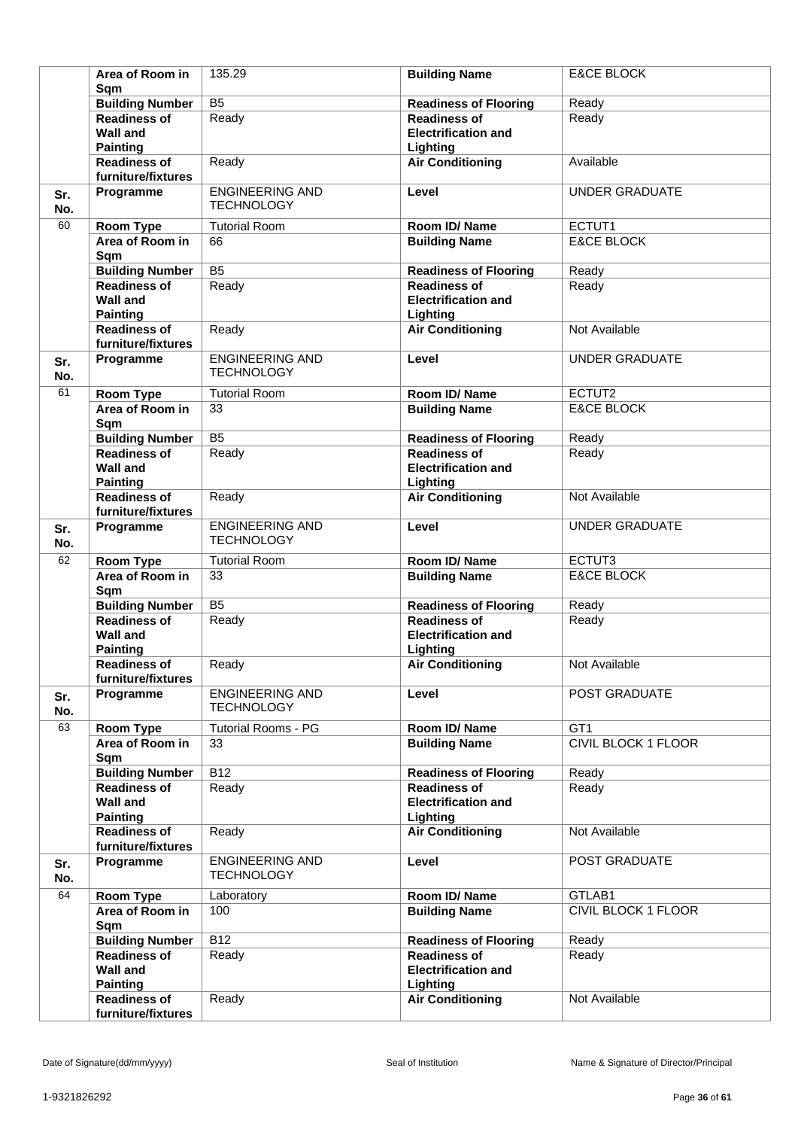|            | Area of Room in<br>Sqm                                       | 135.29                                      | <b>Building Name</b>                                          | <b>E&amp;CE BLOCK</b>      |
|------------|--------------------------------------------------------------|---------------------------------------------|---------------------------------------------------------------|----------------------------|
|            | <b>Building Number</b>                                       | $\overline{B5}$                             | <b>Readiness of Flooring</b>                                  | Ready                      |
|            | <b>Readiness of</b><br><b>Wall and</b>                       | Ready                                       | <b>Readiness of</b><br><b>Electrification and</b>             | Ready                      |
|            | <b>Painting</b><br><b>Readiness of</b><br>furniture/fixtures | Ready                                       | Lighting<br><b>Air Conditioning</b>                           | Available                  |
|            |                                                              | <b>ENGINEERING AND</b>                      | Level                                                         | <b>UNDER GRADUATE</b>      |
| Sr.<br>No. | Programme                                                    | <b>TECHNOLOGY</b>                           |                                                               |                            |
| 60         | <b>Room Type</b>                                             | <b>Tutorial Room</b>                        | Room ID/Name                                                  | ECTUT1                     |
|            | Area of Room in<br>Sqm                                       | 66                                          | <b>Building Name</b>                                          | <b>E&amp;CE BLOCK</b>      |
|            | <b>Building Number</b>                                       | $\overline{B5}$                             | <b>Readiness of Flooring</b>                                  | Ready                      |
|            | <b>Readiness of</b><br><b>Wall and</b><br><b>Painting</b>    | Ready                                       | <b>Readiness of</b><br><b>Electrification and</b><br>Lighting | Ready                      |
|            | <b>Readiness of</b><br>furniture/fixtures                    | Ready                                       | <b>Air Conditioning</b>                                       | Not Available              |
| Sr.<br>No. | Programme                                                    | <b>ENGINEERING AND</b><br><b>TECHNOLOGY</b> | Level                                                         | <b>UNDER GRADUATE</b>      |
| 61         | <b>Room Type</b>                                             | <b>Tutorial Room</b>                        | Room ID/ Name                                                 | ECTUT2                     |
|            | Area of Room in<br>Sqm                                       | 33                                          | <b>Building Name</b>                                          | <b>E&amp;CE BLOCK</b>      |
|            | <b>Building Number</b>                                       | $\overline{B5}$                             | <b>Readiness of Flooring</b>                                  | Ready                      |
|            | <b>Readiness of</b><br><b>Wall and</b>                       | Ready                                       | <b>Readiness of</b><br><b>Electrification and</b>             | Ready                      |
|            | <b>Painting</b>                                              | Ready                                       | Lighting                                                      | Not Available              |
|            | <b>Readiness of</b><br>furniture/fixtures                    |                                             | <b>Air Conditioning</b>                                       |                            |
| Sr.<br>No. | Programme                                                    | <b>ENGINEERING AND</b><br><b>TECHNOLOGY</b> | Level                                                         | <b>UNDER GRADUATE</b>      |
| 62         | <b>Room Type</b>                                             | <b>Tutorial Room</b>                        | Room ID/Name                                                  | ECTUT3                     |
|            | Area of Room in<br>Sqm                                       | 33                                          | <b>Building Name</b>                                          | <b>E&amp;CE BLOCK</b>      |
|            | <b>Building Number</b>                                       | B <sub>5</sub>                              | <b>Readiness of Flooring</b>                                  | Ready                      |
|            | <b>Readiness of</b><br><b>Wall and</b><br><b>Painting</b>    | Ready                                       | <b>Readiness of</b><br><b>Electrification and</b><br>Lighting | Ready                      |
|            | <b>Readiness of</b><br>furniture/fixtures                    | Ready                                       | <b>Air Conditioning</b>                                       | Not Available              |
| Sr.<br>No. | Programme                                                    | <b>ENGINEERING AND</b><br><b>TECHNOLOGY</b> | Level                                                         | POST GRADUATE              |
| 63         | <b>Room Type</b>                                             | <b>Tutorial Rooms - PG</b>                  | Room ID/Name                                                  | GT1                        |
|            | Area of Room in<br>Sqm                                       | 33                                          | <b>Building Name</b>                                          | <b>CIVIL BLOCK 1 FLOOR</b> |
|            | <b>Building Number</b>                                       | <b>B12</b>                                  | <b>Readiness of Flooring</b>                                  | Ready                      |
|            | <b>Readiness of</b><br><b>Wall and</b><br><b>Painting</b>    | Ready                                       | <b>Readiness of</b><br><b>Electrification and</b><br>Lighting | Ready                      |
|            | <b>Readiness of</b><br>furniture/fixtures                    | Ready                                       | <b>Air Conditioning</b>                                       | Not Available              |
| Sr.<br>No. | Programme                                                    | <b>ENGINEERING AND</b><br><b>TECHNOLOGY</b> | Level                                                         | POST GRADUATE              |
| 64         | Room Type                                                    | Laboratory                                  | Room ID/Name                                                  | GTLAB1                     |
|            | Area of Room in<br>Sqm                                       | 100                                         | <b>Building Name</b>                                          | CIVIL BLOCK 1 FLOOR        |
|            | <b>Building Number</b>                                       | <b>B12</b>                                  | <b>Readiness of Flooring</b>                                  | Ready                      |
|            | <b>Readiness of</b><br><b>Wall and</b><br><b>Painting</b>    | Ready                                       | <b>Readiness of</b><br><b>Electrification and</b><br>Lighting | Ready                      |
|            | <b>Readiness of</b><br>furniture/fixtures                    | Ready                                       | <b>Air Conditioning</b>                                       | Not Available              |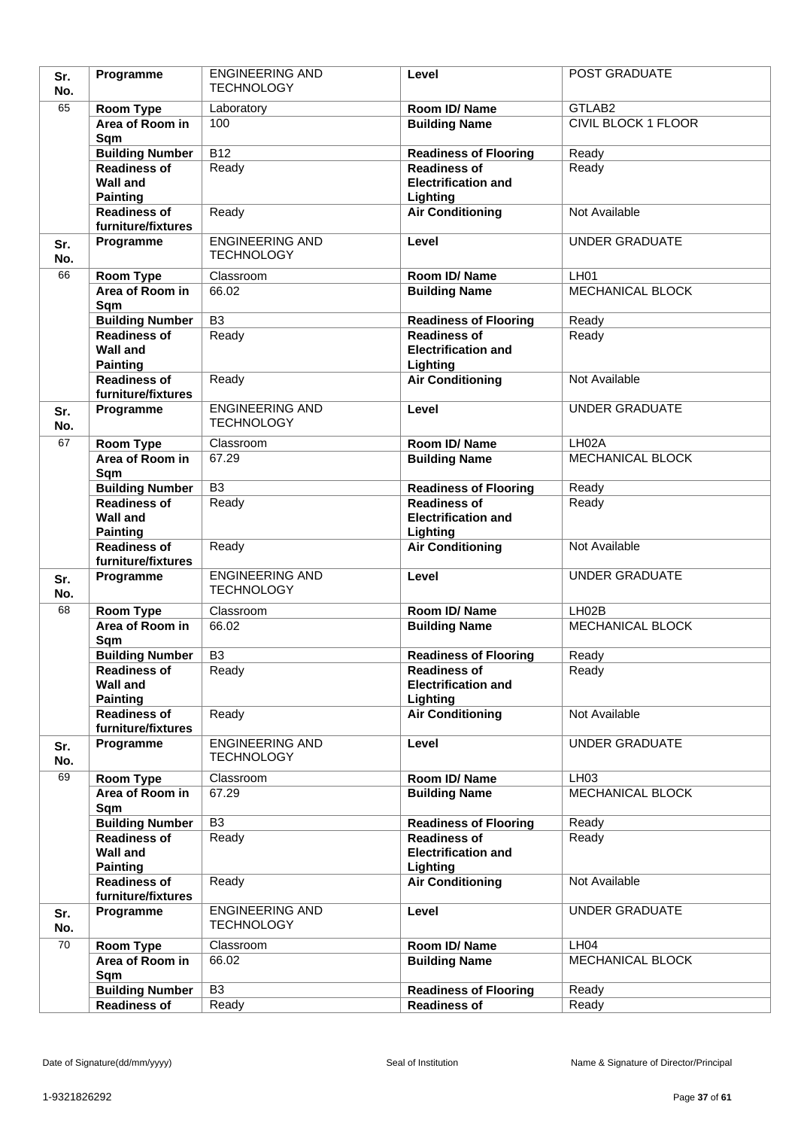| Sr.        | Programme                                     | <b>ENGINEERING AND</b>                      | Level                                             | <b>POST GRADUATE</b>                        |
|------------|-----------------------------------------------|---------------------------------------------|---------------------------------------------------|---------------------------------------------|
| No.        |                                               | <b>TECHNOLOGY</b>                           |                                                   |                                             |
| 65         | Room Type                                     | Laboratory                                  | Room ID/Name                                      | GTLAB <sub>2</sub>                          |
|            | Area of Room in                               | 100                                         | <b>Building Name</b>                              | <b>CIVIL BLOCK 1 FLOOR</b>                  |
|            | Sqm                                           |                                             |                                                   |                                             |
|            | <b>Building Number</b>                        | $\overline{B12}$                            | <b>Readiness of Flooring</b>                      | Ready                                       |
|            | <b>Readiness of</b>                           | Ready                                       | <b>Readiness of</b><br><b>Electrification and</b> | Ready                                       |
|            | <b>Wall and</b><br><b>Painting</b>            |                                             | Lighting                                          |                                             |
|            | <b>Readiness of</b>                           | Ready                                       | <b>Air Conditioning</b>                           | Not Available                               |
|            | furniture/fixtures                            |                                             |                                                   |                                             |
| Sr.        | Programme                                     | <b>ENGINEERING AND</b><br><b>TECHNOLOGY</b> | Level                                             | <b>UNDER GRADUATE</b>                       |
| No.        |                                               |                                             |                                                   |                                             |
| 66         | Room Type<br>Area of Room in                  | Classroom<br>66.02                          | Room ID/Name<br><b>Building Name</b>              | LH <sub>01</sub><br><b>MECHANICAL BLOCK</b> |
|            | Sqm                                           |                                             |                                                   |                                             |
|            | <b>Building Number</b>                        | $\overline{B3}$                             | <b>Readiness of Flooring</b>                      | Ready                                       |
|            | Readiness of                                  | Ready                                       | <b>Readiness of</b>                               | Ready                                       |
|            | <b>Wall and</b>                               |                                             | <b>Electrification and</b>                        |                                             |
|            | <b>Painting</b>                               |                                             | Lighting                                          |                                             |
|            | <b>Readiness of</b>                           | Ready                                       | <b>Air Conditioning</b>                           | Not Available                               |
|            | furniture/fixtures                            |                                             |                                                   |                                             |
| Sr.<br>No. | Programme                                     | <b>ENGINEERING AND</b><br><b>TECHNOLOGY</b> | Level                                             | <b>UNDER GRADUATE</b>                       |
| 67         | Room Type                                     | Classroom                                   | Room ID/Name                                      | LH <sub>02</sub> A                          |
|            | Area of Room in                               | 67.29                                       | <b>Building Name</b>                              | MECHANICAL BLOCK                            |
|            | Sqm                                           |                                             |                                                   |                                             |
|            | <b>Building Number</b>                        | $\overline{B3}$                             | <b>Readiness of Flooring</b>                      | Ready                                       |
|            | <b>Readiness of</b>                           | Ready                                       | <b>Readiness of</b>                               | Ready                                       |
|            | <b>Wall and</b><br><b>Painting</b>            |                                             | <b>Electrification and</b>                        |                                             |
|            | <b>Readiness of</b>                           | Ready                                       | Lighting<br><b>Air Conditioning</b>               | Not Available                               |
|            | furniture/fixtures                            |                                             |                                                   |                                             |
| Sr.        | Programme                                     | <b>ENGINEERING AND</b>                      | Level                                             | <b>UNDER GRADUATE</b>                       |
| No.        |                                               | <b>TECHNOLOGY</b>                           |                                                   |                                             |
| 68         | <b>Room Type</b>                              | Classroom                                   | Room ID/Name                                      | LHO2B                                       |
|            | Area of Room in                               | 66.02                                       | <b>Building Name</b>                              | MECHANICAL BLOCK                            |
|            | Sqm                                           |                                             |                                                   |                                             |
|            | <b>Building Number</b>                        | B <sub>3</sub>                              | <b>Readiness of Flooring</b>                      | Ready                                       |
|            | <b>Readiness of</b><br><b>Wall and</b>        | Ready                                       | Readiness of<br><b>Electrification and</b>        | Ready                                       |
|            | <b>Painting</b>                               |                                             | Lighting                                          |                                             |
|            | Readiness of                                  | Ready                                       | <b>Air Conditioning</b>                           | Not Available                               |
|            | furniture/fixtures                            |                                             |                                                   |                                             |
| Sr.        | Programme                                     | <b>ENGINEERING AND</b>                      | Level                                             | <b>UNDER GRADUATE</b>                       |
| No.        |                                               | <b>TECHNOLOGY</b>                           |                                                   |                                             |
| 69         | <b>Room Type</b>                              | Classroom                                   | Room ID/Name                                      | LH03                                        |
|            | Area of Room in                               | 67.29                                       | <b>Building Name</b>                              | MECHANICAL BLOCK                            |
|            | Sqm                                           | B <sub>3</sub>                              | <b>Readiness of Flooring</b>                      | Ready                                       |
|            | <b>Building Number</b><br><b>Readiness of</b> | Ready                                       | <b>Readiness of</b>                               | Ready                                       |
|            | <b>Wall and</b>                               |                                             | <b>Electrification and</b>                        |                                             |
|            | <b>Painting</b>                               |                                             | Lighting                                          |                                             |
|            | <b>Readiness of</b><br>furniture/fixtures     | Ready                                       | <b>Air Conditioning</b>                           | Not Available                               |
| Sr.        | Programme                                     | <b>ENGINEERING AND</b>                      | Level                                             | <b>UNDER GRADUATE</b>                       |
| No.        |                                               | <b>TECHNOLOGY</b>                           |                                                   |                                             |
| 70         | <b>Room Type</b>                              | Classroom                                   | Room ID/Name                                      | LH04                                        |
|            | Area of Room in<br>Sqm                        | 66.02                                       | <b>Building Name</b>                              | MECHANICAL BLOCK                            |
|            | <b>Building Number</b>                        | B <sub>3</sub>                              | <b>Readiness of Flooring</b>                      | Ready                                       |
|            | <b>Readiness of</b>                           | Ready                                       | <b>Readiness of</b>                               | Ready                                       |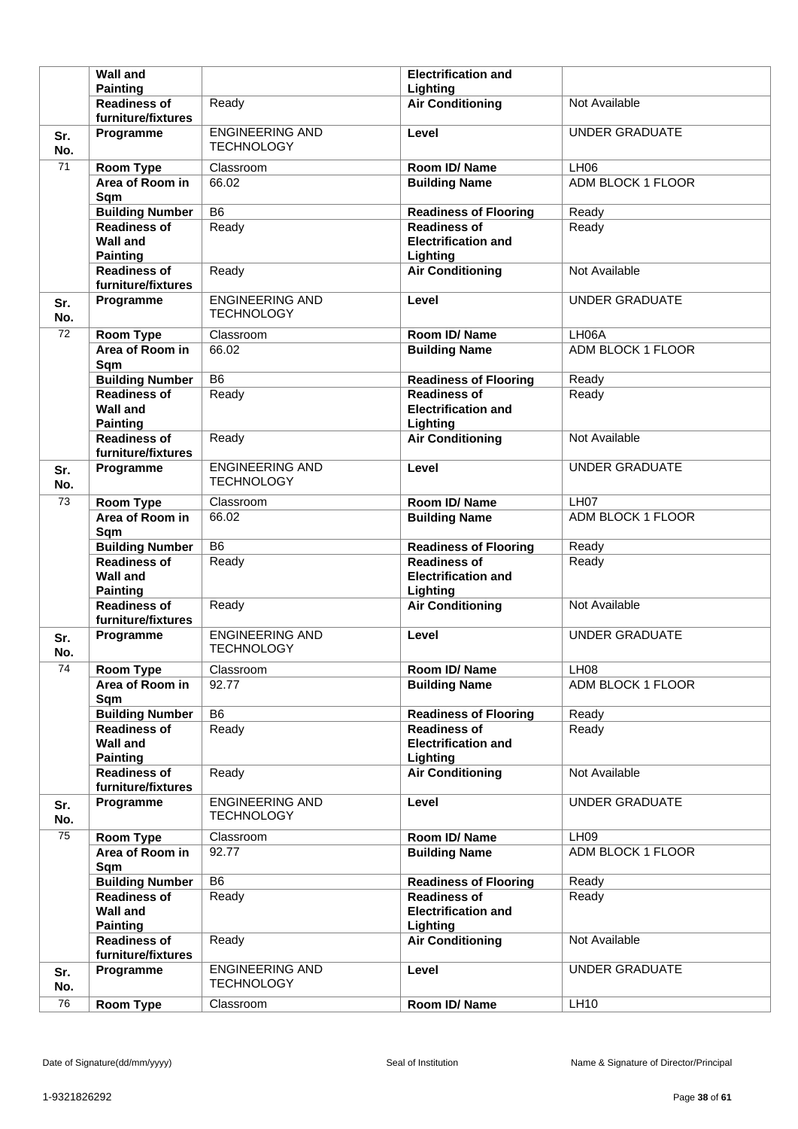|            | <b>Wall and</b>                                              |                                             | <b>Electrification and</b>                                    |                          |
|------------|--------------------------------------------------------------|---------------------------------------------|---------------------------------------------------------------|--------------------------|
|            | <b>Painting</b>                                              |                                             | Lighting                                                      |                          |
|            | <b>Readiness of</b><br>furniture/fixtures                    | Ready                                       | <b>Air Conditioning</b>                                       | Not Available            |
| Sr.<br>No. | Programme                                                    | <b>ENGINEERING AND</b><br><b>TECHNOLOGY</b> | Level                                                         | <b>UNDER GRADUATE</b>    |
| 71         | Room Type                                                    | Classroom                                   | Room ID/Name                                                  | <b>LH06</b>              |
|            | Area of Room in<br>Sqm                                       | 66.02                                       | <b>Building Name</b>                                          | <b>ADM BLOCK 1 FLOOR</b> |
|            | <b>Building Number</b>                                       | B <sub>6</sub>                              | <b>Readiness of Flooring</b>                                  | Ready                    |
|            | <b>Readiness of</b><br><b>Wall and</b><br><b>Painting</b>    | Ready                                       | <b>Readiness of</b><br><b>Electrification and</b><br>Lighting | Ready                    |
|            | <b>Readiness of</b><br>furniture/fixtures                    | Ready                                       | <b>Air Conditioning</b>                                       | Not Available            |
| Sr.<br>No. | Programme                                                    | <b>ENGINEERING AND</b><br><b>TECHNOLOGY</b> | Level                                                         | <b>UNDER GRADUATE</b>    |
| 72         | Room Type                                                    | Classroom                                   | Room ID/Name                                                  | LH06A                    |
|            | Area of Room in<br>Sqm                                       | 66.02                                       | <b>Building Name</b>                                          | ADM BLOCK 1 FLOOR        |
|            | <b>Building Number</b>                                       | B <sub>6</sub>                              | <b>Readiness of Flooring</b>                                  | Ready                    |
|            | <b>Readiness of</b><br><b>Wall and</b><br><b>Painting</b>    | Ready                                       | <b>Readiness of</b><br><b>Electrification and</b><br>Lighting | Ready                    |
|            | <b>Readiness of</b><br>furniture/fixtures                    | Ready                                       | <b>Air Conditioning</b>                                       | Not Available            |
| Sr.<br>No. | Programme                                                    | <b>ENGINEERING AND</b><br><b>TECHNOLOGY</b> | Level                                                         | <b>UNDER GRADUATE</b>    |
| 73         | Room Type                                                    | Classroom                                   | Room ID/Name                                                  | LH <sub>07</sub>         |
|            | Area of Room in<br>Sqm                                       | 66.02                                       | <b>Building Name</b>                                          | ADM BLOCK 1 FLOOR        |
|            |                                                              |                                             |                                                               |                          |
|            | <b>Building Number</b>                                       | B <sub>6</sub>                              | <b>Readiness of Flooring</b>                                  | Ready                    |
|            | <b>Readiness of</b><br><b>Wall and</b><br><b>Painting</b>    | Ready                                       | <b>Readiness of</b><br><b>Electrification and</b><br>Lighting | Ready                    |
|            | <b>Readiness of</b><br>furniture/fixtures                    | Ready                                       | <b>Air Conditioning</b>                                       | Not Available            |
| Sr.<br>No. | Programme                                                    | <b>ENGINEERING AND</b><br><b>TECHNOLOGY</b> | Level                                                         | <b>UNDER GRADUATE</b>    |
| 74         | <b>Room Type</b>                                             | Classroom                                   | Room ID/Name                                                  | LH08                     |
|            | Area of Room in<br>Sqm                                       | 92.77                                       | <b>Building Name</b>                                          | ADM BLOCK 1 FLOOR        |
|            | <b>Building Number</b>                                       | B <sub>6</sub>                              | <b>Readiness of Flooring</b>                                  | Ready                    |
|            | <b>Readiness of</b><br><b>Wall and</b><br><b>Painting</b>    | Ready                                       | <b>Readiness of</b><br><b>Electrification and</b><br>Lighting | Ready                    |
|            | <b>Readiness of</b><br>furniture/fixtures                    | Ready                                       | <b>Air Conditioning</b>                                       | Not Available            |
| Sr.<br>No. | Programme                                                    | <b>ENGINEERING AND</b><br><b>TECHNOLOGY</b> | Level                                                         | <b>UNDER GRADUATE</b>    |
| 75         | Room Type                                                    | Classroom                                   | Room ID/Name                                                  | <b>LH09</b>              |
|            | Area of Room in<br>Sqm                                       | 92.77                                       | <b>Building Name</b>                                          | ADM BLOCK 1 FLOOR        |
|            | <b>Building Number</b>                                       | B <sub>6</sub>                              | <b>Readiness of Flooring</b>                                  | Ready                    |
|            | <b>Readiness of</b><br><b>Wall and</b>                       | Ready                                       | <b>Readiness of</b><br><b>Electrification and</b>             | Ready                    |
|            | <b>Painting</b><br><b>Readiness of</b><br>furniture/fixtures | Ready                                       | Lighting<br><b>Air Conditioning</b>                           | Not Available            |
| Sr.<br>No. | Programme                                                    | <b>ENGINEERING AND</b><br><b>TECHNOLOGY</b> | Level                                                         | <b>UNDER GRADUATE</b>    |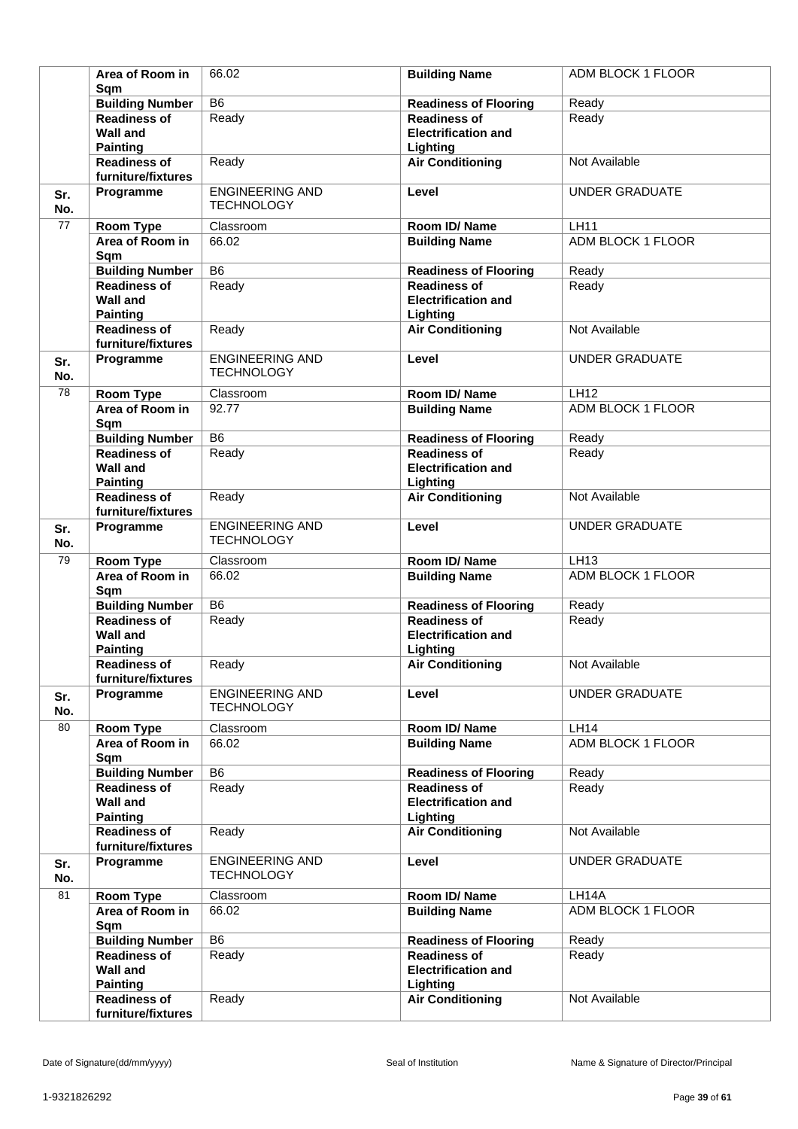|            | Area of Room in<br>Sqm                 | 66.02                                       | <b>Building Name</b>                   | ADM BLOCK 1 FLOOR     |
|------------|----------------------------------------|---------------------------------------------|----------------------------------------|-----------------------|
|            | <b>Building Number</b>                 | $\overline{B6}$                             | <b>Readiness of Flooring</b>           | Ready                 |
|            | <b>Readiness of</b>                    | Ready                                       | <b>Readiness of</b>                    | Ready                 |
|            | <b>Wall and</b><br><b>Painting</b>     |                                             | <b>Electrification and</b><br>Lighting |                       |
|            | <b>Readiness of</b>                    | Ready                                       | <b>Air Conditioning</b>                | Not Available         |
|            | furniture/fixtures                     |                                             |                                        |                       |
| Sr.        | Programme                              | <b>ENGINEERING AND</b>                      | Level                                  | <b>UNDER GRADUATE</b> |
| No.        |                                        | <b>TECHNOLOGY</b>                           |                                        |                       |
| 77         | <b>Room Type</b>                       | Classroom                                   | Room ID/Name                           | <b>LH11</b>           |
|            | Area of Room in<br>Sqm                 | 66.02                                       | <b>Building Name</b>                   | ADM BLOCK 1 FLOOR     |
|            | <b>Building Number</b>                 | $\overline{B6}$                             | <b>Readiness of Flooring</b>           | Ready                 |
|            | <b>Readiness of</b>                    | Ready                                       | <b>Readiness of</b>                    | Ready                 |
|            | <b>Wall and</b>                        |                                             | <b>Electrification and</b>             |                       |
|            | <b>Painting</b>                        |                                             | Lighting                               |                       |
|            | <b>Readiness of</b>                    | Ready                                       | <b>Air Conditioning</b>                | Not Available         |
|            | furniture/fixtures                     |                                             |                                        |                       |
| Sr.<br>No. | Programme                              | <b>ENGINEERING AND</b><br><b>TECHNOLOGY</b> | Level                                  | <b>UNDER GRADUATE</b> |
| 78         | <b>Room Type</b>                       | Classroom                                   | Room ID/Name                           | <b>LH12</b>           |
|            | Area of Room in<br>Sqm                 | 92.77                                       | <b>Building Name</b>                   | ADM BLOCK 1 FLOOR     |
|            | <b>Building Number</b>                 | $\overline{B6}$                             | <b>Readiness of Flooring</b>           | Ready                 |
|            | <b>Readiness of</b>                    | Ready                                       | <b>Readiness of</b>                    | Ready                 |
|            | <b>Wall and</b><br><b>Painting</b>     |                                             | <b>Electrification and</b><br>Lighting |                       |
|            | <b>Readiness of</b>                    | Ready                                       | <b>Air Conditioning</b>                | Not Available         |
|            | furniture/fixtures                     |                                             |                                        |                       |
| Sr.<br>No. | Programme                              | <b>ENGINEERING AND</b><br><b>TECHNOLOGY</b> | Level                                  | <b>UNDER GRADUATE</b> |
| 79         | <b>Room Type</b>                       | Classroom                                   | Room ID/Name                           | LH13                  |
|            | Area of Room in                        | 66.02                                       | <b>Building Name</b>                   | ADM BLOCK 1 FLOOR     |
|            | Sqm                                    |                                             |                                        |                       |
|            | <b>Building Number</b>                 | B <sub>6</sub>                              | <b>Readiness of Flooring</b>           | Ready                 |
|            | <b>Readiness of</b>                    | Ready                                       | <b>Readiness of</b>                    | Ready                 |
|            | <b>Wall and</b>                        |                                             | <b>Electrification and</b>             |                       |
|            | <b>Painting</b><br><b>Readiness of</b> | Ready                                       | Lighting<br><b>Air Conditioning</b>    | Not Available         |
|            | furniture/fixtures                     |                                             |                                        |                       |
| Sr.        | Programme                              | <b>ENGINEERING AND</b>                      | Level                                  | <b>UNDER GRADUATE</b> |
| No.        |                                        | <b>TECHNOLOGY</b>                           |                                        |                       |
| 80         | Room Type                              | Classroom                                   | Room ID/Name                           | <b>LH14</b>           |
|            | Area of Room in                        | 66.02                                       | <b>Building Name</b>                   | ADM BLOCK 1 FLOOR     |
|            | Sqm<br><b>Building Number</b>          | B <sub>6</sub>                              | <b>Readiness of Flooring</b>           | Ready                 |
|            | <b>Readiness of</b>                    | Ready                                       | <b>Readiness of</b>                    | Ready                 |
|            | <b>Wall and</b>                        |                                             | <b>Electrification and</b>             |                       |
|            | <b>Painting</b>                        |                                             | Lighting                               |                       |
|            | <b>Readiness of</b>                    | Ready                                       | <b>Air Conditioning</b>                | Not Available         |
|            | furniture/fixtures                     |                                             |                                        |                       |
| Sr.<br>No. | Programme                              | <b>ENGINEERING AND</b><br><b>TECHNOLOGY</b> | Level                                  | <b>UNDER GRADUATE</b> |
| 81         | Room Type                              | Classroom                                   | Room ID/Name                           | LH14A                 |
|            | Area of Room in                        | 66.02                                       | <b>Building Name</b>                   | ADM BLOCK 1 FLOOR     |
|            | Sqm                                    |                                             |                                        |                       |
|            | <b>Building Number</b>                 | B <sub>6</sub>                              | <b>Readiness of Flooring</b>           | Ready                 |
|            | <b>Readiness of</b>                    | Ready                                       | <b>Readiness of</b>                    | Ready                 |
|            | <b>Wall and</b>                        |                                             | <b>Electrification and</b>             |                       |
|            | <b>Painting</b>                        |                                             | Lighting                               |                       |
|            | <b>Readiness of</b>                    | Ready                                       | <b>Air Conditioning</b>                | Not Available         |
|            | furniture/fixtures                     |                                             |                                        |                       |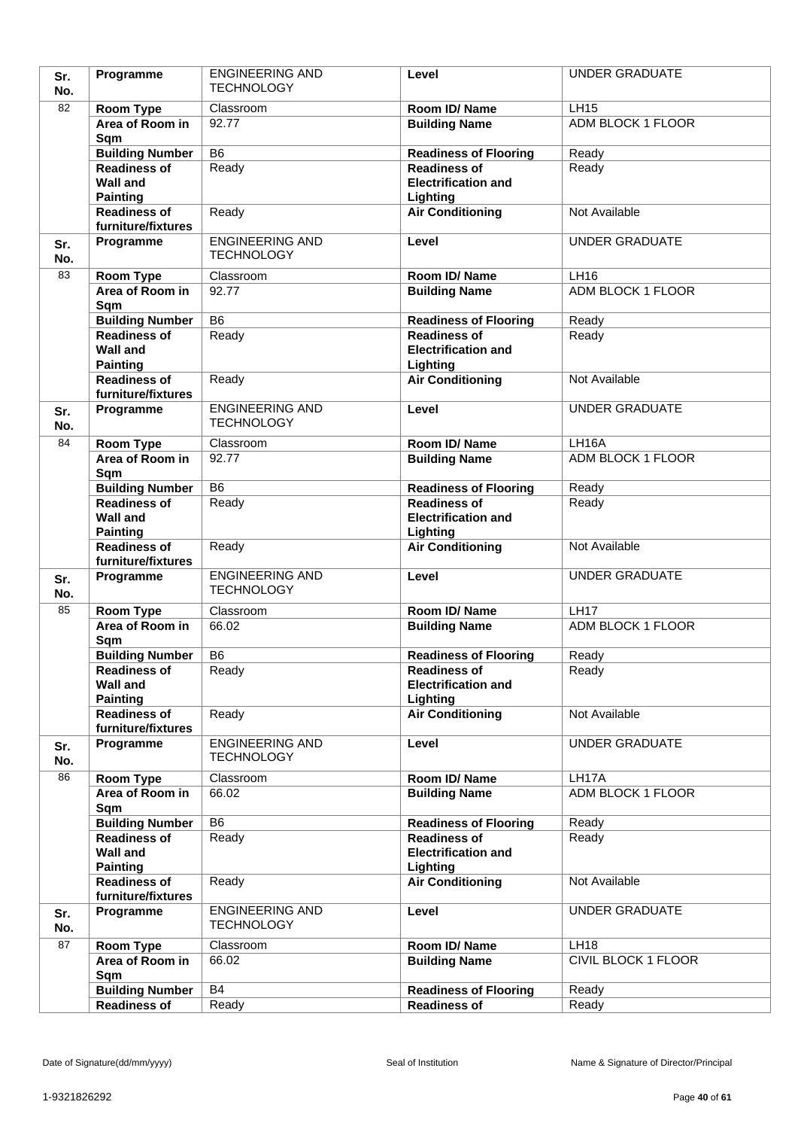| Sr.        | Programme                                 | <b>ENGINEERING AND</b> | Level                                  | <b>UNDER GRADUATE</b>    |
|------------|-------------------------------------------|------------------------|----------------------------------------|--------------------------|
| No.        |                                           | <b>TECHNOLOGY</b>      |                                        |                          |
| 82         | Room Type                                 | Classroom              | Room ID/Name                           | <b>LH15</b>              |
|            | Area of Room in                           | 92.77                  | <b>Building Name</b>                   | <b>ADM BLOCK 1 FLOOR</b> |
|            | Sqm                                       |                        |                                        |                          |
|            | <b>Building Number</b>                    | $\overline{B6}$        | <b>Readiness of Flooring</b>           | Ready                    |
|            | <b>Readiness of</b>                       | Ready                  | <b>Readiness of</b>                    | Ready                    |
|            | <b>Wall and</b>                           |                        | <b>Electrification and</b>             |                          |
|            | <b>Painting</b><br><b>Readiness of</b>    | Ready                  | Lighting<br><b>Air Conditioning</b>    | Not Available            |
|            | furniture/fixtures                        |                        |                                        |                          |
| Sr.        | Programme                                 | <b>ENGINEERING AND</b> | Level                                  | <b>UNDER GRADUATE</b>    |
| No.        |                                           | <b>TECHNOLOGY</b>      |                                        |                          |
| 83         | Room Type                                 | Classroom              | Room ID/Name                           | LH16                     |
|            | Area of Room in                           | 92.77                  | <b>Building Name</b>                   | <b>ADM BLOCK 1 FLOOR</b> |
|            | Sqm                                       |                        |                                        |                          |
|            | <b>Building Number</b>                    | $\overline{B6}$        | <b>Readiness of Flooring</b>           | Ready                    |
|            | Readiness of                              | Ready                  | <b>Readiness of</b>                    | Ready                    |
|            | <b>Wall and</b>                           |                        | <b>Electrification and</b>             |                          |
|            | <b>Painting</b>                           |                        | Lighting                               |                          |
|            | <b>Readiness of</b><br>furniture/fixtures | Ready                  | <b>Air Conditioning</b>                | Not Available            |
|            | Programme                                 | <b>ENGINEERING AND</b> | Level                                  | <b>UNDER GRADUATE</b>    |
| Sr.<br>No. |                                           | <b>TECHNOLOGY</b>      |                                        |                          |
| 84         | Room Type                                 | Classroom              | Room ID/Name                           | LH16A                    |
|            | Area of Room in                           | 92.77                  | <b>Building Name</b>                   | ADM BLOCK 1 FLOOR        |
|            | Sqm                                       |                        |                                        |                          |
|            | <b>Building Number</b>                    | B <sub>6</sub>         | <b>Readiness of Flooring</b>           | Ready                    |
|            | <b>Readiness of</b>                       | Ready                  | <b>Readiness of</b>                    | Ready                    |
|            | <b>Wall and</b>                           |                        | <b>Electrification and</b>             |                          |
|            | <b>Painting</b>                           |                        | Lighting                               |                          |
|            | <b>Readiness of</b><br>furniture/fixtures | Ready                  | <b>Air Conditioning</b>                | Not Available            |
| Sr.        | Programme                                 | <b>ENGINEERING AND</b> | Level                                  | <b>UNDER GRADUATE</b>    |
| No.        |                                           | <b>TECHNOLOGY</b>      |                                        |                          |
| 85         | <b>Room Type</b>                          | Classroom              | Room ID/Name                           | LH17                     |
|            | Area of Room in                           | 66.02                  | <b>Building Name</b>                   | ADM BLOCK 1 FLOOR        |
|            | Sqm                                       |                        |                                        |                          |
|            | <b>Building Number</b>                    | B <sub>6</sub>         | <b>Readiness of Flooring</b>           | Ready                    |
|            | <b>Readiness of</b>                       | Ready                  | Readiness of                           | Ready                    |
|            | <b>Wall and</b>                           |                        | <b>Electrification and</b>             |                          |
|            | <b>Painting</b><br>Readiness of           | Ready                  | Lighting<br><b>Air Conditioning</b>    | Not Available            |
|            | furniture/fixtures                        |                        |                                        |                          |
| Sr.        | Programme                                 | <b>ENGINEERING AND</b> | Level                                  | <b>UNDER GRADUATE</b>    |
| No.        |                                           | <b>TECHNOLOGY</b>      |                                        |                          |
| 86         | <b>Room Type</b>                          | Classroom              | Room ID/Name                           | LH17A                    |
|            | Area of Room in                           | 66.02                  | <b>Building Name</b>                   | <b>ADM BLOCK 1 FLOOR</b> |
|            | Sqm                                       |                        |                                        |                          |
|            | <b>Building Number</b>                    | B <sub>6</sub>         | <b>Readiness of Flooring</b>           | Ready                    |
|            | <b>Readiness of</b>                       | Ready                  | <b>Readiness of</b>                    | Ready                    |
|            | <b>Wall and</b><br><b>Painting</b>        |                        | <b>Electrification and</b><br>Lighting |                          |
|            | <b>Readiness of</b>                       | Ready                  | <b>Air Conditioning</b>                | Not Available            |
|            | furniture/fixtures                        |                        |                                        |                          |
| Sr.        | Programme                                 | <b>ENGINEERING AND</b> | Level                                  | <b>UNDER GRADUATE</b>    |
| No.        |                                           | <b>TECHNOLOGY</b>      |                                        |                          |
| 87         | <b>Room Type</b>                          | Classroom              | Room ID/Name                           | <b>LH18</b>              |
|            | Area of Room in                           | 66.02                  | <b>Building Name</b>                   | CIVIL BLOCK 1 FLOOR      |
|            | Sqm                                       |                        |                                        |                          |
|            | <b>Building Number</b>                    | <b>B4</b>              | <b>Readiness of Flooring</b>           | Ready                    |
|            | <b>Readiness of</b>                       | Ready                  | <b>Readiness of</b>                    | Ready                    |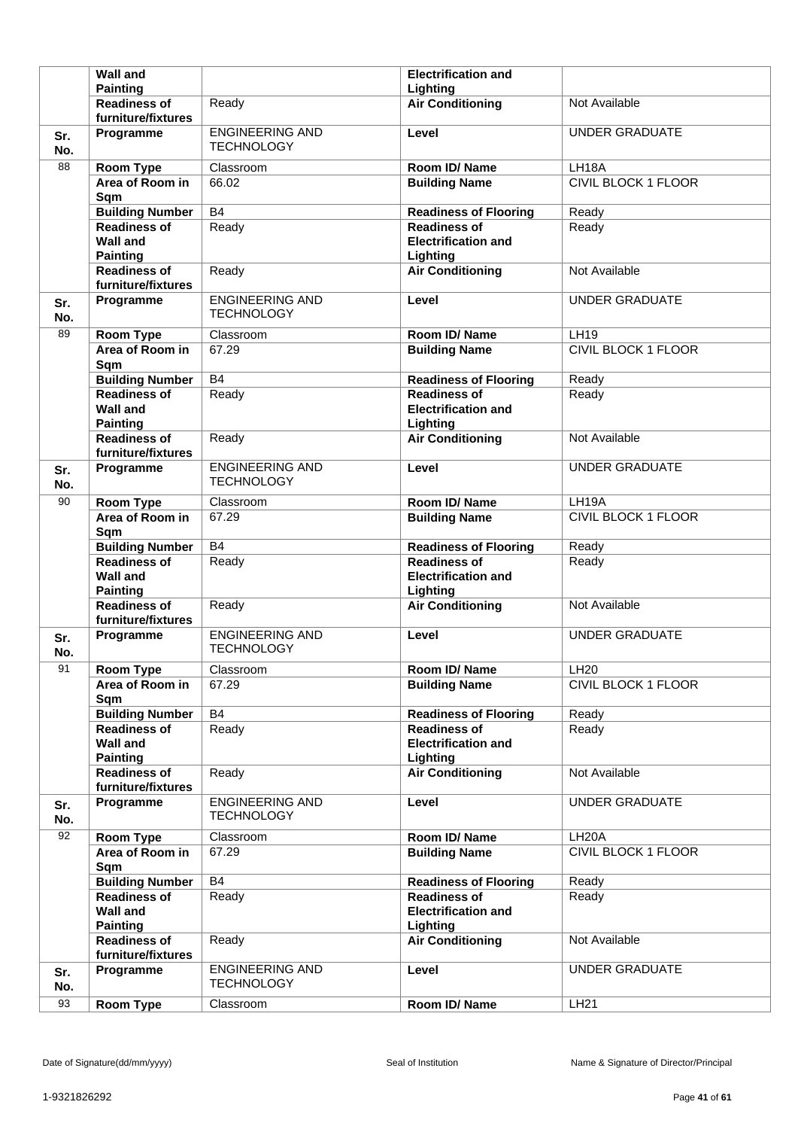|            | <b>Wall and</b>                                              |                                             | <b>Electrification and</b>                                    |                            |
|------------|--------------------------------------------------------------|---------------------------------------------|---------------------------------------------------------------|----------------------------|
|            | <b>Painting</b>                                              |                                             | Lighting                                                      |                            |
|            | <b>Readiness of</b><br>furniture/fixtures                    | Ready                                       | <b>Air Conditioning</b>                                       | Not Available              |
| Sr.<br>No. | Programme                                                    | <b>ENGINEERING AND</b><br><b>TECHNOLOGY</b> | Level                                                         | <b>UNDER GRADUATE</b>      |
| 88         | <b>Room Type</b>                                             | Classroom                                   | Room ID/Name                                                  | LH18A                      |
|            | Area of Room in<br>Sqm                                       | 66.02                                       | <b>Building Name</b>                                          | <b>CIVIL BLOCK 1 FLOOR</b> |
|            | <b>Building Number</b>                                       | <b>B4</b>                                   | <b>Readiness of Flooring</b>                                  | Ready                      |
|            | <b>Readiness of</b><br><b>Wall and</b><br><b>Painting</b>    | Ready                                       | <b>Readiness of</b><br><b>Electrification and</b><br>Lighting | Ready                      |
|            | <b>Readiness of</b><br>furniture/fixtures                    | Ready                                       | <b>Air Conditioning</b>                                       | Not Available              |
| Sr.<br>No. | Programme                                                    | <b>ENGINEERING AND</b><br><b>TECHNOLOGY</b> | Level                                                         | <b>UNDER GRADUATE</b>      |
| 89         | <b>Room Type</b>                                             | Classroom                                   | Room ID/Name                                                  | <b>LH19</b>                |
|            | Area of Room in<br>Sqm                                       | 67.29                                       | <b>Building Name</b>                                          | <b>CIVIL BLOCK 1 FLOOR</b> |
|            | <b>Building Number</b>                                       | <b>B4</b>                                   | <b>Readiness of Flooring</b>                                  | Ready                      |
|            | <b>Readiness of</b><br><b>Wall and</b><br><b>Painting</b>    | Ready                                       | <b>Readiness of</b><br><b>Electrification and</b><br>Lighting | Ready                      |
|            | <b>Readiness of</b><br>furniture/fixtures                    | Ready                                       | <b>Air Conditioning</b>                                       | Not Available              |
| Sr.<br>No. | Programme                                                    | <b>ENGINEERING AND</b><br><b>TECHNOLOGY</b> | Level                                                         | <b>UNDER GRADUATE</b>      |
| 90         | Room Type                                                    | Classroom                                   | Room ID/Name                                                  | LH19A                      |
|            | Area of Room in<br>Sqm                                       | 67.29                                       | <b>Building Name</b>                                          | <b>CIVIL BLOCK 1 FLOOR</b> |
|            |                                                              |                                             |                                                               |                            |
|            | <b>Building Number</b>                                       | <b>B4</b>                                   | <b>Readiness of Flooring</b>                                  | Ready                      |
|            | <b>Readiness of</b><br><b>Wall and</b><br><b>Painting</b>    | Ready                                       | <b>Readiness of</b><br><b>Electrification and</b><br>Lighting | Ready                      |
|            | <b>Readiness of</b><br>furniture/fixtures                    | Ready                                       | <b>Air Conditioning</b>                                       | Not Available              |
| Sr.<br>No. | Programme                                                    | <b>ENGINEERING AND</b><br><b>TECHNOLOGY</b> | Level                                                         | <b>UNDER GRADUATE</b>      |
| 91         | <b>Room Type</b>                                             | Classroom                                   | Room ID/Name                                                  | LH20                       |
|            | Area of Room in<br>Sqm                                       | 67.29                                       | <b>Building Name</b>                                          | CIVIL BLOCK 1 FLOOR        |
|            | <b>Building Number</b>                                       | B4                                          | <b>Readiness of Flooring</b>                                  | Ready                      |
|            | <b>Readiness of</b><br><b>Wall and</b><br><b>Painting</b>    | Ready                                       | <b>Readiness of</b><br><b>Electrification and</b><br>Lighting | Ready                      |
|            | <b>Readiness of</b><br>furniture/fixtures                    | Ready                                       | <b>Air Conditioning</b>                                       | Not Available              |
| Sr.<br>No. | Programme                                                    | <b>ENGINEERING AND</b><br><b>TECHNOLOGY</b> | Level                                                         | <b>UNDER GRADUATE</b>      |
| 92         | Room Type                                                    | Classroom                                   | Room ID/Name                                                  | LH <sub>20</sub> A         |
|            | Area of Room in<br>Sqm                                       | 67.29                                       | <b>Building Name</b>                                          | CIVIL BLOCK 1 FLOOR        |
|            | <b>Building Number</b>                                       | B4                                          | <b>Readiness of Flooring</b>                                  | Ready                      |
|            | <b>Readiness of</b><br>Wall and                              | Ready                                       | <b>Readiness of</b><br><b>Electrification and</b>             | Ready                      |
|            | <b>Painting</b><br><b>Readiness of</b><br>furniture/fixtures | Ready                                       | Lighting<br><b>Air Conditioning</b>                           | Not Available              |
| Sr.<br>No. | Programme                                                    | <b>ENGINEERING AND</b><br><b>TECHNOLOGY</b> | Level                                                         | <b>UNDER GRADUATE</b>      |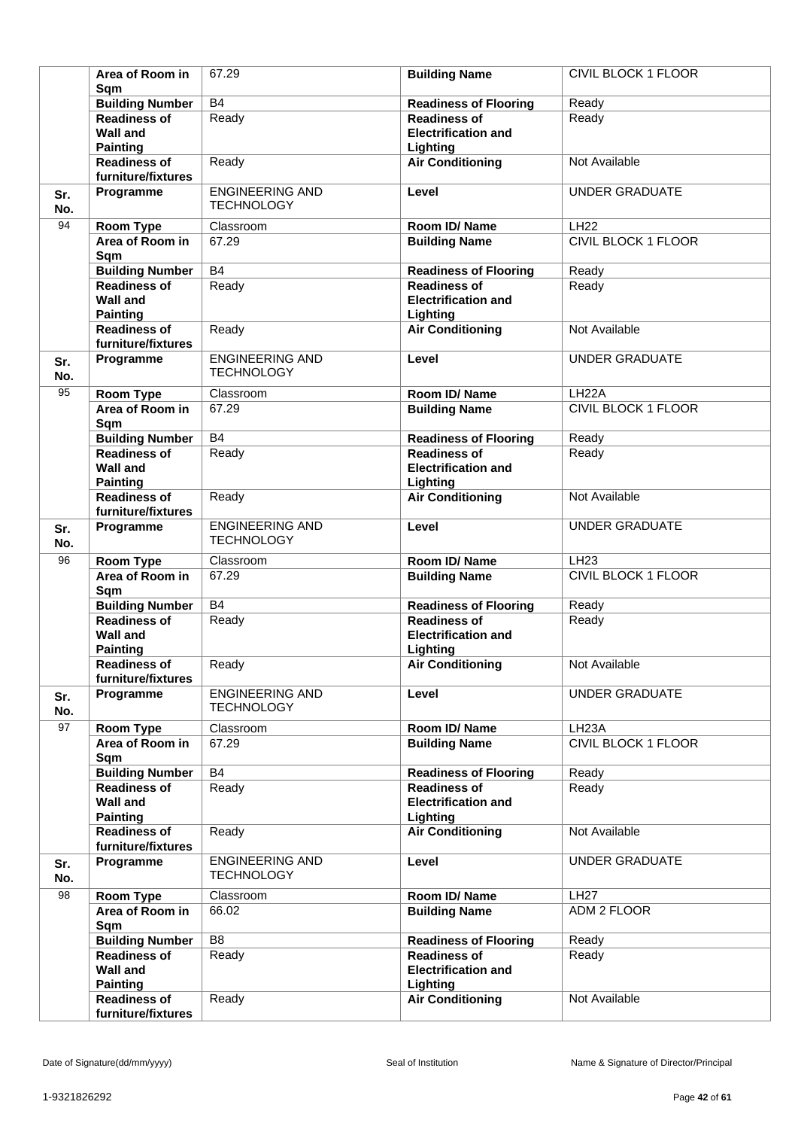|            | Area of Room in<br>Sqm                                       | 67.29                                       | <b>Building Name</b>                                          | CIVIL BLOCK 1 FLOOR        |
|------------|--------------------------------------------------------------|---------------------------------------------|---------------------------------------------------------------|----------------------------|
|            | <b>Building Number</b>                                       | B4                                          | <b>Readiness of Flooring</b>                                  | Ready                      |
|            | <b>Readiness of</b><br><b>Wall and</b>                       | Ready                                       | <b>Readiness of</b><br><b>Electrification and</b>             | Ready                      |
|            | <b>Painting</b><br><b>Readiness of</b><br>furniture/fixtures | Ready                                       | Lighting<br><b>Air Conditioning</b>                           | Not Available              |
| Sr.<br>No. | Programme                                                    | <b>ENGINEERING AND</b><br><b>TECHNOLOGY</b> | Level                                                         | <b>UNDER GRADUATE</b>      |
| 94         | Room Type                                                    | Classroom                                   | Room ID/Name                                                  | <b>LH22</b>                |
|            | Area of Room in<br>Sqm                                       | 67.29                                       | <b>Building Name</b>                                          | <b>CIVIL BLOCK 1 FLOOR</b> |
|            | <b>Building Number</b>                                       | B4                                          | <b>Readiness of Flooring</b>                                  | Ready                      |
|            | <b>Readiness of</b><br><b>Wall and</b><br><b>Painting</b>    | Ready                                       | <b>Readiness of</b><br><b>Electrification and</b><br>Lighting | Ready                      |
|            | <b>Readiness of</b><br>furniture/fixtures                    | Ready                                       | <b>Air Conditioning</b>                                       | Not Available              |
| Sr.<br>No. | Programme                                                    | <b>ENGINEERING AND</b><br><b>TECHNOLOGY</b> | Level                                                         | <b>UNDER GRADUATE</b>      |
| 95         | <b>Room Type</b>                                             | Classroom                                   | Room ID/Name                                                  | LH <sub>22</sub> A         |
|            | Area of Room in<br>Sqm                                       | 67.29                                       | <b>Building Name</b>                                          | <b>CIVIL BLOCK 1 FLOOR</b> |
|            | <b>Building Number</b>                                       | B4                                          | <b>Readiness of Flooring</b>                                  | Ready                      |
|            | <b>Readiness of</b><br><b>Wall and</b><br><b>Painting</b>    | Ready                                       | <b>Readiness of</b><br><b>Electrification and</b><br>Lighting | Ready                      |
|            | <b>Readiness of</b><br>furniture/fixtures                    | Ready                                       | <b>Air Conditioning</b>                                       | Not Available              |
| Sr.<br>No. | Programme                                                    | <b>ENGINEERING AND</b><br><b>TECHNOLOGY</b> | Level                                                         | <b>UNDER GRADUATE</b>      |
| 96         | Room Type                                                    | Classroom                                   | Room ID/Name                                                  | LH23                       |
|            | Area of Room in<br>Sqm                                       | 67.29                                       | <b>Building Name</b>                                          | <b>CIVIL BLOCK 1 FLOOR</b> |
|            | <b>Building Number</b>                                       | <b>B4</b>                                   | <b>Readiness of Flooring</b>                                  | Ready                      |
|            | <b>Readiness of</b><br><b>Wall and</b><br><b>Painting</b>    | Ready                                       | <b>Readiness of</b><br><b>Electrification and</b><br>Lighting | Ready                      |
|            | <b>Readiness of</b><br>furniture/fixtures                    | Ready                                       | <b>Air Conditioning</b>                                       | Not Available              |
| Sr.<br>No. | Programme                                                    | <b>ENGINEERING AND</b><br><b>TECHNOLOGY</b> | Level                                                         | <b>UNDER GRADUATE</b>      |
| 97         | Room Type                                                    | Classroom                                   | Room ID/Name                                                  | LH <sub>23</sub> A         |
|            | Area of Room in<br>Sqm                                       | 67.29                                       | <b>Building Name</b>                                          | <b>CIVIL BLOCK 1 FLOOR</b> |
|            | <b>Building Number</b>                                       | <b>B4</b>                                   | <b>Readiness of Flooring</b>                                  | Ready                      |
|            | <b>Readiness of</b><br><b>Wall and</b><br><b>Painting</b>    | Ready                                       | <b>Readiness of</b><br><b>Electrification and</b><br>Lighting | Ready                      |
|            | <b>Readiness of</b><br>furniture/fixtures                    | Ready                                       | <b>Air Conditioning</b>                                       | Not Available              |
| Sr.<br>No. | Programme                                                    | <b>ENGINEERING AND</b><br><b>TECHNOLOGY</b> | Level                                                         | <b>UNDER GRADUATE</b>      |
| 98         | Room Type                                                    | Classroom                                   | Room ID/Name                                                  | <b>LH27</b>                |
|            | Area of Room in<br>Sqm                                       | 66.02                                       | <b>Building Name</b>                                          | ADM 2 FLOOR                |
|            | <b>Building Number</b>                                       | B <sub>8</sub>                              | <b>Readiness of Flooring</b>                                  | Ready                      |
|            | <b>Readiness of</b><br><b>Wall and</b><br><b>Painting</b>    | Ready                                       | <b>Readiness of</b><br><b>Electrification and</b><br>Lighting | Ready                      |
|            | <b>Readiness of</b><br>furniture/fixtures                    | Ready                                       | <b>Air Conditioning</b>                                       | Not Available              |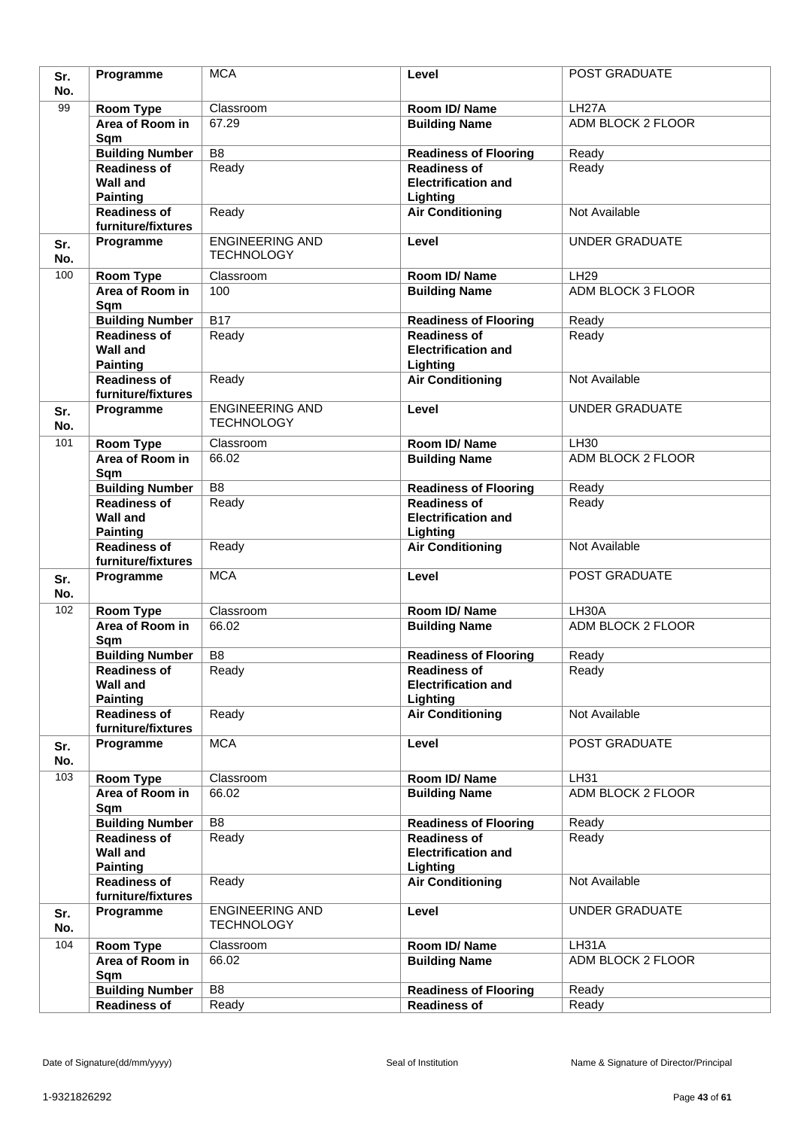| Sr.<br>No. | Programme                                 | <b>MCA</b>             | Level                                  | POST GRADUATE                                  |
|------------|-------------------------------------------|------------------------|----------------------------------------|------------------------------------------------|
| 99         |                                           | Classroom              |                                        |                                                |
|            | Room Type<br>Area of Room in              | 67.29                  | Room ID/Name<br><b>Building Name</b>   | LH <sub>27</sub> A<br><b>ADM BLOCK 2 FLOOR</b> |
|            | Sqm                                       |                        |                                        |                                                |
|            | <b>Building Number</b>                    | $\overline{B8}$        | <b>Readiness of Flooring</b>           | Ready                                          |
|            | <b>Readiness of</b>                       | Ready                  | <b>Readiness of</b>                    | Ready                                          |
|            | <b>Wall and</b>                           |                        | <b>Electrification and</b>             |                                                |
|            | <b>Painting</b>                           |                        | Lighting                               |                                                |
|            | <b>Readiness of</b>                       | Ready                  | <b>Air Conditioning</b>                | Not Available                                  |
|            | furniture/fixtures                        | <b>ENGINEERING AND</b> |                                        |                                                |
| Sr.<br>No. | Programme                                 | <b>TECHNOLOGY</b>      | Level                                  | <b>UNDER GRADUATE</b>                          |
| 100        | Room Type                                 | Classroom              | Room ID/Name                           | LH29                                           |
|            | Area of Room in                           | 100                    | <b>Building Name</b>                   | ADM BLOCK 3 FLOOR                              |
|            | Sqm                                       |                        |                                        |                                                |
|            | <b>Building Number</b>                    | $\overline{B17}$       | <b>Readiness of Flooring</b>           | Ready                                          |
|            | <b>Readiness of</b>                       | Ready                  | <b>Readiness of</b>                    | Ready                                          |
|            | <b>Wall and</b>                           |                        | <b>Electrification and</b>             |                                                |
|            | <b>Painting</b>                           |                        | Lighting                               |                                                |
|            | <b>Readiness of</b>                       | Ready                  | <b>Air Conditioning</b>                | Not Available                                  |
|            | furniture/fixtures                        | <b>ENGINEERING AND</b> |                                        | <b>UNDER GRADUATE</b>                          |
| Sr.<br>No. | Programme                                 | <b>TECHNOLOGY</b>      | Level                                  |                                                |
| 101        | Room Type                                 | Classroom              | Room ID/Name                           | LH30                                           |
|            | Area of Room in<br>Sqm                    | 66.02                  | <b>Building Name</b>                   | <b>ADM BLOCK 2 FLOOR</b>                       |
|            | <b>Building Number</b>                    | $\overline{B8}$        | <b>Readiness of Flooring</b>           | Ready                                          |
|            | <b>Readiness of</b>                       | Ready                  | <b>Readiness of</b>                    | Ready                                          |
|            | <b>Wall and</b><br><b>Painting</b>        |                        | <b>Electrification and</b><br>Lighting |                                                |
|            | <b>Readiness of</b><br>furniture/fixtures | Ready                  | <b>Air Conditioning</b>                | Not Available                                  |
| Sr.        | Programme                                 | <b>MCA</b>             | Level                                  | POST GRADUATE                                  |
| No.        |                                           |                        |                                        |                                                |
| 102        | Room Type                                 | Classroom              | Room ID/Name                           | LH30A                                          |
|            | Area of Room in                           | 66.02                  | <b>Building Name</b>                   | ADM BLOCK 2 FLOOR                              |
|            | Sqm                                       |                        |                                        |                                                |
|            | <b>Building Number</b>                    | B <sub>8</sub>         | <b>Readiness of Flooring</b>           | Ready                                          |
|            | <b>Readiness of</b>                       | Ready                  | <b>Readiness of</b>                    | Ready                                          |
|            | <b>Wall and</b>                           |                        | <b>Electrification and</b>             |                                                |
|            | <b>Painting</b><br><b>Readiness of</b>    |                        | Lighting                               | Not Available                                  |
|            | furniture/fixtures                        | Ready                  | <b>Air Conditioning</b>                |                                                |
| Sr.        | Programme                                 | <b>MCA</b>             | Level                                  | POST GRADUATE                                  |
| No.        |                                           |                        |                                        |                                                |
| 103        | Room Type                                 | Classroom              | Room ID/Name                           | LH31                                           |
|            | Area of Room in                           | 66.02                  | <b>Building Name</b>                   | <b>ADM BLOCK 2 FLOOR</b>                       |
|            | Sqm                                       |                        |                                        |                                                |
|            | <b>Building Number</b>                    | B <sub>8</sub>         | <b>Readiness of Flooring</b>           | Ready                                          |
|            | <b>Readiness of</b>                       | Ready                  | <b>Readiness of</b>                    | Ready                                          |
|            | <b>Wall and</b>                           |                        | <b>Electrification and</b>             |                                                |
|            | <b>Painting</b>                           |                        | Lighting                               |                                                |
|            | <b>Readiness of</b><br>furniture/fixtures | Ready                  | <b>Air Conditioning</b>                | Not Available                                  |
|            | Programme                                 | <b>ENGINEERING AND</b> | Level                                  | <b>UNDER GRADUATE</b>                          |
| Sr.<br>No. |                                           | <b>TECHNOLOGY</b>      |                                        |                                                |
| 104        | Room Type                                 | Classroom              | Room ID/Name                           | LH31A                                          |
|            | Area of Room in<br>Sqm                    | 66.02                  | <b>Building Name</b>                   | ADM BLOCK 2 FLOOR                              |
|            | <b>Building Number</b>                    | B <sub>8</sub>         | <b>Readiness of Flooring</b>           | Ready                                          |
|            | <b>Readiness of</b>                       | Ready                  | <b>Readiness of</b>                    | Ready                                          |
|            |                                           |                        |                                        |                                                |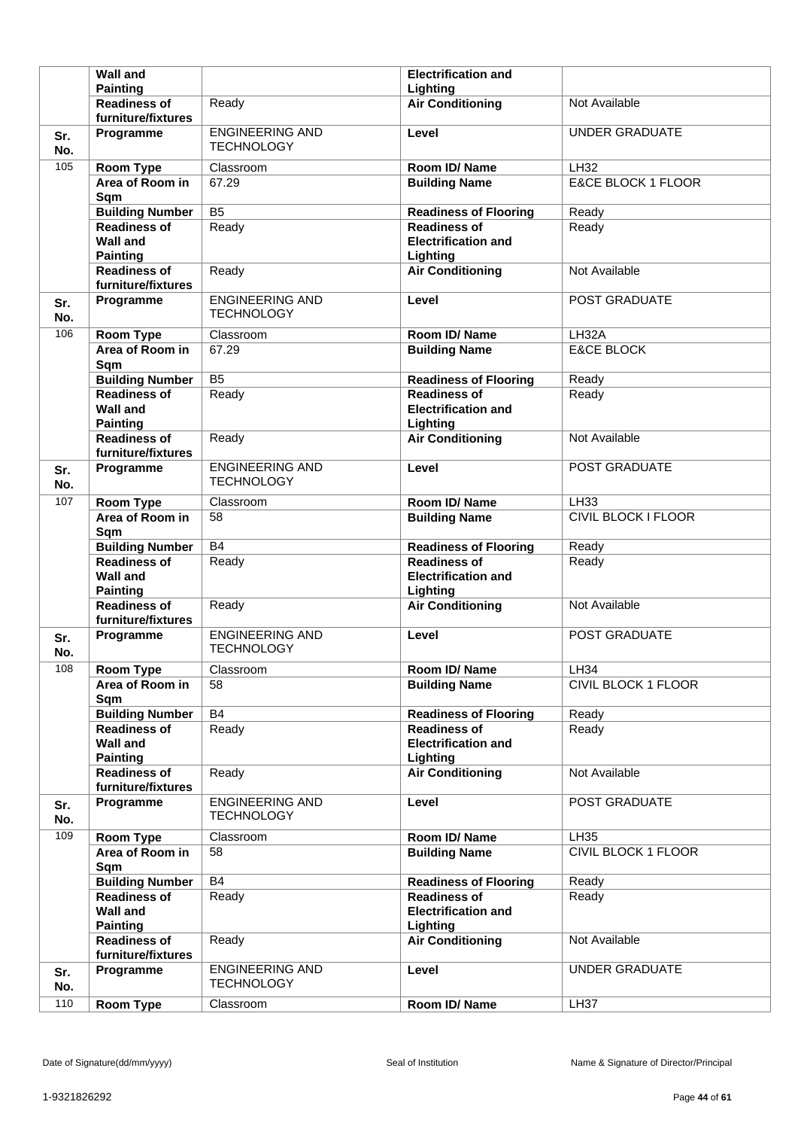|            | <b>Wall and</b>                                              |                                             | <b>Electrification and</b>                                    |                               |
|------------|--------------------------------------------------------------|---------------------------------------------|---------------------------------------------------------------|-------------------------------|
|            | <b>Painting</b>                                              |                                             | Lighting                                                      |                               |
|            | <b>Readiness of</b><br>furniture/fixtures                    | Ready                                       | <b>Air Conditioning</b>                                       | Not Available                 |
| Sr.<br>No. | Programme                                                    | <b>ENGINEERING AND</b><br><b>TECHNOLOGY</b> | Level                                                         | <b>UNDER GRADUATE</b>         |
| 105        | <b>Room Type</b>                                             | Classroom                                   | Room ID/Name                                                  | <b>LH32</b>                   |
|            | Area of Room in<br>Sqm                                       | 67.29                                       | <b>Building Name</b>                                          | <b>E&amp;CE BLOCK 1 FLOOR</b> |
|            | <b>Building Number</b>                                       | B <sub>5</sub>                              | <b>Readiness of Flooring</b>                                  | Ready                         |
|            | <b>Readiness of</b><br><b>Wall and</b><br><b>Painting</b>    | Ready                                       | <b>Readiness of</b><br><b>Electrification and</b><br>Lighting | Ready                         |
|            | <b>Readiness of</b><br>furniture/fixtures                    | Ready                                       | <b>Air Conditioning</b>                                       | Not Available                 |
| Sr.<br>No. | Programme                                                    | <b>ENGINEERING AND</b><br><b>TECHNOLOGY</b> | Level                                                         | POST GRADUATE                 |
| 106        | <b>Room Type</b>                                             | Classroom                                   | Room ID/Name                                                  | LH32A                         |
|            | Area of Room in<br>Sqm                                       | 67.29                                       | <b>Building Name</b>                                          | <b>E&amp;CE BLOCK</b>         |
|            | <b>Building Number</b>                                       | B <sub>5</sub>                              | <b>Readiness of Flooring</b>                                  | Ready                         |
|            | <b>Readiness of</b><br><b>Wall and</b><br><b>Painting</b>    | Ready                                       | <b>Readiness of</b><br><b>Electrification and</b><br>Lighting | Ready                         |
|            | <b>Readiness of</b><br>furniture/fixtures                    | Ready                                       | <b>Air Conditioning</b>                                       | Not Available                 |
| Sr.<br>No. | Programme                                                    | <b>ENGINEERING AND</b><br><b>TECHNOLOGY</b> | Level                                                         | POST GRADUATE                 |
| 107        | Room Type                                                    | Classroom                                   | Room ID/Name                                                  | LH33                          |
|            | Area of Room in<br>Sqm                                       | 58                                          | <b>Building Name</b>                                          | <b>CIVIL BLOCK I FLOOR</b>    |
|            |                                                              |                                             |                                                               |                               |
|            | <b>Building Number</b>                                       | <b>B4</b>                                   | <b>Readiness of Flooring</b>                                  | Ready                         |
|            | <b>Readiness of</b><br><b>Wall and</b><br><b>Painting</b>    | Ready                                       | <b>Readiness of</b><br><b>Electrification and</b><br>Lighting | Ready                         |
|            | <b>Readiness of</b><br>furniture/fixtures                    | Ready                                       | <b>Air Conditioning</b>                                       | Not Available                 |
| Sr.<br>No. | Programme                                                    | <b>ENGINEERING AND</b><br><b>TECHNOLOGY</b> | Level                                                         | POST GRADUATE                 |
| 108        | <b>Room Type</b>                                             | Classroom                                   | Room ID/Name                                                  | LH34                          |
|            | Area of Room in<br>Sqm                                       | 58                                          | <b>Building Name</b>                                          | CIVIL BLOCK 1 FLOOR           |
|            | <b>Building Number</b>                                       | B4                                          | <b>Readiness of Flooring</b>                                  | Ready                         |
|            | <b>Readiness of</b><br><b>Wall and</b><br><b>Painting</b>    | Ready                                       | <b>Readiness of</b><br><b>Electrification and</b><br>Lighting | Ready                         |
|            | <b>Readiness of</b><br>furniture/fixtures                    | Ready                                       | <b>Air Conditioning</b>                                       | Not Available                 |
| Sr.<br>No. | Programme                                                    | <b>ENGINEERING AND</b><br><b>TECHNOLOGY</b> | Level                                                         | POST GRADUATE                 |
| 109        | Room Type                                                    | Classroom                                   | Room ID/Name                                                  | <b>LH35</b>                   |
|            | Area of Room in<br>Sqm                                       | 58                                          | <b>Building Name</b>                                          | CIVIL BLOCK 1 FLOOR           |
|            | <b>Building Number</b>                                       | B4                                          | <b>Readiness of Flooring</b>                                  | Ready                         |
|            | <b>Readiness of</b><br><b>Wall and</b>                       | Ready                                       | <b>Readiness of</b><br><b>Electrification and</b>             | Ready                         |
|            | <b>Painting</b><br><b>Readiness of</b><br>furniture/fixtures | Ready                                       | Lighting<br><b>Air Conditioning</b>                           | Not Available                 |
| Sr.<br>No. | Programme                                                    | <b>ENGINEERING AND</b><br><b>TECHNOLOGY</b> | Level                                                         | <b>UNDER GRADUATE</b>         |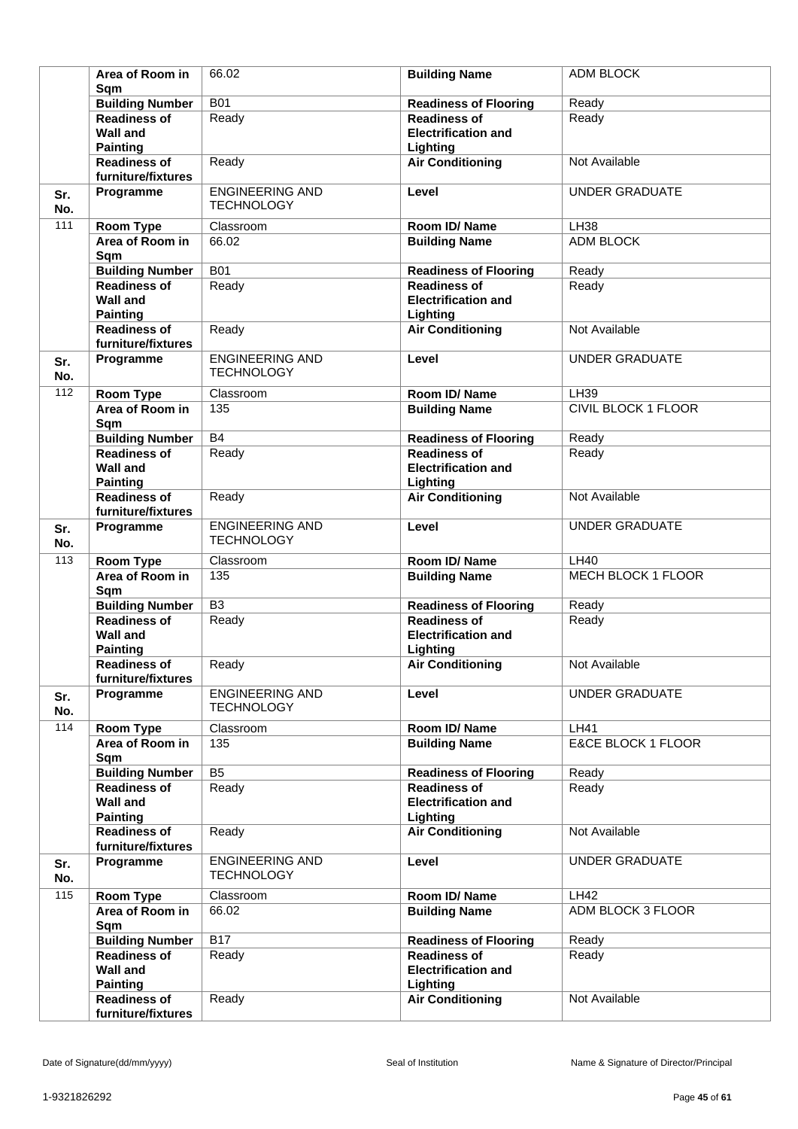|            | Area of Room in<br>Sqm                                       | 66.02                                       | <b>Building Name</b>                                          | ADM BLOCK             |
|------------|--------------------------------------------------------------|---------------------------------------------|---------------------------------------------------------------|-----------------------|
|            | <b>Building Number</b>                                       | <b>B01</b>                                  | <b>Readiness of Flooring</b>                                  | Ready                 |
|            | <b>Readiness of</b><br><b>Wall and</b>                       | Ready                                       | <b>Readiness of</b><br><b>Electrification and</b>             | Ready                 |
|            | <b>Painting</b><br><b>Readiness of</b><br>furniture/fixtures | Ready                                       | Lighting<br><b>Air Conditioning</b>                           | Not Available         |
| Sr.<br>No. | Programme                                                    | <b>ENGINEERING AND</b><br><b>TECHNOLOGY</b> | Level                                                         | <b>UNDER GRADUATE</b> |
| 111        | <b>Room Type</b>                                             | Classroom                                   | Room ID/Name                                                  | <b>LH38</b>           |
|            | Area of Room in<br>Sqm                                       | 66.02                                       | <b>Building Name</b>                                          | <b>ADM BLOCK</b>      |
|            | <b>Building Number</b>                                       | <b>B01</b>                                  | <b>Readiness of Flooring</b>                                  | Ready                 |
|            | <b>Readiness of</b><br><b>Wall and</b><br><b>Painting</b>    | Ready                                       | <b>Readiness of</b><br><b>Electrification and</b><br>Lighting | Ready                 |
|            | <b>Readiness of</b><br>furniture/fixtures                    | Ready                                       | <b>Air Conditioning</b>                                       | Not Available         |
| Sr.<br>No. | Programme                                                    | <b>ENGINEERING AND</b><br><b>TECHNOLOGY</b> | Level                                                         | <b>UNDER GRADUATE</b> |
| 112        | <b>Room Type</b>                                             | Classroom                                   | Room ID/Name                                                  | LH39                  |
|            | Area of Room in<br>Sqm                                       | 135                                         | <b>Building Name</b>                                          | CIVIL BLOCK 1 FLOOR   |
|            | <b>Building Number</b>                                       | B4                                          | <b>Readiness of Flooring</b>                                  | Ready                 |
|            | <b>Readiness of</b><br><b>Wall and</b><br><b>Painting</b>    | Ready                                       | <b>Readiness of</b><br><b>Electrification and</b><br>Lighting | Ready                 |
|            | <b>Readiness of</b><br>furniture/fixtures                    | Ready                                       | <b>Air Conditioning</b>                                       | Not Available         |
| Sr.<br>No. | Programme                                                    | <b>ENGINEERING AND</b><br><b>TECHNOLOGY</b> | Level                                                         | <b>UNDER GRADUATE</b> |
| 113        | <b>Room Type</b>                                             | Classroom                                   | Room ID/Name                                                  | <b>LH40</b>           |
|            | Area of Room in<br>Sqm                                       | 135                                         | <b>Building Name</b>                                          | MECH BLOCK 1 FLOOR    |
|            | <b>Building Number</b>                                       | B <sub>3</sub>                              | <b>Readiness of Flooring</b>                                  | Ready                 |
|            | <b>Readiness of</b><br><b>Wall and</b><br><b>Painting</b>    | Ready                                       | <b>Readiness of</b><br><b>Electrification and</b><br>Lighting | Ready                 |
|            | <b>Readiness of</b><br>furniture/fixtures                    | Ready                                       | <b>Air Conditioning</b>                                       | Not Available         |
| Sr.<br>No. | Programme                                                    | <b>ENGINEERING AND</b><br><b>TECHNOLOGY</b> | Level                                                         | <b>UNDER GRADUATE</b> |
| 114        | <b>Room Type</b>                                             | Classroom                                   | Room ID/Name                                                  | <b>LH41</b>           |
|            | Area of Room in<br>Sqm                                       | 135                                         | <b>Building Name</b>                                          | E&CE BLOCK 1 FLOOR    |
|            | <b>Building Number</b>                                       | B <sub>5</sub>                              | <b>Readiness of Flooring</b>                                  | Ready                 |
|            | <b>Readiness of</b><br><b>Wall and</b><br><b>Painting</b>    | Ready                                       | <b>Readiness of</b><br><b>Electrification and</b><br>Lighting | Ready                 |
|            | <b>Readiness of</b><br>furniture/fixtures                    | Ready                                       | <b>Air Conditioning</b>                                       | Not Available         |
| Sr.<br>No. | Programme                                                    | <b>ENGINEERING AND</b><br><b>TECHNOLOGY</b> | Level                                                         | UNDER GRADUATE        |
| 115        | Room Type                                                    | Classroom                                   | Room ID/Name                                                  | <b>LH42</b>           |
|            | Area of Room in<br>Sqm                                       | 66.02                                       | <b>Building Name</b>                                          | ADM BLOCK 3 FLOOR     |
|            | <b>Building Number</b>                                       | <b>B17</b>                                  | <b>Readiness of Flooring</b>                                  | Ready                 |
|            | <b>Readiness of</b><br><b>Wall and</b><br><b>Painting</b>    | Ready                                       | <b>Readiness of</b><br><b>Electrification and</b><br>Lighting | Ready                 |
|            | <b>Readiness of</b><br>furniture/fixtures                    | Ready                                       | <b>Air Conditioning</b>                                       | Not Available         |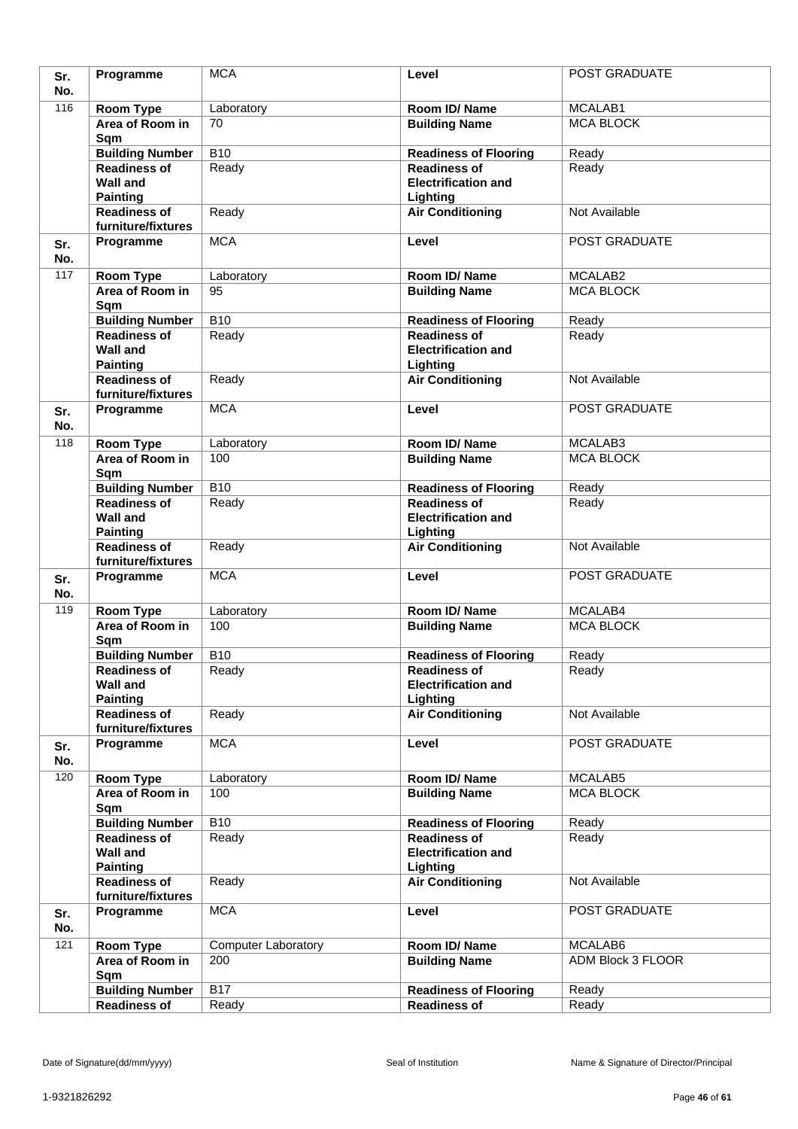|     | Programme                                     | <b>MCA</b>                 | Level                                               | POST GRADUATE     |
|-----|-----------------------------------------------|----------------------------|-----------------------------------------------------|-------------------|
| Sr. |                                               |                            |                                                     |                   |
| No. |                                               |                            |                                                     |                   |
| 116 | Room Type                                     | Laboratory                 | Room ID/Name                                        | MCALAB1           |
|     | Area of Room in                               | 70                         | <b>Building Name</b>                                | <b>MCA BLOCK</b>  |
|     | Sqm                                           |                            |                                                     |                   |
|     | <b>Building Number</b>                        | <b>B10</b>                 | <b>Readiness of Flooring</b>                        | Ready             |
|     | <b>Readiness of</b>                           | Ready                      | <b>Readiness of</b>                                 | Ready             |
|     | <b>Wall and</b>                               |                            | <b>Electrification and</b>                          |                   |
|     | <b>Painting</b>                               |                            | Lighting                                            |                   |
|     | <b>Readiness of</b>                           | Ready                      | <b>Air Conditioning</b>                             | Not Available     |
|     | furniture/fixtures                            |                            |                                                     |                   |
| Sr. | Programme                                     | <b>MCA</b>                 | Level                                               | POST GRADUATE     |
| No. |                                               |                            |                                                     |                   |
| 117 |                                               |                            | Room ID/Name                                        | MCALAB2           |
|     | <b>Room Type</b><br>Area of Room in           | Laboratory<br>95           |                                                     | <b>MCA BLOCK</b>  |
|     |                                               |                            | <b>Building Name</b>                                |                   |
|     | Sqm                                           |                            |                                                     |                   |
|     | <b>Building Number</b>                        | $\overline{B10}$           | <b>Readiness of Flooring</b>                        | Ready             |
|     | <b>Readiness of</b>                           | Ready                      | <b>Readiness of</b>                                 | Ready             |
|     | <b>Wall and</b>                               |                            | <b>Electrification and</b>                          |                   |
|     | <b>Painting</b>                               |                            | Lighting                                            |                   |
|     | <b>Readiness of</b>                           | Ready                      | <b>Air Conditioning</b>                             | Not Available     |
|     | furniture/fixtures                            |                            |                                                     |                   |
| Sr. | Programme                                     | <b>MCA</b>                 | Level                                               | POST GRADUATE     |
| No. |                                               |                            |                                                     |                   |
| 118 | <b>Room Type</b>                              | Laboratory                 | Room ID/Name                                        | MCALAB3           |
|     | Area of Room in                               | 100                        | <b>Building Name</b>                                | <b>MCA BLOCK</b>  |
|     | Sqm                                           |                            |                                                     |                   |
|     | <b>Building Number</b>                        | <b>B10</b>                 | <b>Readiness of Flooring</b>                        | Ready             |
|     | <b>Readiness of</b>                           | Ready                      | <b>Readiness of</b>                                 | Ready             |
|     | <b>Wall and</b>                               |                            | <b>Electrification and</b>                          |                   |
|     | <b>Painting</b>                               |                            | Lighting                                            |                   |
|     | <b>Readiness of</b>                           | Ready                      | <b>Air Conditioning</b>                             | Not Available     |
|     | furniture/fixtures                            |                            |                                                     |                   |
|     | Programme                                     | <b>MCA</b>                 | Level                                               | POST GRADUATE     |
| Sr. |                                               |                            |                                                     |                   |
| No. |                                               |                            |                                                     |                   |
|     |                                               |                            |                                                     |                   |
| 119 | <b>Room Type</b>                              | Laboratory                 | Room ID/Name                                        | MCALAB4           |
|     | Area of Room in                               | 100                        | <b>Building Name</b>                                | <b>MCA BLOCK</b>  |
|     | Sqm                                           |                            |                                                     |                   |
|     | <b>Building Number</b>                        | <b>B10</b>                 | <b>Readiness of Flooring</b>                        | Ready             |
|     | <b>Readiness of</b>                           | Ready                      | <b>Readiness of</b>                                 | Ready             |
|     | <b>Wall and</b>                               |                            | <b>Electrification and</b>                          |                   |
|     | <b>Painting</b>                               |                            | Lighting                                            |                   |
|     | <b>Readiness of</b>                           | Ready                      | <b>Air Conditioning</b>                             | Not Available     |
|     | furniture/fixtures                            |                            |                                                     |                   |
| Sr. | Programme                                     | <b>MCA</b>                 | Level                                               | POST GRADUATE     |
| No. |                                               |                            |                                                     |                   |
| 120 |                                               |                            |                                                     |                   |
|     | Room Type                                     | Laboratory<br>100          | Room ID/Name                                        | MCALAB5           |
|     | Area of Room in                               |                            | <b>Building Name</b>                                | <b>MCA BLOCK</b>  |
|     | Sqm                                           |                            |                                                     |                   |
|     | <b>Building Number</b>                        | <b>B10</b>                 | <b>Readiness of Flooring</b>                        | Ready             |
|     | <b>Readiness of</b>                           | Ready                      | <b>Readiness of</b>                                 | Ready             |
|     | <b>Wall and</b>                               |                            | <b>Electrification and</b>                          |                   |
|     | <b>Painting</b>                               |                            | Lighting                                            |                   |
|     | <b>Readiness of</b>                           | Ready                      | <b>Air Conditioning</b>                             | Not Available     |
|     | furniture/fixtures                            |                            |                                                     |                   |
| Sr. | Programme                                     | <b>MCA</b>                 | Level                                               | POST GRADUATE     |
| No. |                                               |                            |                                                     |                   |
| 121 | Room Type                                     | <b>Computer Laboratory</b> | Room ID/Name                                        | MCALAB6           |
|     | Area of Room in                               | 200                        | <b>Building Name</b>                                | ADM Block 3 FLOOR |
|     | Sqm                                           |                            |                                                     |                   |
|     | <b>Building Number</b><br><b>Readiness of</b> | <b>B17</b><br>Ready        | <b>Readiness of Flooring</b><br><b>Readiness of</b> | Ready<br>Ready    |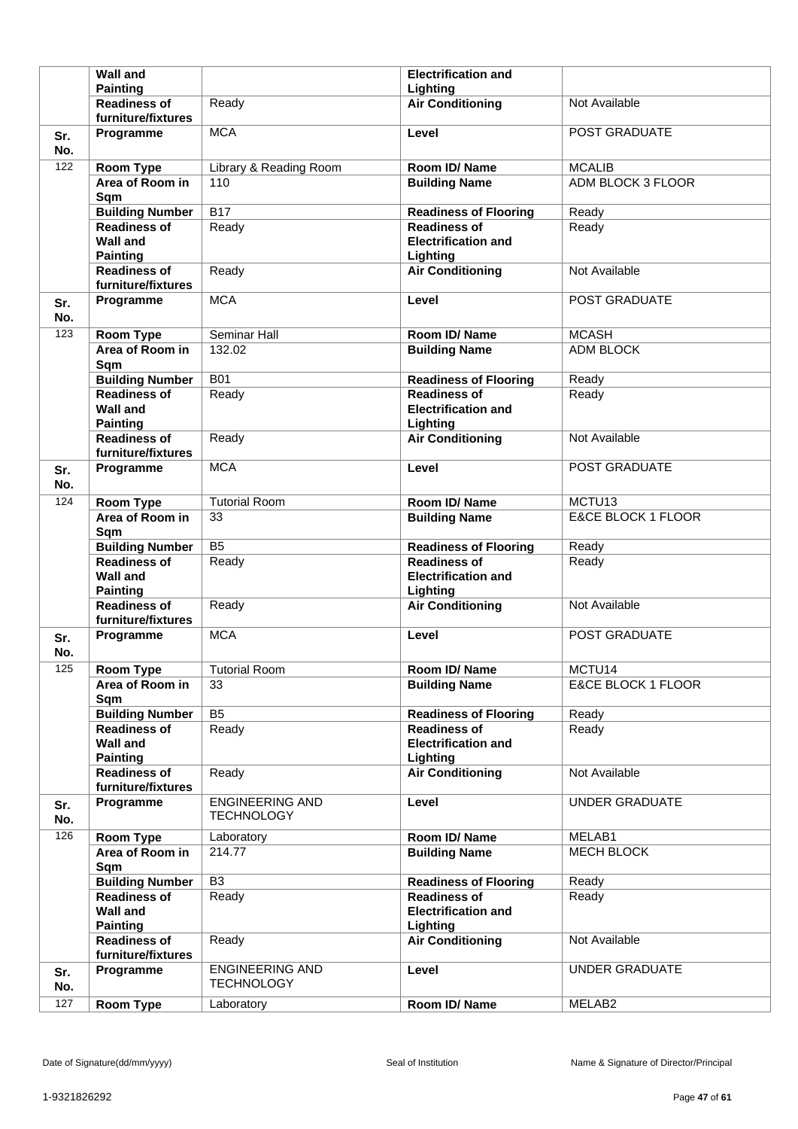|            | <b>Wall and</b>                                              |                                             | <b>Electrification and</b>                                    |                               |
|------------|--------------------------------------------------------------|---------------------------------------------|---------------------------------------------------------------|-------------------------------|
|            | <b>Painting</b>                                              |                                             | Lighting                                                      |                               |
|            | <b>Readiness of</b><br>furniture/fixtures                    | Ready                                       | <b>Air Conditioning</b>                                       | Not Available                 |
| Sr.<br>No. | Programme                                                    | <b>MCA</b>                                  | Level                                                         | POST GRADUATE                 |
| 122        | <b>Room Type</b>                                             | Library & Reading Room                      | Room ID/Name                                                  | <b>MCALIB</b>                 |
|            | Area of Room in<br>Sqm                                       | 110                                         | <b>Building Name</b>                                          | <b>ADM BLOCK 3 FLOOR</b>      |
|            | <b>Building Number</b>                                       | $\overline{B17}$                            | <b>Readiness of Flooring</b>                                  | Ready                         |
|            | <b>Readiness of</b><br><b>Wall and</b><br><b>Painting</b>    | Ready                                       | <b>Readiness of</b><br><b>Electrification and</b><br>Lighting | Ready                         |
|            | <b>Readiness of</b><br>furniture/fixtures                    | Ready                                       | <b>Air Conditioning</b>                                       | Not Available                 |
| Sr.<br>No. | Programme                                                    | <b>MCA</b>                                  | Level                                                         | POST GRADUATE                 |
| 123        | <b>Room Type</b>                                             | Seminar Hall                                | Room ID/Name                                                  | <b>MCASH</b>                  |
|            | Area of Room in<br>Sqm                                       | 132.02                                      | <b>Building Name</b>                                          | <b>ADM BLOCK</b>              |
|            | <b>Building Number</b>                                       | <b>B01</b>                                  | <b>Readiness of Flooring</b>                                  | Ready                         |
|            | <b>Readiness of</b><br><b>Wall and</b><br><b>Painting</b>    | Ready                                       | <b>Readiness of</b><br><b>Electrification and</b><br>Lighting | Ready                         |
|            | <b>Readiness of</b><br>furniture/fixtures                    | Ready                                       | <b>Air Conditioning</b>                                       | Not Available                 |
| Sr.<br>No. | Programme                                                    | <b>MCA</b>                                  | Level                                                         | POST GRADUATE                 |
| 124        | Room Type                                                    | <b>Tutorial Room</b>                        | Room ID/Name                                                  | MCTU <sub>13</sub>            |
|            | Area of Room in<br>Sqm                                       | 33                                          | <b>Building Name</b>                                          | <b>E&amp;CE BLOCK 1 FLOOR</b> |
|            |                                                              |                                             |                                                               |                               |
|            | <b>Building Number</b>                                       | B <sub>5</sub>                              | <b>Readiness of Flooring</b>                                  | Ready                         |
|            | <b>Readiness of</b><br><b>Wall and</b>                       | Ready                                       | <b>Readiness of</b><br><b>Electrification and</b>             | Ready                         |
|            | <b>Painting</b><br><b>Readiness of</b><br>furniture/fixtures | Ready                                       | Lighting<br><b>Air Conditioning</b>                           | Not Available                 |
| Sr.<br>No. | Programme                                                    | <b>MCA</b>                                  | Level                                                         | POST GRADUATE                 |
| 125        | <b>Room Type</b>                                             | <b>Tutorial Room</b>                        | Room ID/Name                                                  | MCTU14                        |
|            | Area of Room in<br>Sqm                                       | 33                                          | <b>Building Name</b>                                          | <b>E&amp;CE BLOCK 1 FLOOR</b> |
|            | <b>Building Number</b>                                       | $\overline{B5}$                             | <b>Readiness of Flooring</b>                                  | Ready                         |
|            | <b>Readiness of</b><br><b>Wall and</b><br><b>Painting</b>    | Ready                                       | <b>Readiness of</b><br><b>Electrification and</b><br>Lighting | Ready                         |
|            | <b>Readiness of</b><br>furniture/fixtures                    | Ready                                       | <b>Air Conditioning</b>                                       | Not Available                 |
| Sr.<br>No. | Programme                                                    | <b>ENGINEERING AND</b><br><b>TECHNOLOGY</b> | Level                                                         | <b>UNDER GRADUATE</b>         |
| 126        | <b>Room Type</b>                                             | Laboratory                                  | Room ID/Name                                                  | MELAB1                        |
|            | Area of Room in<br>Sqm                                       | 214.77                                      | <b>Building Name</b>                                          | MECH BLOCK                    |
|            | <b>Building Number</b>                                       | B <sub>3</sub>                              | <b>Readiness of Flooring</b>                                  | Ready                         |
|            | <b>Readiness of</b><br><b>Wall and</b>                       | Ready                                       | <b>Readiness of</b><br><b>Electrification and</b>             | Ready                         |
|            | <b>Painting</b><br><b>Readiness of</b><br>furniture/fixtures | Ready                                       | Lighting<br><b>Air Conditioning</b>                           | Not Available                 |
| Sr.<br>No. | Programme                                                    | <b>ENGINEERING AND</b><br><b>TECHNOLOGY</b> | Level                                                         | <b>UNDER GRADUATE</b>         |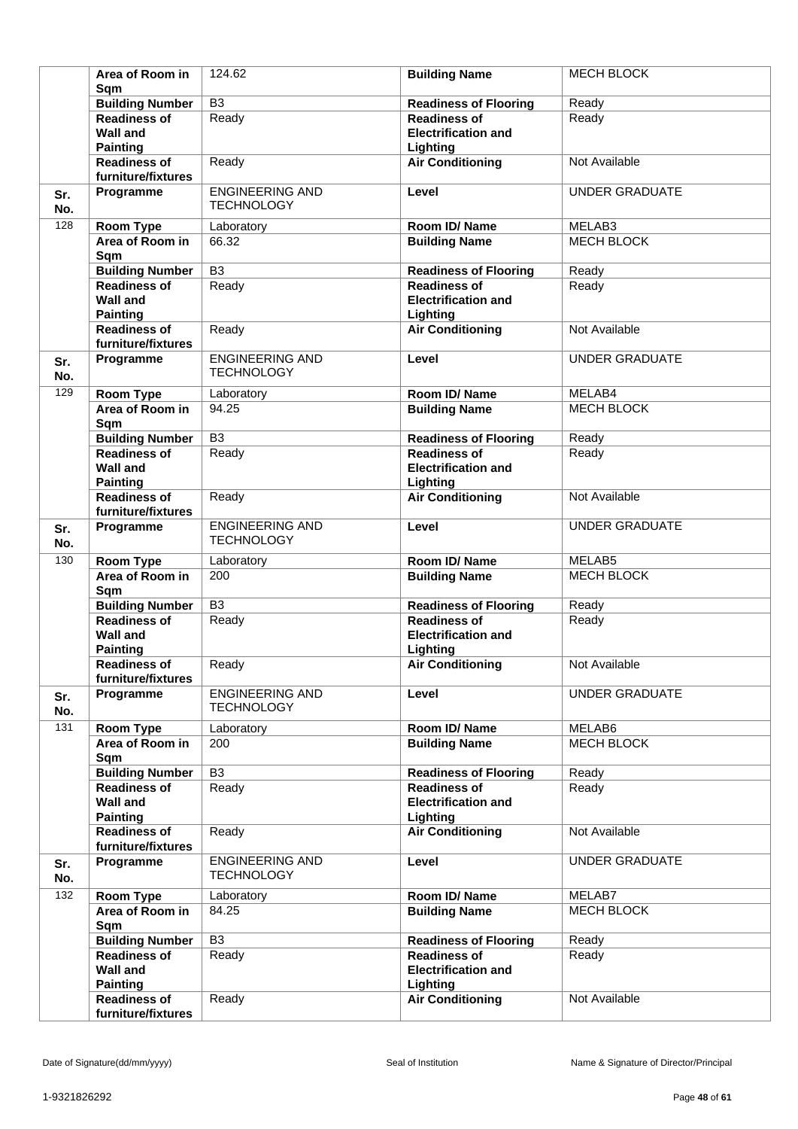|            | Area of Room in<br>Sqm                                    | 124.62                                      | <b>Building Name</b>                                          | <b>MECH BLOCK</b>     |
|------------|-----------------------------------------------------------|---------------------------------------------|---------------------------------------------------------------|-----------------------|
|            | <b>Building Number</b>                                    | $\overline{B3}$                             | <b>Readiness of Flooring</b>                                  | Ready                 |
|            | <b>Readiness of</b><br><b>Wall and</b><br><b>Painting</b> | Ready                                       | <b>Readiness of</b><br><b>Electrification and</b><br>Lighting | Ready                 |
|            | <b>Readiness of</b><br>furniture/fixtures                 | Ready                                       | <b>Air Conditioning</b>                                       | Not Available         |
| Sr.<br>No. | Programme                                                 | <b>ENGINEERING AND</b><br><b>TECHNOLOGY</b> | Level                                                         | <b>UNDER GRADUATE</b> |
| 128        | <b>Room Type</b>                                          | Laboratory                                  | Room ID/Name                                                  | MELAB3                |
|            | Area of Room in<br>Sqm                                    | 66.32                                       | <b>Building Name</b>                                          | MECH BLOCK            |
|            | <b>Building Number</b>                                    | $\overline{B3}$                             | <b>Readiness of Flooring</b>                                  | Ready                 |
|            | <b>Readiness of</b><br><b>Wall and</b><br><b>Painting</b> | Ready                                       | <b>Readiness of</b><br><b>Electrification and</b><br>Lighting | Ready                 |
|            | <b>Readiness of</b><br>furniture/fixtures                 | Ready                                       | <b>Air Conditioning</b>                                       | Not Available         |
| Sr.<br>No. | Programme                                                 | <b>ENGINEERING AND</b><br><b>TECHNOLOGY</b> | Level                                                         | <b>UNDER GRADUATE</b> |
| 129        | <b>Room Type</b>                                          | Laboratory                                  | Room ID/Name                                                  | MELAB4                |
|            | Area of Room in<br>Sqm                                    | 94.25                                       | <b>Building Name</b>                                          | <b>MECH BLOCK</b>     |
|            | <b>Building Number</b>                                    | $\overline{B3}$                             | <b>Readiness of Flooring</b>                                  | Ready                 |
|            | <b>Readiness of</b><br><b>Wall and</b><br><b>Painting</b> | Ready                                       | <b>Readiness of</b><br><b>Electrification and</b><br>Lighting | Ready                 |
|            | <b>Readiness of</b><br>furniture/fixtures                 | Ready                                       | <b>Air Conditioning</b>                                       | Not Available         |
| Sr.<br>No. | Programme                                                 | <b>ENGINEERING AND</b><br><b>TECHNOLOGY</b> | Level                                                         | <b>UNDER GRADUATE</b> |
| 130        | Room Type                                                 | Laboratory                                  | Room ID/Name                                                  | MELAB5                |
|            | Area of Room in<br>Sqm                                    | 200                                         | <b>Building Name</b>                                          | <b>MECH BLOCK</b>     |
|            | <b>Building Number</b>                                    | B <sub>3</sub>                              | <b>Readiness of Flooring</b>                                  | Ready                 |
|            | <b>Readiness of</b><br><b>Wall and</b><br><b>Painting</b> | Ready                                       | <b>Readiness of</b><br><b>Electrification and</b><br>Lighting | Ready                 |
|            | <b>Readiness of</b><br>furniture/fixtures                 | Ready                                       | <b>Air Conditioning</b>                                       | Not Available         |
| Sr.<br>No. | Programme                                                 | <b>ENGINEERING AND</b><br><b>TECHNOLOGY</b> | Level                                                         | <b>UNDER GRADUATE</b> |
| 131        | <b>Room Type</b>                                          | Laboratory                                  | Room ID/Name                                                  | MELAB6                |
|            | Area of Room in<br>Sqm                                    | 200                                         | <b>Building Name</b>                                          | MECH BLOCK            |
|            | <b>Building Number</b>                                    | B <sub>3</sub>                              | <b>Readiness of Flooring</b>                                  | Ready                 |
|            | <b>Readiness of</b><br><b>Wall and</b><br><b>Painting</b> | Ready                                       | <b>Readiness of</b><br><b>Electrification and</b><br>Lighting | Ready                 |
|            | <b>Readiness of</b><br>furniture/fixtures                 | Ready                                       | <b>Air Conditioning</b>                                       | Not Available         |
| Sr.<br>No. | Programme                                                 | <b>ENGINEERING AND</b><br><b>TECHNOLOGY</b> | Level                                                         | UNDER GRADUATE        |
| 132        | Room Type                                                 | Laboratory                                  | Room ID/Name                                                  | MELAB7                |
|            | Area of Room in<br>Sqm                                    | 84.25                                       | <b>Building Name</b>                                          | <b>MECH BLOCK</b>     |
|            | <b>Building Number</b>                                    | B <sub>3</sub>                              | <b>Readiness of Flooring</b>                                  | Ready                 |
|            | <b>Readiness of</b><br><b>Wall and</b><br><b>Painting</b> | Ready                                       | <b>Readiness of</b><br><b>Electrification and</b><br>Lighting | Ready                 |
|            | <b>Readiness of</b><br>furniture/fixtures                 | Ready                                       | <b>Air Conditioning</b>                                       | Not Available         |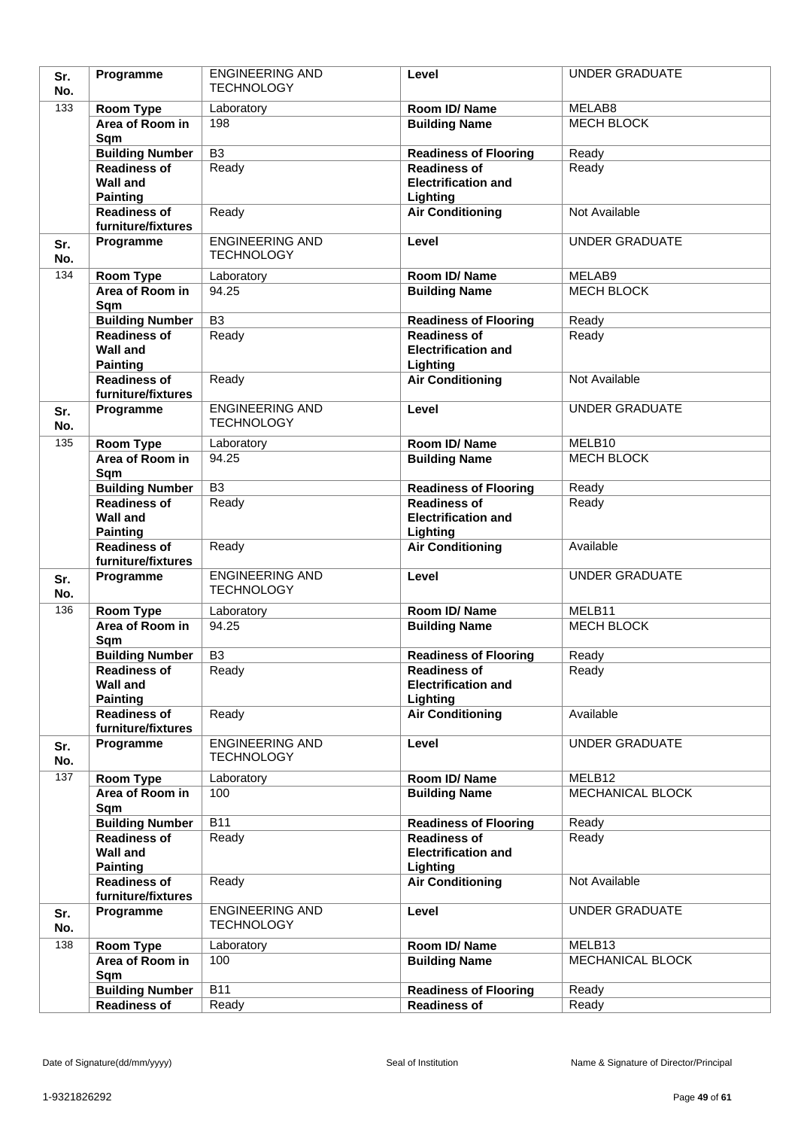| Sr.        | Programme                                     | <b>ENGINEERING AND</b>                      | Level                                               | <b>UNDER GRADUATE</b> |
|------------|-----------------------------------------------|---------------------------------------------|-----------------------------------------------------|-----------------------|
| No.        |                                               | <b>TECHNOLOGY</b>                           |                                                     |                       |
| 133        | Room Type                                     | Laboratory                                  | Room ID/Name                                        | MELAB8                |
|            | Area of Room in                               | 198                                         | <b>Building Name</b>                                | <b>MECH BLOCK</b>     |
|            | Sqm                                           |                                             |                                                     |                       |
|            | <b>Building Number</b>                        | $\overline{B3}$                             | <b>Readiness of Flooring</b>                        | Ready                 |
|            | <b>Readiness of</b><br><b>Wall and</b>        | Ready                                       | <b>Readiness of</b><br><b>Electrification and</b>   | Ready                 |
|            | <b>Painting</b>                               |                                             | Lighting                                            |                       |
|            | <b>Readiness of</b>                           | Ready                                       | <b>Air Conditioning</b>                             | Not Available         |
|            | furniture/fixtures                            |                                             |                                                     |                       |
| Sr.<br>No. | Programme                                     | <b>ENGINEERING AND</b><br><b>TECHNOLOGY</b> | Level                                               | <b>UNDER GRADUATE</b> |
| 134        | Room Type                                     | Laboratory                                  | Room ID/Name                                        | MELAB9                |
|            | Area of Room in                               | 94.25                                       | <b>Building Name</b>                                | <b>MECH BLOCK</b>     |
|            | Sqm                                           |                                             |                                                     |                       |
|            | <b>Building Number</b>                        | $\overline{B3}$                             | <b>Readiness of Flooring</b>                        | Ready                 |
|            | Readiness of                                  | Ready                                       | <b>Readiness of</b>                                 | Ready                 |
|            | <b>Wall and</b>                               |                                             | <b>Electrification and</b>                          |                       |
|            | <b>Painting</b>                               |                                             | Lighting                                            |                       |
|            | <b>Readiness of</b><br>furniture/fixtures     | Ready                                       | <b>Air Conditioning</b>                             | Not Available         |
|            | Programme                                     | <b>ENGINEERING AND</b>                      | Level                                               | <b>UNDER GRADUATE</b> |
| Sr.<br>No. |                                               | <b>TECHNOLOGY</b>                           |                                                     |                       |
| 135        | Room Type                                     | Laboratory                                  | Room ID/Name                                        | MELB10                |
|            | Area of Room in<br>Sqm                        | 94.25                                       | <b>Building Name</b>                                | <b>MECH BLOCK</b>     |
|            | <b>Building Number</b>                        | $\overline{B3}$                             | <b>Readiness of Flooring</b>                        | Ready                 |
|            | <b>Readiness of</b>                           | Ready                                       | <b>Readiness of</b>                                 | Ready                 |
|            | <b>Wall and</b><br><b>Painting</b>            |                                             | <b>Electrification and</b><br>Lighting              |                       |
|            | <b>Readiness of</b><br>furniture/fixtures     | Ready                                       | <b>Air Conditioning</b>                             | Available             |
| Sr.<br>No. | Programme                                     | <b>ENGINEERING AND</b><br><b>TECHNOLOGY</b> | Level                                               | <b>UNDER GRADUATE</b> |
| 136        | <b>Room Type</b>                              | Laboratory                                  | Room ID/Name                                        | MELB11                |
|            | Area of Room in                               | 94.25                                       | <b>Building Name</b>                                | MECH BLOCK            |
|            | Sqm                                           |                                             |                                                     |                       |
|            | <b>Building Number</b>                        | B <sub>3</sub>                              | <b>Readiness of Flooring</b>                        | Ready                 |
|            | <b>Readiness of</b>                           | Ready                                       | Readiness of                                        | Ready                 |
|            | <b>Wall and</b>                               |                                             | <b>Electrification and</b>                          |                       |
|            | <b>Painting</b><br>Readiness of               | Ready                                       | Lighting<br><b>Air Conditioning</b>                 | Available             |
|            | furniture/fixtures                            |                                             |                                                     |                       |
| Sr.        | Programme                                     | <b>ENGINEERING AND</b>                      | Level                                               | <b>UNDER GRADUATE</b> |
| No.        |                                               | <b>TECHNOLOGY</b>                           |                                                     |                       |
| 137        | <b>Room Type</b>                              | Laboratory                                  | Room ID/Name                                        | MELB <sub>12</sub>    |
|            | Area of Room in                               | 100                                         | <b>Building Name</b>                                | MECHANICAL BLOCK      |
|            | Sqm                                           |                                             |                                                     |                       |
|            | <b>Building Number</b><br><b>Readiness of</b> | <b>B11</b><br>Ready                         | <b>Readiness of Flooring</b><br><b>Readiness of</b> | Ready<br>Ready        |
|            | <b>Wall and</b>                               |                                             | <b>Electrification and</b>                          |                       |
|            | <b>Painting</b>                               |                                             | Lighting                                            |                       |
|            | <b>Readiness of</b><br>furniture/fixtures     | Ready                                       | <b>Air Conditioning</b>                             | Not Available         |
| Sr.        | Programme                                     | <b>ENGINEERING AND</b><br><b>TECHNOLOGY</b> | Level                                               | <b>UNDER GRADUATE</b> |
| No.        |                                               |                                             |                                                     |                       |
| 138        | Room Type                                     | Laboratory                                  | Room ID/Name                                        | MELB13                |
|            | Area of Room in<br>Sqm                        | 100                                         | <b>Building Name</b>                                | MECHANICAL BLOCK      |
|            | <b>Building Number</b>                        | <b>B11</b>                                  | <b>Readiness of Flooring</b>                        | Ready                 |
|            | <b>Readiness of</b>                           | Ready                                       | <b>Readiness of</b>                                 | Ready                 |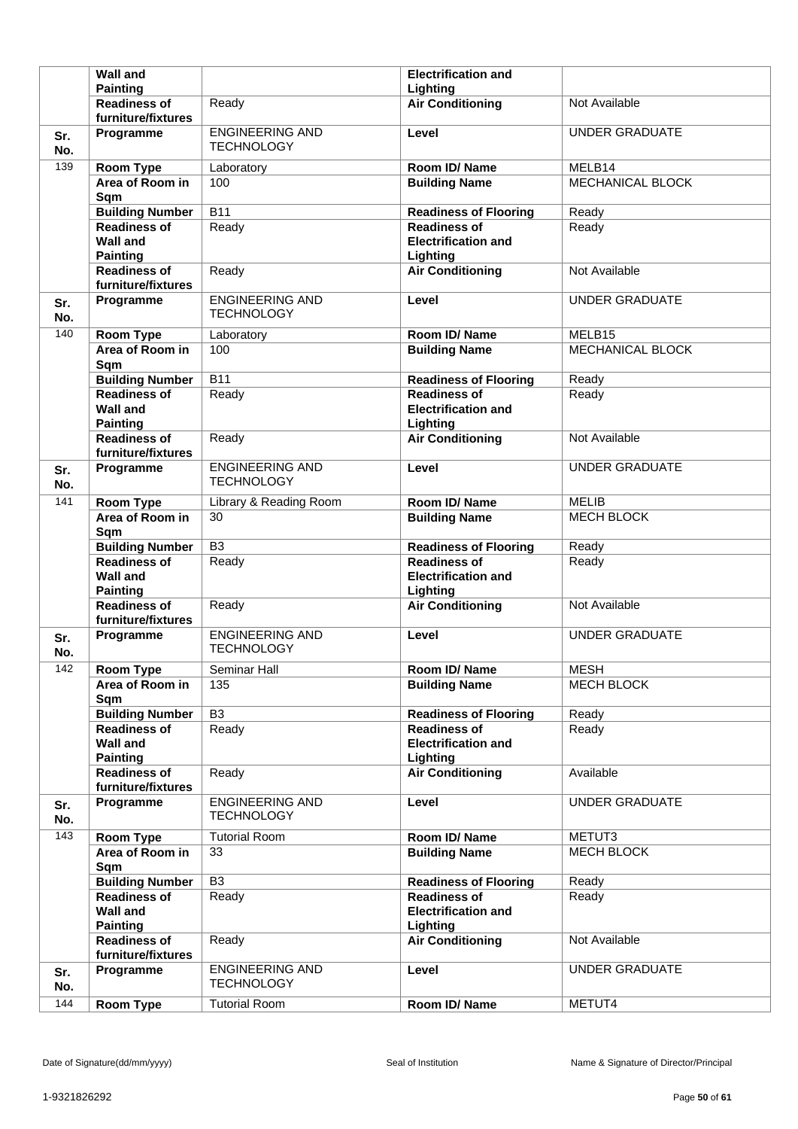|            | <b>Wall and</b>                                              |                                             | <b>Electrification and</b>                                    |                         |
|------------|--------------------------------------------------------------|---------------------------------------------|---------------------------------------------------------------|-------------------------|
|            | <b>Painting</b>                                              |                                             | Lighting                                                      |                         |
|            | <b>Readiness of</b><br>furniture/fixtures                    | Ready                                       | <b>Air Conditioning</b>                                       | Not Available           |
| Sr.<br>No. | Programme                                                    | <b>ENGINEERING AND</b><br><b>TECHNOLOGY</b> | Level                                                         | <b>UNDER GRADUATE</b>   |
| 139        | Room Type                                                    | Laboratory                                  | Room ID/Name                                                  | MELB14                  |
|            | Area of Room in<br>Sqm                                       | 100                                         | <b>Building Name</b>                                          | <b>MECHANICAL BLOCK</b> |
|            | <b>Building Number</b>                                       | $\overline{B11}$                            | <b>Readiness of Flooring</b>                                  | Ready                   |
|            | <b>Readiness of</b><br><b>Wall and</b><br><b>Painting</b>    | Ready                                       | <b>Readiness of</b><br><b>Electrification and</b><br>Lighting | Ready                   |
|            | <b>Readiness of</b><br>furniture/fixtures                    | Ready                                       | <b>Air Conditioning</b>                                       | Not Available           |
| Sr.<br>No. | Programme                                                    | <b>ENGINEERING AND</b><br><b>TECHNOLOGY</b> | Level                                                         | <b>UNDER GRADUATE</b>   |
| 140        | Room Type                                                    | Laboratory                                  | Room ID/Name                                                  | MELB15                  |
|            | Area of Room in<br>Sqm                                       | 100                                         | <b>Building Name</b>                                          | <b>MECHANICAL BLOCK</b> |
|            | <b>Building Number</b>                                       | $\overline{B11}$                            | <b>Readiness of Flooring</b>                                  | Ready                   |
|            | <b>Readiness of</b><br><b>Wall and</b><br><b>Painting</b>    | Ready                                       | <b>Readiness of</b><br><b>Electrification and</b><br>Lighting | Ready                   |
|            | <b>Readiness of</b><br>furniture/fixtures                    | Ready                                       | <b>Air Conditioning</b>                                       | Not Available           |
| Sr.<br>No. | Programme                                                    | <b>ENGINEERING AND</b><br><b>TECHNOLOGY</b> | Level                                                         | <b>UNDER GRADUATE</b>   |
| 141        | Room Type                                                    | Library & Reading Room                      | Room ID/Name                                                  | <b>MELIB</b>            |
|            | Area of Room in<br>Sqm                                       | 30                                          | <b>Building Name</b>                                          | <b>MECH BLOCK</b>       |
|            |                                                              |                                             |                                                               |                         |
|            | <b>Building Number</b>                                       | B <sub>3</sub>                              | <b>Readiness of Flooring</b>                                  | Ready                   |
|            | <b>Readiness of</b><br><b>Wall and</b><br><b>Painting</b>    | Ready                                       | <b>Readiness of</b><br><b>Electrification and</b><br>Lighting | Ready                   |
|            | <b>Readiness of</b><br>furniture/fixtures                    | Ready                                       | <b>Air Conditioning</b>                                       | Not Available           |
| Sr.<br>No. | Programme                                                    | <b>ENGINEERING AND</b><br><b>TECHNOLOGY</b> | Level                                                         | <b>UNDER GRADUATE</b>   |
| 142        | <b>Room Type</b>                                             | Seminar Hall                                | Room ID/Name                                                  | <b>MESH</b>             |
|            | Area of Room in<br>Sqm                                       | 135                                         | <b>Building Name</b>                                          | <b>MECH BLOCK</b>       |
|            | <b>Building Number</b>                                       | $\overline{B3}$                             | <b>Readiness of Flooring</b>                                  | Ready                   |
|            | <b>Readiness of</b><br><b>Wall and</b><br><b>Painting</b>    | Ready                                       | <b>Readiness of</b><br><b>Electrification and</b><br>Lighting | Ready                   |
|            | <b>Readiness of</b><br>furniture/fixtures                    | Ready                                       | <b>Air Conditioning</b>                                       | Available               |
| Sr.<br>No. | Programme                                                    | <b>ENGINEERING AND</b><br><b>TECHNOLOGY</b> | Level                                                         | <b>UNDER GRADUATE</b>   |
| 143        | Room Type                                                    | <b>Tutorial Room</b>                        | Room ID/Name                                                  | METUT3                  |
|            | Area of Room in<br>Sqm                                       | 33                                          | <b>Building Name</b>                                          | MECH BLOCK              |
|            | <b>Building Number</b>                                       | $\overline{B3}$                             | <b>Readiness of Flooring</b>                                  | Ready                   |
|            | <b>Readiness of</b><br><b>Wall and</b>                       | Ready                                       | <b>Readiness of</b><br><b>Electrification and</b>             | Ready                   |
|            | <b>Painting</b><br><b>Readiness of</b><br>furniture/fixtures | Ready                                       | Lighting<br><b>Air Conditioning</b>                           | Not Available           |
| Sr.<br>No. | Programme                                                    | <b>ENGINEERING AND</b><br><b>TECHNOLOGY</b> | Level                                                         | <b>UNDER GRADUATE</b>   |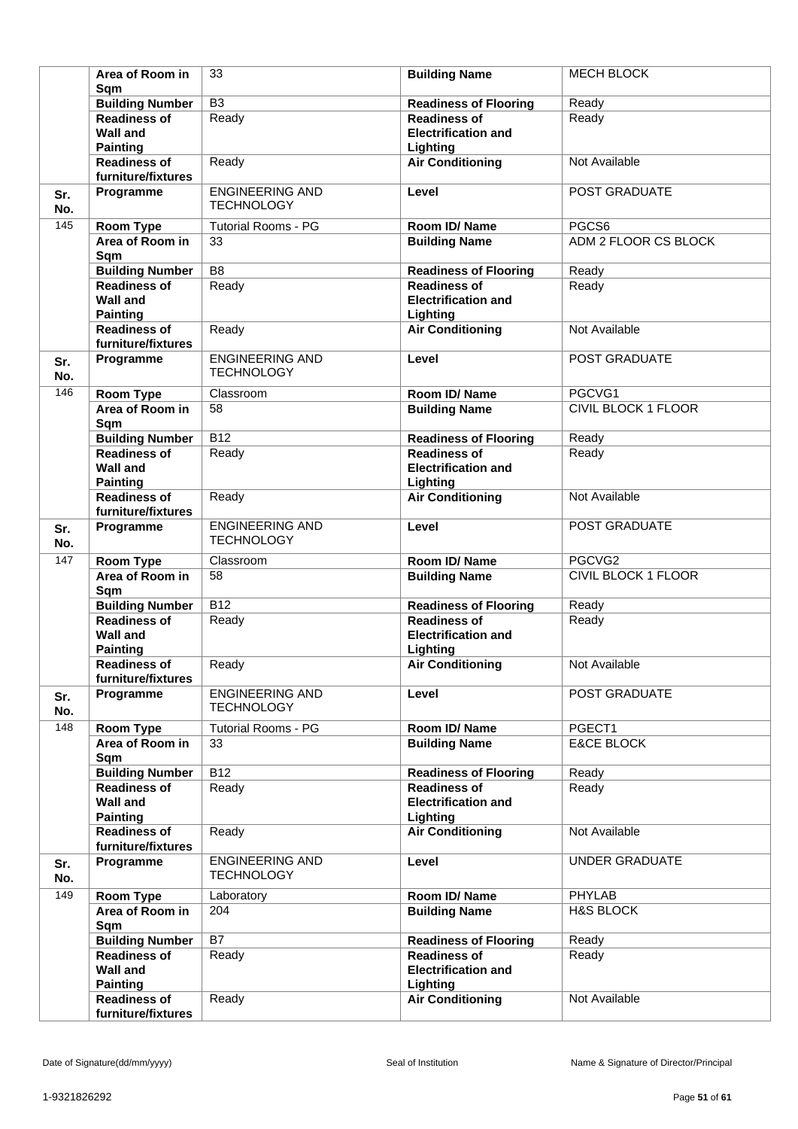|            | Area of Room in<br>Sqm                                       | 33                                          | <b>Building Name</b>                                          | <b>MECH BLOCK</b>          |
|------------|--------------------------------------------------------------|---------------------------------------------|---------------------------------------------------------------|----------------------------|
|            | <b>Building Number</b>                                       | $\overline{B3}$                             | <b>Readiness of Flooring</b>                                  | Ready                      |
|            | <b>Readiness of</b><br><b>Wall and</b>                       | Ready                                       | <b>Readiness of</b><br><b>Electrification and</b>             | Ready                      |
|            | <b>Painting</b><br><b>Readiness of</b><br>furniture/fixtures | Ready                                       | Lighting<br><b>Air Conditioning</b>                           | Not Available              |
| Sr.<br>No. | Programme                                                    | <b>ENGINEERING AND</b><br><b>TECHNOLOGY</b> | Level                                                         | POST GRADUATE              |
| 145        | <b>Room Type</b>                                             | <b>Tutorial Rooms - PG</b>                  | Room ID/Name                                                  | PGCS6                      |
|            | Area of Room in<br>Sqm                                       | 33                                          | <b>Building Name</b>                                          | ADM 2 FLOOR CS BLOCK       |
|            | <b>Building Number</b>                                       | $\overline{B8}$                             | <b>Readiness of Flooring</b>                                  | Ready                      |
|            | <b>Readiness of</b><br><b>Wall and</b>                       | Ready                                       | <b>Readiness of</b><br><b>Electrification and</b>             | Ready                      |
|            | <b>Painting</b><br><b>Readiness of</b>                       | Ready                                       | Lighting<br><b>Air Conditioning</b>                           | Not Available              |
|            | furniture/fixtures                                           |                                             |                                                               |                            |
| Sr.<br>No. | Programme                                                    | <b>ENGINEERING AND</b><br><b>TECHNOLOGY</b> | Level                                                         | POST GRADUATE              |
| 146        | <b>Room Type</b>                                             | Classroom                                   | Room ID/Name                                                  | PGCVG1                     |
|            | Area of Room in<br>Sqm                                       | 58                                          | <b>Building Name</b>                                          | <b>CIVIL BLOCK 1 FLOOR</b> |
|            | <b>Building Number</b>                                       | $\overline{B12}$                            | <b>Readiness of Flooring</b>                                  | Ready                      |
|            | <b>Readiness of</b><br><b>Wall and</b><br><b>Painting</b>    | Ready                                       | <b>Readiness of</b><br><b>Electrification and</b><br>Lighting | Ready                      |
|            | <b>Readiness of</b><br>furniture/fixtures                    | Ready                                       | <b>Air Conditioning</b>                                       | Not Available              |
| Sr.<br>No. | Programme                                                    | <b>ENGINEERING AND</b><br><b>TECHNOLOGY</b> | Level                                                         | POST GRADUATE              |
| 147        | <b>Room Type</b>                                             | Classroom                                   | Room ID/Name                                                  | PGCVG2                     |
|            | Area of Room in<br>Sqm                                       | 58                                          | <b>Building Name</b>                                          | <b>CIVIL BLOCK 1 FLOOR</b> |
|            | <b>Building Number</b>                                       | $\overline{B12}$                            | <b>Readiness of Flooring</b>                                  | Ready                      |
|            | <b>Readiness of</b><br><b>Wall and</b><br><b>Painting</b>    | Ready                                       | <b>Readiness of</b><br><b>Electrification and</b><br>Lighting | Ready                      |
|            | <b>Readiness of</b><br>furniture/fixtures                    | Ready                                       | <b>Air Conditioning</b>                                       | Not Available              |
| Sr.<br>No. | Programme                                                    | <b>ENGINEERING AND</b><br><b>TECHNOLOGY</b> | Level                                                         | POST GRADUATE              |
| 148        | <b>Room Type</b>                                             | <b>Tutorial Rooms - PG</b>                  | Room ID/Name                                                  | PGECT1                     |
|            | Area of Room in<br>Sqm                                       | 33                                          | <b>Building Name</b>                                          | <b>E&amp;CE BLOCK</b>      |
|            | <b>Building Number</b>                                       | <b>B12</b>                                  | <b>Readiness of Flooring</b>                                  | Ready                      |
|            | <b>Readiness of</b><br><b>Wall and</b><br><b>Painting</b>    | Ready                                       | <b>Readiness of</b><br><b>Electrification and</b><br>Lighting | Ready                      |
|            | <b>Readiness of</b><br>furniture/fixtures                    | Ready                                       | <b>Air Conditioning</b>                                       | Not Available              |
| Sr.<br>No. | Programme                                                    | <b>ENGINEERING AND</b><br><b>TECHNOLOGY</b> | Level                                                         | <b>UNDER GRADUATE</b>      |
| 149        | Room Type                                                    | Laboratory                                  | Room ID/Name                                                  | <b>PHYLAB</b>              |
|            | Area of Room in<br>Sqm                                       | 204                                         | <b>Building Name</b>                                          | <b>H&amp;S BLOCK</b>       |
|            | <b>Building Number</b>                                       | B7                                          | <b>Readiness of Flooring</b>                                  | Ready                      |
|            | <b>Readiness of</b><br><b>Wall and</b><br><b>Painting</b>    | Ready                                       | <b>Readiness of</b><br><b>Electrification and</b><br>Lighting | Ready                      |
|            | <b>Readiness of</b><br>furniture/fixtures                    | Ready                                       | <b>Air Conditioning</b>                                       | Not Available              |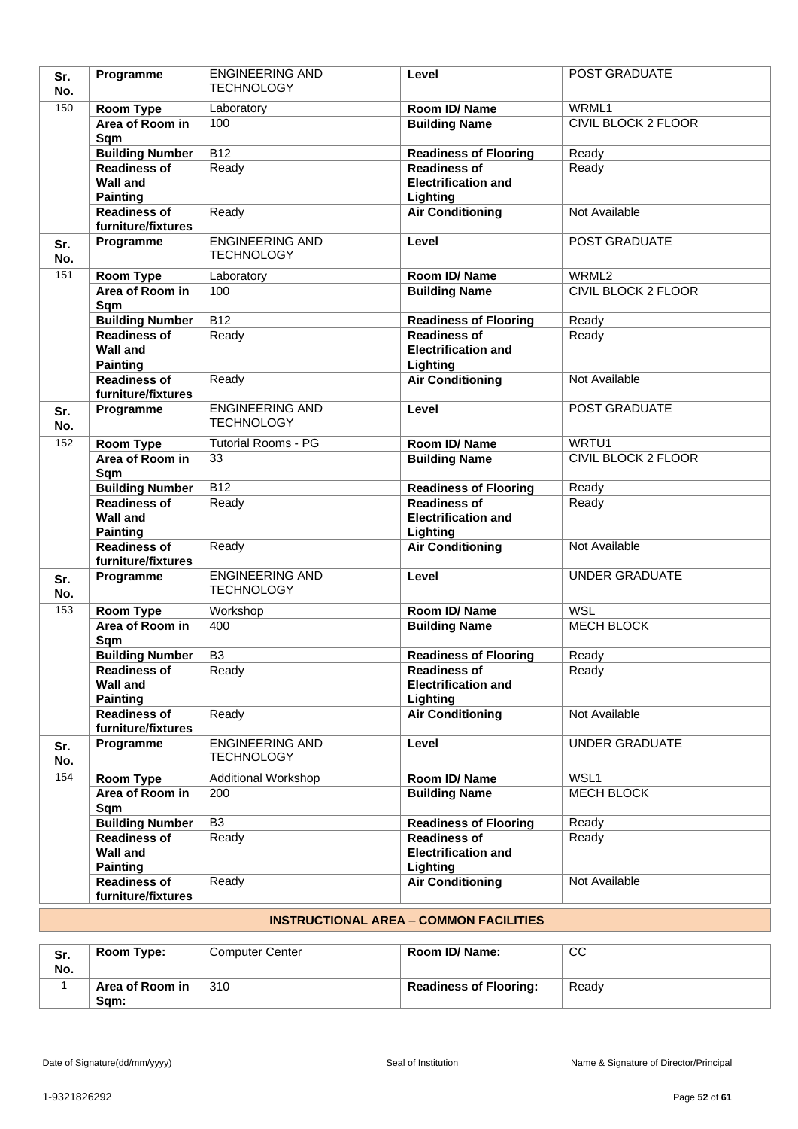| Sr.<br>No. | Programme                                                 | <b>ENGINEERING AND</b><br><b>TECHNOLOGY</b> | Level                                                         | POST GRADUATE              |
|------------|-----------------------------------------------------------|---------------------------------------------|---------------------------------------------------------------|----------------------------|
| 150        | Room Type                                                 | Laboratory                                  | Room ID/ Name                                                 | WRML1                      |
|            | Area of Room in<br>Sqm                                    | 100                                         | <b>Building Name</b>                                          | <b>CIVIL BLOCK 2 FLOOR</b> |
|            | <b>Building Number</b>                                    | B12                                         | <b>Readiness of Flooring</b>                                  | Ready                      |
|            | <b>Readiness of</b><br><b>Wall and</b><br><b>Painting</b> | Ready                                       | <b>Readiness of</b><br><b>Electrification and</b><br>Lighting | Ready                      |
|            | <b>Readiness of</b><br>furniture/fixtures                 | Ready                                       | <b>Air Conditioning</b>                                       | Not Available              |
| Sr.<br>No. | Programme                                                 | <b>ENGINEERING AND</b><br><b>TECHNOLOGY</b> | Level                                                         | POST GRADUATE              |
| 151        | Room Type                                                 | Laboratory                                  | Room ID/Name                                                  | WRML2                      |
|            | Area of Room in<br>Sqm                                    | 100                                         | <b>Building Name</b>                                          | <b>CIVIL BLOCK 2 FLOOR</b> |
|            | <b>Building Number</b>                                    | $\overline{B12}$                            | <b>Readiness of Flooring</b>                                  | Ready                      |
|            | <b>Readiness of</b><br><b>Wall and</b><br><b>Painting</b> | Ready                                       | <b>Readiness of</b><br><b>Electrification and</b><br>Lighting | Ready                      |
|            | <b>Readiness of</b><br>furniture/fixtures                 | Ready                                       | <b>Air Conditioning</b>                                       | Not Available              |
| Sr.<br>No. | Programme                                                 | <b>ENGINEERING AND</b><br><b>TECHNOLOGY</b> | Level                                                         | POST GRADUATE              |
| 152        | Room Type                                                 | <b>Tutorial Rooms - PG</b>                  | Room ID/Name                                                  | WRTU1                      |
|            | Area of Room in<br>Sqm                                    | 33                                          | <b>Building Name</b>                                          | CIVIL BLOCK 2 FLOOR        |
|            | <b>Building Number</b>                                    | $\overline{B12}$                            | <b>Readiness of Flooring</b>                                  | Ready                      |
|            | <b>Readiness of</b><br><b>Wall and</b><br><b>Painting</b> | Ready                                       | <b>Readiness of</b><br><b>Electrification and</b><br>Lighting | Ready                      |
|            | <b>Readiness of</b><br>furniture/fixtures                 | Ready                                       | <b>Air Conditioning</b>                                       | Not Available              |
| Sr.<br>No. | Programme                                                 | <b>ENGINEERING AND</b><br><b>TECHNOLOGY</b> | Level                                                         | <b>UNDER GRADUATE</b>      |
| 153        | <b>Room Type</b>                                          | Workshop                                    | Room ID/Name                                                  | <b>WSL</b>                 |
|            | Area of Room in<br>Sqm                                    | 400                                         | <b>Building Name</b>                                          | MECH BLOCK                 |
|            | <b>Building Number</b>                                    | B <sub>3</sub>                              | <b>Readiness of Flooring</b>                                  | Ready                      |
|            | <b>Readiness of</b><br><b>Wall and</b><br><b>Painting</b> | Ready                                       | <b>Readiness of</b><br><b>Electrification and</b><br>Lighting | Ready                      |
|            | <b>Readiness of</b><br>furniture/fixtures                 | Ready                                       | <b>Air Conditioning</b>                                       | Not Available              |
| Sr.<br>No. | Programme                                                 | <b>ENGINEERING AND</b><br><b>TECHNOLOGY</b> | Level                                                         | <b>UNDER GRADUATE</b>      |
| 154        | Room Type                                                 | Additional Workshop                         | Room ID/Name                                                  | WSL1                       |
|            | Area of Room in<br>Sqm                                    | 200                                         | <b>Building Name</b>                                          | <b>MECH BLOCK</b>          |
|            | <b>Building Number</b>                                    | B <sub>3</sub>                              | <b>Readiness of Flooring</b>                                  | Ready                      |
|            | <b>Readiness of</b><br><b>Wall and</b><br><b>Painting</b> | Ready                                       | <b>Readiness of</b><br><b>Electrification and</b><br>Lighting | Ready                      |
|            | <b>Readiness of</b><br>furniture/fixtures                 | Ready                                       | <b>Air Conditioning</b>                                       | Not Available              |

# **INSTRUCTIONAL AREA** – **COMMON FACILITIES**

| Sr.<br>No. | Room Type:              | <b>Computer Center</b> | Room ID/ Name:                | $\sim$<br>◡◡ |
|------------|-------------------------|------------------------|-------------------------------|--------------|
|            | Area of Room in<br>Sam: | 310                    | <b>Readiness of Flooring:</b> | Ready        |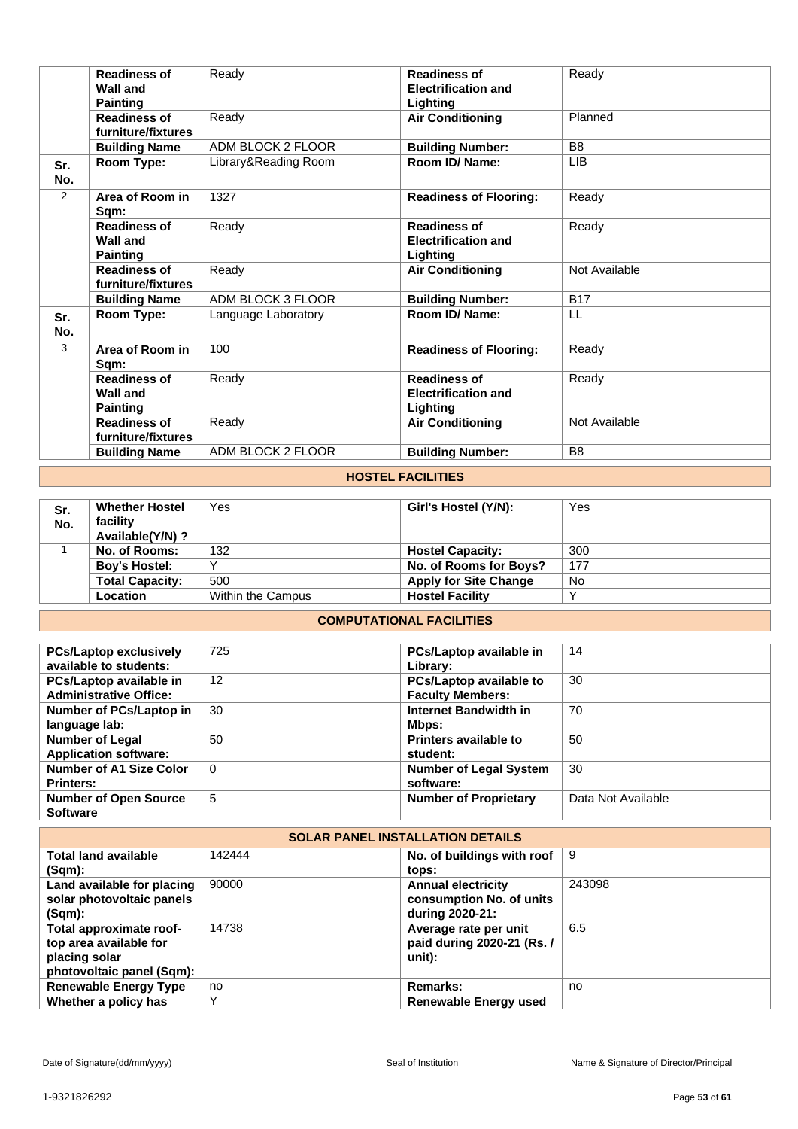|            | <b>Readiness of</b><br><b>Wall and</b><br><b>Painting</b> | Ready                | <b>Readiness of</b><br><b>Electrification and</b><br>Lighting | Ready          |  |
|------------|-----------------------------------------------------------|----------------------|---------------------------------------------------------------|----------------|--|
|            | <b>Readiness of</b><br>furniture/fixtures                 | Ready                | <b>Air Conditioning</b>                                       | Planned        |  |
|            | <b>Building Name</b>                                      | ADM BLOCK 2 FLOOR    | <b>Building Number:</b>                                       | B <sub>8</sub> |  |
| Sr.<br>No. | Room Type:                                                | Library&Reading Room | Room ID/Name:                                                 | <b>LIB</b>     |  |
| 2          | Area of Room in<br>Sqm:                                   | 1327                 | <b>Readiness of Flooring:</b>                                 | Ready          |  |
|            | <b>Readiness of</b><br><b>Wall and</b><br><b>Painting</b> | Ready                | <b>Readiness of</b><br><b>Electrification and</b><br>Lighting | Ready          |  |
|            | <b>Readiness of</b><br>furniture/fixtures                 | Ready                | <b>Air Conditioning</b>                                       | Not Available  |  |
|            | <b>Building Name</b>                                      | ADM BLOCK 3 FLOOR    | <b>Building Number:</b>                                       | <b>B17</b>     |  |
| Sr.<br>No. | Room Type:                                                | Language Laboratory  | Room ID/Name:                                                 | LL             |  |
| 3          | Area of Room in<br>Sqm:                                   | 100                  | <b>Readiness of Flooring:</b>                                 | Ready          |  |
|            | <b>Readiness of</b><br><b>Wall and</b><br><b>Painting</b> | Ready                | <b>Readiness of</b><br><b>Electrification and</b><br>Lighting | Ready          |  |
|            | <b>Readiness of</b><br>furniture/fixtures                 | Ready                | <b>Air Conditioning</b>                                       | Not Available  |  |
|            | <b>Building Name</b>                                      | ADM BLOCK 2 FLOOR    | <b>Building Number:</b>                                       | B <sub>8</sub> |  |
|            |                                                           |                      |                                                               |                |  |

### **HOSTEL FACILITIES**

| Sr.<br>No. | <b>Whether Hostel</b><br>facility<br>Available(Y/N)? | Yes               | Girl's Hostel (Y/N):         | Yes |
|------------|------------------------------------------------------|-------------------|------------------------------|-----|
|            | No. of Rooms:                                        | 132               | <b>Hostel Capacity:</b>      | 300 |
|            | <b>Boy's Hostel:</b>                                 |                   | No. of Rooms for Boys?       | 177 |
|            | <b>Total Capacity:</b>                               | 500               | <b>Apply for Site Change</b> | No  |
|            | <b>Location</b>                                      | Within the Campus | <b>Hostel Facility</b>       |     |

# **COMPUTATIONAL FACILITIES**

| <b>PCs/Laptop exclusively</b>  | 725      | PCs/Laptop available in        | 14                 |
|--------------------------------|----------|--------------------------------|--------------------|
| available to students:         |          | Library:                       |                    |
| PCs/Laptop available in        | 12       | <b>PCs/Laptop available to</b> | 30                 |
| <b>Administrative Office:</b>  |          | <b>Faculty Members:</b>        |                    |
| Number of PCs/Laptop in        | 30       | Internet Bandwidth in          | 70                 |
| language lab:                  |          | Mbps:                          |                    |
| <b>Number of Legal</b>         | 50       | <b>Printers available to</b>   | 50                 |
| <b>Application software:</b>   |          | student:                       |                    |
| <b>Number of A1 Size Color</b> | $\Omega$ | <b>Number of Legal System</b>  | 30                 |
| <b>Printers:</b>               |          | software:                      |                    |
| <b>Number of Open Source</b>   | 5        | <b>Number of Proprietary</b>   | Data Not Available |
| <b>Software</b>                |          |                                |                    |

| <b>SOLAR PANEL INSTALLATION DETAILS</b> |              |                                        |        |  |
|-----------------------------------------|--------------|----------------------------------------|--------|--|
| <b>Total land available</b>             | 142444       | No. of buildings with roof $\parallel$ | 9      |  |
| $(Sqm)$ :                               |              | tops:                                  |        |  |
| Land available for placing              | 90000        | <b>Annual electricity</b>              | 243098 |  |
| solar photovoltaic panels               |              | consumption No. of units               |        |  |
| (Sqm):                                  |              | during 2020-21:                        |        |  |
| Total approximate roof-                 | 14738        | Average rate per unit                  | 6.5    |  |
| top area available for                  |              | paid during 2020-21 (Rs. /             |        |  |
| placing solar                           |              | unit):                                 |        |  |
| photovoltaic panel (Sqm):               |              |                                        |        |  |
| <b>Renewable Energy Type</b>            | no           | <b>Remarks:</b>                        | no     |  |
| Whether a policy has                    | $\checkmark$ | Renewable Energy used                  |        |  |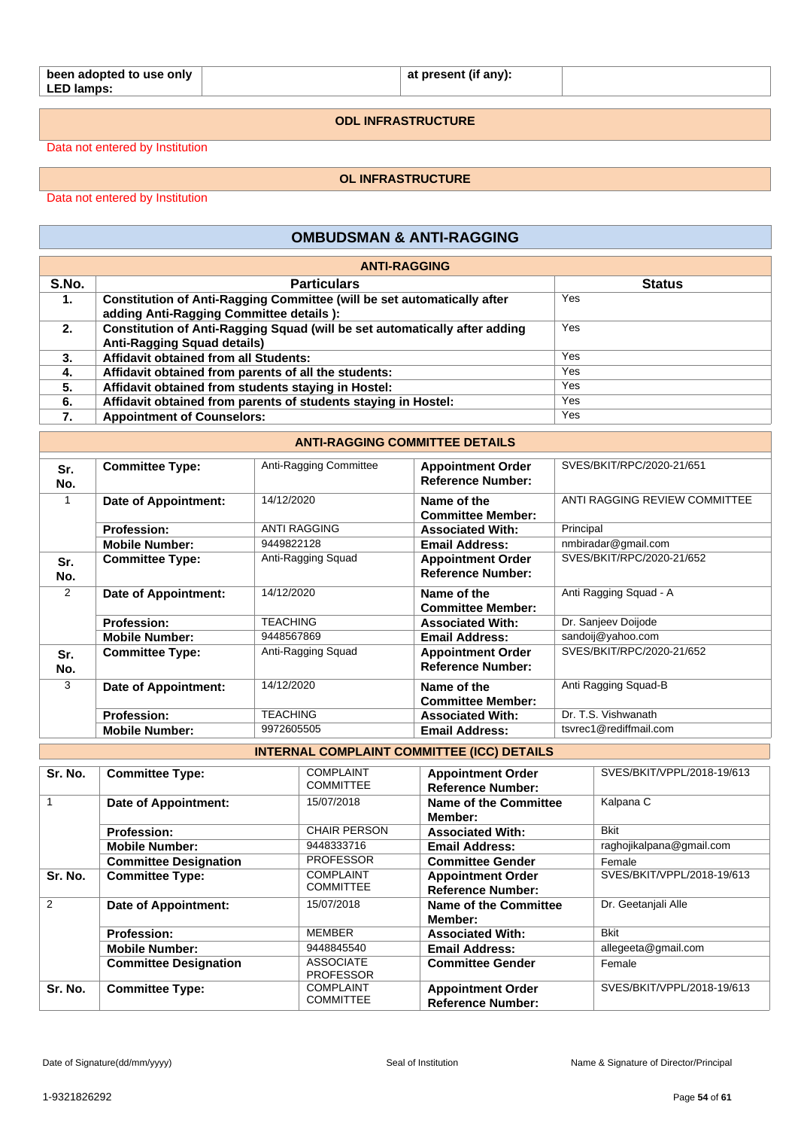| been adopted to use only |  |  |
|--------------------------|--|--|
| LED lamps:               |  |  |

**at present (if any):**

**ODL INFRASTRUCTURE**

Data not entered by Institution

**OL INFRASTRUCTURE**

Data not entered by Institution

# **OMBUDSMAN & ANTI-RAGGING**

|                | <b>ANTI-RAGGING</b>                                                                                                 |               |  |  |  |
|----------------|---------------------------------------------------------------------------------------------------------------------|---------------|--|--|--|
| S.No.          | <b>Particulars</b>                                                                                                  | <b>Status</b> |  |  |  |
| $\mathbf{1}$ . | Constitution of Anti-Ragging Committee (will be set automatically after<br>adding Anti-Ragging Committee details ): | Yes           |  |  |  |
| 2.             | Constitution of Anti-Ragging Squad (will be set automatically after adding<br><b>Anti-Ragging Squad details)</b>    | Yes           |  |  |  |
| 3.             | Affidavit obtained from all Students:                                                                               | Yes           |  |  |  |
| 4.             | Affidavit obtained from parents of all the students:                                                                | Yes           |  |  |  |
| 5.             | Affidavit obtained from students staying in Hostel:                                                                 | Yes           |  |  |  |
| 6.             | Affidavit obtained from parents of students staying in Hostel:                                                      | Yes           |  |  |  |
| 7.             | <b>Appointment of Counselors:</b>                                                                                   | Yes           |  |  |  |

### **ANTI-RAGGING COMMITTEE DETAILS**

| Sr.<br>No. | <b>Committee Type:</b> | Anti-Ragging Committee | <b>Appointment Order</b><br><b>Reference Number:</b> | SVES/BKIT/RPC/2020-21/651     |
|------------|------------------------|------------------------|------------------------------------------------------|-------------------------------|
|            | Date of Appointment:   | 14/12/2020             | Name of the<br><b>Committee Member:</b>              | ANTI RAGGING REVIEW COMMITTEE |
|            | <b>Profession:</b>     | <b>ANTI RAGGING</b>    | <b>Associated With:</b>                              | Principal                     |
|            | <b>Mobile Number:</b>  | 9449822128             | <b>Email Address:</b>                                | nmbiradar@gmail.com           |
| Sr.<br>No. | <b>Committee Type:</b> | Anti-Ragging Squad     | <b>Appointment Order</b><br><b>Reference Number:</b> | SVES/BKIT/RPC/2020-21/652     |
| 2          | Date of Appointment:   | 14/12/2020             | Name of the<br><b>Committee Member:</b>              | Anti Ragging Squad - A        |
|            | <b>Profession:</b>     | TEACHING               | <b>Associated With:</b>                              | Dr. Sanjeev Doijode           |
|            | <b>Mobile Number:</b>  | 9448567869             | <b>Email Address:</b>                                | sandoij@yahoo.com             |
| Sr.<br>No. | <b>Committee Type:</b> | Anti-Ragging Squad     | <b>Appointment Order</b><br><b>Reference Number:</b> | SVES/BKIT/RPC/2020-21/652     |
| 3          | Date of Appointment:   | 14/12/2020             | Name of the<br><b>Committee Member:</b>              | Anti Ragging Squad-B          |
|            | <b>Profession:</b>     | <b>TEACHING</b>        | <b>Associated With:</b>                              | Dr. T.S. Vishwanath           |
|            | <b>Mobile Number:</b>  | 9972605505             | <b>Email Address:</b>                                | tsyrec1@rediffmail.com        |

**INTERNAL COMPLAINT COMMITTEE (ICC) DETAILS**

| Sr. No.       | <b>Committee Type:</b>       | <b>COMPLAINT</b>    | <b>Appointment Order</b> | SVES/BKIT/VPPL/2018-19/613 |
|---------------|------------------------------|---------------------|--------------------------|----------------------------|
|               |                              | <b>COMMITTEE</b>    | <b>Reference Number:</b> |                            |
| 1             | <b>Date of Appointment:</b>  | 15/07/2018          | Name of the Committee    | Kalpana C                  |
|               |                              |                     | Member:                  |                            |
|               | <b>Profession:</b>           | <b>CHAIR PERSON</b> | <b>Associated With:</b>  | <b>Bkit</b>                |
|               | <b>Mobile Number:</b>        | 9448333716          | <b>Email Address:</b>    | raghojikalpana@gmail.com   |
|               | <b>Committee Designation</b> | <b>PROFESSOR</b>    | <b>Committee Gender</b>  | Female                     |
| Sr. No.       | <b>Committee Type:</b>       | <b>COMPLAINT</b>    | <b>Appointment Order</b> | SVES/BKIT/VPPL/2018-19/613 |
|               |                              | <b>COMMITTEE</b>    | <b>Reference Number:</b> |                            |
| $\mathcal{P}$ | Date of Appointment:         | 15/07/2018          | Name of the Committee    | Dr. Geetanjali Alle        |
|               |                              |                     | Member:                  |                            |
|               | <b>Profession:</b>           | <b>MEMBER</b>       | <b>Associated With:</b>  | <b>Bkit</b>                |
|               | <b>Mobile Number:</b>        | 9448845540          | <b>Email Address:</b>    | allegeeta@gmail.com        |
|               | <b>Committee Designation</b> | <b>ASSOCIATE</b>    | <b>Committee Gender</b>  | Female                     |
|               |                              | <b>PROFESSOR</b>    |                          |                            |
| Sr. No.       | <b>Committee Type:</b>       | <b>COMPLAINT</b>    | <b>Appointment Order</b> | SVES/BKIT/VPPL/2018-19/613 |
|               |                              | <b>COMMITTEE</b>    | <b>Reference Number:</b> |                            |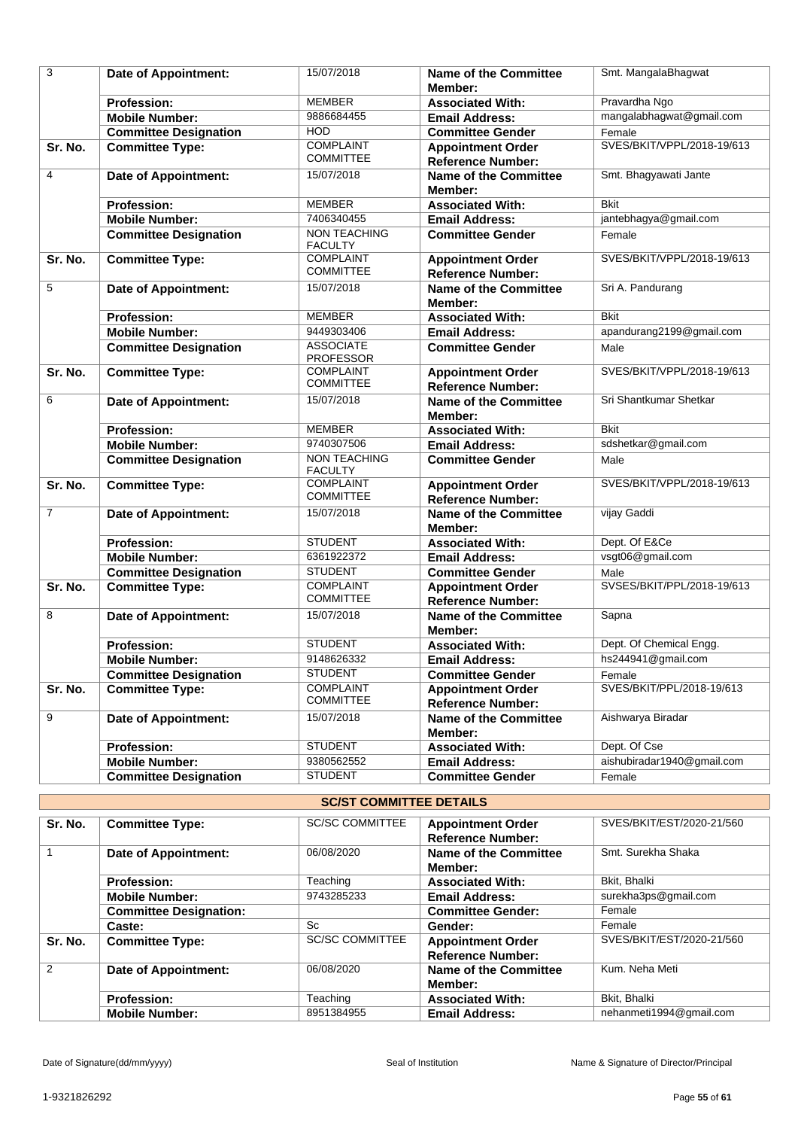| 3              | <b>Date of Appointment:</b>  | 15/07/2018                            | <b>Name of the Committee</b><br>Member:                  | Smt. MangalaBhagwat        |
|----------------|------------------------------|---------------------------------------|----------------------------------------------------------|----------------------------|
|                | <b>Profession:</b>           | <b>MEMBER</b>                         | <b>Associated With:</b>                                  | Pravardha Ngo              |
|                | <b>Mobile Number:</b>        | 9886684455                            | <b>Email Address:</b>                                    | mangalabhagwat@gmail.com   |
|                | <b>Committee Designation</b> | <b>HOD</b>                            | <b>Committee Gender</b>                                  | Female                     |
| Sr. No.        | <b>Committee Type:</b>       | <b>COMPLAINT</b>                      | <b>Appointment Order</b>                                 | SVES/BKIT/VPPL/2018-19/613 |
|                |                              | <b>COMMITTEE</b>                      | <b>Reference Number:</b>                                 |                            |
| 4              | Date of Appointment:         | 15/07/2018                            | <b>Name of the Committee</b>                             | Smt. Bhagyawati Jante      |
|                |                              |                                       | Member:                                                  |                            |
|                | <b>Profession:</b>           | <b>MEMBER</b>                         | <b>Associated With:</b>                                  | <b>Bkit</b>                |
|                | <b>Mobile Number:</b>        | 7406340455                            | <b>Email Address:</b>                                    | jantebhagya@gmail.com      |
|                | <b>Committee Designation</b> | <b>NON TEACHING</b><br><b>FACULTY</b> | <b>Committee Gender</b>                                  | Female                     |
| Sr. No.        | <b>Committee Type:</b>       | <b>COMPLAINT</b><br><b>COMMITTEE</b>  | <b>Appointment Order</b>                                 | SVES/BKIT/VPPL/2018-19/613 |
| 5              |                              | 15/07/2018                            | <b>Reference Number:</b><br><b>Name of the Committee</b> | Sri A. Pandurang           |
|                | Date of Appointment:         |                                       | Member:                                                  |                            |
|                | <b>Profession:</b>           | <b>MEMBER</b>                         | <b>Associated With:</b>                                  | <b>Bkit</b>                |
|                | <b>Mobile Number:</b>        | 9449303406                            | <b>Email Address:</b>                                    | apandurang2199@gmail.com   |
|                | <b>Committee Designation</b> | <b>ASSOCIATE</b><br><b>PROFESSOR</b>  | <b>Committee Gender</b>                                  | Male                       |
| Sr. No.        | <b>Committee Type:</b>       | <b>COMPLAINT</b><br><b>COMMITTEE</b>  | <b>Appointment Order</b><br><b>Reference Number:</b>     | SVES/BKIT/VPPL/2018-19/613 |
| 6              | Date of Appointment:         | 15/07/2018                            | Name of the Committee<br>Member:                         | Sri Shantkumar Shetkar     |
|                | <b>Profession:</b>           | <b>MEMBER</b>                         | <b>Associated With:</b>                                  | <b>Bkit</b>                |
|                | <b>Mobile Number:</b>        | 9740307506                            | <b>Email Address:</b>                                    | sdshetkar@gmail.com        |
|                | <b>Committee Designation</b> | <b>NON TEACHING</b>                   | <b>Committee Gender</b>                                  | Male                       |
|                |                              | <b>FACULTY</b>                        |                                                          |                            |
| Sr. No.        | <b>Committee Type:</b>       | <b>COMPLAINT</b><br><b>COMMITTEE</b>  | <b>Appointment Order</b><br><b>Reference Number:</b>     | SVES/BKIT/VPPL/2018-19/613 |
| $\overline{7}$ | Date of Appointment:         | 15/07/2018                            | <b>Name of the Committee</b><br>Member:                  | vijay Gaddi                |
|                | <b>Profession:</b>           | <b>STUDENT</b>                        | <b>Associated With:</b>                                  | Dept. Of E&Ce              |
|                | <b>Mobile Number:</b>        | 6361922372                            | <b>Email Address:</b>                                    | vsgt06@gmail.com           |
|                | <b>Committee Designation</b> | <b>STUDENT</b>                        | <b>Committee Gender</b>                                  | Male                       |
| Sr. No.        | <b>Committee Type:</b>       | <b>COMPLAINT</b><br><b>COMMITTEE</b>  | <b>Appointment Order</b><br><b>Reference Number:</b>     | SVSES/BKIT/PPL/2018-19/613 |
| 8              | <b>Date of Appointment:</b>  | 15/07/2018                            | <b>Name of the Committee</b><br>Member:                  | Sapna                      |
|                | <b>Profession:</b>           | <b>STUDENT</b>                        | <b>Associated With:</b>                                  | Dept. Of Chemical Engg.    |
|                | <b>Mobile Number:</b>        | 9148626332                            | <b>Email Address:</b>                                    | hs244941@gmail.com         |
|                | <b>Committee Designation</b> | <b>STUDENT</b>                        | <b>Committee Gender</b>                                  | Female                     |
| Sr. No.        | <b>Committee Type:</b>       | <b>COMPLAINT</b><br><b>COMMITTEE</b>  | <b>Appointment Order</b>                                 | SVES/BKIT/PPL/2018-19/613  |
|                |                              |                                       | <b>Reference Number:</b>                                 |                            |
| 9              | Date of Appointment:         | 15/07/2018                            | <b>Name of the Committee</b><br>Member:                  | Aishwarya Biradar          |
|                | Profession:                  | <b>STUDENT</b>                        | <b>Associated With:</b>                                  | Dept. Of Cse               |
|                | <b>Mobile Number:</b>        | 9380562552                            | <b>Email Address:</b>                                    | aishubiradar1940@gmail.com |
|                | <b>Committee Designation</b> | <b>STUDENT</b>                        | <b>Committee Gender</b>                                  | Female                     |

| <b>SC/ST COMMITTEE DETAILS</b> |                               |                        |                                                      |                           |
|--------------------------------|-------------------------------|------------------------|------------------------------------------------------|---------------------------|
| Sr. No.                        | <b>Committee Type:</b>        | <b>SC/SC COMMITTEE</b> | <b>Appointment Order</b><br><b>Reference Number:</b> | SVES/BKIT/EST/2020-21/560 |
|                                | <b>Date of Appointment:</b>   | 06/08/2020             | Name of the Committee<br>Member:                     | Smt. Surekha Shaka        |
|                                | <b>Profession:</b>            | Teaching               | <b>Associated With:</b>                              | Bkit, Bhalki              |
|                                | <b>Mobile Number:</b>         | 9743285233             | <b>Email Address:</b>                                | surekha3ps@gmail.com      |
|                                | <b>Committee Designation:</b> |                        | <b>Committee Gender:</b>                             | Female                    |
|                                | Caste:                        | <b>Sc</b>              | Gender:                                              | Female                    |
| Sr. No.                        | <b>Committee Type:</b>        | <b>SC/SC COMMITTEE</b> | <b>Appointment Order</b><br><b>Reference Number:</b> | SVES/BKIT/EST/2020-21/560 |
| $\mathfrak{p}$                 | <b>Date of Appointment:</b>   | 06/08/2020             | <b>Name of the Committee</b><br>Member:              | Kum, Neha Meti            |
|                                | <b>Profession:</b>            | Teaching               | <b>Associated With:</b>                              | Bkit, Bhalki              |
|                                | <b>Mobile Number:</b>         | 8951384955             | <b>Email Address:</b>                                | nehanmeti1994@gmail.com   |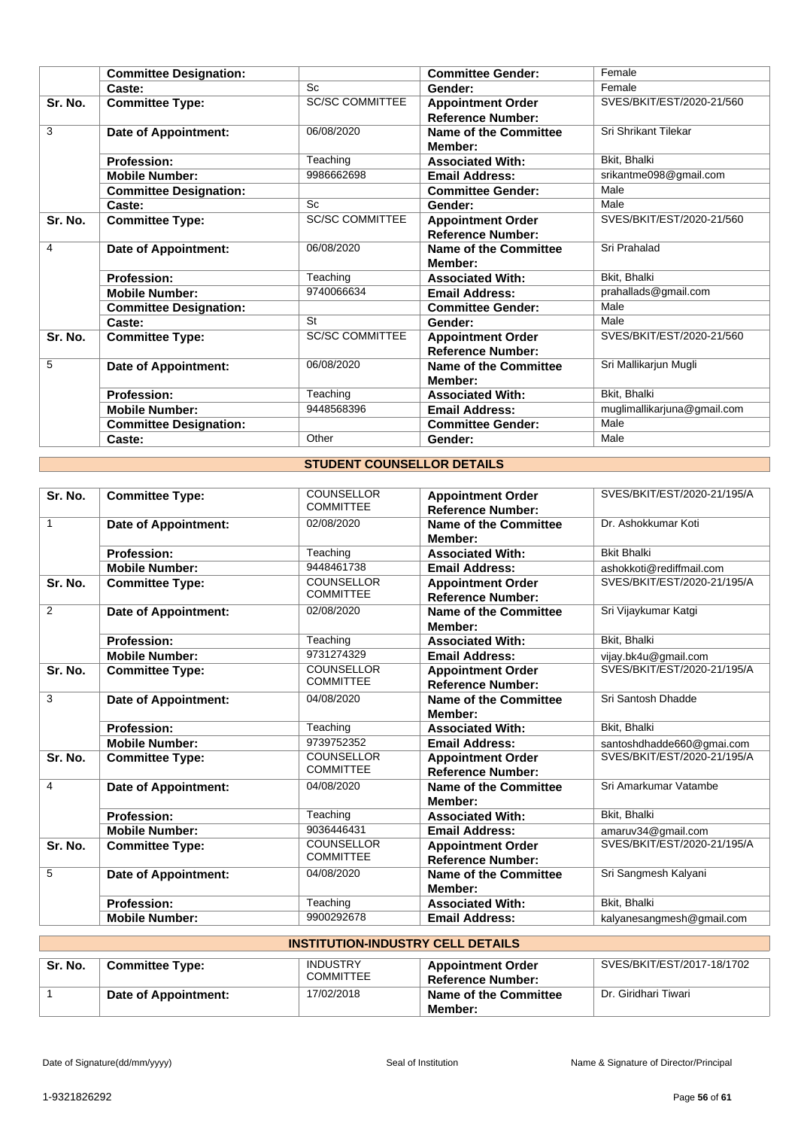|         | <b>Committee Designation:</b> |                        | <b>Committee Gender:</b>                             | Female                      |
|---------|-------------------------------|------------------------|------------------------------------------------------|-----------------------------|
|         | Caste:                        | Sc                     | Gender:                                              | Female                      |
| Sr. No. | <b>Committee Type:</b>        | <b>SC/SC COMMITTEE</b> | <b>Appointment Order</b><br><b>Reference Number:</b> | SVES/BKIT/EST/2020-21/560   |
| 3       | Date of Appointment:          | 06/08/2020             | Name of the Committee<br>Member:                     | Sri Shrikant Tilekar        |
|         | <b>Profession:</b>            | Teaching               | <b>Associated With:</b>                              | Bkit. Bhalki                |
|         | <b>Mobile Number:</b>         | 9986662698             | <b>Email Address:</b>                                | srikantme098@gmail.com      |
|         | <b>Committee Designation:</b> |                        | <b>Committee Gender:</b>                             | Male                        |
|         | Caste:                        | Sc                     | Gender:                                              | Male                        |
| Sr. No. | <b>Committee Type:</b>        | <b>SC/SC COMMITTEE</b> | <b>Appointment Order</b><br><b>Reference Number:</b> | SVES/BKIT/EST/2020-21/560   |
| 4       | Date of Appointment:          | 06/08/2020             | <b>Name of the Committee</b><br>Member:              | Sri Prahalad                |
|         | <b>Profession:</b>            | Teaching               | <b>Associated With:</b>                              | Bkit, Bhalki                |
|         | <b>Mobile Number:</b>         | 9740066634             | <b>Email Address:</b>                                | prahallads@gmail.com        |
|         | <b>Committee Designation:</b> |                        | <b>Committee Gender:</b>                             | Male                        |
|         | Caste:                        | St                     | Gender:                                              | Male                        |
| Sr. No. | <b>Committee Type:</b>        | <b>SC/SC COMMITTEE</b> | <b>Appointment Order</b><br><b>Reference Number:</b> | SVES/BKIT/EST/2020-21/560   |
| 5       | Date of Appointment:          | 06/08/2020             | Name of the Committee<br>Member:                     | Sri Mallikarjun Mugli       |
|         | <b>Profession:</b>            | Teaching               | <b>Associated With:</b>                              | Bkit, Bhalki                |
|         | <b>Mobile Number:</b>         | 9448568396             | <b>Email Address:</b>                                | muglimallikarjuna@gmail.com |
|         | <b>Committee Designation:</b> |                        | <b>Committee Gender:</b>                             | Male                        |
|         | Caste:                        | Other                  | Gender:                                              | Male                        |

# **STUDENT COUNSELLOR DETAILS**

| Sr. No.      | <b>Committee Type:</b>      | <b>COUNSELLOR</b><br><b>COMMITTEE</b> | <b>Appointment Order</b><br><b>Reference Number:</b> | SVES/BKIT/EST/2020-21/195/A |
|--------------|-----------------------------|---------------------------------------|------------------------------------------------------|-----------------------------|
| $\mathbf{1}$ | <b>Date of Appointment:</b> | 02/08/2020                            | Name of the Committee<br>Member:                     | Dr. Ashokkumar Koti         |
|              | <b>Profession:</b>          | Teaching                              | <b>Associated With:</b>                              | <b>Bkit Bhalki</b>          |
|              | <b>Mobile Number:</b>       | 9448461738                            | <b>Email Address:</b>                                | ashokkoti@rediffmail.com    |
| Sr. No.      | <b>Committee Type:</b>      | <b>COUNSELLOR</b><br><b>COMMITTEE</b> | <b>Appointment Order</b><br><b>Reference Number:</b> | SVES/BKIT/EST/2020-21/195/A |
| 2            | <b>Date of Appointment:</b> | 02/08/2020                            | Name of the Committee<br>Member:                     | Sri Vijaykumar Katqi        |
|              | <b>Profession:</b>          | Teaching                              | <b>Associated With:</b>                              | Bkit, Bhalki                |
|              | <b>Mobile Number:</b>       | 9731274329                            | <b>Email Address:</b>                                | vijay.bk4u@qmail.com        |
| Sr. No.      | <b>Committee Type:</b>      | <b>COUNSELLOR</b><br><b>COMMITTEE</b> | <b>Appointment Order</b><br><b>Reference Number:</b> | SVES/BKIT/EST/2020-21/195/A |
| 3            | <b>Date of Appointment:</b> | 04/08/2020                            | <b>Name of the Committee</b><br>Member:              | Sri Santosh Dhadde          |
|              | <b>Profession:</b>          | Teaching                              | <b>Associated With:</b>                              | Bkit, Bhalki                |
|              | <b>Mobile Number:</b>       | 9739752352                            | <b>Email Address:</b>                                | santoshdhadde660@gmai.com   |
| Sr. No.      | <b>Committee Type:</b>      | <b>COUNSELLOR</b><br><b>COMMITTEE</b> | <b>Appointment Order</b><br><b>Reference Number:</b> | SVES/BKIT/EST/2020-21/195/A |
| 4            | Date of Appointment:        | 04/08/2020                            | Name of the Committee<br>Member:                     | Sri Amarkumar Vatambe       |
|              | <b>Profession:</b>          | Teaching                              | <b>Associated With:</b>                              | Bkit, Bhalki                |
|              | <b>Mobile Number:</b>       | 9036446431                            | <b>Email Address:</b>                                | amaruv34@gmail.com          |
| Sr. No.      | <b>Committee Type:</b>      | <b>COUNSELLOR</b><br><b>COMMITTEE</b> | <b>Appointment Order</b><br><b>Reference Number:</b> | SVES/BKIT/EST/2020-21/195/A |
| 5            | <b>Date of Appointment:</b> | 04/08/2020                            | Name of the Committee<br>Member:                     | Sri Sangmesh Kalyani        |
|              | <b>Profession:</b>          | Teaching                              | <b>Associated With:</b>                              | Bkit, Bhalki                |
|              | <b>Mobile Number:</b>       | 9900292678                            | <b>Email Address:</b>                                | kalyanesangmesh@gmail.com   |

| <b>INSTITUTION-INDUSTRY CELL DETAILS</b> |                                                                                                                                                     |            |                                         |                      |  |
|------------------------------------------|-----------------------------------------------------------------------------------------------------------------------------------------------------|------------|-----------------------------------------|----------------------|--|
| Sr. No.                                  | SVES/BKIT/EST/2017-18/1702<br><b>INDUSTRY</b><br><b>Committee Type:</b><br><b>Appointment Order</b><br><b>COMMITTEE</b><br><b>Reference Number:</b> |            |                                         |                      |  |
|                                          | Date of Appointment:                                                                                                                                | 17/02/2018 | <b>Name of the Committee</b><br>Member: | Dr. Giridhari Tiwari |  |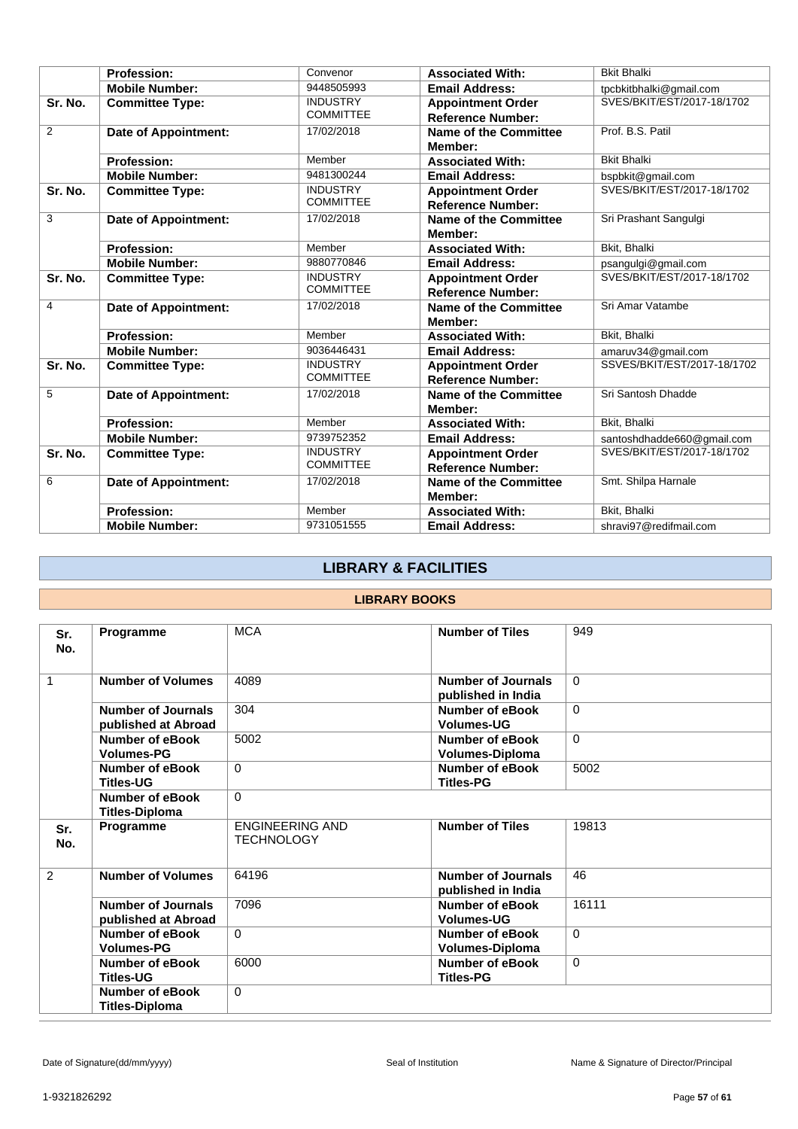|                | <b>Profession:</b>          | Convenor                            | <b>Associated With:</b>                              | <b>Bkit Bhalki</b>          |
|----------------|-----------------------------|-------------------------------------|------------------------------------------------------|-----------------------------|
|                | <b>Mobile Number:</b>       | 9448505993                          | <b>Email Address:</b>                                | tpcbkitbhalki@gmail.com     |
| Sr. No.        | <b>Committee Type:</b>      | <b>INDUSTRY</b><br><b>COMMITTEE</b> | <b>Appointment Order</b><br><b>Reference Number:</b> | SVES/BKIT/EST/2017-18/1702  |
| $\overline{2}$ | <b>Date of Appointment:</b> | 17/02/2018                          | Name of the Committee<br>Member:                     | Prof. B.S. Patil            |
|                | <b>Profession:</b>          | Member                              | <b>Associated With:</b>                              | <b>Bkit Bhalki</b>          |
|                | <b>Mobile Number:</b>       | 9481300244                          | <b>Email Address:</b>                                | bspbkit@gmail.com           |
| Sr. No.        | <b>Committee Type:</b>      | <b>INDUSTRY</b><br><b>COMMITTEE</b> | <b>Appointment Order</b><br><b>Reference Number:</b> | SVES/BKIT/EST/2017-18/1702  |
| 3              | Date of Appointment:        | 17/02/2018                          | Name of the Committee<br>Member:                     | Sri Prashant Sangulgi       |
|                | <b>Profession:</b>          | Member                              | <b>Associated With:</b>                              | <b>Bkit. Bhalki</b>         |
|                | <b>Mobile Number:</b>       | 9880770846                          | <b>Email Address:</b>                                | psangulgi@gmail.com         |
| Sr. No.        | <b>Committee Type:</b>      | <b>INDUSTRY</b><br><b>COMMITTEE</b> | <b>Appointment Order</b><br><b>Reference Number:</b> | SVES/BKIT/EST/2017-18/1702  |
| 4              | <b>Date of Appointment:</b> | 17/02/2018                          | Name of the Committee<br>Member:                     | Sri Amar Vatambe            |
|                | <b>Profession:</b>          | Member                              | <b>Associated With:</b>                              | Bkit, Bhalki                |
|                | <b>Mobile Number:</b>       | 9036446431                          | <b>Email Address:</b>                                | amaruv34@gmail.com          |
| Sr. No.        | <b>Committee Type:</b>      | <b>INDUSTRY</b><br><b>COMMITTEE</b> | <b>Appointment Order</b><br><b>Reference Number:</b> | SSVES/BKIT/EST/2017-18/1702 |
| 5              | <b>Date of Appointment:</b> | 17/02/2018                          | Name of the Committee<br>Member:                     | Sri Santosh Dhadde          |
|                | <b>Profession:</b>          | Member                              | <b>Associated With:</b>                              | Bkit, Bhalki                |
|                | <b>Mobile Number:</b>       | 9739752352                          | <b>Email Address:</b>                                | santoshdhadde660@gmail.com  |
| Sr. No.        | <b>Committee Type:</b>      | <b>INDUSTRY</b><br><b>COMMITTEE</b> | <b>Appointment Order</b><br><b>Reference Number:</b> | SVES/BKIT/EST/2017-18/1702  |
| 6              | <b>Date of Appointment:</b> | 17/02/2018                          | Name of the Committee<br>Member:                     | Smt. Shilpa Harnale         |
|                | <b>Profession:</b>          | Member                              | <b>Associated With:</b>                              | Bkit, Bhalki                |
|                | <b>Mobile Number:</b>       | 9731051555                          | <b>Email Address:</b>                                | shravi97@redifmail.com      |

# **LIBRARY & FACILITIES**

### **LIBRARY BOOKS**

| Sr.<br>No.   | Programme                                        | <b>MCA</b>                                  | <b>Number of Tiles</b>                          | 949      |
|--------------|--------------------------------------------------|---------------------------------------------|-------------------------------------------------|----------|
| $\mathbf{1}$ | <b>Number of Volumes</b>                         | 4089                                        | <b>Number of Journals</b><br>published in India | $\Omega$ |
|              | Number of Journals<br>published at Abroad        | 304                                         | Number of eBook<br><b>Volumes-UG</b>            | $\Omega$ |
|              | Number of eBook<br><b>Volumes-PG</b>             | 5002                                        | Number of eBook<br>Volumes-Diploma              | $\Omega$ |
|              | <b>Number of eBook</b><br><b>Titles-UG</b>       | $\Omega$                                    | <b>Number of eBook</b><br><b>Titles-PG</b>      | 5002     |
|              | Number of eBook<br><b>Titles-Diploma</b>         | $\Omega$                                    |                                                 |          |
| Sr.<br>No.   | Programme                                        | <b>ENGINEERING AND</b><br><b>TECHNOLOGY</b> | <b>Number of Tiles</b>                          | 19813    |
| 2            | <b>Number of Volumes</b>                         | 64196                                       | <b>Number of Journals</b><br>published in India | 46       |
|              | <b>Number of Journals</b><br>published at Abroad | 7096                                        | Number of eBook<br><b>Volumes-UG</b>            | 16111    |
|              | Number of eBook<br><b>Volumes-PG</b>             | $\Omega$                                    | Number of eBook<br><b>Volumes-Diploma</b>       | $\Omega$ |
|              | Number of eBook<br><b>Titles-UG</b>              | 6000                                        | Number of eBook<br><b>Titles-PG</b>             | $\Omega$ |
|              | Number of eBook<br><b>Titles-Diploma</b>         | $\Omega$                                    |                                                 |          |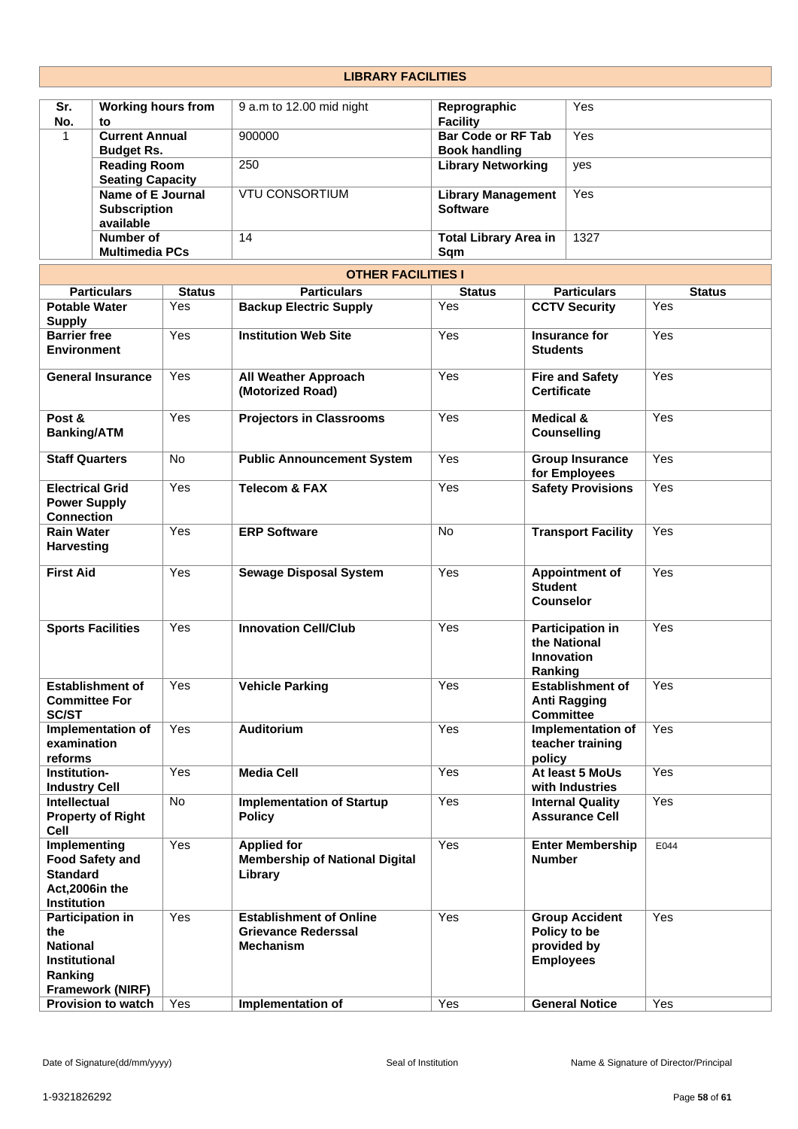#### **Sr. No. Working hours from to** 9 a.m to 12.00 mid night **Reprographic Facility** Yes 1 **Current Annual Budget Rs.** 900000 **Bar Code or RF Tab Book handling** Yes **Reading Room Seating Capacity** 250 **Library Networking** yes **Name of E Journal Subscription available** VTU CONSORTIUM **Library Management Software** Yes **Number of Multimedia PCs** 14 **Total Library Area in Sqm** 1327 **OTHER FACILITIES I Particulars Status Particulars Status Particulars Status Potable Water Supply** Yes **Backup Electric Supply** Yes **CCTV Security** Yes **Barrier free Environment** Yes **Institution Web Site** Yes **Insurance for Students** Yes **General Insurance** Yes **All Weather Approach (Motorized Road)** Yes **Fire and Safety Certificate** Yes **Post & Banking/ATM** Yes **Projectors in Classrooms** Yes **Medical & Counselling** Yes **Staff Quarters** No **Public Announcement System** Yes **Group Insurance for Employees** Yes **Electrical Grid Power Supply Connection** Yes **Telecom & FAX** Yes **Safety Provisions** Yes **Rain Water Harvesting** Yes **ERP Software** No **Transport Facility** Yes **First Aid** Yes **Sewage Disposal System** Yes **Appointment of Student Counselor** Yes **Sports Facilities** Yes **Innovation Cell/Club** Yes **Participation in the National Innovation Ranking** Yes **Establishment of Committee For SC/ST Yes Vehicle Parking Parking Property Anti Ragging Committee** Yes **Implementation of examination reforms** Yes **Auditorium** Yes **Implementation of teacher training policy** Yes **Institution-Industry Cell** Yes **Media Cell** Yes **At least 5 MoUs with Industries** Yes **Intellectual Property of Right Cell** No **Implementation of Startup Policy** Yes **Internal Quality Assurance Cell** Yes **Implementing Food Safety and Standard Act,2006in the Institution** Yes **Applied for Membership of National Digital Library** Yes **Enter Membership Number** E044 **Participation in the National Institutional Ranking Framework (NIRF)**  Yes **Establishment of Online Grievance Rederssal Mechanism** Yes **Group Accident Policy to be provided by Employees** Yes

**LIBRARY FACILITIES**

**Provision to watch** Yes **Implementation of** Yes **General Notice** Yes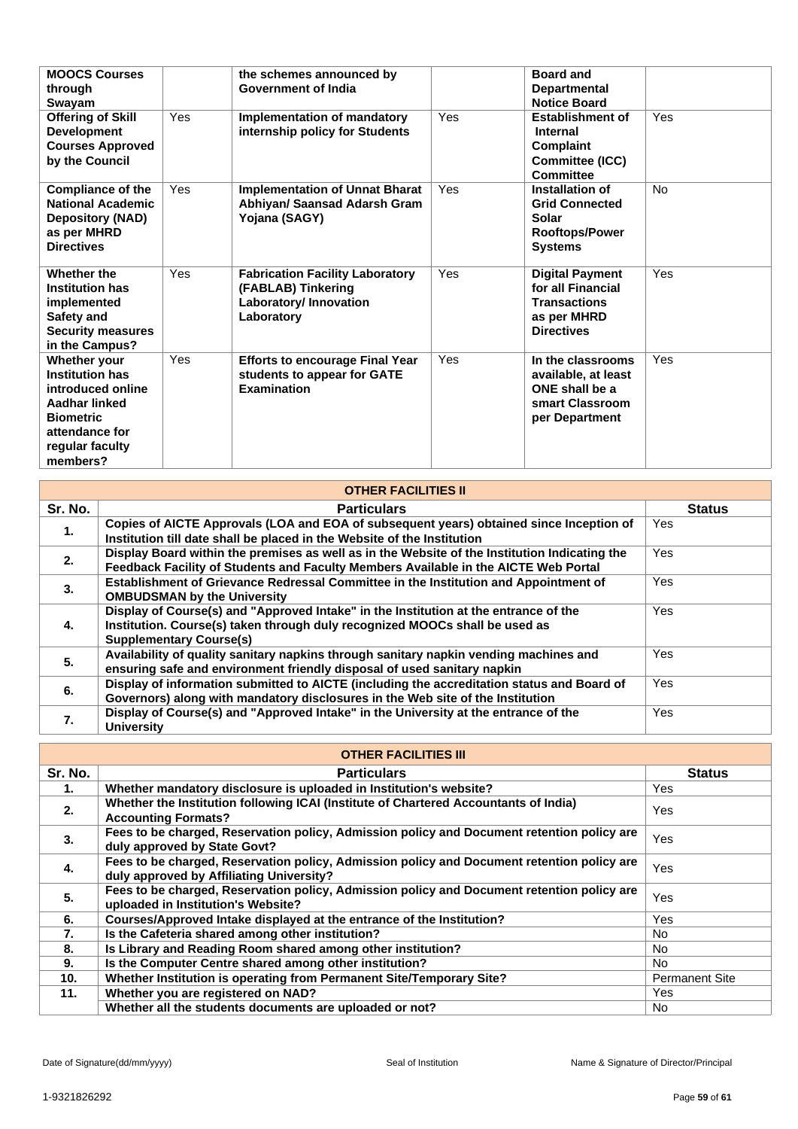| <b>MOOCS Courses</b><br>through<br>Swayam                                                                                                         |     | the schemes announced by<br><b>Government of India</b>                                               |     | <b>Board and</b><br><b>Departmental</b><br><b>Notice Board</b>                                         |     |
|---------------------------------------------------------------------------------------------------------------------------------------------------|-----|------------------------------------------------------------------------------------------------------|-----|--------------------------------------------------------------------------------------------------------|-----|
| <b>Offering of Skill</b><br><b>Development</b><br><b>Courses Approved</b><br>by the Council                                                       | Yes | <b>Implementation of mandatory</b><br>internship policy for Students                                 | Yes | <b>Establishment of</b><br><b>Internal</b><br><b>Complaint</b><br>Committee (ICC)<br>Committee         | Yes |
| <b>Compliance of the</b><br><b>National Academic</b><br><b>Depository (NAD)</b><br>as per MHRD<br><b>Directives</b>                               | Yes | <b>Implementation of Unnat Bharat</b><br>Abhiyan/ Saansad Adarsh Gram<br>Yojana (SAGY)               | Yes | Installation of<br><b>Grid Connected</b><br>Solar<br><b>Rooftops/Power</b><br><b>Systems</b>           | No. |
| Whether the<br><b>Institution has</b><br>implemented<br>Safety and<br><b>Security measures</b><br>in the Campus?                                  | Yes | <b>Fabrication Facility Laboratory</b><br>(FABLAB) Tinkering<br>Laboratory/ Innovation<br>Laboratory | Yes | <b>Digital Payment</b><br>for all Financial<br><b>Transactions</b><br>as per MHRD<br><b>Directives</b> | Yes |
| Whether your<br><b>Institution has</b><br>introduced online<br>Aadhar linked<br><b>Biometric</b><br>attendance for<br>regular faculty<br>members? | Yes | <b>Efforts to encourage Final Year</b><br>students to appear for GATE<br><b>Examination</b>          | Yes | In the classrooms<br>available, at least<br>ONE shall be a<br>smart Classroom<br>per Department        | Yes |

| <b>OTHER FACILITIES II</b> |                                                                                                                                                                                                       |               |  |  |  |
|----------------------------|-------------------------------------------------------------------------------------------------------------------------------------------------------------------------------------------------------|---------------|--|--|--|
| Sr. No.                    | <b>Particulars</b>                                                                                                                                                                                    | <b>Status</b> |  |  |  |
| 1.                         | Copies of AICTE Approvals (LOA and EOA of subsequent years) obtained since Inception of<br>Institution till date shall be placed in the Website of the Institution                                    | Yes.          |  |  |  |
| 2.                         | Display Board within the premises as well as in the Website of the Institution Indicating the<br>Feedback Facility of Students and Faculty Members Available in the AICTE Web Portal                  | <b>Yes</b>    |  |  |  |
| 3.                         | Establishment of Grievance Redressal Committee in the Institution and Appointment of<br><b>OMBUDSMAN by the University</b>                                                                            | Yes.          |  |  |  |
| 4.                         | Display of Course(s) and "Approved Intake" in the Institution at the entrance of the<br>Institution. Course(s) taken through duly recognized MOOCs shall be used as<br><b>Supplementary Course(s)</b> | <b>Yes</b>    |  |  |  |
| 5.                         | Availability of quality sanitary napkins through sanitary napkin vending machines and<br>ensuring safe and environment friendly disposal of used sanitary napkin                                      | <b>Yes</b>    |  |  |  |
| 6.                         | Display of information submitted to AICTE (including the accreditation status and Board of<br>Governors) along with mandatory disclosures in the Web site of the Institution                          | Yes.          |  |  |  |
| 7.                         | Display of Course(s) and "Approved Intake" in the University at the entrance of the<br><b>University</b>                                                                                              | <b>Yes</b>    |  |  |  |

|                 | <b>OTHER FACILITIES III</b>                                                                                                            |                       |  |  |  |
|-----------------|----------------------------------------------------------------------------------------------------------------------------------------|-----------------------|--|--|--|
| Sr. No.         | <b>Particulars</b>                                                                                                                     | <b>Status</b>         |  |  |  |
| 1.              | Whether mandatory disclosure is uploaded in Institution's website?                                                                     | Yes                   |  |  |  |
| 2.              | Whether the Institution following ICAI (Institute of Chartered Accountants of India)<br><b>Accounting Formats?</b>                     | Yes                   |  |  |  |
| 3.              | Fees to be charged, Reservation policy, Admission policy and Document retention policy are<br>duly approved by State Govt?             | Yes                   |  |  |  |
| 4.              | Fees to be charged, Reservation policy, Admission policy and Document retention policy are<br>duly approved by Affiliating University? | Yes                   |  |  |  |
| 5.              | Fees to be charged, Reservation policy, Admission policy and Document retention policy are<br>uploaded in Institution's Website?       | Yes                   |  |  |  |
| 6.              | Courses/Approved Intake displayed at the entrance of the Institution?                                                                  | Yes                   |  |  |  |
| 7.              | Is the Cafeteria shared among other institution?                                                                                       | No.                   |  |  |  |
| 8.              | Is Library and Reading Room shared among other institution?                                                                            | No.                   |  |  |  |
| 9.              | Is the Computer Centre shared among other institution?                                                                                 | No.                   |  |  |  |
| 10 <sub>1</sub> | Whether Institution is operating from Permanent Site/Temporary Site?                                                                   | <b>Permanent Site</b> |  |  |  |
| 11.             | Whether you are registered on NAD?                                                                                                     | Yes                   |  |  |  |
|                 | Whether all the students documents are uploaded or not?                                                                                | <b>No</b>             |  |  |  |

٦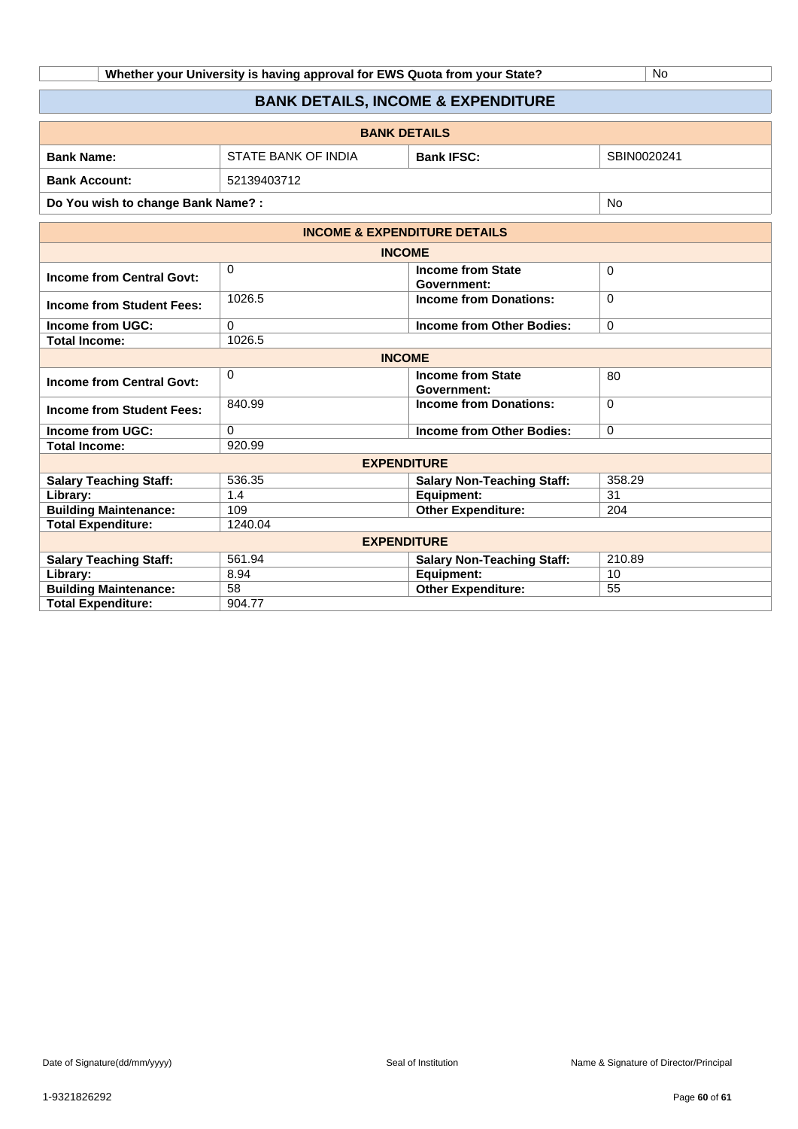**Whether your University is having approval for EWS Quota from your State?** No

# **BANK DETAILS, INCOME & EXPENDITURE**

| <b>BANK DETAILS</b>  |                     |                   |             |  |
|----------------------|---------------------|-------------------|-------------|--|
| <b>Bank Name:</b>    | STATE BANK OF INDIA | <b>Bank IFSC:</b> | SBIN0020241 |  |
| <b>Bank Account:</b> | 52139403712         |                   |             |  |
|                      |                     |                   |             |  |

**Do You wish to change Bank Name? :** No

|                                  | <b>INCOME &amp; EXPENDITURE DETAILS</b> |                                         |             |  |  |
|----------------------------------|-----------------------------------------|-----------------------------------------|-------------|--|--|
|                                  | <b>INCOME</b>                           |                                         |             |  |  |
| <b>Income from Central Govt:</b> | $\Omega$                                | <b>Income from State</b><br>Government: | $\Omega$    |  |  |
| Income from Student Fees:        | 1026.5                                  | <b>Income from Donations:</b>           | $\mathbf 0$ |  |  |
| <b>Income from UGC:</b>          | 0                                       | Income from Other Bodies:               | $\mathbf 0$ |  |  |
| <b>Total Income:</b>             | 1026.5                                  |                                         |             |  |  |
|                                  | <b>INCOME</b>                           |                                         |             |  |  |
| <b>Income from Central Govt:</b> | 0                                       | <b>Income from State</b><br>Government: | 80          |  |  |
| Income from Student Fees:        | 840.99                                  | <b>Income from Donations:</b>           | $\Omega$    |  |  |
| Income from UGC:                 | 0                                       | Income from Other Bodies:               | $\mathbf 0$ |  |  |
| <b>Total Income:</b>             | 920.99                                  |                                         |             |  |  |
|                                  | <b>EXPENDITURE</b>                      |                                         |             |  |  |
| <b>Salary Teaching Staff:</b>    | 536.35                                  | <b>Salary Non-Teaching Staff:</b>       | 358.29      |  |  |
| Library:                         | 1.4                                     | Equipment:                              | 31          |  |  |
| <b>Building Maintenance:</b>     | 109                                     | <b>Other Expenditure:</b>               | 204         |  |  |
| <b>Total Expenditure:</b>        | 1240.04                                 |                                         |             |  |  |
|                                  | <b>EXPENDITURE</b>                      |                                         |             |  |  |
| <b>Salary Teaching Staff:</b>    | 561.94                                  | <b>Salary Non-Teaching Staff:</b>       | 210.89      |  |  |
| Library:                         | 8.94                                    | Equipment:                              | 10          |  |  |
| <b>Building Maintenance:</b>     | 58                                      | <b>Other Expenditure:</b>               | 55          |  |  |
| <b>Total Expenditure:</b>        | 904.77                                  |                                         |             |  |  |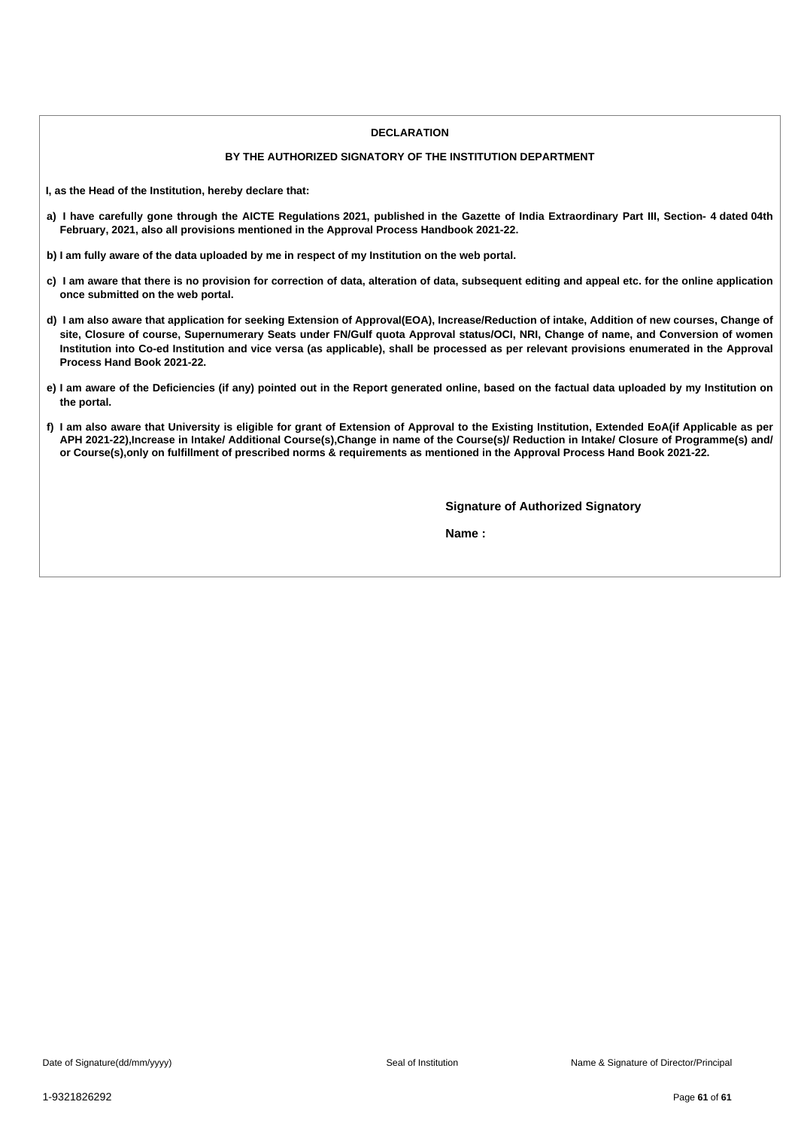### **DECLARATION**

### **BY THE AUTHORIZED SIGNATORY OF THE INSTITUTION DEPARTMENT**

**I, as the Head of the Institution, hereby declare that:**

- a) I have carefully gone through the AICTE Regulations 2021, published in the Gazette of India Extraordinary Part III, Section- 4 dated 04th **February, 2021, also all provisions mentioned in the Approval Process Handbook 2021-22.**
- b) I am fully aware of the data uploaded by me in respect of my Institution on the web portal.
- c) I am aware that there is no provision for correction of data, alteration of data, subsequent editing and appeal etc. for the online application **once submitted on the web portal.**
- d) I am also aware that application for seeking Extension of Approval(EOA), Increase/Reduction of intake, Addition of new courses, Change of site, Closure of course, Supernumerary Seats under FN/Gulf quota Approval status/OCI, NRI, Change of name, and Conversion of women Institution into Co-ed Institution and vice versa (as applicable), shall be processed as per relevant provisions enumerated in the Approval **Process Hand Book 2021-22.**
- e) I am aware of the Deficiencies (if any) pointed out in the Report generated online, based on the factual data uploaded by my Institution on **the portal.**
- f) I am also aware that University is eligible for grant of Extension of Approval to the Existing Institution, Extended EoA(if Applicable as per APH 2021-22), Increase in Intake/ Additional Course(s), Change in name of the Course(s)/ Reduction in Intake/ Closure of Programme(s) and/ or Course(s), only on fulfillment of prescribed norms & requirements as mentioned in the Approval Process Hand Book 2021-22.

**Signature of Authorized Signatory**

**Name :**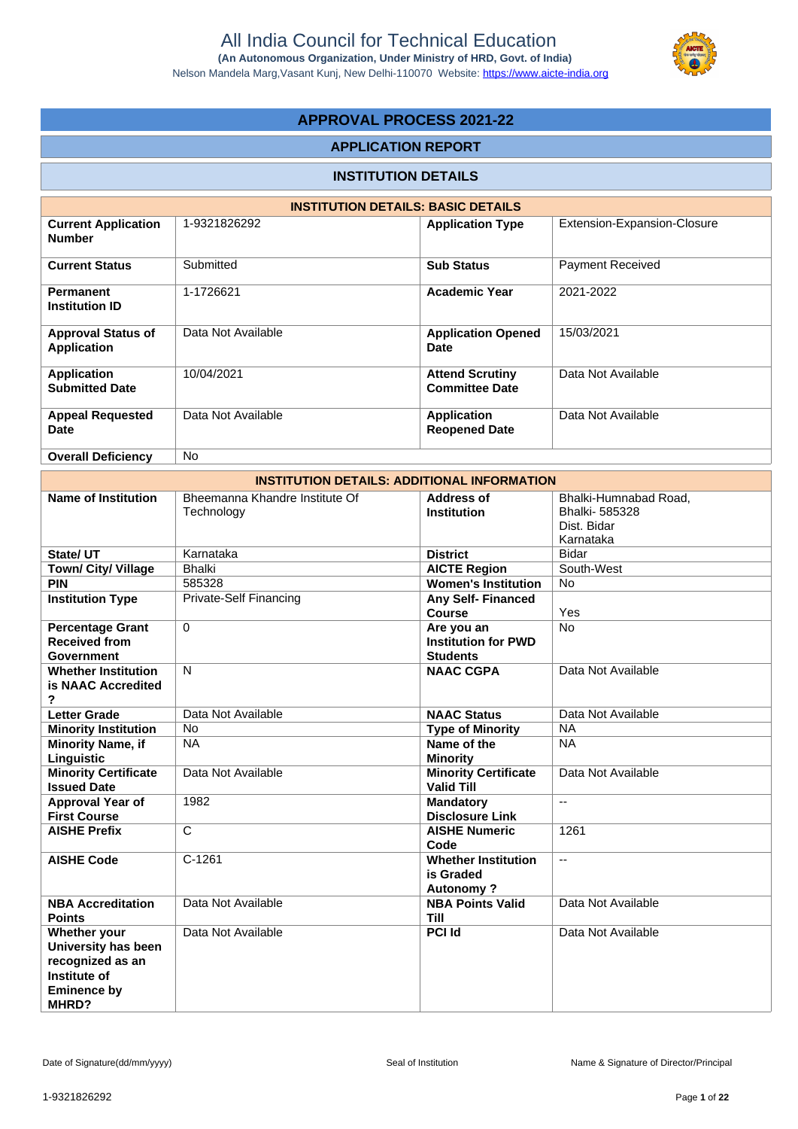Nelson Mandela Marg,Vasant Kunj, New Delhi-110070 Website:<https://www.aicte-india.org>



# **APPROVAL PROCESS 2021-22**

### **APPLICATION REPORT**

## **INSTITUTION DETAILS**

|                                                 | <b>INSTITUTION DETAILS: BASIC DETAILS</b> |                                                 |                             |
|-------------------------------------------------|-------------------------------------------|-------------------------------------------------|-----------------------------|
| <b>Current Application</b><br><b>Number</b>     | 1-9321826292                              | <b>Application Type</b>                         | Extension-Expansion-Closure |
| <b>Current Status</b>                           | Submitted                                 | <b>Sub Status</b>                               | <b>Payment Received</b>     |
| <b>Permanent</b><br><b>Institution ID</b>       | 1-1726621                                 | <b>Academic Year</b>                            | 2021-2022                   |
| <b>Approval Status of</b><br><b>Application</b> | Data Not Available                        | <b>Application Opened</b><br><b>Date</b>        | 15/03/2021                  |
| Application<br><b>Submitted Date</b>            | 10/04/2021                                | <b>Attend Scrutiny</b><br><b>Committee Date</b> | Data Not Available          |
| <b>Appeal Requested</b><br>Date                 | Data Not Available                        | <b>Application</b><br><b>Reopened Date</b>      | Data Not Available          |
| <b>Overall Deficiency</b>                       | N <sub>o</sub>                            |                                                 |                             |

|                                                                                                        | <b>INSTITUTION DETAILS: ADDITIONAL INFORMATION</b> |                                                             |                                                                    |
|--------------------------------------------------------------------------------------------------------|----------------------------------------------------|-------------------------------------------------------------|--------------------------------------------------------------------|
| <b>Name of Institution</b>                                                                             | Bheemanna Khandre Institute Of<br>Technology       | <b>Address of</b><br><b>Institution</b>                     | Bhalki-Humnabad Road,<br>Bhalki-585328<br>Dist. Bidar<br>Karnataka |
| State/ UT                                                                                              | Karnataka                                          | <b>District</b>                                             | <b>Bidar</b>                                                       |
| Town/ City/ Village                                                                                    | <b>Bhalki</b>                                      | <b>AICTE Region</b>                                         | South-West                                                         |
| <b>PIN</b>                                                                                             | 585328                                             | <b>Women's Institution</b>                                  | <b>No</b>                                                          |
| <b>Institution Type</b>                                                                                | <b>Private-Self Financing</b>                      | Any Self-Financed<br><b>Course</b>                          | Yes                                                                |
| <b>Percentage Grant</b><br><b>Received from</b><br>Government                                          | $\Omega$                                           | Are you an<br><b>Institution for PWD</b><br><b>Students</b> | <b>No</b>                                                          |
| <b>Whether Institution</b><br>is NAAC Accredited<br>2                                                  | $\mathsf{N}$                                       | <b>NAAC CGPA</b>                                            | Data Not Available                                                 |
| <b>Letter Grade</b>                                                                                    | Data Not Available                                 | <b>NAAC Status</b>                                          | Data Not Available                                                 |
| <b>Minority Institution</b>                                                                            | <b>No</b>                                          | <b>Type of Minority</b>                                     | <b>NA</b>                                                          |
| <b>Minority Name, if</b><br>Linguistic                                                                 | <b>NA</b>                                          | Name of the<br><b>Minority</b>                              | <b>NA</b>                                                          |
| <b>Minority Certificate</b><br><b>Issued Date</b>                                                      | Data Not Available                                 | <b>Minority Certificate</b><br><b>Valid Till</b>            | Data Not Available                                                 |
| Approval Year of<br><b>First Course</b>                                                                | 1982                                               | <b>Mandatory</b><br><b>Disclosure Link</b>                  | $\overline{a}$                                                     |
| <b>AISHE Prefix</b>                                                                                    | C                                                  | <b>AISHE Numeric</b><br>Code                                | 1261                                                               |
| <b>AISHE Code</b>                                                                                      | $C-1261$                                           | <b>Whether Institution</b><br>is Graded<br><b>Autonomy?</b> | u.                                                                 |
| <b>NBA Accreditation</b><br><b>Points</b>                                                              | Data Not Available                                 | <b>NBA Points Valid</b><br><b>Till</b>                      | Data Not Available                                                 |
| Whether your<br>University has been<br>recognized as an<br>Institute of<br><b>Eminence by</b><br>MHRD? | Data Not Available                                 | <b>PCI Id</b>                                               | Data Not Available                                                 |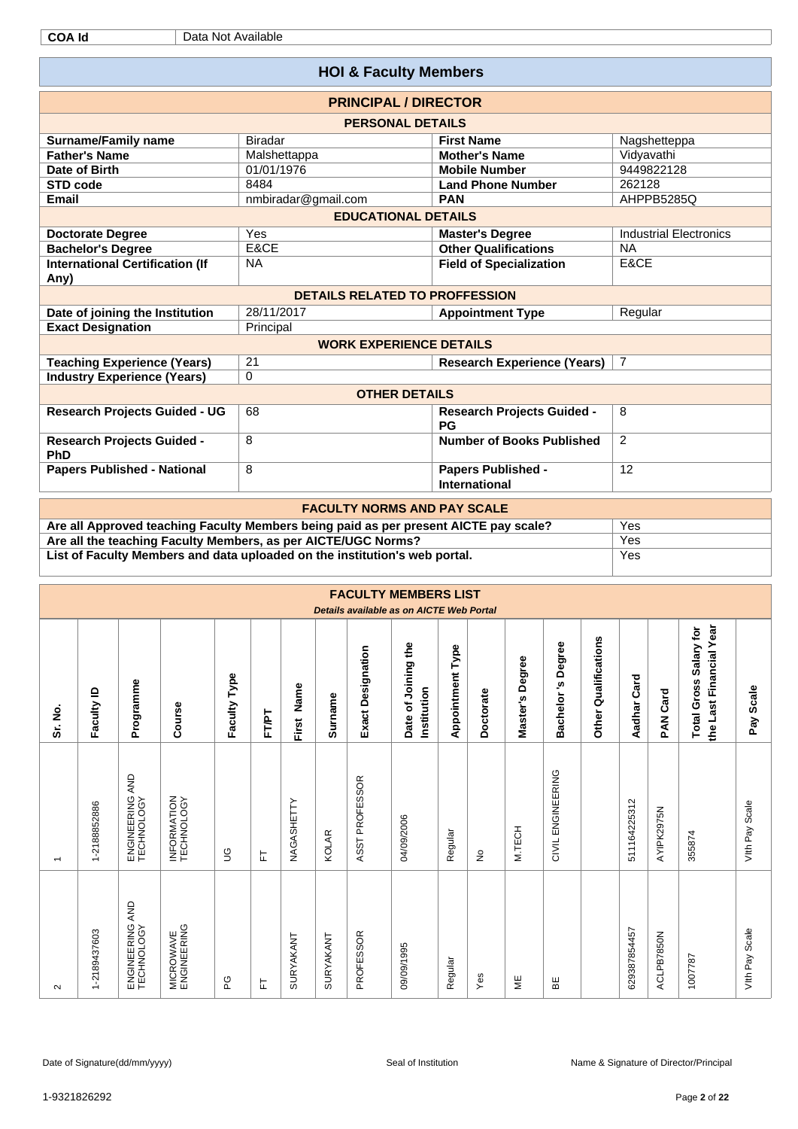|                                                                                                                                                                       | <b>HOI &amp; Faculty Members</b>                                                     |                                                   |                               |  |  |  |  |  |  |  |
|-----------------------------------------------------------------------------------------------------------------------------------------------------------------------|--------------------------------------------------------------------------------------|---------------------------------------------------|-------------------------------|--|--|--|--|--|--|--|
|                                                                                                                                                                       | <b>PRINCIPAL / DIRECTOR</b>                                                          |                                                   |                               |  |  |  |  |  |  |  |
|                                                                                                                                                                       | <b>PERSONAL DETAILS</b>                                                              |                                                   |                               |  |  |  |  |  |  |  |
| <b>Surname/Family name</b>                                                                                                                                            | <b>Biradar</b>                                                                       | <b>First Name</b>                                 | Nagshetteppa                  |  |  |  |  |  |  |  |
| <b>Father's Name</b>                                                                                                                                                  | Malshettappa                                                                         | <b>Mother's Name</b>                              | Vidyavathi                    |  |  |  |  |  |  |  |
| Date of Birth                                                                                                                                                         | 01/01/1976                                                                           | <b>Mobile Number</b>                              | 9449822128                    |  |  |  |  |  |  |  |
| <b>STD code</b>                                                                                                                                                       | 8484                                                                                 | <b>Land Phone Number</b>                          | 262128                        |  |  |  |  |  |  |  |
| Email                                                                                                                                                                 | nmbiradar@gmail.com                                                                  | <b>PAN</b>                                        | AHPPB5285Q                    |  |  |  |  |  |  |  |
|                                                                                                                                                                       | <b>EDUCATIONAL DETAILS</b>                                                           |                                                   |                               |  |  |  |  |  |  |  |
| <b>Doctorate Degree</b>                                                                                                                                               | Yes                                                                                  | <b>Master's Degree</b>                            | <b>Industrial Electronics</b> |  |  |  |  |  |  |  |
| <b>Bachelor's Degree</b>                                                                                                                                              | E&CE                                                                                 | <b>Other Qualifications</b>                       | <b>NA</b>                     |  |  |  |  |  |  |  |
| <b>International Certification (If</b><br>Any)                                                                                                                        | <b>NA</b>                                                                            | <b>Field of Specialization</b>                    | E&CE                          |  |  |  |  |  |  |  |
| <b>DETAILS RELATED TO PROFFESSION</b><br>28/11/2017<br>Date of joining the Institution<br>Regular<br><b>Appointment Type</b><br><b>Exact Designation</b><br>Principal |                                                                                      |                                                   |                               |  |  |  |  |  |  |  |
|                                                                                                                                                                       |                                                                                      |                                                   |                               |  |  |  |  |  |  |  |
| <b>WORK EXPERIENCE DETAILS</b>                                                                                                                                        |                                                                                      |                                                   |                               |  |  |  |  |  |  |  |
|                                                                                                                                                                       |                                                                                      |                                                   |                               |  |  |  |  |  |  |  |
| 21<br><b>Teaching Experience (Years)</b><br><b>Research Experience (Years)</b><br>$\overline{7}$                                                                      |                                                                                      |                                                   |                               |  |  |  |  |  |  |  |
| <b>Industry Experience (Years)</b>                                                                                                                                    | $\Omega$                                                                             |                                                   |                               |  |  |  |  |  |  |  |
|                                                                                                                                                                       | <b>OTHER DETAILS</b>                                                                 |                                                   |                               |  |  |  |  |  |  |  |
| <b>Research Projects Guided - UG</b>                                                                                                                                  | 68                                                                                   | <b>Research Projects Guided -</b><br>PG           | 8                             |  |  |  |  |  |  |  |
| <b>Research Projects Guided -</b><br>PhD                                                                                                                              | 8                                                                                    | <b>Number of Books Published</b>                  | 2                             |  |  |  |  |  |  |  |
| <b>Papers Published - National</b>                                                                                                                                    | 8                                                                                    | <b>Papers Published -</b><br><b>International</b> | 12                            |  |  |  |  |  |  |  |
|                                                                                                                                                                       | <b>FACULTY NORMS AND PAY SCALE</b>                                                   |                                                   |                               |  |  |  |  |  |  |  |
|                                                                                                                                                                       | Are all Approved teaching Faculty Members being paid as per present AICTE pay scale? |                                                   | Yes                           |  |  |  |  |  |  |  |
| Are all the teaching Faculty Members, as per AICTE/UGC Norms?                                                                                                         |                                                                                      |                                                   | Yes                           |  |  |  |  |  |  |  |
|                                                                                                                                                                       | List of Faculty Members and data uploaded on the institution's web portal.           |                                                   | Yes                           |  |  |  |  |  |  |  |

|                          |              |                                  |                                 |              |       |               |              |                          | <b>FACULTY MEMBERS LIST</b><br>Details available as on AICTE Web Portal |                         |           |                    |                                |                                |              |                 |                                                             |                |
|--------------------------|--------------|----------------------------------|---------------------------------|--------------|-------|---------------|--------------|--------------------------|-------------------------------------------------------------------------|-------------------------|-----------|--------------------|--------------------------------|--------------------------------|--------------|-----------------|-------------------------------------------------------------|----------------|
| Sr. No.                  | Faculty ID   | Programme                        | Course                          | Faculty Type | FT/PT | Name<br>First | Surname      | <b>Exact Designation</b> | Date of Joining the<br>Institution                                      | <b>Appointment Type</b> | Doctorate | Degree<br>Master's | Degree<br><u>ي</u><br>Bachelor | Qualifications<br><b>Other</b> | Aadhar Card  | <b>PAN Card</b> | the Last Financial Year<br>Salary for<br><b>Total Gross</b> | Pay Scale      |
| $\overline{\phantom{0}}$ | 1-2188852886 | AND<br>ENGINEERING               | INFORMATION<br>TECHNOLOGY       | $\mathbb{S}$ | 는     | NAGASHETTY    | <b>KOLAR</b> | ASST PROFESSOR           | 04/09/2006                                                              | Regular                 | ş         | M.TECH             | CIVIL ENGINEERING              |                                | 511164225312 | AYIPK2975N      | 355874                                                      | Vith Pay Scale |
| $\sim$                   | 1-2189437603 | AND<br>ENGINEERING<br>TECHNOLOGY | <b>MICROWAVE</b><br>ENGINEERING | ဥ            | ᄂ     | SURYAKANT     | SURYAKANT    | PROFESSOR                | 09/09/1995                                                              | Regular                 | Yes       | ¥                  | 띪                              |                                | 629387854457 | ACLPB7850N      | 1007787                                                     | Vith Pay Scale |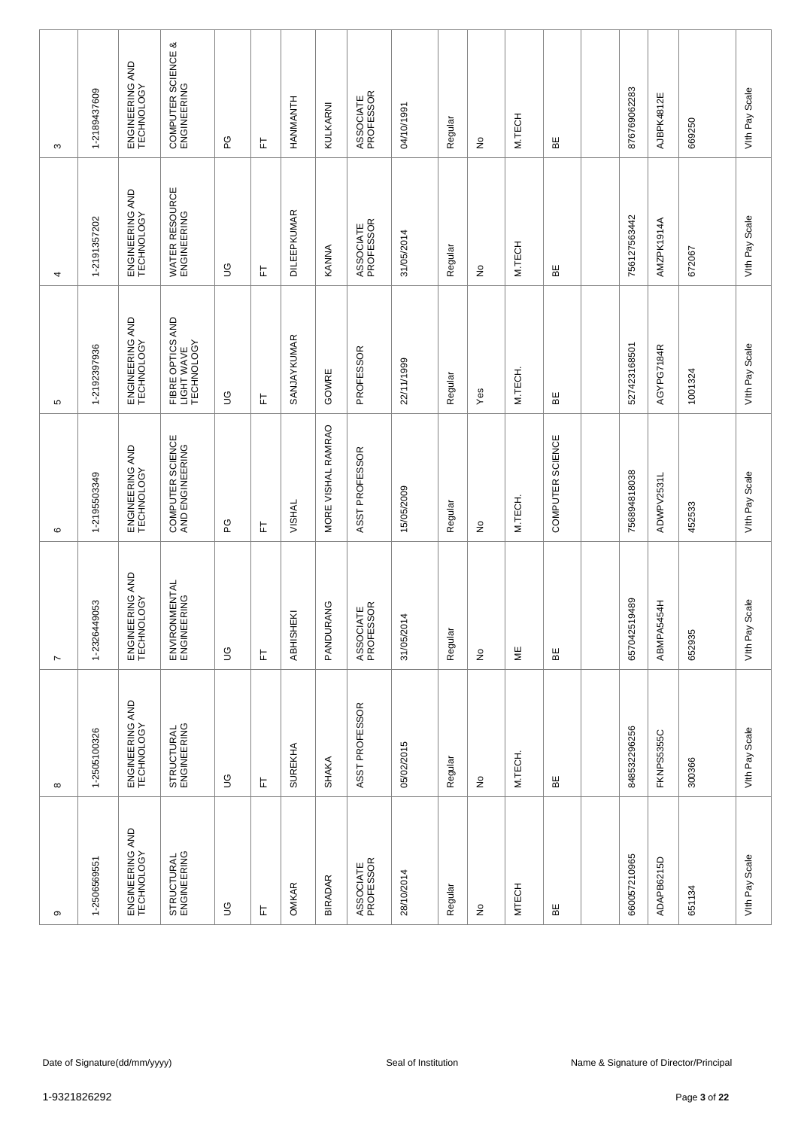| ၜ                             | $\infty$                      | $\overline{ }$                | $\circ$                             | 5                                            | 4                             | S                                 |
|-------------------------------|-------------------------------|-------------------------------|-------------------------------------|----------------------------------------------|-------------------------------|-----------------------------------|
| 1-2506569551                  | 1-2505100326                  | 1-2326449053                  | 1-2195503349                        | 1-2192397936                                 | 1-2191357202                  | 1-2189437609                      |
| ENGINEERING AND<br>TECHNOLOGY | ENGINEERING AND<br>TECHNOLOGY | ENGINEERING AND<br>TECHNOLOGY | ENGINEERING AND<br>TECHNOLOGY       | ENGINEERING AND<br>TECHNOLOGY                | ENGINEERING AND<br>TECHNOLOGY | ENGINEERING AND<br>TECHNOLOGY     |
| STRUCTURAL<br>ENGINEERING     | STRUCTURAL<br>ENGINEERING     | ENVIRONMENTAL<br>ENGINEERING  | COMPUTER SCIENCE<br>AND ENGINEERING | FIBRE OPTICS AND<br>LIGHT WAVE<br>TECHNOLOGY | WATER RESOURCE<br>ENGINEERING | COMPUTER SCIENCE &<br>ENGINEERING |
| $\mathbb S$                   | $\mathbb S$                   | $\mathbb S$                   | ဥ                                   | 9D                                           | 9D                            | PG                                |
| 匸                             | 匸                             | 岀                             | 匸                                   | 匸                                            | 는                             | 匸                                 |
| <b>OMKAR</b>                  | <b>SUREKHA</b>                | <b>ABHISHEKI</b>              | <b>VISHAL</b>                       | SANJAYKUMAR                                  | <b>DILEEPKUMAR</b>            | <b>HANMANTH</b>                   |
| <b>BIRADAR</b>                | <b>SHAKA</b>                  | PANDURANG                     | MORE VISHAL RAMRAO                  | GOWRE                                        | KANNA                         | KULKARNI                          |
| ASSOCIATE<br>PROFESSOR        | ASST PROFESSOR                | ASSOCIATE<br>PROFESSOR        | ASST PROFESSOR                      | PROFESSOR                                    | ASSOCIATE<br>PROFESSOR        | ASSOCIATE<br>PROFESSOR            |
| 28/10/2014                    | 05/02/2015                    | 31/05/2014                    | 15/05/2009                          | 22/11/1999                                   | 31/05/2014                    | 04/10/1991                        |
| Regular                       | Regular                       | Regular                       | Regular                             | Regular                                      | Regular                       | Regular                           |
| $\frac{\circ}{\sim}$          | ş                             | $\stackrel{\mathtt{o}}{z}$    | ş                                   | Yes                                          | ş                             | $\frac{\circ}{\sim}$              |
| <b>MTECH</b>                  | M.TECH.                       | ΨË                            | M.TECH.                             | M.TECH.                                      | M.TECH                        | M.TECH                            |
| 띪                             | 띪                             | ЪË                            | COMPUTER SCIENCE                    | ΒE                                           | 띪                             | 띪                                 |
|                               |                               |                               |                                     |                                              |                               |                                   |
| 660057210965                  | 848532296256                  | 657042519489                  | 756894818038                        | 527423168501                                 | 756127563442                  | 876769062283                      |
| ADAPB6215D                    | FKNPS5355C                    | ABMPA5454H                    | ADWPV2531L                          | AGYPG7184R                                   | AMZPK1914A                    | AJBPK4812E                        |
| 651134                        | 300366                        | 652935                        | 452533                              | 1001324                                      | 672067                        | 669250                            |
| Vith Pay Scale                | Vith Pay Scale                | Scale<br>Vith Pay             | Vith Pay Scale                      | Vith Pay Scale                               | Vith Pay Scale                | Vith Pay Scale                    |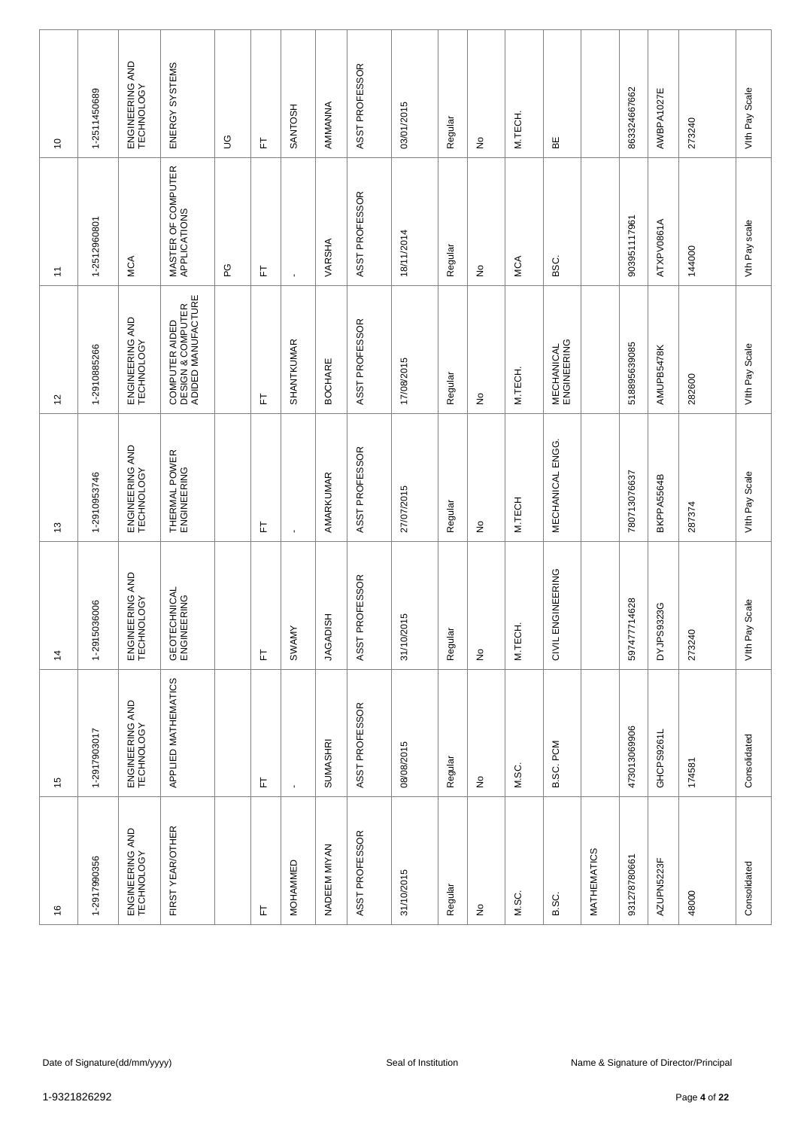| $\frac{6}{5}$                   | 15                            | $\frac{4}{3}$                 | $\frac{3}{2}$                 | $\frac{1}{2}$                                             | $\overline{1}$                     | $\overline{c}$                |
|---------------------------------|-------------------------------|-------------------------------|-------------------------------|-----------------------------------------------------------|------------------------------------|-------------------------------|
| 1-2917990356                    | 1-2917903017                  | 1-2915036006                  | 1-2910953746                  | 1-2910885266                                              | 1-2512960801                       | 1-2511450689                  |
| ENGINEERING AND<br>TECHNOLOGY   | ENGINEERING AND<br>TECHNOLOGY | ENGINEERING AND<br>TECHNOLOGY | ENGINEERING AND<br>TECHNOLOGY | ENGINEERING AND<br>TECHNOLOGY                             | MCA                                | ENGINEERING AND<br>TECHNOLOGY |
| FIRST YEAR/OTHER                | APPLIED MATHEMATICS           | GEOTECHNICAL<br>ENGINEERING   | THERMAL POWER<br>ENGINEERING  | COMPUTER AIDED<br>DESIGN & COMPUTER<br>ADIDED MANUFACTURE | MASTER OF COMPUTER<br>APPLICATIONS | ENERGY SYSTEMS                |
|                                 |                               |                               |                               |                                                           | ဥ                                  | $\mathbb S$                   |
| 匸                               | 匸                             | 눈                             | 눈                             | 匸                                                         | 눈                                  | 匸                             |
| MOHAMMED                        | $\blacksquare$                | <b>SWAMY</b>                  | $\mathbf{r}$                  | SHANTKUMAR                                                | $\blacksquare$                     | SANTOSH                       |
| NADEEM MIYAN                    | <b>SUMASHRI</b>               | <b>HSIGADISH</b>              | AMARKUMAR                     | <b>BOCHARE</b>                                            | VARSHA                             | AMMANNA                       |
| ASST PROFESSOR                  | ASST PROFESSOR                | ASST PROFESSOR                | ASST PROFESSOR                | ASST PROFESSOR                                            | ASST PROFESSOR                     | ASST PROFESSOR                |
| 31/10/2015                      | 08/08/2015                    | $\overline{5}$<br>31/10/20    | 27/07/2015                    | 17/08/2015                                                | 18/11/2014                         | 03/01/2015                    |
| Regular                         | Regular                       | Regular                       | Regular                       | Regular                                                   | Regular                            | Regular                       |
| $\frac{\mathsf{O}}{\mathsf{E}}$ | $\frac{\circ}{\sim}$          | $\stackrel{\mathtt{o}}{z}$    | ş                             | $\stackrel{\circ}{\simeq}$                                | ş                                  | ş                             |
| M.SC.                           | M.SC.                         | M.TECH.                       | M.TECH                        | M.TECH.                                                   | MCA                                | M.TECH.                       |
| B.SC.                           | B.SC. PCM                     | CIVIL ENGINEERING             | MECHANICAL ENGG.              | <b>MECHANICAL</b><br>ENGINEERING                          | ΟS<br>Β                            | 볾                             |
| MATHEMATICS                     |                               |                               |                               |                                                           |                                    |                               |
| 931278780661                    | 473013069906                  | 14628<br>5974777              | 780713076637                  | 518895639085                                              | 903951117961                       | 863324667662                  |
| AZUPN5223F                      | GHCPS9261L                    | DYJPS9323G                    | BKPPA5564B                    | AMUPB5478K                                                | ATXPV0861A                         | AWBPA1027E                    |
| 48000                           | 174581                        | 273240                        | 287374                        | 282600                                                    | 144000                             | 273240                        |
| Consolidated                    | Consolidated                  | Scale<br>Vith Pay             | Vith Pay Scale                | Vith Pay Scale                                            | Vth Pay scale                      | Vith Pay Scale                |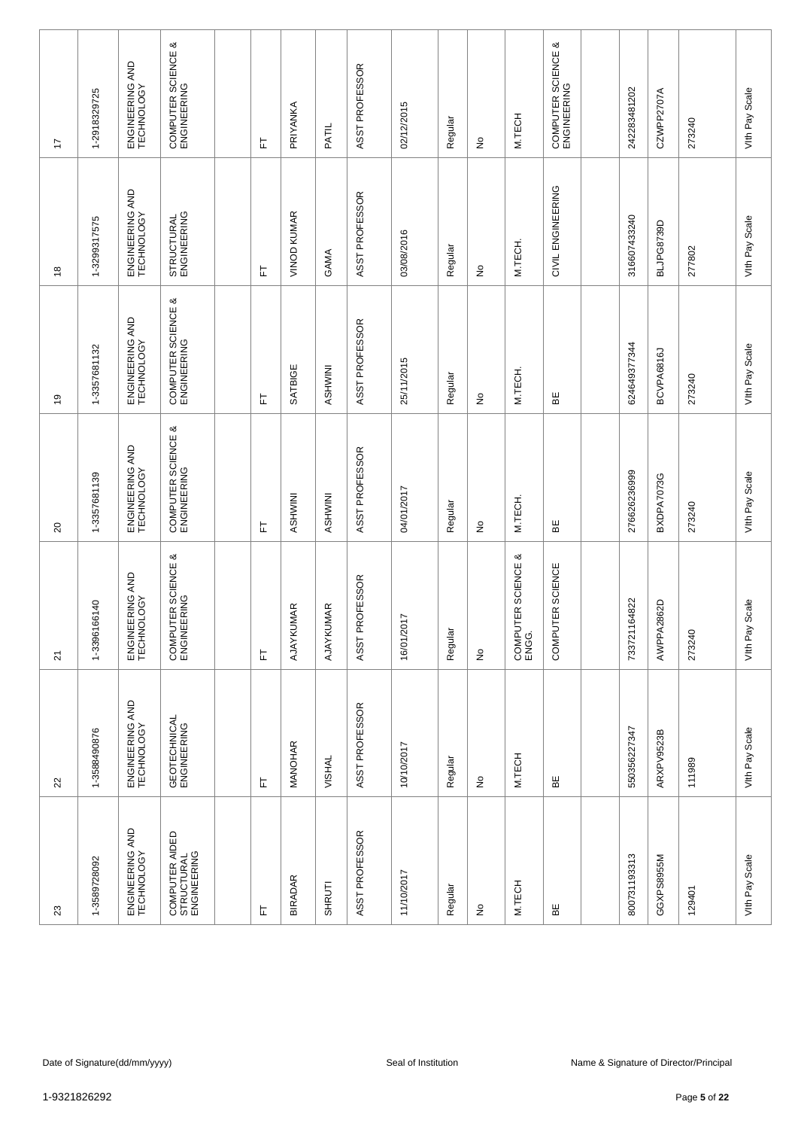| 23                                          | 22                            | $\overline{2}$                    | $\Omega$                          | é,                                | $\overset{\circ}{\phantom{a}}$ | 17                                |
|---------------------------------------------|-------------------------------|-----------------------------------|-----------------------------------|-----------------------------------|--------------------------------|-----------------------------------|
| 1-3589728092                                | 1-3588490876                  | 1-3396166140                      | 1-3357681139                      | 1-3357681132                      | 1-3299317575                   | 1-2918329725                      |
| ENGINEERING AND<br>TECHNOLOGY               | ENGINEERING AND<br>TECHNOLOGY | ENGINEERING AND<br>TECHNOLOGY     | ENGINEERING AND<br>TECHNOLOGY     | ENGINEERING AND<br>TECHNOLOGY     | ENGINEERING AND<br>TECHNOLOGY  | ENGINEERING AND<br>TECHNOLOGY     |
| COMPUTER AIDED<br>STRUCTURAL<br>ENGINEERING | GEOTECHNICAL<br>ENGINEERING   | COMPUTER SCIENCE &<br>ENGINEERING | COMPUTER SCIENCE &<br>ENGINEERING | COMPUTER SCIENCE &<br>ENGINEERING | STRUCTURAL<br>ENGINEERING      | COMPUTER SCIENCE &<br>ENGINEERING |
|                                             |                               |                                   |                                   |                                   |                                |                                   |
| 匸                                           | 上                             | 上                                 | 匸                                 | 匸                                 | 는                              | 눈                                 |
| <b>BIRADAR</b>                              | MANOHAR                       | AJAYKUMAR                         | ASHWINI                           | SATBIGE                           | VINOD KUMAR                    | PRIYANKA                          |
| SHRUTI                                      | <b>VISHAL</b>                 | AJAYKUMAR                         | ASHWINI                           | ASHWINI                           | GAMA                           | PATIL                             |
| ASST PROFESSOR                              | ASST PROFESSOR                | ASST PROFESSOR                    | ASST PROFESSOR                    | ASST PROFESSOR                    | ASST PROFESSOR                 | ASST PROFESSOR                    |
| 11/10/2017                                  | 10/10/2017                    | 16/01/2017                        | 04/01/2017                        | 25/11/2015                        | 03/08/2016                     | 02/12/2015                        |
| Regular                                     | Regular                       | Regular                           | Regular                           | Regular                           | Regular                        | Regular                           |
| £                                           | ş                             | $\stackrel{\circ}{\simeq}$        | $\stackrel{\circ}{\simeq}$        | $\stackrel{\circ}{\simeq}$        | $\stackrel{\circ}{\simeq}$     | ş                                 |
| M.TECH                                      | M.TECH                        | COMPUTER SCIENCE &<br>ENGG.       | M.TECH.                           | M.TECH.                           | M.TECH.                        | M.TECH                            |
| 띪                                           | ₩                             | COMPUTER SCIENCE                  | 띪                                 | BE                                | CIVIL ENGINEERING              | COMPUTER SCIENCE &<br>ENGINEERING |
|                                             |                               |                                   |                                   |                                   |                                |                                   |
| 800731193313                                | 550356227347                  | 733721164822                      | 276626236999                      | 624649377344                      | 316607433240                   | 242283481202                      |
| GGXPS8955M                                  | ARXPV9523B                    | AWPPA2862D                        | BXDPA7073G                        | BCVPA6816J                        | BLJPG8739D                     | CZWPP2707A                        |
| 129401                                      | 111989                        | 273240                            | 273240                            | 273240                            | 277802                         | 273240                            |
| Vith Pay Scale                              | Vith Pay Scale                | Scale<br>Vith Pay                 | Vith Pay Scale                    | Vith Pay Scale                    | Vith Pay Scale                 | Vith Pay Scale                    |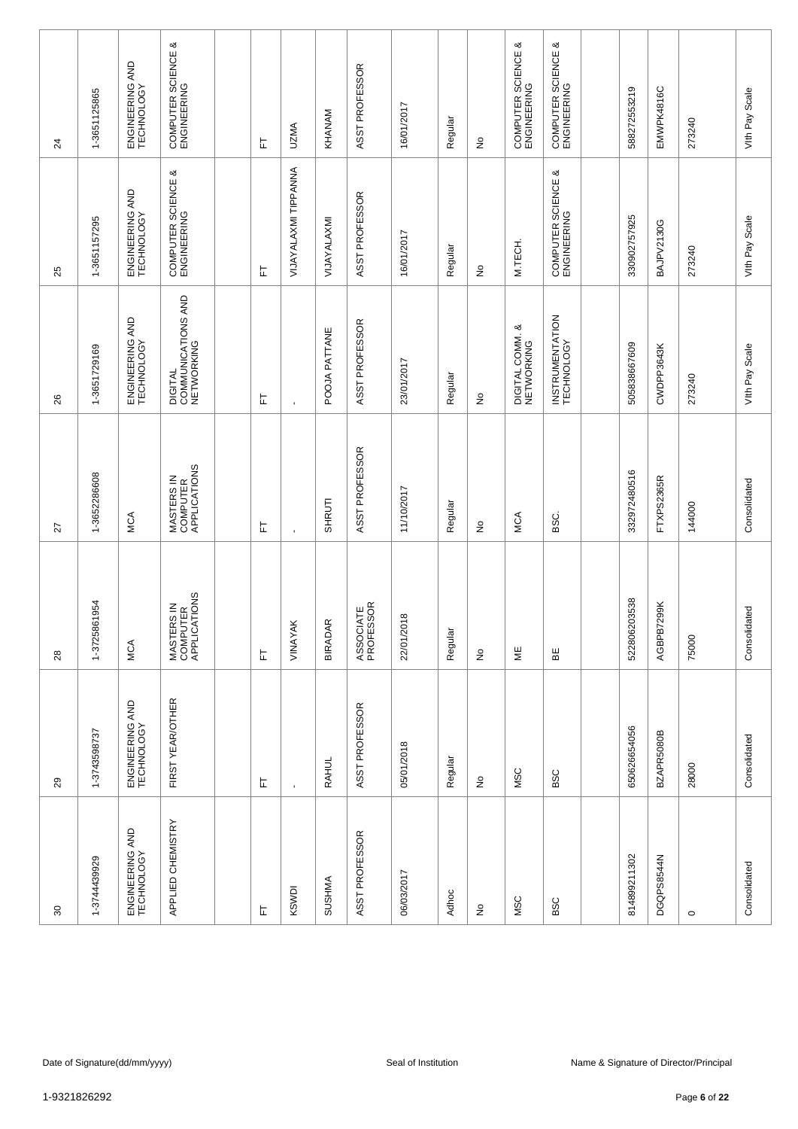| 80                            | $_{29}$                       | 28                                     | 27                                     | 26                                          | 25                                   | $\overline{24}$                      |
|-------------------------------|-------------------------------|----------------------------------------|----------------------------------------|---------------------------------------------|--------------------------------------|--------------------------------------|
| 1-3744439929                  | 1-3743598737                  | 1-3725861954                           | 1-3652286608                           | 1-3651729169                                | 1-3651157295                         | 1-3651125865                         |
| ENGINEERING AND<br>TECHNOLOGY | ENGINEERING AND<br>TECHNOLOGY | MCA                                    | MCA                                    | ENGINEERING AND<br>TECHNOLOGY               | ENGINEERING AND<br>TECHNOLOGY        | ENGINEERING AND<br>TECHNOLOGY        |
| APPLIED CHEMISTRY             | FIRST YEAR/OTHER              | MASTERS IN<br>COMPUTER<br>APPLICATIONS | MASTERS IN<br>COMPUTER<br>APPLICATIONS | DIGITAL<br>COMMUNICATIONS AND<br>NETWORKING | య<br>COMPUTER SCIENCE<br>ENGINEERING | య<br>COMPUTER SCIENCE<br>ENGINEERING |
|                               |                               |                                        |                                        |                                             |                                      |                                      |
| 눈                             | 匸                             | 匸                                      | 匸                                      | 匸                                           | 는                                    | 匸                                    |
| KSWDI                         | $\blacksquare$                | VINAYAK                                | $\blacksquare$                         | $\blacksquare$                              | VIJAYALAXMI TIPPANNA                 | <b>UZMA</b>                          |
| <b>SUSHMA</b>                 | <b>RAHUL</b>                  | $\propto$<br><b>BIRADAF</b>            | SHRUTI                                 | POOJA PATTANE                               | VIJAYALAXMI                          | KHANAM                               |
| ASST PROFESSOR                | ASST PROFESSOR                | ASSOCIATE<br>PROFESSOR                 | ASST PROFESSOR                         | ASST PROFESSOR                              | ASST PROFESSOR                       | ASST PROFESSOR                       |
| 06/03/2017                    | 05/01/2018                    | 22/01/2018                             | 11/10/2017                             | 23/01/2017                                  | 16/01/2017                           | 16/01/2017                           |
| Adhoc                         | Regular                       | Regular                                | Regular                                | Regular                                     | Regular                              | Regular                              |
| $\frac{\circ}{\sim}$          | $\frac{\circ}{\sim}$          | $\stackrel{\mathtt{o}}{z}$             | $\stackrel{\circ}{\simeq}$             | $\stackrel{\mathtt{o}}{z}$                  | $\stackrel{\circ}{\simeq}$           | $\frac{\circ}{\sim}$                 |
| <b>MSC</b>                    | <b>MSC</b>                    | $\overline{\Xi}$                       | MCA                                    | DIGITAL COMM. &<br>NETWORKING               | M.TECH.                              | య<br>COMPUTER SCIENCE<br>ENGINEERING |
| <b>BSC</b>                    | <b>BSC</b>                    | ΒE                                     | i<br>SSC.                              | INSTRUMENTATION<br>TECHNOLOGY               | య<br>COMPUTER SCIENCE<br>ENGINEERING | COMPUTER SCIENCE &<br>ENGINEERING    |
|                               |                               |                                        |                                        |                                             |                                      |                                      |
| 814899211302                  | 650626654056                  | 522806203538                           | 332972480516                           | 505838667609                                | 330902757925                         | 588272553219                         |
| DGQPS8544N                    | BZAPR5080B                    | AGBPB7299K                             | FTXPS2365R                             | CWDPP3643K                                  | BAJPV2130G                           | EMWPK4816C                           |
| $\circ$                       | 28000                         | 75000                                  | 144000                                 | 273240                                      | 273240                               | 273240                               |
| Consolidated                  | Consolidated                  | Consolidated                           | Consolidated                           | Vith Pay Scale                              | Vith Pay Scale                       | Vith Pay Scale                       |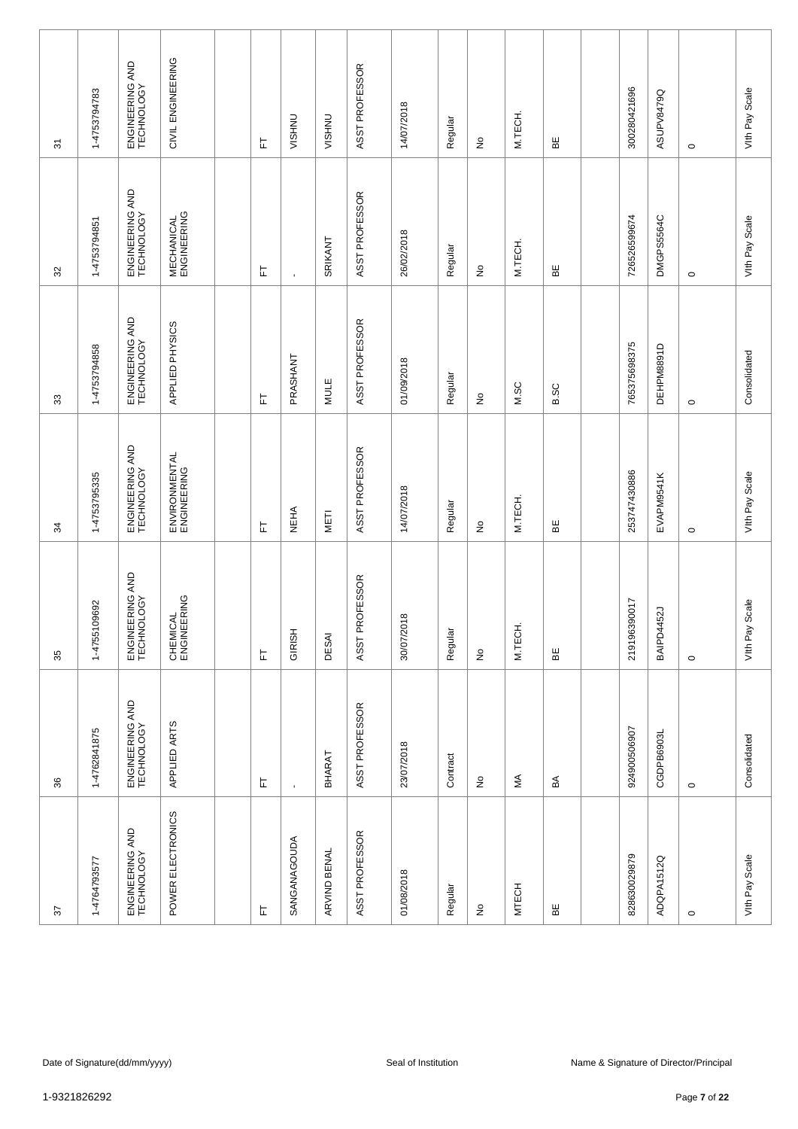| 22                              | 36                            | 35                            | 54                              | 33                            | 32                               | 5                               |
|---------------------------------|-------------------------------|-------------------------------|---------------------------------|-------------------------------|----------------------------------|---------------------------------|
| 1-4764793577                    | 1-4762841875                  | 1-4755109692                  | 1-4753795335                    | 1-4753794858                  | 1-4753794851                     | 1-4753794783                    |
| ENGINEERING AND<br>TECHNOLOGY   | ENGINEERING AND<br>TECHNOLOGY | ENGINEERING AND<br>TECHNOLOGY | ENGINEERING AND<br>TECHNOLOGY   | ENGINEERING AND<br>TECHNOLOGY | ENGINEERING AND<br>TECHNOLOGY    | ENGINEERING AND<br>TECHNOLOGY   |
| POWER ELECTRONICS               | APPLIED ARTS                  | CHEMICAL<br>ENGINEERING       | ENVIRONMENTAL<br>ENGINEERING    | APPLIED PHYSICS               | <b>MECHANICAL</b><br>ENGINEERING | CIVIL ENGINEERING               |
|                                 |                               |                               |                                 |                               |                                  |                                 |
| 匸                               | 匸                             | 匸                             | 匸                               | 匸                             | 뉸                                | 匸                               |
| SANGANAGOUDA                    | ï                             | GIRISH                        | <b>NEHA</b>                     | PRASHANT                      | $\mathbf{r}$                     | <b>VISHNU</b>                   |
| ARVIND BENAL                    | BHARAT                        | DESAI                         | METI                            | MULE                          | SRIKANT                          | <b>VISHNU</b>                   |
| ASST PROFESSOR                  | ASST PROFESSOR                | ASST PROFESSOR                | ASST PROFESSOR                  | ASST PROFESSOR                | ASST PROFESSOR                   | ASST PROFESSOR                  |
| 01/08/2018                      | 23/07/2018                    | 30/07/2018                    | 14/07/2018                      | 01/09/2018                    | 26/02/2018                       | 14/07/2018                      |
| Regular                         | Contract                      | Regular                       | Regular                         | Regular                       | Regular                          | Regular                         |
| $\frac{\mathsf{O}}{\mathsf{E}}$ | $\hat{z}$                     | $\stackrel{\mathtt{o}}{z}$    | $\frac{\mathsf{O}}{\mathsf{E}}$ | $\stackrel{\mathtt{o}}{z}$    | $\stackrel{\mathtt{o}}{z}$       | $\frac{\mathsf{O}}{\mathsf{E}}$ |
| <b>MTECH</b>                    | ≸                             | M.TECH.                       | M.TECH.                         | M.SC                          | M.TECH.                          | M.TECH.                         |
| 띪                               | $\mathbb S$                   | $\mathsf{B}\mathsf{E}$        | BE                              | <b>B.SC</b>                   | BE                               | 볾                               |
|                                 |                               |                               |                                 |                               |                                  |                                 |
| 828630029879                    | 924900506907                  | 219196390017                  | 253747430886                    | 765375698375                  | 726526599674                     | 300280421696                    |
| ADQPA1512Q                      | CGDPB6903L                    | <b>52J</b><br>BAIPD44         | EVAPM9541K                      | DEHPM8891D                    | DMGPS5564C                       | ASUPV8479Q                      |
| $\circ$                         | $\circ$                       | $\circ$                       | $\circ$                         | $\circ$                       | $\circ$                          | $\circ$                         |
| Vith Pay Scale                  | Consolidated                  | Scale<br>Vith Pay             | Vith Pay Scale                  | Consolidated                  | Vith Pay Scale                   | Vith Pay Scale                  |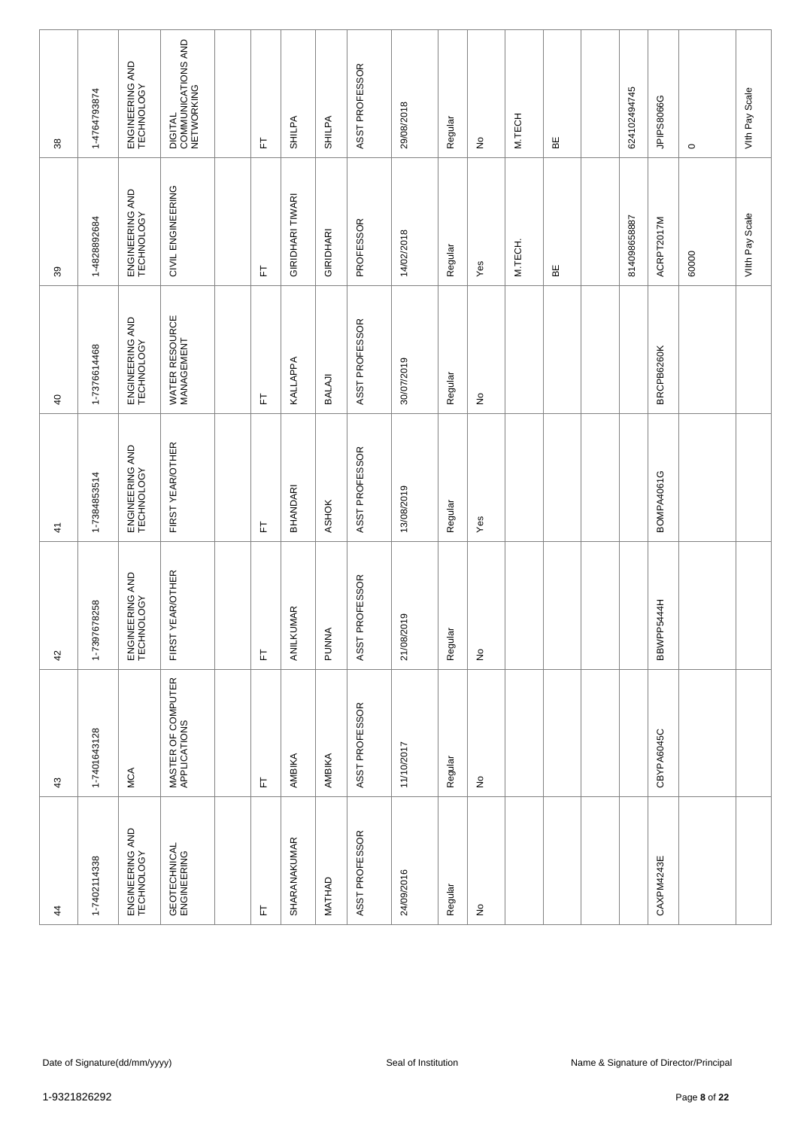| $\frac{4}{3}$                 | 43                                 | 42                            | $\frac{4}{3}$                 | $\overline{a}$                | 39                            | 38                                          |
|-------------------------------|------------------------------------|-------------------------------|-------------------------------|-------------------------------|-------------------------------|---------------------------------------------|
| 1-7402114338                  | 1-7401643128                       | 78258<br>1-739767             | 1-7384853514                  | 1-7376614468                  | 1-4828892684                  | 1-4764793874                                |
| ENGINEERING AND<br>TECHNOLOGY | MCA                                | ENGINEERING AND<br>TECHNOLOGY | ENGINEERING AND<br>TECHNOLOGY | ENGINEERING AND<br>TECHNOLOGY | ENGINEERING AND<br>TECHNOLOGY | ENGINEERING AND<br>TECHNOLOGY               |
| GEOTECHNICAL<br>ENGINEERING   | MASTER OF COMPUTER<br>APPLICATIONS | FIRST YEAR/OTHER              | FIRST YEAR/OTHER              | WATER RESOURCE<br>MANAGEMENT  | CIVIL ENGINEERING             | DIGITAL<br>COMMUNICATIONS AND<br>NETWORKING |
|                               |                                    |                               |                               |                               |                               |                                             |
| 匸                             | 匸                                  | 匸                             | 匸                             | 匸                             | 匸                             | 눈                                           |
| SHARANAKUMAR                  | AMBIKA                             | ANILKUMAR                     | BHANDARI                      | KALLAPPA                      | GIRIDHARI TIWARI              | SHILPA                                      |
| MATHAD                        | AMBIKA                             | PUNNA                         | ASHOK                         | BALAJI                        | GIRIDHARI                     | SHILPA                                      |
| ASST PROFESSOR                | ASST PROFESSOR                     | ASST PROFESSOR                | ASST PROFESSOR                | ASST PROFESSOR                | PROFESSOR                     | ASST PROFESSOR                              |
| 24/09/2016                    | 11/10/2017                         | 21/08/2019                    | 13/08/2019                    | 30/07/2019                    | 14/02/2018                    | 29/08/2018                                  |
| Regular                       | Regular                            | Regular                       | Regular                       | Regular                       | Regular                       | Regular                                     |
| $\frac{\circ}{\sim}$          | $\hat{\mathsf{z}}$                 | $\stackrel{\mathtt{o}}{z}$    | Yes                           | $\stackrel{\mathtt{o}}{z}$    | Yes                           | $\frac{\mathsf{O}}{\mathsf{E}}$             |
|                               |                                    |                               |                               |                               | M.TECH.                       | M.TECH                                      |
|                               |                                    |                               |                               |                               | ЪË                            | 띪                                           |
|                               |                                    |                               |                               |                               |                               |                                             |
|                               |                                    |                               |                               |                               | 814098658887                  | 624102494745                                |
| CAXPM4243E                    | CBYPA6045C                         | BBWPP5444H                    | BOMPA4061G                    | BRCPB6260K                    | ACRPT2017M                    | JPIPS8066G                                  |
|                               |                                    |                               |                               |                               | 60000                         | $\circ$                                     |
|                               |                                    |                               |                               |                               | VIIth Pay Scale               | Vith Pay Scale                              |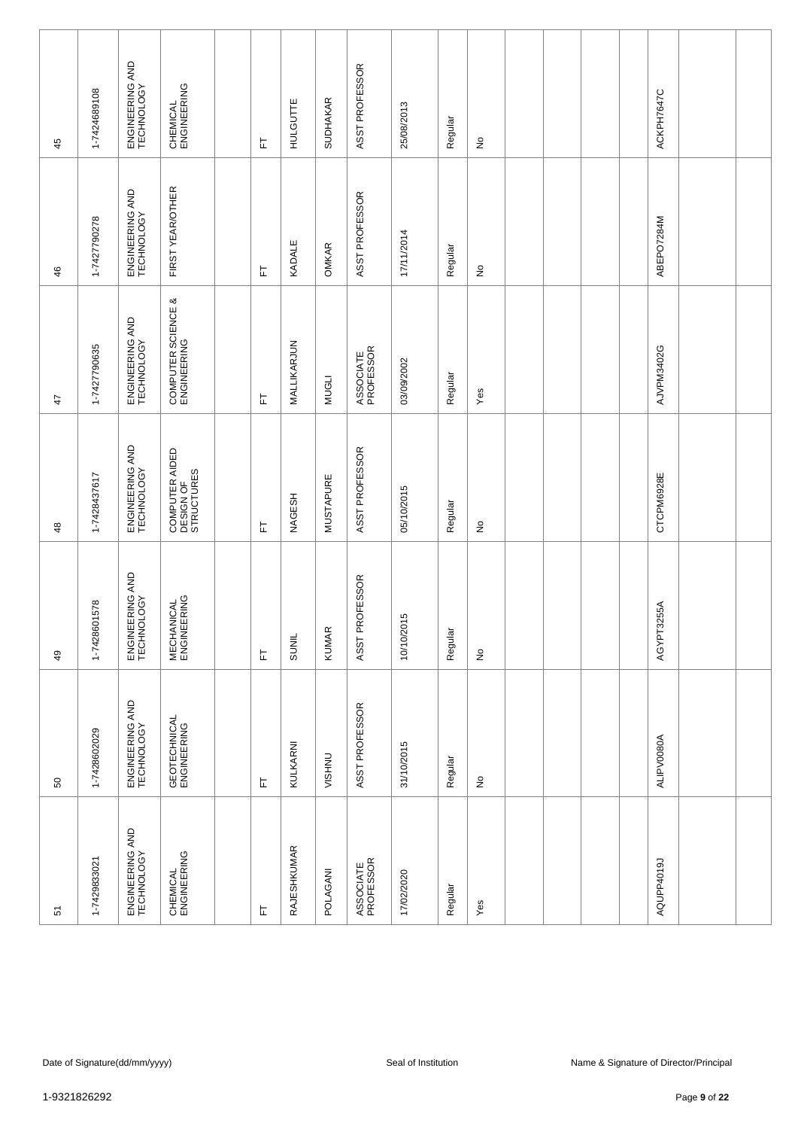|                 |              | ENGINEERING AND<br>TECHNOLOGY |                                           |                         |                    |                  | ASST PROFESSOR         |            |         |                            |  |  |            |  |
|-----------------|--------------|-------------------------------|-------------------------------------------|-------------------------|--------------------|------------------|------------------------|------------|---------|----------------------------|--|--|------------|--|
| 45              | 1-7424689108 |                               | CHEMICAL<br>ENGINEERING                   | 匸                       | HULGUTTE           | <b>SUDHAKAR</b>  |                        | 25/08/2013 | Regular | $\frac{\circ}{\sim}$       |  |  | ACKPH7647C |  |
| 46              | 1-7427790278 | ENGINEERING AND<br>TECHNOLOGY | FIRST YEAR/OTHER                          | 匸                       | KADALE             | <b>OMKAR</b>     | ASST PROFESSOR         | 17/11/2014 | Regular | $\stackrel{\mathtt{o}}{z}$ |  |  | ABEPO7284M |  |
| $\ddot{4}$      | 1-7427790635 | ENGINEERING AND<br>TECHNOLOGY | COMPUTER SCIENCE &<br>ENGINEERING         | 匠                       | MALLIKARJUN        | <b>NUGLI</b>     | ASSOCIATE<br>PROFESSOR | 03/09/2002 | Regular | Yes                        |  |  | AJVPM3402G |  |
| $\frac{48}{5}$  | 1-7428437617 | ENGINEERING AND<br>TECHNOLOGY | COMPUTER AIDED<br>DESIGN OF<br>STRUCTURES | 匸                       | <b>NAGESH</b>      | <b>MUSTAPURE</b> | ASST PROFESSOR         | 05/10/2015 | Regular | $\frac{1}{2}$              |  |  | CTCPM6928E |  |
| $\overline{49}$ | 1-7428601578 | ENGINEERING AND<br>TECHNOLOGY | <b>MECHANICAL</b><br>ENGINEERING          | 岀                       | <b>SUNIL</b>       | <b>KUMAR</b>     | ASST PROFESSOR         | 10/10/2015 | Regular | $\stackrel{\mathtt{o}}{z}$ |  |  | AGYPT3255A |  |
| SO              | 1-7428602029 | ENGINEERING AND<br>TECHNOLOGY | GEOTECHNICAL<br>ENGINEERING               | 上                       | KULKARNI           | <b>VISHNU</b>    | ASST PROFESSOR         | 31/10/2015 | Regular | $\frac{\circ}{\sim}$       |  |  | ALIPV0080A |  |
| 5               | 1-7429833021 | ENGINEERING AND<br>TECHNOLOGY | CHEMICAL<br>ENGINEERING                   | $\overline{\mathbb{L}}$ | <b>RAJESHKUMAR</b> | POLAGANI         | ASSOCIATE<br>PROFESSOR | 17/02/2020 | Regular | Yes                        |  |  | AQUPP4019J |  |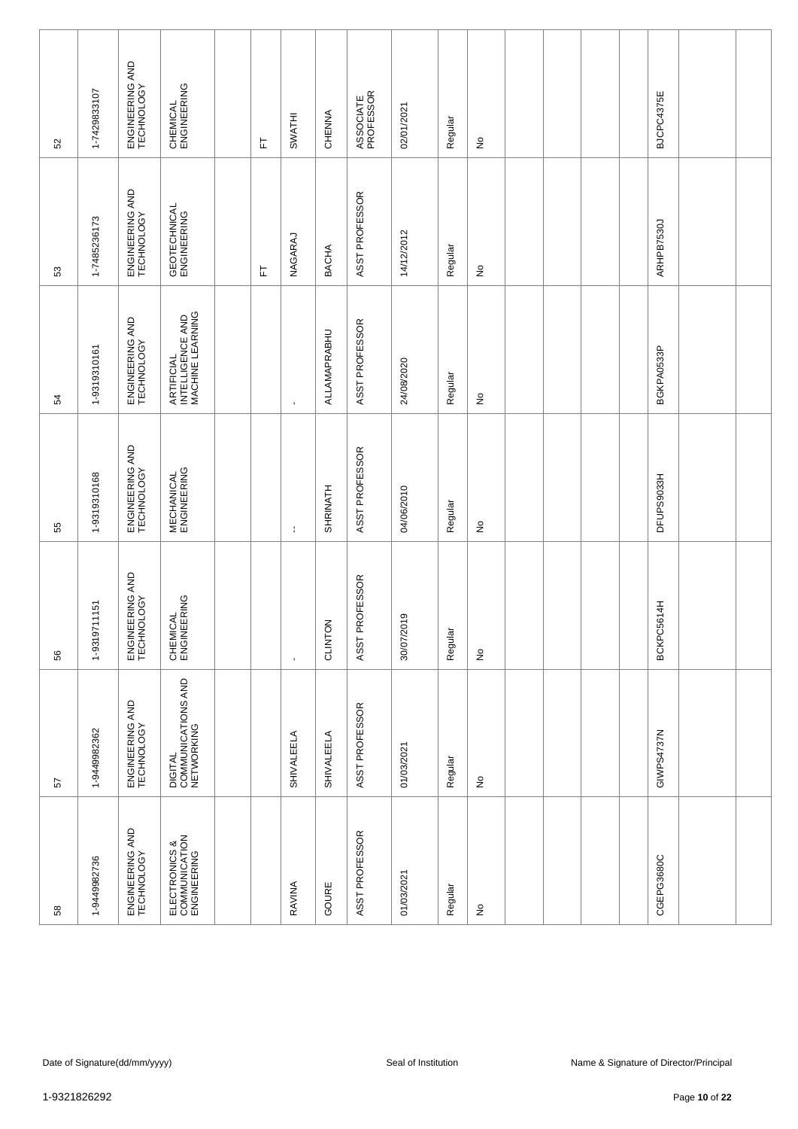| 52           | 1-7429833107      | ENGINEERING AND<br>TECHNOLOGY | CHEMICAL<br>ENGINEERING                            | 匸 | SWATHI         | CHENNA       | ASSOCIATE<br>PROFESSOR | 02/01/2021          | Regular | $\hat{z}$                  |  |  | BJCPC4375E |                                        |  |
|--------------|-------------------|-------------------------------|----------------------------------------------------|---|----------------|--------------|------------------------|---------------------|---------|----------------------------|--|--|------------|----------------------------------------|--|
| 53           | 1-7485236173      | ENGINEERING AND<br>TECHNOLOGY | GEOTECHNICAL<br>ENGINEERING                        | 눈 | NAGARAJ        | <b>BACHA</b> | ASST PROFESSOR         | 14/12/2012          | Regular | $\stackrel{\mathtt{o}}{z}$ |  |  | ARHPB7530J |                                        |  |
| 54           | 1-9319310161      | ENGINEERING AND<br>TECHNOLOGY | ARTIFICIAL<br>INTELLIGENCE AND<br>MACHINE LEARNING |   | $\blacksquare$ | ALLAMAPRABHU | ASST PROFESSOR         | 24/08/2020          | Regular | $\stackrel{\mathtt{o}}{z}$ |  |  | BGKPA0533P |                                        |  |
| 55           | 1-9319310168      | ENGINEERING AND<br>TECHNOLOGY | <b>MECHANICAL</b><br>ENGINEERING                   |   | ÷              | SHRINATH     | ASST PROFESSOR         | 04/06/2010          | Regular | $\hat{z}$                  |  |  | DFUPS9033H |                                        |  |
| 56           | 11151<br>1-931971 | ENGINEERING AND<br>TECHNOLOGY | CHEMICAL<br>ENGINEERING                            |   | $\blacksquare$ | CLINTON      | ASST PROFESSOR         | 30/07/2019          | Regular | $\stackrel{\mathtt{o}}{z}$ |  |  | BCKPC5614H |                                        |  |
| 57           | 1-9449982362      | ENGINEERING AND<br>TECHNOLOGY | DIGITAL<br>COMMUNICATIONS AND<br>NETWORKING        |   | SHIVALEELA     | SHIVALEELA   | ASST PROFESSOR         | 01/03/2021          | Regular | $\hat{z}$                  |  |  | GIWPS4737N |                                        |  |
| 58           | 1-9449982736      | ENGINEERING AND<br>TECHNOLOGY | ELECTRONICS &<br>COMMUNICATION<br>ENGINEERING      |   | RAVINA         | GOURE        | ASST PROFESSOR         | 01/03/2021          | Regular | $\hat{z}$                  |  |  | CGEPG3680C |                                        |  |
|              |                   |                               |                                                    |   |                |              |                        |                     |         |                            |  |  |            |                                        |  |
|              |                   | Date of Signature(dd/mm/yyyy) |                                                    |   |                |              |                        | Seal of Institution |         |                            |  |  |            | Name & Signature of Director/Principal |  |
| 1-9321826292 |                   |                               |                                                    |   |                |              |                        |                     |         |                            |  |  |            | Page 10 of 22                          |  |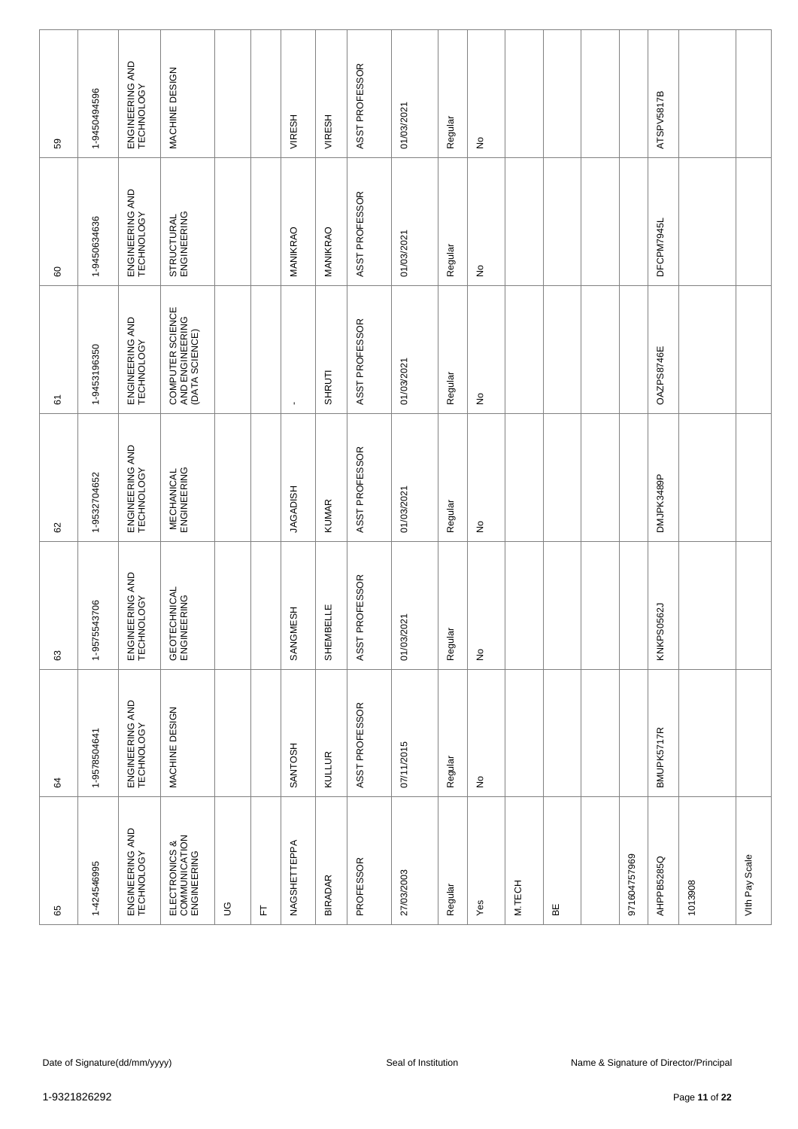| 59             | 1-9450494596 | ENGINEERING AND<br>TECHNOLOGY | MACHINE DESIGN                                        |             |   | VIRESH          | <b>VIRESH</b>  | ASST PROFESSOR | 01/03/2021          | Regular | $\frac{\circ}{\sim}$       |        |   |  |              | ATSPV5817B    |                                        |                |  |
|----------------|--------------|-------------------------------|-------------------------------------------------------|-------------|---|-----------------|----------------|----------------|---------------------|---------|----------------------------|--------|---|--|--------------|---------------|----------------------------------------|----------------|--|
| 60             | 1-9450634636 | ENGINEERING AND<br>TECHNOLOGY | STRUCTURAL<br>ENGINEERING                             |             |   | MANIKRAO        | MANIKRAO       | ASST PROFESSOR | 01/03/2021          | Regular | $\stackrel{\mathtt{o}}{z}$ |        |   |  |              | DFCPM7945L    |                                        |                |  |
| 61             | 1-9453196350 | ENGINEERING AND<br>TECHNOLOGY | COMPUTER SCIENCE<br>AND ENGINEERING<br>(DATA SCIENCE) |             |   | $\blacksquare$  | SHRUTI         | ASST PROFESSOR | 01/03/2021          | Regular | $\stackrel{\mathtt{o}}{z}$ |        |   |  |              | OAZPS8746E    |                                        |                |  |
| 62             | 1-9532704652 | ENGINEERING AND<br>TECHNOLOGY | <b>MECHANICAL</b><br>ENGINEERING                      |             |   | <b>JAGADISH</b> | <b>KUMAR</b>   | ASST PROFESSOR | 01/03/2021          | Regular | $\hat{z}$                  |        |   |  |              | DMJPK3489P    |                                        |                |  |
| 63             | 1-9575543706 | ENGINEERING AND<br>TECHNOLOGY | GEOTECHNICAL<br>ENGINEERING                           |             |   | SANGMESH        | SHEMBELLE      | ASST PROFESSOR | 01/03/2021          | Regular | $\stackrel{\mathtt{o}}{z}$ |        |   |  |              | KNKPS0562J    |                                        |                |  |
| $\mathfrak{g}$ | 1-9578504641 | ENGINEERING AND<br>TECHNOLOGY | MACHINE DESIGN                                        |             |   | <b>SANTOSH</b>  | KULLUR         | ASST PROFESSOR | 07/11/2015          | Regular | $\frac{\circ}{\sim}$       |        |   |  |              | BMUPK5717R    |                                        |                |  |
| 65             | 1-424546995  | ENGINEERING AND<br>TECHNOLOGY | ELECTRONICS &<br>COMMUNICATION<br>ENGINEERING         | $\mathbb S$ | 匸 | NAGSHETTEPPA    | <b>BIRADAR</b> | PROFESSOR      | 27/03/2003          | Regular | Yes                        | M.TECH | 띪 |  | 971604757969 | AHPPB5285Q    | 1013908                                | Vith Pay Scale |  |
|                |              |                               |                                                       |             |   |                 |                |                |                     |         |                            |        |   |  |              |               |                                        |                |  |
|                |              | Date of Signature(dd/mm/yyyy) |                                                       |             |   |                 |                |                | Seal of Institution |         |                            |        |   |  |              |               | Name & Signature of Director/Principal |                |  |
| 1-9321826292   |              |                               |                                                       |             |   |                 |                |                |                     |         |                            |        |   |  |              | Page 11 of 22 |                                        |                |  |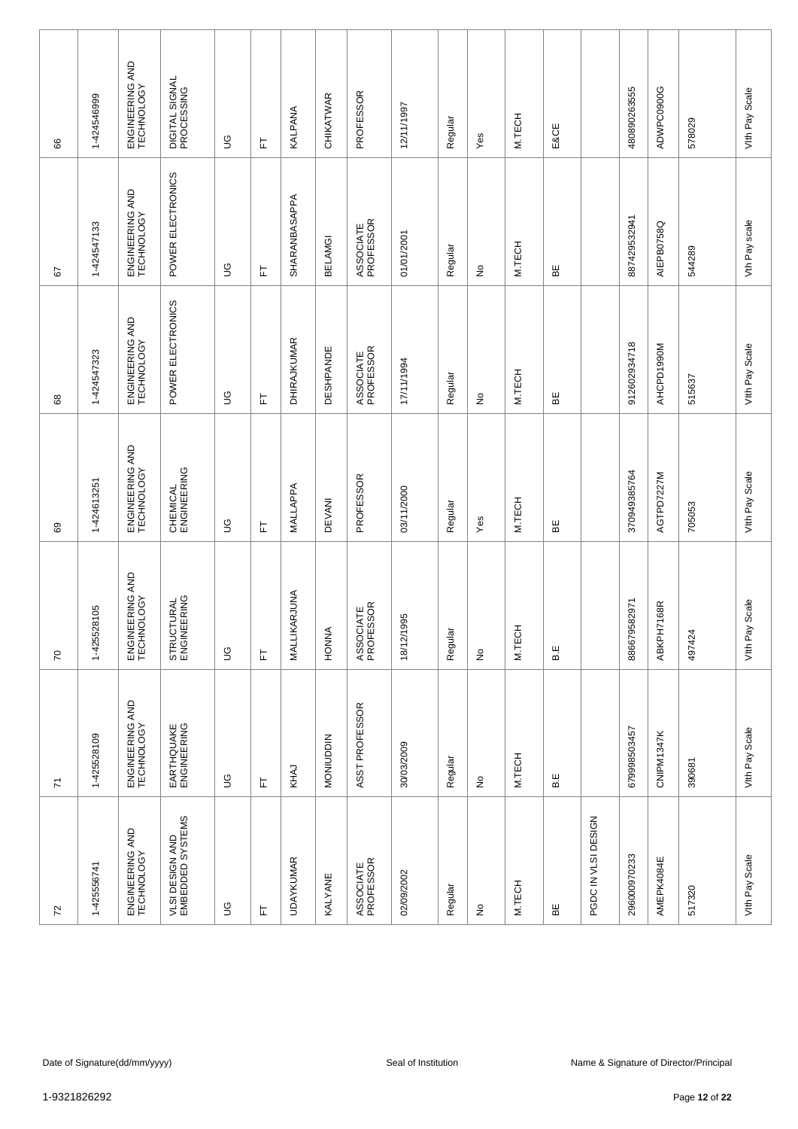| 8                       | 1-424546999  | ENGINEERING AND<br>TECHNOLOGY | DIGITAL SIGNAL<br>PROCESSING        | $\mathbb S$ | 匸 | KALPANA            | CHIKATWAR        | PROFESSOR              | 12/11/1997          | Regular | Yes                        | M.TECH | E&CE |                     | 480890263555 | ADWPC0900G     | 578029                                                  | Vith Pay Scale    |
|-------------------------|--------------|-------------------------------|-------------------------------------|-------------|---|--------------------|------------------|------------------------|---------------------|---------|----------------------------|--------|------|---------------------|--------------|----------------|---------------------------------------------------------|-------------------|
| 57                      | 1-424547133  | ENGINEERING AND<br>TECHNOLOGY | POWER ELECTRONICS                   | 9D          | 눈 | SHARANBASAPPA      | <b>BELAMGI</b>   | ASSOCIATE<br>PROFESSOR | 01/01/2001          | Regular | $\stackrel{\mathtt{o}}{z}$ | M.TECH | ΒE   |                     | 887429532941 | AIEPB0758Q     | 544289                                                  | Vth Pay scale     |
| 89                      | 1-424547323  | ENGINEERING AND<br>TECHNOLOGY | POWER ELECTRONICS                   | 9D          | 匸 | <b>DHIRAJKUMAR</b> | <b>DESHPANDE</b> | ASSOCIATE<br>PROFESSOR | 17/11/1994          | Regular | $\stackrel{\mathtt{o}}{z}$ | M.TECH | 띪    |                     | 912602934718 | AHCPD1990M     | 515637                                                  | Vith Pay Scale    |
| 69                      | 1-424613251  | ENGINEERING AND<br>TECHNOLOGY | CHEMICAL<br>ENGINEERING             | S           | 匸 | MALLAPPA           | <b>DEVANI</b>    | PROFESSOR              | 03/11/2000          | Regular | Yes                        | M.TECH | 볾    |                     | 370949385764 | AGTPD7227M     | 705053                                                  | Vith Pay Scale    |
| $\overline{70}$         | 1-425528105  | ENGINEERING AND<br>TECHNOLOGY | STRUCTURAL<br>ENGINEERING           | 9D          | 匸 | RJUNA<br>MALLIKA   | HONNA            | ASSOCIATE<br>PROFESSOR | 18/12/1995          | Regular | $\stackrel{\mathtt{o}}{z}$ | M.TECH | B.E  |                     | 886679582971 | 168R<br>ABKPH7 | 497424                                                  | Scale<br>Vith Pay |
| $\overline{\mathbf{r}}$ | 1-425528109  | ENGINEERING AND<br>TECHNOLOGY | EARTHQUAKE<br>ENGINEERING           | $\mathbb S$ | 上 | KHAJ               | <b>MONIUDDIN</b> | ASST PROFESSOR         | 30/03/2009          | Regular | $\frac{\circ}{\sim}$       | M.TECH | B.E  |                     | 679998503457 | CNIPM1347K     | 390681                                                  | Vith Pay Scale    |
| $72\,$                  | 1-425556741  | ENGINEERING AND<br>TECHNOLOGY | VLSI DESIGN AND<br>EMBEDDED SYSTEMS | S           | 上 | <b>UDAYKUMAR</b>   | <b>KALYANE</b>   | ASSOCIATE<br>PROFESSOR | 02/09/2002          | Regular | $\frac{\circ}{\sim}$       | M.TECH | 띪    | PGDC IN VLSI DESIGN | 296000970233 | AMEPK4084E     | 517320                                                  | Vith Pay Scale    |
|                         |              |                               |                                     |             |   |                    |                  |                        |                     |         |                            |        |      |                     |              |                |                                                         |                   |
|                         | 1-9321826292 | Date of Signature(dd/mm/yyyy) |                                     |             |   |                    |                  |                        | Seal of Institution |         |                            |        |      |                     |              |                | Name & Signature of Director/Principal<br>Page 12 of 22 |                   |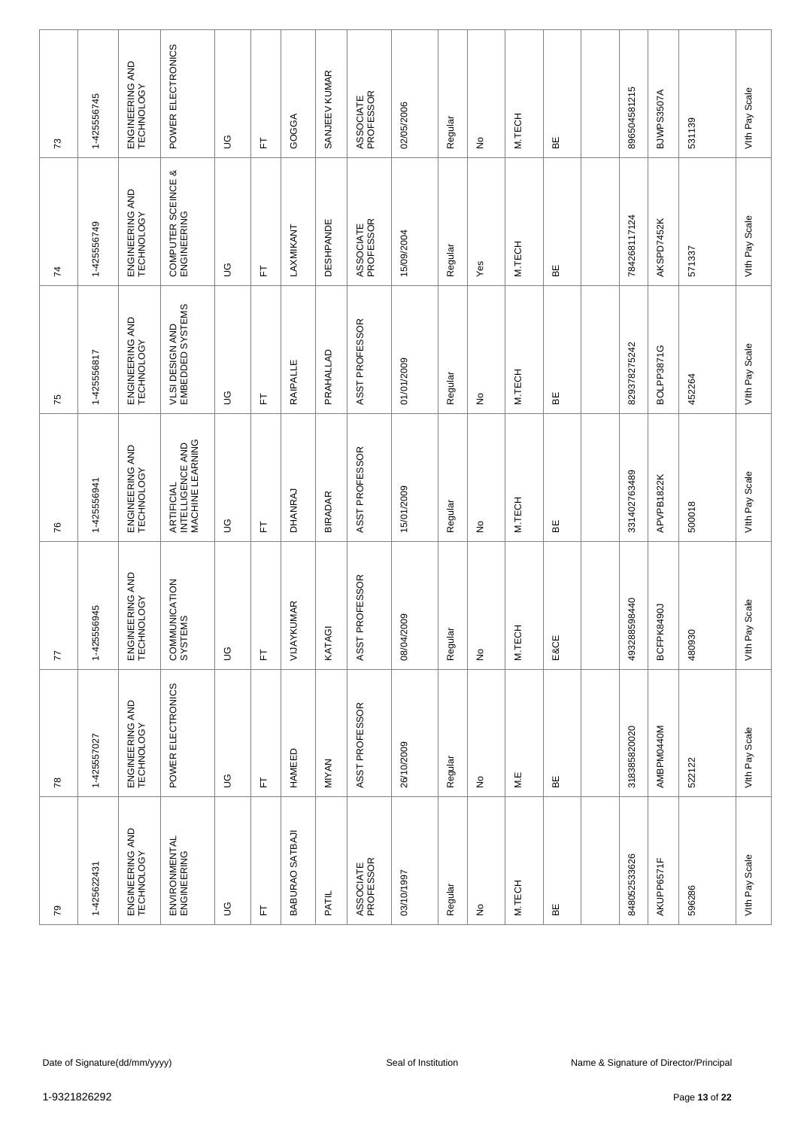| $\mathcal{L}$  | 1-425556745 | ENGINEERING AND<br>TECHNOLOGY | POWER ELECTRONICS                                   | $\mathfrak{S}$ | 匸 | GOGGA           | SANJEEV KUMAR    | ASSOCIATE<br>PROFESSOR | 02/05/2006          | Regular | $\frac{\circ}{\sim}$            | M.TECH | 띪    | 896504581215 | BJWPS3507A        | 531139                                 | Vith Pay Scale    |
|----------------|-------------|-------------------------------|-----------------------------------------------------|----------------|---|-----------------|------------------|------------------------|---------------------|---------|---------------------------------|--------|------|--------------|-------------------|----------------------------------------|-------------------|
| $\overline{7}$ | 1-425556749 | ENGINEERING AND<br>TECHNOLOGY | COMPUTER SCEINCE &<br>ENGINEERING                   | 9D             | 匸 | LAXMIKANT       | <b>DESHPANDE</b> | ASSOCIATE<br>PROFESSOR | 15/09/2004          | Regular | Yes                             | M.TECH | 띪    | 784268117124 | AKSPD7452K        | 571337                                 | Vith Pay Scale    |
| 75             | 1-425556817 | ENGINEERING AND<br>TECHNOLOGY | VLSI DESIGN AND<br>EMBEDDED SYSTEMS                 | 9D             | 匸 | RAIPALLE        | PRAHALLAD        | ASST PROFESSOR         | 01/01/2009          | Regular | ş                               | M.TECH | 띪    | 829378275242 | <b>BOLPP3871G</b> | 452264                                 | Vith Pay Scale    |
| 76             | 1-425556941 | ENGINEERING AND<br>TECHNOLOGY | ARTIFICIAL<br>INTELLIGENCE AND<br>IMACHINE LEARNING | $\mathfrak{S}$ | 匸 | DHANRAJ         | <b>BIRADAR</b>   | ASST PROFESSOR         | 15/01/2009          | Regular | $\frac{\mathsf{O}}{\mathsf{D}}$ | M.TECH | 볾    | 331402763489 | APVPB1822K        | 500018                                 | Vith Pay Scale    |
| 77             | 1-425556945 | ENGINEERING AND<br>TECHNOLOGY | COMMUNICATION<br>SYSTEMS                            | $\mathbb S$    | 上 | VIJAYKUMAR      | KATAGI           | ASST PROFESSOR         | 08/04/2009          | Regular | $\stackrel{\mathtt{o}}{z}$      | M.TECH | E&CE | 493288598440 | BCFPK8490J        | 480930                                 | Scale<br>Vith Pay |
| $78$           | 1-425557027 | ENGINEERING AND<br>TECHNOLOGY | POWER ELECTRONICS                                   | $\mathbb S$    | 上 | HAMEED          | MIYAN            | ASST PROFESSOR         | 26/10/2009          | Regular | $\frac{\circ}{\sim}$            | M.E    | 띪    | 318385820020 | AMBPM0440M        | 522122                                 | Vith Pay Scale    |
| 79             | 1-425622431 | ENGINEERING AND<br>TECHNOLOGY | ENVIRONMENTAL<br>ENGINEERING                        | $\mathbb S$    | 匠 | BABURAO SATBAJI | PATIL            | ASSOCIATE<br>PROFESSOR | 03/10/1997          | Regular | $\frac{\circ}{\sim}$            | M.TECH | 띪    | 848052533626 | AKUPP6571F        | 596286                                 | Vith Pay Scale    |
|                |             |                               |                                                     |                |   |                 |                  |                        |                     |         |                                 |        |      |              |                   |                                        |                   |
|                |             | Date of Signature(dd/mm/yyyy) |                                                     |                |   |                 |                  |                        | Seal of Institution |         |                                 |        |      |              |                   | Name & Signature of Director/Principal |                   |
| 1-9321826292   |             |                               |                                                     |                |   |                 |                  |                        |                     |         |                                 |        |      |              |                   | Page 13 of 22                          |                   |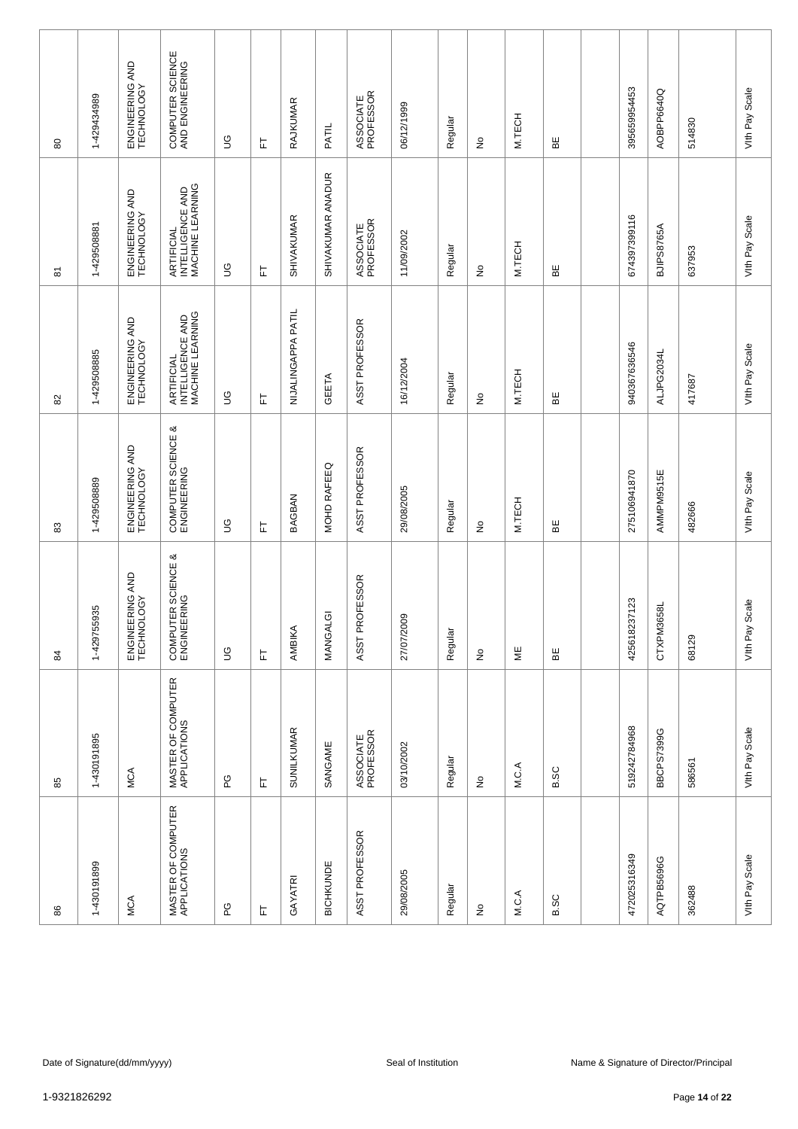| 80           | 1-429434989 | ENGINEERING AND<br>TECHNOLOGY | COMPUTER SCIENCE<br>AND ENGINEERING                | ပြ          | 匸 | RAJKUMAR           | PATIL                        | ASSOCIATE<br>PROFESSOR | 06/12/1999          | Regular | ş                          | M.TECH                | 띪           | 395659954453 | AOBPP6640Q        | 514830                                                  | Vith Pay Scale    |
|--------------|-------------|-------------------------------|----------------------------------------------------|-------------|---|--------------------|------------------------------|------------------------|---------------------|---------|----------------------------|-----------------------|-------------|--------------|-------------------|---------------------------------------------------------|-------------------|
| 5            | 1-429508881 | ENGINEERING AND<br>TECHNOLOGY | ARTIFICIAL<br>INTELLIGENCE AND<br>MACHINE LEARNING | 6D          | 는 | <b>SHIVAKUMAR</b>  | SHIVAKUMAR ANADUR            | ASSOCIATE<br>PROFESSOR | 11/09/2002          | Regular | $\frac{1}{2}$              | M.TECH                | BE          | 674397399116 | <b>BJIPS8765A</b> | 637953                                                  | Vith Pay Scale    |
| 82           | 1-429508885 | ENGINEERING AND<br>TECHNOLOGY | ARTIFICIAL<br>INTELLIGENCE AND<br>MACHINE LEARNING | 6D          | ᄂ | NIJALINGAPPA PATIL | GEETA                        | ASST PROFESSOR         | 16/12/2004          | Regular | ş                          | M.TECH                | ΒE          | 940367636546 | ALJPG2034L        | 417687                                                  | Vith Pay Scale    |
| 33           | 1-429508889 | ENGINEERING AND<br>TECHNOLOGY | COMPUTER SCIENCE &<br>ENGINEERING                  | S           | ᄂ | <b>BAGBAN</b>      | MOHD RAFEEQ                  | ASST PROFESSOR         | 29/08/2005          | Regular | ş                          | M.TECH                | 띪           | 275106941870 | AMMPM9515E        | 482666                                                  | Vith Pay Scale    |
| 84           | 1-429755935 | ENGINEERING AND<br>TECHNOLOGY | COMPUTER SCIENCE &<br>ENGINEERING                  | $\mathbb S$ | 눈 | AMBIKA             | $\overline{\circ}$<br>MANGAL | ASST PROFESSOR         | 27/07/2009          | Regular | $\stackrel{\mathtt{o}}{z}$ | $\mathrel{\mathop:}=$ | ΒE          | 425618237123 | CTXPM3658L        | 68129                                                   | Scale<br>Vith Pay |
| 85           | 1-430191895 | MCA                           | MASTER OF COMPUTER<br>APPLICATIONS                 | ဥ           | 上 | <b>SUNILKUMAR</b>  | SANGAME                      | ASSOCIATE<br>PROFESSOR | 03/10/2002          | Regular | £                          | M.C.A                 | B.SC        | 519242784968 | <b>BBCPS7399G</b> | 586561                                                  | Vith Pay Scale    |
| 86           | 1-430191899 | <b>MCA</b>                    | MASTER OF COMPUTER<br>APPLICATIONS                 | ဥ           | ᄂ | GAYATRI            | BICHKUNDE                    | ASST PROFESSOR         | 29/08/2005          | Regular | £                          | M.C.A                 | <b>B.SC</b> | 472025316349 | AQTPB5696G        | 362488                                                  | Vith Pay Scale    |
|              |             |                               |                                                    |             |   |                    |                              |                        |                     |         |                            |                       |             |              |                   |                                                         |                   |
| 1-9321826292 |             | Date of Signature(dd/mm/yyyy) |                                                    |             |   |                    |                              |                        | Seal of Institution |         |                            |                       |             |              |                   | Name & Signature of Director/Principal<br>Page 14 of 22 |                   |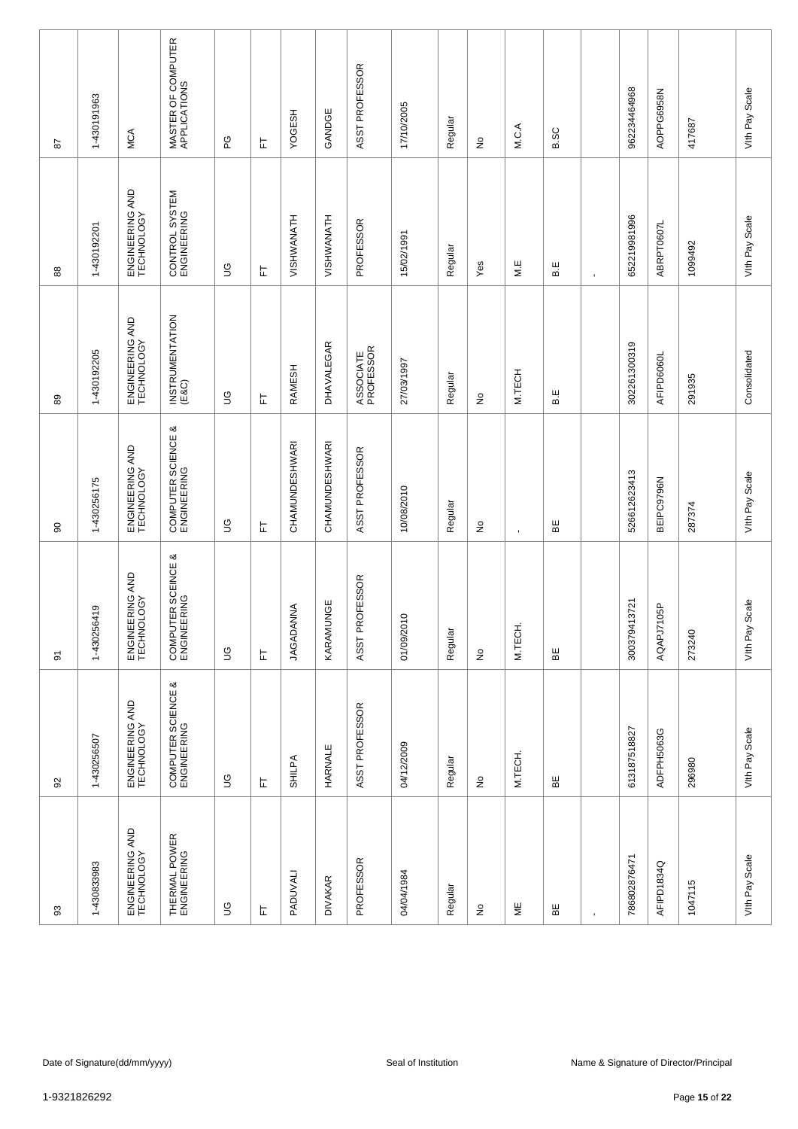| 28           | 1-430191963 | MCA                           | MASTER OF COMPUTER<br>APPLICATIONS | ဥ              | 匸 | YOGESH                | GANDGE         | ASST PROFESSOR         | 17/10/2005          | Regular | $\frac{\circ}{\sim}$            | M.C.A          | <b>B.SC</b> |                | 962234464968 | AOPPG6958N     | 417687                                 | Vith Pay Scale    |
|--------------|-------------|-------------------------------|------------------------------------|----------------|---|-----------------------|----------------|------------------------|---------------------|---------|---------------------------------|----------------|-------------|----------------|--------------|----------------|----------------------------------------|-------------------|
| $88$         | 1-430192201 | ENGINEERING AND<br>TECHNOLOGY | CONTROL SYSTEM<br>ENGINEERING      | 9D             | 匸 | VISHWANATH            | VISHWANATH     | PROFESSOR              | 15/02/1991          | Regular | Yes                             | M.E            | B.E         | $\blacksquare$ | 652219981996 | ABRPT0607L     | 1099492                                | Vith Pay Scale    |
| 89           | 1-430192205 | ENGINEERING AND<br>TECHNOLOGY | INSTRUMENTATION<br>(E&C)           | 9D             | 匸 | RAMESH                | DHAVALEGAR     | ASSOCIATE<br>PROFESSOR | 27/03/1997          | Regular | ş                               | M.TECH         | B.E         |                | 302261300319 | AFIPD6060L     | 291935                                 | Consolidated      |
| 8            | 1-430256175 | ENGINEERING AND<br>TECHNOLOGY | COMPUTER SCIENCE &<br>ENGINEERING  | $\mathfrak{S}$ | 匸 | <b>CHAMUNDESHWARI</b> | CHAMUNDESHWARI | ASST PROFESSOR         | 10/08/2010          | Regular | $\frac{\mathsf{O}}{\mathsf{D}}$ | $\blacksquare$ | 볾           |                | 526612623413 | BEIPC9796N     | 287374                                 | Vith Pay Scale    |
| 5            | 1-430256419 | ENGINEERING AND<br>TECHNOLOGY | COMPUTER SCEINCE &<br>ENGINEERING  | $\mathbb S$    | 上 | <b>JAGADANNA</b>      | KARAMUNGE      | ASST PROFESSOR         | 01/09/2010          | Regular | $\stackrel{\mathtt{o}}{z}$      | M.TECH         | ЪË          |                | 300379413721 | 105P<br>AQAPJ7 | 273240                                 | Scale<br>VIth Pay |
| $\Omega$     | 1-430256507 | ENGINEERING AND<br>TECHNOLOGY | COMPUTER SCIENCE &<br>ENGINEERING  | $\mathbb S$    | 上 | SHILPA                | HARNALE        | ASST PROFESSOR         | 04/12/2009          | Regular | $\frac{\circ}{\sim}$            | M.TECH.        | 띪           |                | 613187518827 | ADFPH5063G     | 296980                                 | Vith Pay Scale    |
| 3            | 1-430833983 | ENGINEERING AND<br>TECHNOLOGY | THERMAL POWER<br>ENGINEERING       | $\mathbb S$    | 上 | PADUVALI              | <b>DIVAKAR</b> | PROFESSOR              | 04/04/1984          | Regular | $\frac{\circ}{\sim}$            | ₩              | 띪           |                | 786802876471 | AFIPD1834Q     | 1047115                                | Vith Pay Scale    |
|              |             |                               |                                    |                |   |                       |                |                        |                     |         |                                 |                |             |                |              |                |                                        |                   |
|              |             | Date of Signature(dd/mm/yyyy) |                                    |                |   |                       |                |                        | Seal of Institution |         |                                 |                |             |                |              |                | Name & Signature of Director/Principal |                   |
| 1-9321826292 |             |                               |                                    |                |   |                       |                |                        |                     |         |                                 |                |             |                |              |                | Page 15 of 22                          |                   |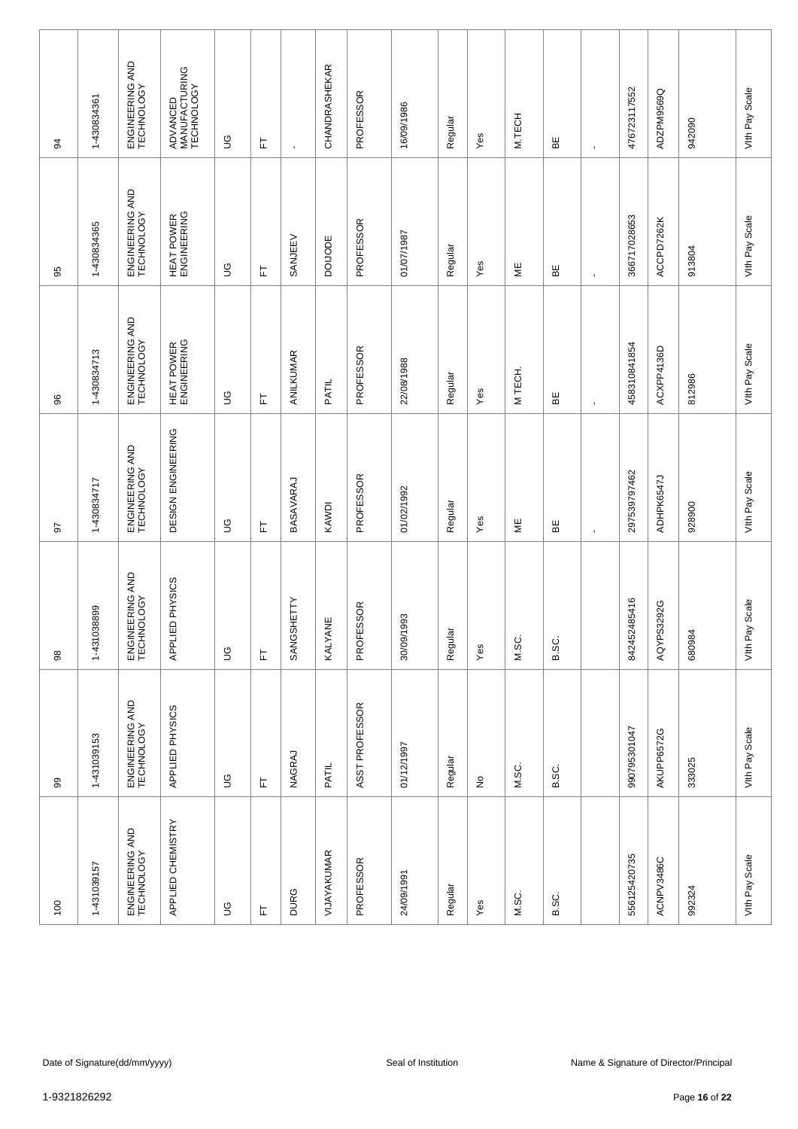| 34           | 1-430834361 | ENGINEERING AND<br>TECHNOLOGY | ADVANCED<br>MANUFACTURING<br>TECHNOLOGY | $\mathbb S$ | ᄂ | $\cdot$     | <b>CHANDRASHEKAR</b> | PROFESSOR      | 16/09/1986          | Regular | Yes       | M.TECH                | 볾     | $\blacksquare$ | 476723117552 | ADZPM9569Q | 942090                                                  | Vith Pay Scale    |
|--------------|-------------|-------------------------------|-----------------------------------------|-------------|---|-------------|----------------------|----------------|---------------------|---------|-----------|-----------------------|-------|----------------|--------------|------------|---------------------------------------------------------|-------------------|
| 95           | 1-430834365 | ENGINEERING AND<br>TECHNOLOGY | HEAT POWER<br>ENGINEERING               | $\mathbb S$ | 는 | SANJEEV     | <b>DOIJODE</b>       | PROFESSOR      | 1/07/1987           | Regular | Yes       | ΨË                    | ЪË    | $\blacksquare$ | 366717028653 | ACCPD7262K | 913804                                                  | Vith Pay Scale    |
| 86           | 1-430834713 | ENGINEERING AND<br>TECHNOLOGY | HEAT POWER<br>ENGINEERING               | 9D          | 匸 | ANILKUMAR   | PATIL                | PROFESSOR      | 22/08/1988          | Regular | Yes       | M TECH.               | ΒË    | $\blacksquare$ | 458310841854 | ACXPP4136D | 812986                                                  | Vith Pay Scale    |
| 50           | 1-430834717 | ENGINEERING AND<br>TECHNOLOGY | DESIGN ENGINEERING                      | S           | 匸 | BASAVARAJ   | KAWDI                | PROFESSOR      | 01/02/1992          | Regular | Yes       | $\mathrel{\mathop:}=$ | 볾     | $\blacksquare$ | 297539797462 | ADHPK6547J | 928900                                                  | Vith Pay Scale    |
| $_{98}$      | 1-431038899 | ENGINEERING AND<br>TECHNOLOGY | APPLIED PHYSICS                         | $\mathbb S$ | 匸 | SANGSHETTY  | ш<br><b>KALYANE</b>  | PROFESSOR      | 30/09/1993          | Regular | Yes       | M.SC.                 | B.SC. |                | 842452485416 | AQYPS3292G | 680984                                                  | Scale<br>Vith Pay |
| 99           | 1-431039153 | ENGINEERING AND<br>TECHNOLOGY | APPLIED PHYSICS                         | $\mathbb S$ | 匸 | NAGRAJ      | PATIL                | ASST PROFESSOR | 01/12/1997          | Regular | $\hat{z}$ | M.SC.                 | B.SC. |                | 990795301047 | AKUPP6572G | 333025                                                  | Vith Pay Scale    |
| 100          | 1-431039157 | ENGINEERING AND<br>TECHNOLOGY | APPLIED CHEMISTRY                       | $\mathbb S$ | 눈 | <b>DURG</b> | VIJAYAKUMAR          | PROFESSOR      | 24/09/1991          | Regular | Yes       | M.SC.                 | B.SC. |                | 556125420735 | ACNPV3486C | 992324                                                  | Vith Pay Scale    |
|              |             |                               |                                         |             |   |             |                      |                |                     |         |           |                       |       |                |              |            |                                                         |                   |
| 1-9321826292 |             | Date of Signature(dd/mm/yyyy) |                                         |             |   |             |                      |                | Seal of Institution |         |           |                       |       |                |              |            | Name & Signature of Director/Principal<br>Page 16 of 22 |                   |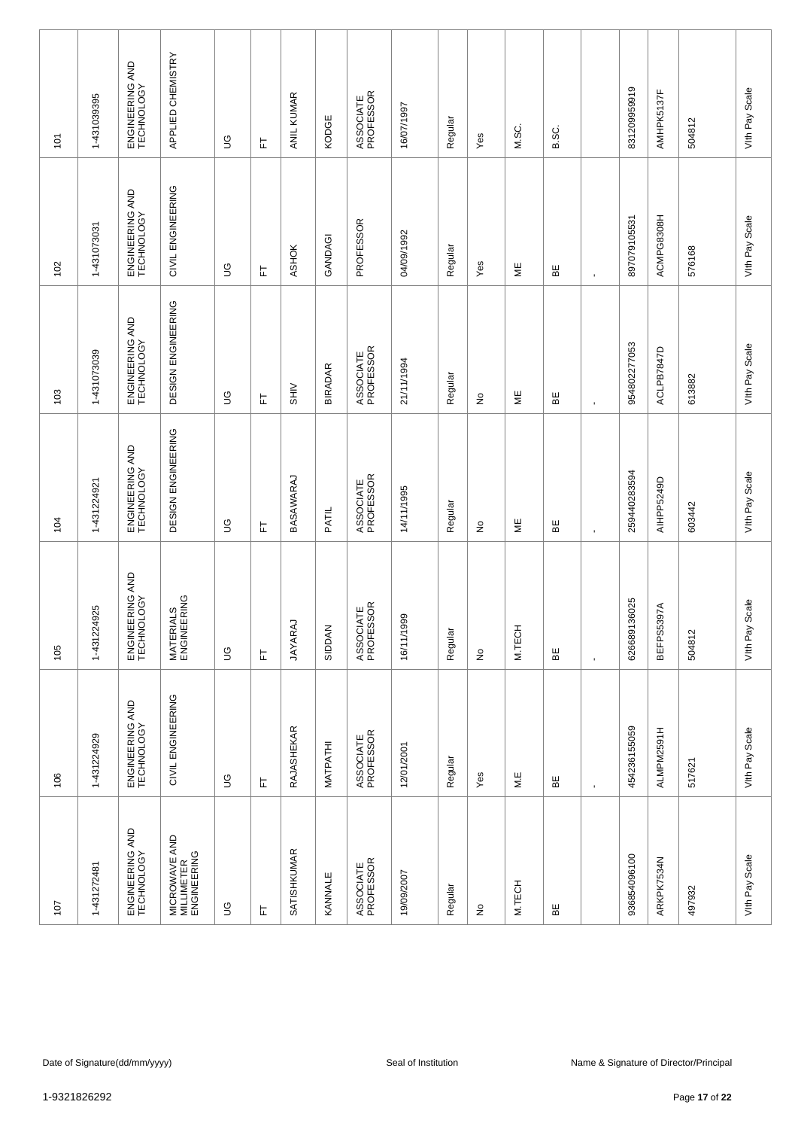| 101          | 1-431039395 | ENGINEERING AND<br>TECHNOLOGY | APPLIED CHEMISTRY                          | $\mathbb S$   | 눈 | ANIL KUMAR         | KODGE          | ASSOCIATE<br>PROFESSOR | 16/07/1997          | Regular | Yes                        | M.SC.                   | B.SC. |                | 831209959919     | AMHPK5137F      | 504812                                                  | Vith Pay Scale    |
|--------------|-------------|-------------------------------|--------------------------------------------|---------------|---|--------------------|----------------|------------------------|---------------------|---------|----------------------------|-------------------------|-------|----------------|------------------|-----------------|---------------------------------------------------------|-------------------|
| 102          | 1-431073031 | ENGINEERING AND<br>TECHNOLOGY | CIVIL ENGINEERING                          | $\mathbb S$   | 됴 | <b>ASHOK</b>       | GANDAGI        | PROFESSOR              | 04/09/1992          | Regular | Yes                        | ΨË                      | ΒE    | $\blacksquare$ | 897079105531     | ACMPG8308H      | 576168                                                  | Vith Pay Scale    |
| 103          | 1-431073039 | ENGINEERING AND<br>TECHNOLOGY | DESIGN ENGINEERING                         | 6D            | 匸 | $rac{1}{\sqrt{1}}$ | <b>BIRADAR</b> | ASSOCIATE<br>PROFESSOR | 21/11/1994          | Regular | $\stackrel{\circ}{\simeq}$ | ⊌E                      | ΒË    | $\blacksquare$ | 954802277053     | ACLPB7847D      | 613882                                                  | Vith Pay Scale    |
| 104          | 1-431224921 | ENGINEERING AND<br>TECHNOLOGY | DESIGN ENGINEERING                         | S             | 匸 | BASAWARAJ          | PATIL          | ASSOCIATE<br>PROFESSOR | 14/11/1995          | Regular | $\stackrel{\circ}{\simeq}$ | ¥                       | 띪     | $\blacksquare$ | 259440283594     | AIHPP5249D      | 603442                                                  | Vith Pay Scale    |
| 105          | 1-431224925 | ENGINEERING AND<br>TECHNOLOGY | <b>MATERIALS<br/>ENGINEERING</b>           | $\mathcal{S}$ | 뉸 | <b>JAYARAJ</b>     | SIDDAN         | ASSOCIATE<br>PROFESSOR | 16/11/1999          | Regular | $\stackrel{\mathtt{o}}{z}$ | M.TECH                  | ΒE    | $\mathbf{r}$   | 36025<br>6266891 | 397A<br>BEFPS53 | 504812                                                  | Scale<br>Vith Pay |
| 106          | 1-431224929 | ENGINEERING AND<br>TECHNOLOGY | CIVIL ENGINEERING                          | $\mathbb S$   | 上 | RAJASHEKAR         | MATPATHI       | ASSOCIATE<br>PROFESSOR | 12/01/2001          | Regular | Yes                        | $\mathsf{M}.\mathsf{E}$ | 띪     | $\blacksquare$ | 454236155059     | ALMPM2591H      | 517621                                                  | Vith Pay Scale    |
| 107          | 1-431272481 | ENGINEERING AND<br>TECHNOLOGY | MICROWAVE AND<br>MILLIMETER<br>ENGINEERING | $\mathbb S$   | ᄂ | <b>SATISHKUMAR</b> | KANNALE        | ASSOCIATE<br>PROFESSOR | 19/09/2007          | Regular | ş                          | M.TECH                  | 띪     |                | 936854096100     | ARKPK7534N      | 497932                                                  | Vith Pay Scale    |
|              |             |                               |                                            |               |   |                    |                |                        |                     |         |                            |                         |       |                |                  |                 |                                                         |                   |
| 1-9321826292 |             | Date of Signature(dd/mm/yyyy) |                                            |               |   |                    |                |                        | Seal of Institution |         |                            |                         |       |                |                  |                 | Name & Signature of Director/Principal<br>Page 17 of 22 |                   |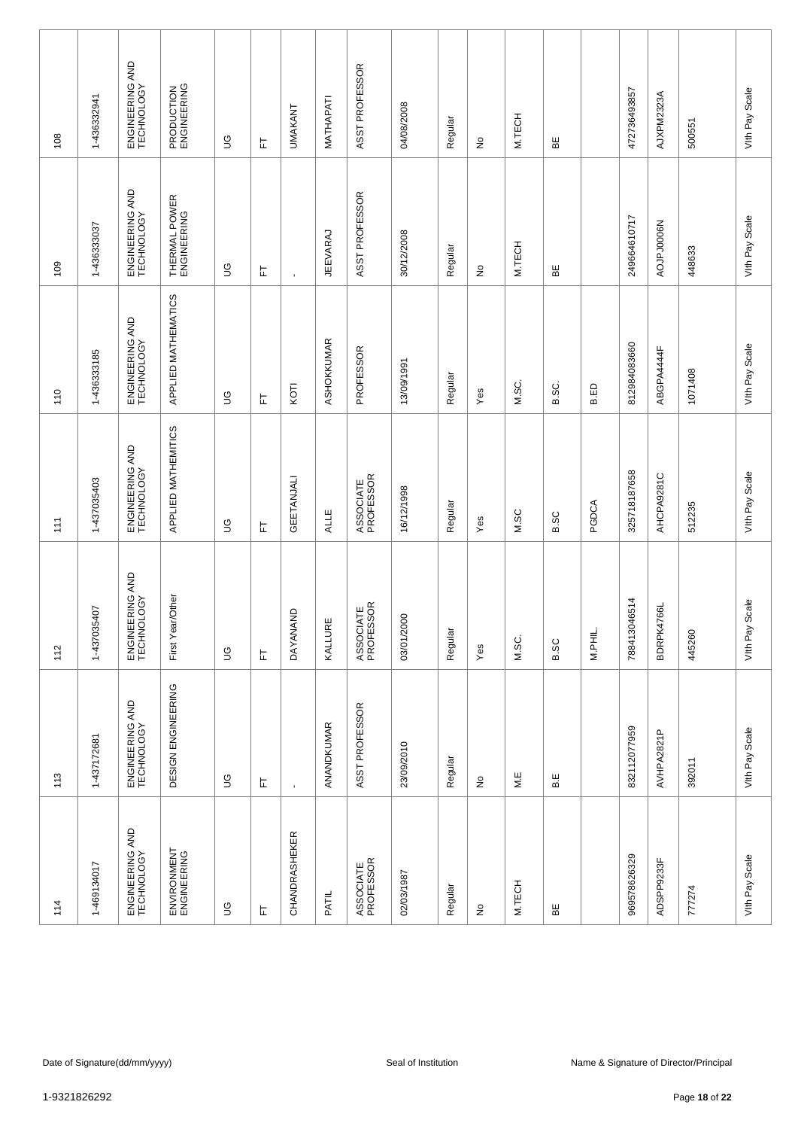| 108 | 1-436332941  | ENGINEERING AND<br>TECHNOLOGY | PRODUCTION<br>ENGINEERING    | $\mathbb S$ | 匸                          | <b>UMAKANT</b>       | MATHAPATI   | ASST PROFESSOR         | 04/08/2008          | Regular | $\frac{\circ}{\sim}$       | M.TECH | 띪           |         | 472736493857 | AJXPM2323A | 500551                                                  | Vith Pay Scale    |
|-----|--------------|-------------------------------|------------------------------|-------------|----------------------------|----------------------|-------------|------------------------|---------------------|---------|----------------------------|--------|-------------|---------|--------------|------------|---------------------------------------------------------|-------------------|
| 109 | 1-436333037  | ENGINEERING AND<br>TECHNOLOGY | THERMAL POWER<br>ENGINEERING | 9U          | 는                          | $\blacksquare$       | JEEVARAJ    | ASST PROFESSOR         | 30/12/2008          | Regular | $\stackrel{\mathtt{o}}{z}$ | M.TECH | 띪           |         | 249664610717 | AOJPJ0006N | 448633                                                  | Vith Pay Scale    |
| 110 | 1-436333185  | ENGINEERING AND<br>TECHNOLOGY | APPLIED MATHEMATICS          | 9D          | 匸                          | KOTI                 | ASHOKKUMAR  | PROFESSOR              | 13/09/1991          | Regular | Yes                        | M.SC.  | B.SC.       | B.ED    | 812984083660 | ABGPA4444F | 1071408                                                 | Vith Pay Scale    |
| 111 | 1-437035403  | ENGINEERING AND<br>TECHNOLOGY | APPLIED MATHEMITICS          | S           | 匸                          | <b>GEETANJALI</b>    | <b>ALLE</b> | ASSOCIATE<br>PROFESSOR | 16/12/1998          | Regular | Yes                        | M.SC   | <b>B.SC</b> | PGDCA   | 325718187658 | AHCPA9281C | 512235                                                  | Vith Pay Scale    |
| 112 | 1-437035407  | ENGINEERING AND<br>TECHNOLOGY | First Year/Other             | $\mathbb S$ | $\overleftarrow{\text{L}}$ | DAYANAND             | KALLURE     | ASSOCIATE<br>PROFESSOR | 03/01/2000          | Regular | Yes                        | M.SC.  | <b>B.SC</b> | M.PHIL. | 788413046514 | BDRPK4766L | 445260                                                  | Scale<br>Vith Pay |
| 113 | 1-437172681  | ENGINEERING AND<br>TECHNOLOGY | DESIGN ENGINEERING           | $\mathbb S$ | 上                          |                      | ANANDKUMAR  | ASST PROFESSOR         | 23/09/2010          | Regular | $\frac{\circ}{\sim}$       | M.E    | ш<br>ഥ      |         | 832112077959 | AVHPA2821P | 392011                                                  | Vith Pay Scale    |
| 114 | 1-469134017  | ENGINEERING AND<br>TECHNOLOGY | ENVIRONMENT<br>ENGINEERING   | $\mathbb S$ | 上                          | <b>CHANDRASHEKER</b> | PATIL       | ASSOCIATE<br>PROFESSOR | 02/03/1987          | Regular | $\frac{\circ}{\sim}$       | M.TECH | 띪           |         | 969578626329 | ADSPP9233F | 777274                                                  | Vith Pay Scale    |
|     |              |                               |                              |             |                            |                      |             |                        |                     |         |                            |        |             |         |              |            |                                                         |                   |
|     | 1-9321826292 | Date of Signature(dd/mm/yyyy) |                              |             |                            |                      |             |                        | Seal of Institution |         |                            |        |             |         |              |            | Name & Signature of Director/Principal<br>Page 18 of 22 |                   |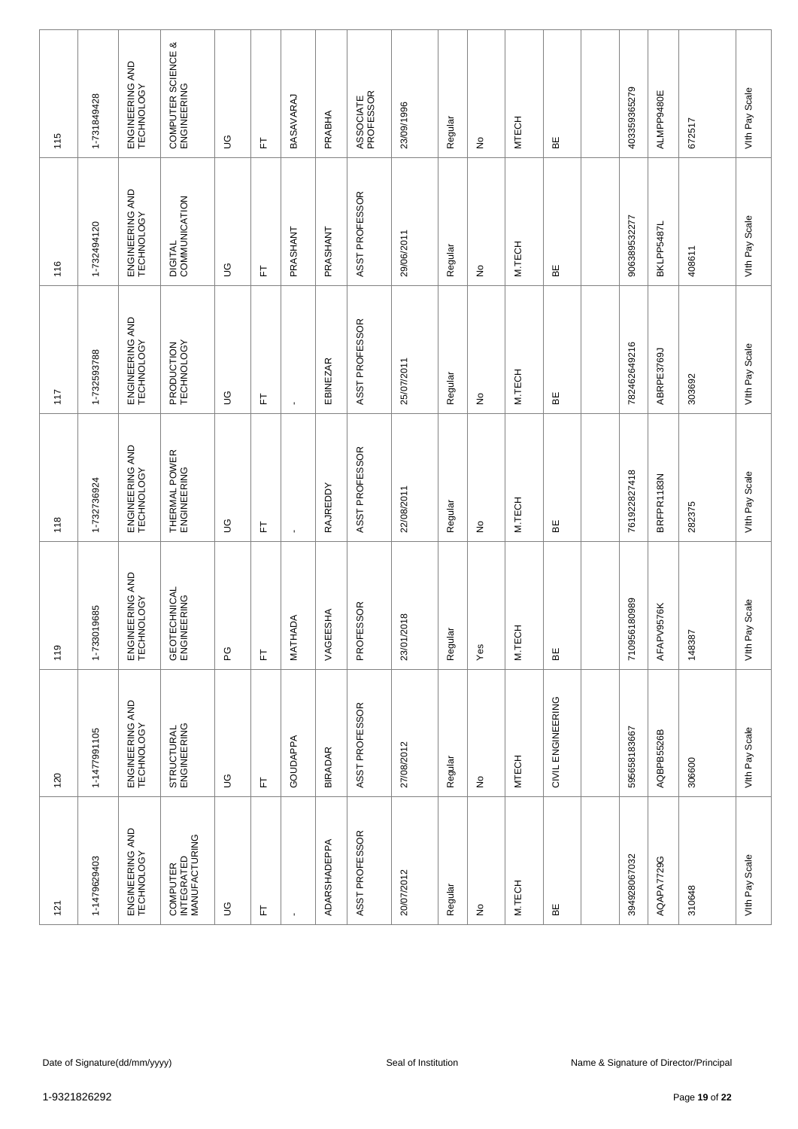| 115          | 1-731849428  | ENGINEERING AND<br>TECHNOLOGY | COMPUTER SCIENCE &<br>ENGINEERING       | S              | 匸 | BASAVARAJ      | PRABHA              | ASSOCIATE<br>PROFESSOR | 23/09/1996          | Regular | $\frac{\circ}{\sim}$            | <b>MTECH</b> | 띪                 | 403359365279      | ALMPP9480E | 672517                                 | Vith Pay Scale    |
|--------------|--------------|-------------------------------|-----------------------------------------|----------------|---|----------------|---------------------|------------------------|---------------------|---------|---------------------------------|--------------|-------------------|-------------------|------------|----------------------------------------|-------------------|
| 116          | 1-732494120  | ENGINEERING AND<br>TECHNOLOGY | DIGITAL<br>COMMUNICATION                | 9D             | 匸 | PRASHANT       | PRASHANT            | ASST PROFESSOR         | 29/06/2011          | Regular | $\stackrel{\mathtt{o}}{z}$      | M.TECH       | ΒË                | 906389532277      | BKLPP5487L | 408611                                 | Vith Pay Scale    |
| 117          | 1-732593788  | ENGINEERING AND<br>TECHNOLOGY | PRODUCTION<br>TECHNOLOGY                | 9D             | 匸 | $\mathbf{r}$   | <b>EBINEZAR</b>     | ASST PROFESSOR         | 25/07/2011          | Regular | ş                               | M.TECH       | 띪                 | 782462649216      | ABRPE3769J | 303692                                 | Vith Pay Scale    |
| 118          | 1-732736924  | ENGINEERING AND<br>TECHNOLOGY | THERMAL POWER<br>ENGINEERING            | $\mathfrak{S}$ | 匸 | $\blacksquare$ | <b>RAJREDDY</b>     | ASST PROFESSOR         | 22/08/2011          | Regular | $\frac{\mathsf{O}}{\mathsf{D}}$ | M.TECH       | 볾                 | 761922827418      | BRFPR1183N | 282375                                 | Vith Pay Scale    |
| 119          | 1-733019685  | ENGINEERING AND<br>TECHNOLOGY | GEOTECHNICAL<br>ENGINEERING             | ပို့           | 岀 | MATHADA        | VAGEESHA            | SOR<br>PROFES          | 23/01/2018          | Regular | Yes                             | M.TECH       | ЪË                | 80989<br>71095618 | AFAPV9576K | 148387                                 | Scale<br>VIth Pay |
| 120          | 1-1477991105 | ENGINEERING AND<br>TECHNOLOGY | STRUCTURAL<br>ENGINEERING               | $\mathbb S$    | 上 | GOUDAPPA       | <b>BIRADAR</b>      | ASST PROFESSOR         | 27/08/2012          | Regular | $\frac{\circ}{\sim}$            | <b>MTECH</b> | CIVIL ENGINEERING | 595658183667      | AQBPB5526B | 306600                                 | Vith Pay Scale    |
| 121          | 1-1479629403 | ENGINEERING AND<br>TECHNOLOGY | COMPUTER<br>INTEGRATED<br>MANUFACTURING | $\mathbb S$    | 匸 | $\mathbf{r}$   | <b>ADARSHADEPPA</b> | ASST PROFESSOR         | 20/07/2012          | Regular | $\frac{\circ}{\sim}$            | M.TECH       | 띪                 | 394928067032      | AQAPA7729G | 310648                                 | Vith Pay Scale    |
|              |              |                               |                                         |                |   |                |                     |                        |                     |         |                                 |              |                   |                   |            |                                        |                   |
|              |              | Date of Signature(dd/mm/yyyy) |                                         |                |   |                |                     |                        | Seal of Institution |         |                                 |              |                   |                   |            | Name & Signature of Director/Principal |                   |
| 1-9321826292 |              |                               |                                         |                |   |                |                     |                        |                     |         |                                 |              | Page 19 of 22     |                   |            |                                        |                   |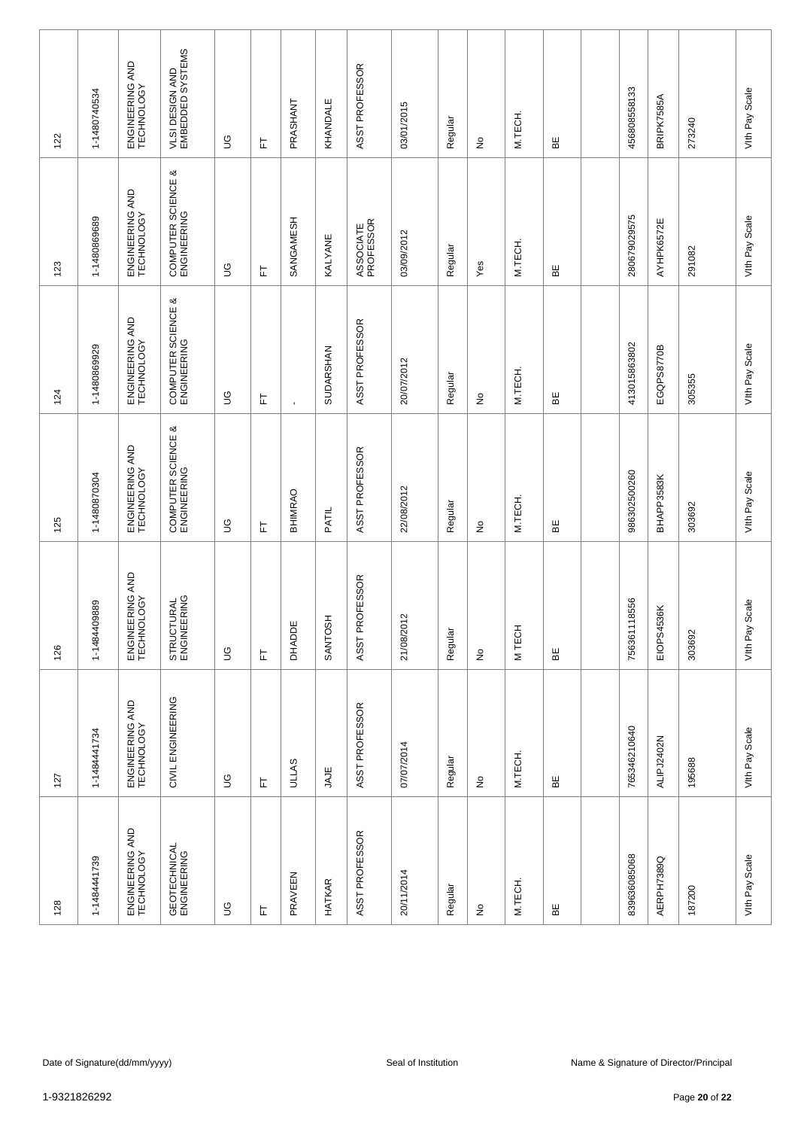| 122          | 1-1480740534 | ENGINEERING AND<br>TECHNOLOGY | VLSI DESIGN AND<br>EMBEDDED SYSTEMS | S              | 匸 | PRASHANT      | KHANDALE       | ASST PROFESSOR         | 03/01/2015          | Regular | $\frac{\circ}{\sim}$            | M.TECH. | 띪  | 456808558133 | BRIPK7585A | 273240                                 | Vith Pay Scale    |
|--------------|--------------|-------------------------------|-------------------------------------|----------------|---|---------------|----------------|------------------------|---------------------|---------|---------------------------------|---------|----|--------------|------------|----------------------------------------|-------------------|
| 123          | 1-1480869689 | ENGINEERING AND<br>TECHNOLOGY | COMPUTER SCIENCE &<br>ENGINEERING   | 9D             | 匸 | SANGAMESH     | <b>KALYANE</b> | ASSOCIATE<br>PROFESSOR | 03/09/2012          | Regular | Yes                             | M.TECH. | ΒË | 280679029575 | AYHPK6572E | 291082                                 | Vith Pay Scale    |
| 124          | 1-1480869929 | ENGINEERING AND<br>TECHNOLOGY | COMPUTER SCIENCE &<br>ENGINEERING   | 9D             | 匸 | $\mathbf{r}$  | SUDARSHAN      | ASST PROFESSOR         | 20/07/2012          | Regular | ş                               | M.TECH. | 띪  | 413015863802 | EGQPS8770B | 305355                                 | Vith Pay Scale    |
| 125          | 1-1480870304 | ENGINEERING AND<br>TECHNOLOGY | COMPUTER SCIENCE &<br>ENGINEERING   | $\mathfrak{S}$ | 匸 | BHIMRAO       | PATIL          | ASST PROFESSOR         | 22/08/2012          | Regular | $\frac{\mathsf{O}}{\mathsf{D}}$ | M.TECH. | 볾  | 986302500260 | BHAPP3583K | 303692                                 | Vith Pay Scale    |
| 126          | 1-1484409889 | ENGINEERING AND<br>TECHNOLOGY | STRUCTURAL<br>ENGINEERING           | $\mathbb S$    | 上 | <b>DHADDE</b> | 美<br>SANTOS    | ASST PROFESSOR         | 21/08/2012          | Regular | $\stackrel{\mathtt{o}}{z}$      | M TECH  | ЪË | 756361118556 | EIOPS4536K | 303692                                 | Scale<br>VIth Pay |
| 127          | 1-1484441734 | ENGINEERING AND<br>TECHNOLOGY | CIVIL ENGINEERING                   | $\mathbb S$    | 上 | <b>ULLAS</b>  | JAJE           | ASST PROFESSOR         | 07/07/2014          | Regular | $\frac{\circ}{\sim}$            | M.TECH. | 띪  | 765346210640 | ALIPJ2402N | 195688                                 | Vith Pay Scale    |
| 128          | 1-1484441739 | ENGINEERING AND<br>TECHNOLOGY | GEOTECHNICAL<br>ENGINEERING         | $\mathbb S$    | 上 | PRAVEEN       | <b>HATKAR</b>  | ASST PROFESSOR         | 20/11/2014          | Regular | $\frac{\circ}{\sim}$            | M.TECH. | 띪  | 839636085068 | AERPH7389Q | 187200                                 | Vith Pay Scale    |
|              |              |                               |                                     |                |   |               |                |                        |                     |         |                                 |         |    |              |            |                                        |                   |
|              |              | Date of Signature(dd/mm/yyyy) |                                     |                |   |               |                |                        | Seal of Institution |         |                                 |         |    |              |            | Name & Signature of Director/Principal |                   |
| 1-9321826292 |              |                               |                                     |                |   |               |                |                        |                     |         |                                 |         |    |              |            | Page 20 of 22                          |                   |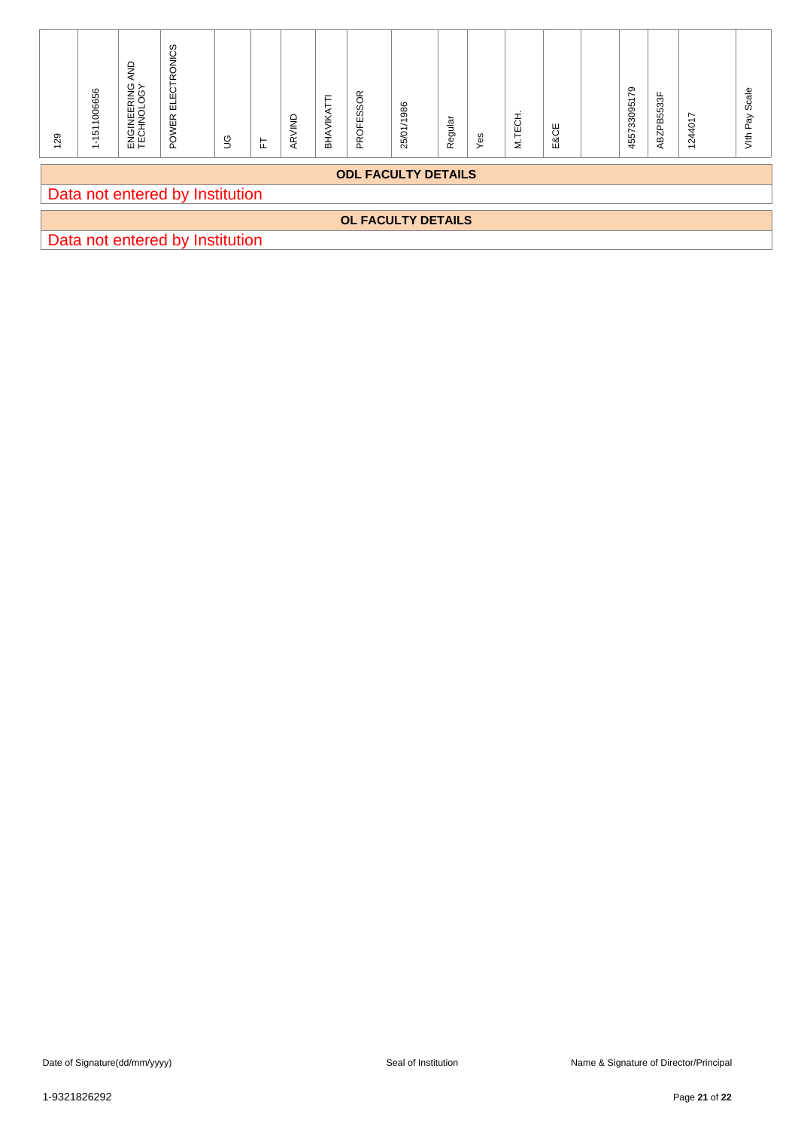| 129 | 1-1511006656 | ENGINEERING AND<br>TECHNOLOGY | POWER ELECTRONICS               | $\mathbb S$ | $\overleftarrow{\text{L}}$ | ARVIND | BHAVIKATTI | PROFESSOR | 25/01/1986                 | Regular | Yes | M.TECH. | E&CE | 455733095179 | ABZPB5533F | 1244017                                | Vith Pay Scale |
|-----|--------------|-------------------------------|---------------------------------|-------------|----------------------------|--------|------------|-----------|----------------------------|---------|-----|---------|------|--------------|------------|----------------------------------------|----------------|
|     |              |                               | Data not entered by Institution |             |                            |        |            |           | <b>ODL FACULTY DETAILS</b> |         |     |         |      |              |            |                                        |                |
|     |              |                               |                                 |             |                            |        |            |           | OL FACULTY DETAILS         |         |     |         |      |              |            |                                        |                |
|     |              |                               | Data not entered by Institution |             |                            |        |            |           |                            |         |     |         |      |              |            |                                        |                |
|     |              |                               |                                 |             |                            |        |            |           |                            |         |     |         |      |              |            |                                        |                |
|     |              |                               |                                 |             |                            |        |            |           |                            |         |     |         |      |              |            |                                        |                |
|     |              |                               |                                 |             |                            |        |            |           |                            |         |     |         |      |              |            |                                        |                |
|     |              |                               |                                 |             |                            |        |            |           |                            |         |     |         |      |              |            |                                        |                |
|     |              |                               |                                 |             |                            |        |            |           |                            |         |     |         |      |              |            |                                        |                |
|     |              |                               |                                 |             |                            |        |            |           |                            |         |     |         |      |              |            |                                        |                |
|     |              |                               |                                 |             |                            |        |            |           |                            |         |     |         |      |              |            |                                        |                |
|     |              |                               |                                 |             |                            |        |            |           |                            |         |     |         |      |              |            |                                        |                |
|     |              |                               |                                 |             |                            |        |            |           |                            |         |     |         |      |              |            |                                        |                |
|     |              |                               |                                 |             |                            |        |            |           |                            |         |     |         |      |              |            |                                        |                |
|     |              |                               |                                 |             |                            |        |            |           |                            |         |     |         |      |              |            |                                        |                |
|     |              |                               |                                 |             |                            |        |            |           |                            |         |     |         |      |              |            |                                        |                |
|     |              |                               |                                 |             |                            |        |            |           |                            |         |     |         |      |              |            |                                        |                |
|     |              |                               |                                 |             |                            |        |            |           |                            |         |     |         |      |              |            |                                        |                |
|     |              |                               |                                 |             |                            |        |            |           |                            |         |     |         |      |              |            |                                        |                |
|     |              |                               |                                 |             |                            |        |            |           |                            |         |     |         |      |              |            |                                        |                |
|     |              |                               |                                 |             |                            |        |            |           |                            |         |     |         |      |              |            |                                        |                |
|     |              |                               |                                 |             |                            |        |            |           |                            |         |     |         |      |              |            |                                        |                |
|     |              |                               |                                 |             |                            |        |            |           |                            |         |     |         |      |              |            |                                        |                |
|     |              |                               |                                 |             |                            |        |            |           |                            |         |     |         |      |              |            |                                        |                |
|     |              | Date of Signature(dd/mm/yyyy) |                                 |             |                            |        |            |           | Seal of Institution        |         |     |         |      |              |            | Name & Signature of Director/Principal |                |
|     | 1-9321826292 |                               |                                 |             |                            |        |            |           |                            |         |     |         |      |              |            | Page 21 of 22                          |                |